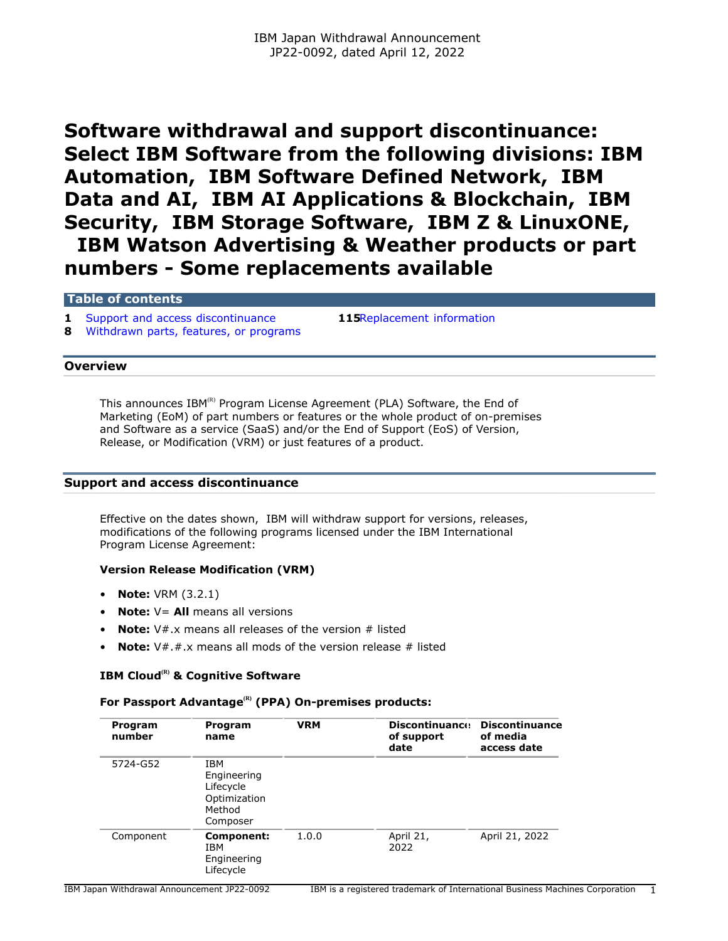# **Software withdrawal and support discontinuance: Select IBM Software from the following divisions: IBM Automation, IBM Software Defined Network, IBM Data and AI, IBM AI Applications & Blockchain, IBM Security, IBM Storage Software, IBM Z & LinuxONE, IBM Watson Advertising & Weather products or part numbers - Some replacements available**

#### **Table of contents**

**1** [Support and access discontinuance](#page-0-0) **115**[Replacement information](#page-114-0)

**8** [Withdrawn parts, features, or programs](#page-7-0)

#### **Overview**

This announces  $IBM^{(R)}$  Program License Agreement (PLA) Software, the End of Marketing (EoM) of part numbers or features or the whole product of on-premises and Software as a service (SaaS) and/or the End of Support (EoS) of Version, Release, or Modification (VRM) or just features of a product.

# <span id="page-0-0"></span>**Support and access discontinuance**

Effective on the dates shown, IBM will withdraw support for versions, releases, modifications of the following programs licensed under the IBM International Program License Agreement:

## **Version Release Modification (VRM)**

- **Note:** VRM (3.2.1)
- **Note:**  $V =$  **All** means all versions
- **Note:** V#.x means all releases of the version # listed
- **Note:** V#.#.x means all mods of the version release # listed

# **IBM Cloud(R) & Cognitive Software**

## **For Passport Advantage(R) (PPA) On-premises products:**

| Program<br>number | Program<br>name                                                              | <b>VRM</b> | <b>Discontinuance</b><br>of support<br>date | <b>Discontinuance</b><br>of media<br>access date |
|-------------------|------------------------------------------------------------------------------|------------|---------------------------------------------|--------------------------------------------------|
| 5724-G52          | <b>IBM</b><br>Engineering<br>Lifecycle<br>Optimization<br>Method<br>Composer |            |                                             |                                                  |
| Component         | Component:<br>IBM<br>Engineering<br>Lifecycle                                | 1.0.0      | April 21,<br>2022                           | April 21, 2022                                   |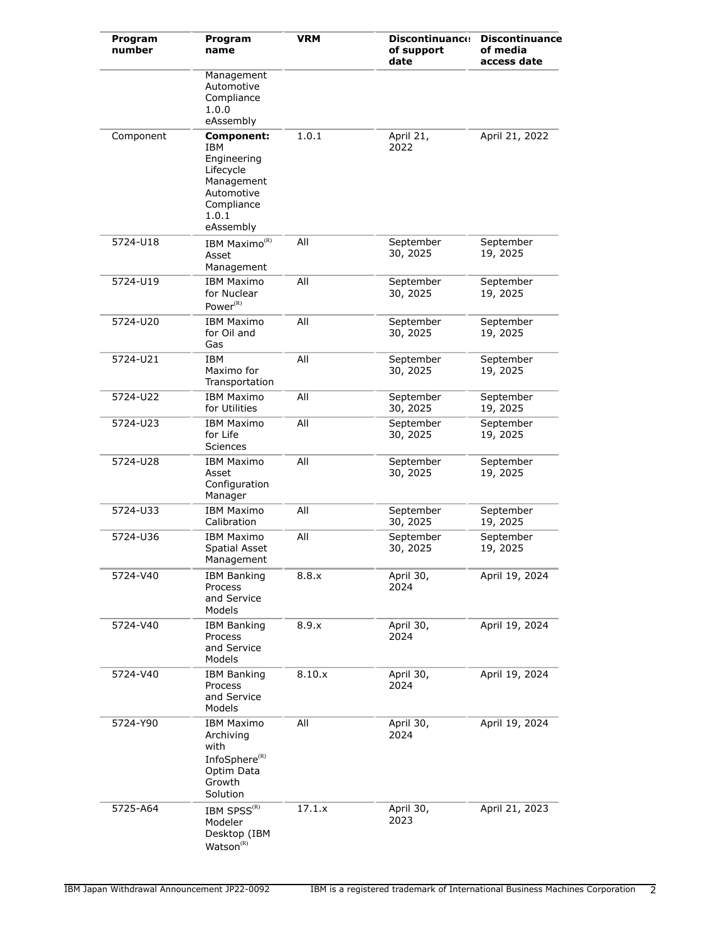| Program<br>number | Program<br>name                                                                                               | <b>VRM</b> | <b>Discontinuance</b><br>of support<br>date | <b>Discontinuance</b><br>of media<br>access date |
|-------------------|---------------------------------------------------------------------------------------------------------------|------------|---------------------------------------------|--------------------------------------------------|
|                   | Management<br>Automotive<br>Compliance<br>1.0.0<br>eAssembly                                                  |            |                                             |                                                  |
| Component         | Component:<br>IBM<br>Engineering<br>Lifecycle<br>Management<br>Automotive<br>Compliance<br>1.0.1<br>eAssembly | 1.0.1      | April 21,<br>2022                           | April 21, 2022                                   |
| 5724-U18          | IBM Maximo <sup>(R)</sup><br>Asset<br>Management                                                              | All        | September<br>30, 2025                       | September<br>19, 2025                            |
| 5724-U19          | <b>IBM Maximo</b><br>for Nuclear<br>Power <sup>(R)</sup>                                                      | All        | September<br>30, 2025                       | September<br>19, 2025                            |
| 5724-U20          | <b>IBM Maximo</b><br>for Oil and<br>Gas                                                                       | All        | September<br>30, 2025                       | September<br>19, 2025                            |
| 5724-U21          | <b>IBM</b><br>Maximo for<br>Transportation                                                                    | All        | September<br>30, 2025                       | September<br>19, 2025                            |
| 5724-U22          | <b>IBM Maximo</b><br>for Utilities                                                                            | All        | September<br>30, 2025                       | September<br>19, 2025                            |
| 5724-U23          | <b>IBM Maximo</b><br>for Life<br>Sciences                                                                     | All        | September<br>30, 2025                       | September<br>19, 2025                            |
| 5724-U28          | <b>IBM Maximo</b><br>Asset<br>Configuration<br>Manager                                                        | All        | September<br>30, 2025                       | September<br>19, 2025                            |
| 5724-U33          | <b>IBM Maximo</b><br>Calibration                                                                              | All        | September<br>30, 2025                       | September<br>19, 2025                            |
| 5724-U36          | IBM Maximo<br><b>Spatial Asset</b><br>Management                                                              | All        | September<br>30, 2025                       | September<br>19, 2025                            |
| 5724-V40          | <b>IBM Banking</b><br>Process<br>and Service<br>Models                                                        | 8.8.x      | April 30,<br>2024                           | April 19, 2024                                   |
| 5724-V40          | <b>IBM Banking</b><br>Process<br>and Service<br>Models                                                        | 8.9.x      | April 30,<br>2024                           | April 19, 2024                                   |
| 5724-V40          | <b>IBM Banking</b><br>Process<br>and Service<br>Models                                                        | 8.10.x     | April 30,<br>2024                           | April 19, 2024                                   |
| 5724-Y90          | <b>IBM Maximo</b><br>Archiving<br>with<br>InfoSphere <sup>(R)</sup><br>Optim Data<br>Growth<br>Solution       | All        | April 30,<br>2024                           | April 19, 2024                                   |
| 5725-A64          | IBM SPSS <sup>(R)</sup><br>Modeler<br>Desktop (IBM<br>$Watson^{(R)}$                                          | 17.1.x     | April 30,<br>2023                           | April 21, 2023                                   |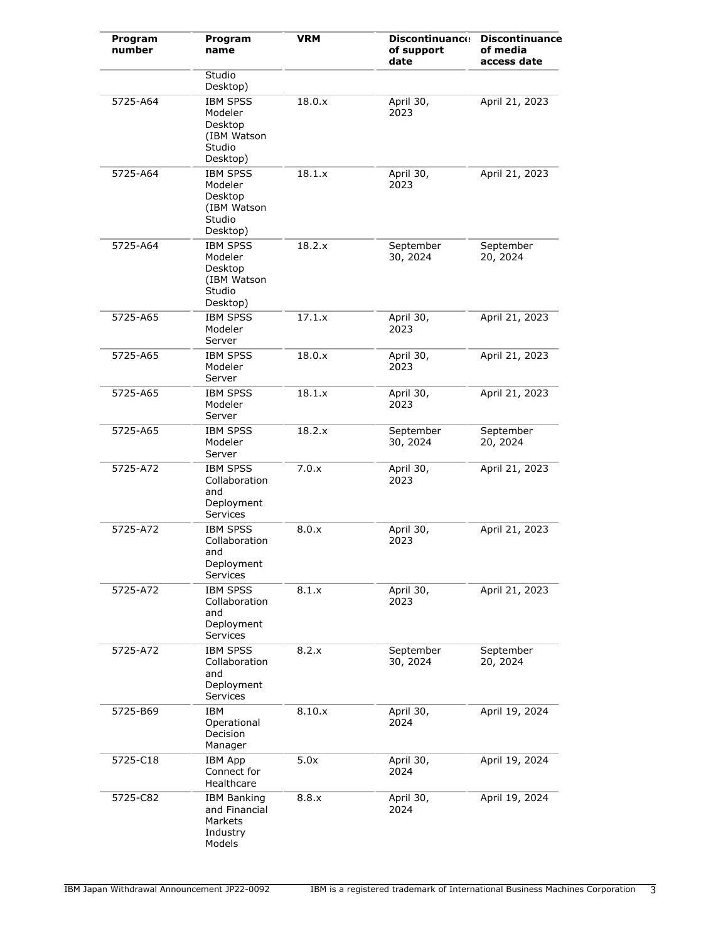| Program<br>number | Program<br>name                                                            | <b>VRM</b> | <b>Discontinuance</b><br>of support<br>date | <b>Discontinuance</b><br>of media<br>access date |
|-------------------|----------------------------------------------------------------------------|------------|---------------------------------------------|--------------------------------------------------|
|                   | Studio<br>Desktop)                                                         |            |                                             |                                                  |
| 5725-A64          | <b>IBM SPSS</b><br>Modeler<br>Desktop<br>(IBM Watson<br>Studio<br>Desktop) | 18.0.x     | April 30,<br>2023                           | April 21, 2023                                   |
| 5725-A64          | <b>IBM SPSS</b><br>Modeler<br>Desktop<br>(IBM Watson<br>Studio<br>Desktop) | 18.1.x     | April 30,<br>2023                           | April 21, 2023                                   |
| 5725-A64          | <b>IBM SPSS</b><br>Modeler<br>Desktop<br>(IBM Watson<br>Studio<br>Desktop) | 18.2.x     | September<br>30, 2024                       | September<br>20, 2024                            |
| 5725-A65          | <b>IBM SPSS</b><br>Modeler<br>Server                                       | 17.1.x     | April 30,<br>2023                           | April 21, 2023                                   |
| 5725-A65          | <b>IBM SPSS</b><br>Modeler<br>Server                                       | 18.0.x     | April 30,<br>2023                           | April 21, 2023                                   |
| 5725-A65          | <b>IBM SPSS</b><br>Modeler<br>Server                                       | 18.1.x     | April 30,<br>2023                           | April 21, 2023                                   |
| 5725-A65          | <b>IBM SPSS</b><br>Modeler<br>Server                                       | 18.2.x     | September<br>30, 2024                       | September<br>20, 2024                            |
| 5725-A72          | <b>IBM SPSS</b><br>Collaboration<br>and<br>Deployment<br>Services          | 7.0.x      | April 30,<br>2023                           | April 21, 2023                                   |
| 5725-A72          | <b>IBM SPSS</b><br>Collaboration<br>and<br>Deployment<br>Services          | 8.0.x      | April 30,<br>2023                           | April 21, 2023                                   |
| 5725-A72          | <b>IBM SPSS</b><br>Collaboration<br>and<br>Deployment<br>Services          | 8.1.x      | April 30,<br>2023                           | April 21, 2023                                   |
| 5725-A72          | <b>IBM SPSS</b><br>Collaboration<br>and<br>Deployment<br>Services          | 8.2.x      | September<br>30, 2024                       | September<br>20, 2024                            |
| 5725-B69          | IBM<br>Operational<br>Decision<br>Manager                                  | 8.10.x     | April 30,<br>2024                           | April 19, 2024                                   |
| $5725 - C18$      | <b>IBM App</b><br>Connect for<br>Healthcare                                | 5.0x       | April 30,<br>2024                           | April 19, 2024                                   |
| 5725-C82          | <b>IBM Banking</b><br>and Financial<br>Markets<br>Industry<br>Models       | 8.8.x      | April 30,<br>2024                           | April 19, 2024                                   |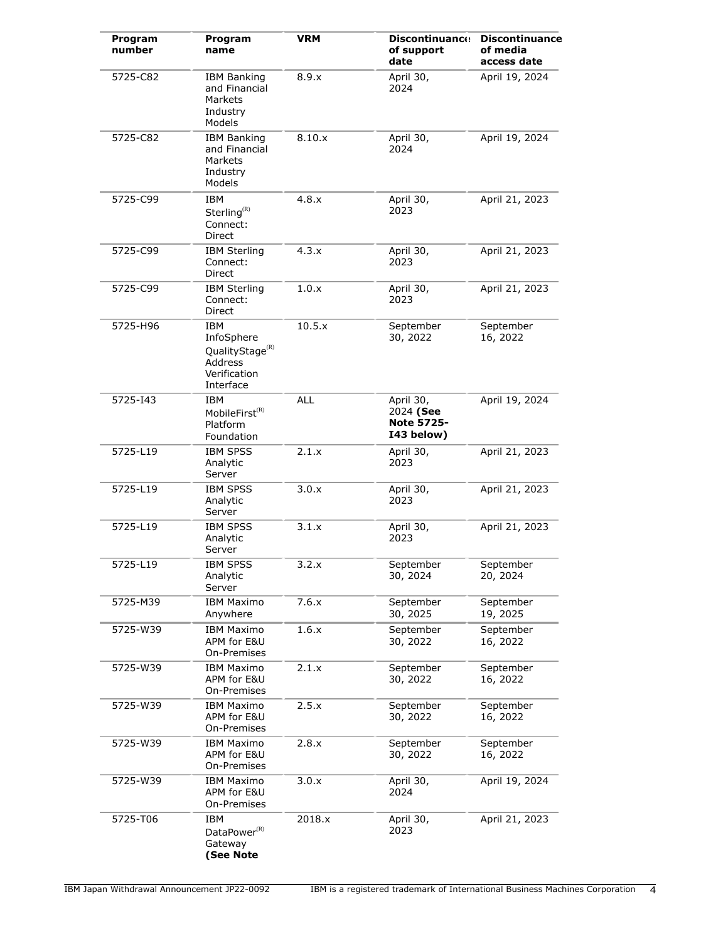| Program<br>number | Program<br>name                                                                                 | <b>VRM</b> | <b>Discontinuance</b><br>of support<br>date               | <b>Discontinuance</b><br>of media<br>access date |
|-------------------|-------------------------------------------------------------------------------------------------|------------|-----------------------------------------------------------|--------------------------------------------------|
| 5725-C82          | <b>IBM Banking</b><br>and Financial<br>Markets<br>Industry<br>Models                            | 8.9.x      | April 30,<br>2024                                         | April 19, 2024                                   |
| 5725-C82          | <b>IBM Banking</b><br>and Financial<br>Markets<br>Industry<br>Models                            | 8.10.x     | April 30,<br>2024                                         | April 19, 2024                                   |
| 5725-C99          | <b>IBM</b><br>Sterling <sup>(R)</sup><br>Connect:<br>Direct                                     | 4.8.x      | April 30,<br>2023                                         | April 21, 2023                                   |
| 5725-C99          | <b>IBM Sterling</b><br>Connect:<br>Direct                                                       | 4.3.x      | April 30,<br>2023                                         | April 21, 2023                                   |
| 5725-C99          | <b>IBM Sterling</b><br>Connect:<br><b>Direct</b>                                                | 1.0.x      | April 30,<br>2023                                         | April 21, 2023                                   |
| 5725-H96          | <b>IBM</b><br>InfoSphere<br>QualityStage <sup>(R)</sup><br>Address<br>Verification<br>Interface | 10.5.x     | September<br>30, 2022                                     | September<br>16, 2022                            |
| 5725-143          | IBM<br>MobileFirst <sup>(R)</sup><br>Platform<br>Foundation                                     | <b>ALL</b> | April 30,<br>2024 (See<br><b>Note 5725-</b><br>I43 below) | April 19, 2024                                   |
| 5725-L19          | <b>IBM SPSS</b><br>Analytic<br>Server                                                           | 2.1.x      | April 30,<br>2023                                         | April 21, 2023                                   |
| 5725-L19          | <b>IBM SPSS</b><br>Analytic<br>Server                                                           | 3.0.x      | April 30,<br>2023                                         | April 21, 2023                                   |
| 5725-L19          | <b>IBM SPSS</b><br>Analytic<br>Server                                                           | 3.1.x      | April 30,<br>2023                                         | April 21, 2023                                   |
| 5725-L19          | <b>IBM SPSS</b><br>Analytic<br>Server                                                           | 3.2.X      | September<br>30, 2024                                     | September<br>20, 2024                            |
| 5725-M39          | <b>IBM Maximo</b><br>Anywhere                                                                   | 7.6.x      | September<br>30, 2025                                     | September<br>19, 2025                            |
| 5725-W39          | <b>IBM Maximo</b><br>APM for E&U<br>On-Premises                                                 | 1.6.x      | September<br>30, 2022                                     | September<br>16, 2022                            |
| 5725-W39          | <b>IBM Maximo</b><br>APM for E&U<br>On-Premises                                                 | 2.1.x      | September<br>30, 2022                                     | September<br>16, 2022                            |
| 5725-W39          | <b>IBM Maximo</b><br>APM for E&U<br>On-Premises                                                 | 2.5.x      | September<br>30, 2022                                     | September<br>16, 2022                            |
| 5725-W39          | <b>IBM Maximo</b><br>APM for E&U<br>On-Premises                                                 | 2.8.x      | September<br>30, 2022                                     | September<br>16, 2022                            |
| 5725-W39          | <b>IBM Maximo</b><br>APM for E&U<br>On-Premises                                                 | 3.0.x      | April 30,<br>2024                                         | April 19, 2024                                   |
| 5725-T06          | IBM<br>DataPower <sup>(R)</sup><br>Gateway<br>(See Note                                         | 2018.x     | April 30,<br>2023                                         | April 21, 2023                                   |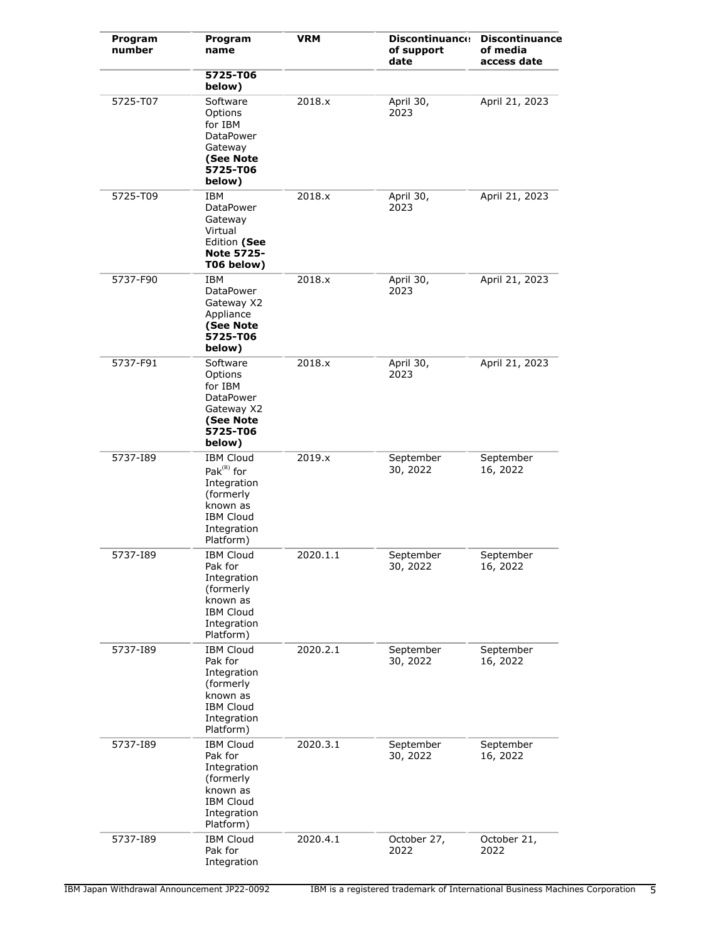| Program<br>number | Program<br>name                                                                                                              | <b>VRM</b> | <b>Discontinuance</b><br>of support<br>date | <b>Discontinuance</b><br>of media<br>access date |
|-------------------|------------------------------------------------------------------------------------------------------------------------------|------------|---------------------------------------------|--------------------------------------------------|
|                   | 5725-T06<br>below)                                                                                                           |            |                                             |                                                  |
| 5725-T07          | Software<br>Options<br>for IBM<br>DataPower<br>Gateway<br>(See Note<br>5725-T06<br>below)                                    | 2018.x     | April 30,<br>2023                           | April 21, 2023                                   |
| 5725-T09          | IBM<br>DataPower<br>Gateway<br>Virtual<br>Edition (See<br><b>Note 5725-</b><br>T06 below)                                    | 2018.x     | April 30,<br>2023                           | April 21, 2023                                   |
| 5737-F90          | IBM<br>DataPower<br>Gateway X2<br>Appliance<br>(See Note<br>5725-T06<br>below)                                               | 2018.x     | April 30,<br>2023                           | April 21, 2023                                   |
| 5737-F91          | Software<br>Options<br>for IBM<br>DataPower<br>Gateway X2<br>(See Note<br>5725-T06<br>below)                                 | 2018.x     | April 30,<br>2023                           | April 21, 2023                                   |
| 5737-189          | <b>IBM Cloud</b><br>Pa $k^{(R)}$ for<br>Integration<br>(formerly<br>known as<br><b>IBM Cloud</b><br>Integration<br>Platform) | 2019.x     | September<br>30, 2022                       | September<br>16, 2022                            |
| 5737-189          | <b>IBM Cloud</b><br>Pak for<br>Integration<br>(formerly<br>known as<br><b>IBM Cloud</b><br>Integration<br>Platform)          | 2020.1.1   | September<br>30, 2022                       | September<br>16, 2022                            |
| 5737-189          | <b>IBM Cloud</b><br>Pak for<br>Integration<br>(formerly<br>known as<br><b>IBM Cloud</b><br>Integration<br>Platform)          | 2020.2.1   | September<br>30, 2022                       | September<br>16, 2022                            |
| 5737-189          | <b>IBM Cloud</b><br>Pak for<br>Integration<br>(formerly<br>known as<br><b>IBM Cloud</b><br>Integration<br>Platform)          | 2020.3.1   | September<br>30, 2022                       | September<br>16, 2022                            |
| 5737-189          | <b>IBM Cloud</b><br>Pak for<br>Integration                                                                                   | 2020.4.1   | October 27,<br>2022                         | October 21,<br>2022                              |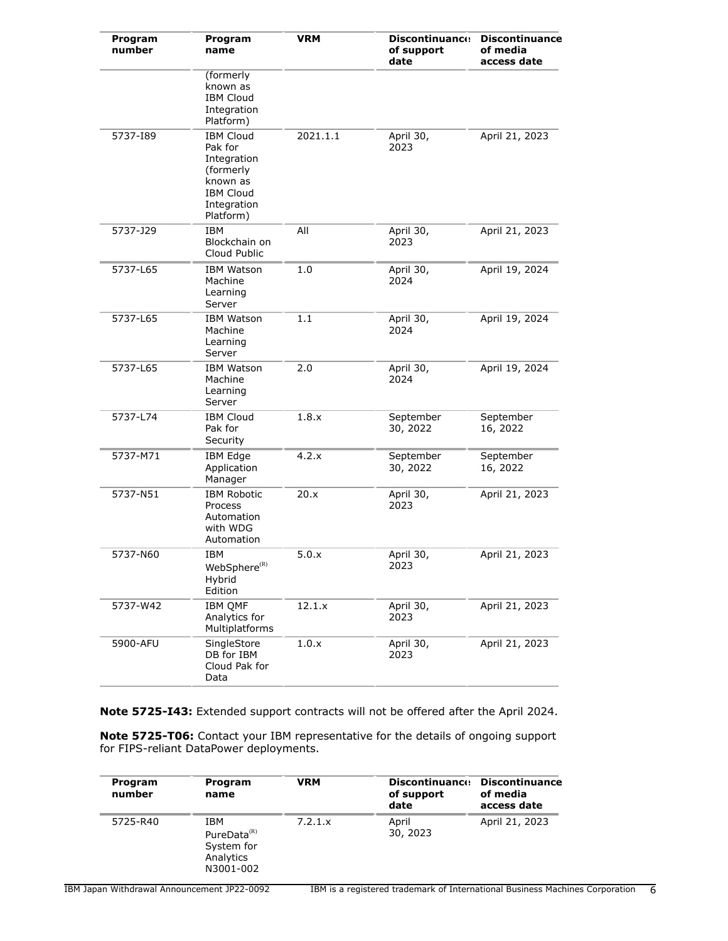| Program<br>number | Program<br>name                                                                                                     | <b>VRM</b> | <b>Discontinuance</b><br>of support<br>date | <b>Discontinuance</b><br>of media<br>access date |
|-------------------|---------------------------------------------------------------------------------------------------------------------|------------|---------------------------------------------|--------------------------------------------------|
|                   | (formerly<br>known as<br><b>IBM Cloud</b><br>Integration<br>Platform)                                               |            |                                             |                                                  |
| 5737-189          | <b>IBM Cloud</b><br>Pak for<br>Integration<br>(formerly<br>known as<br><b>IBM Cloud</b><br>Integration<br>Platform) | 2021.1.1   | April 30,<br>2023                           | April 21, 2023                                   |
| 5737-J29          | <b>IBM</b><br>Blockchain on<br>Cloud Public                                                                         | All        | April 30,<br>2023                           | April 21, 2023                                   |
| 5737-L65          | <b>IBM Watson</b><br>Machine<br>Learning<br>Server                                                                  | 1.0        | April 30,<br>2024                           | April 19, 2024                                   |
| 5737-L65          | <b>IBM Watson</b><br>Machine<br>Learning<br>Server                                                                  | 1.1        | April 30,<br>2024                           | April 19, 2024                                   |
| 5737-L65          | <b>IBM Watson</b><br>Machine<br>Learning<br>Server                                                                  | 2.0        | April 30,<br>2024                           | April 19, 2024                                   |
| 5737-L74          | <b>IBM Cloud</b><br>Pak for<br>Security                                                                             | 1.8.x      | September<br>30, 2022                       | September<br>16, 2022                            |
| 5737-M71          | <b>IBM Edge</b><br>Application<br>Manager                                                                           | 4.2.x      | September<br>30, 2022                       | September<br>16, 2022                            |
| 5737-N51          | <b>IBM Robotic</b><br>Process<br>Automation<br>with WDG<br>Automation                                               | 20.x       | April 30,<br>2023                           | April 21, 2023                                   |
| 5737-N60          | IBM<br>$WebSphere^{(R)}$<br>Hybrid<br>Edition                                                                       | 5.0.x      | April 30,<br>2023                           | April 21, 2023                                   |
| 5737-W42          | <b>IBM QMF</b><br>Analytics for<br>Multiplatforms                                                                   | 12.1.x     | April 30,<br>2023                           | April 21, 2023                                   |
| 5900-AFU          | SingleStore<br>DB for IBM<br>Cloud Pak for<br>Data                                                                  | 1.0.x      | April 30,<br>2023                           | April 21, 2023                                   |

**Note 5725-I43:** Extended support contracts will not be offered after the April 2024.

**Note 5725-T06:** Contact your IBM representative for the details of ongoing support for FIPS-reliant DataPower deployments.

| Program<br>number | Program<br>name                                                        | <b>VRM</b> | <b>Discontinuance</b><br>of support<br>date | <b>Discontinuance</b><br>of media<br>access date |
|-------------------|------------------------------------------------------------------------|------------|---------------------------------------------|--------------------------------------------------|
| 5725-R40          | IBM<br>PureData <sup>(R)</sup><br>System for<br>Analytics<br>N3001-002 | 7.2.1.x    | April<br>30, 2023                           | April 21, 2023                                   |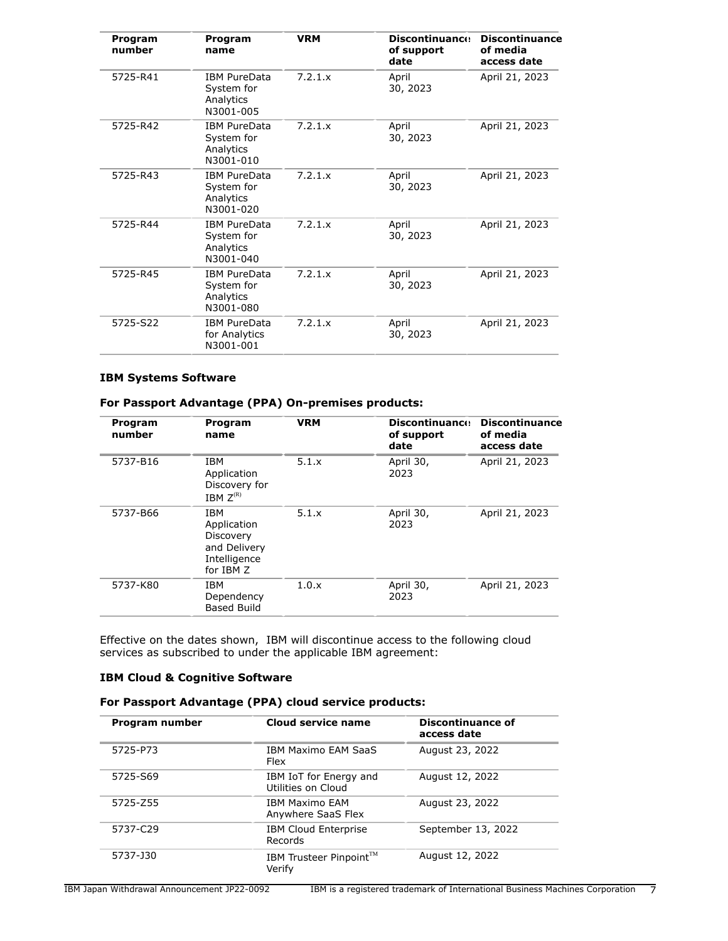| Program<br>number | Program<br>name                                             | <b>VRM</b> | <b>Discontinuance</b><br>of support<br>date | <b>Discontinuance</b><br>of media<br>access date |
|-------------------|-------------------------------------------------------------|------------|---------------------------------------------|--------------------------------------------------|
| 5725-R41          | <b>IBM PureData</b><br>System for<br>Analytics<br>N3001-005 | 7.2.1.x    | April<br>30, 2023                           | April 21, 2023                                   |
| 5725-R42          | <b>IBM PureData</b><br>System for<br>Analytics<br>N3001-010 | 7.2.1.x    | April<br>30, 2023                           | April 21, 2023                                   |
| 5725-R43          | <b>IBM PureData</b><br>System for<br>Analytics<br>N3001-020 | 7.2.1.x    | April<br>30, 2023                           | April 21, 2023                                   |
| 5725-R44          | <b>IBM PureData</b><br>System for<br>Analytics<br>N3001-040 | 7.2.1.x    | April<br>30, 2023                           | April 21, 2023                                   |
| 5725-R45          | <b>IBM PureData</b><br>System for<br>Analytics<br>N3001-080 | 7.2.1.x    | April<br>30, 2023                           | April 21, 2023                                   |
| 5725-S22          | <b>IBM PureData</b><br>for Analytics<br>N3001-001           | 7.2.1.x    | April<br>30, 2023                           | April 21, 2023                                   |

# **IBM Systems Software**

|  |  |  |  | For Passport Advantage (PPA) On-premises products: |  |
|--|--|--|--|----------------------------------------------------|--|
|--|--|--|--|----------------------------------------------------|--|

| Program<br>number | Program<br>name                                                                     | <b>VRM</b> | <b>Discontinuance</b><br>of support<br>date | <b>Discontinuance</b><br>of media<br>access date |
|-------------------|-------------------------------------------------------------------------------------|------------|---------------------------------------------|--------------------------------------------------|
| 5737-B16          | <b>IBM</b><br>Application<br>Discovery for<br>IBM $Z^{(R)}$                         | 5.1.x      | April 30,<br>2023                           | April 21, 2023                                   |
| 5737-B66          | <b>IBM</b><br>Application<br>Discovery<br>and Delivery<br>Intelligence<br>for IBM Z | 5.1.x      | April 30,<br>2023                           | April 21, 2023                                   |
| 5737-K80          | <b>IBM</b><br>Dependency<br><b>Based Build</b>                                      | 1.0.x      | April 30,<br>2023                           | April 21, 2023                                   |

Effective on the dates shown, IBM will discontinue access to the following cloud services as subscribed to under the applicable IBM agreement:

# **IBM Cloud & Cognitive Software**

| For Passport Advantage (PPA) cloud service products: |  |  |
|------------------------------------------------------|--|--|
|------------------------------------------------------|--|--|

| Program number | Cloud service name                           | <b>Discontinuance of</b><br>access date |
|----------------|----------------------------------------------|-----------------------------------------|
| 5725-P73       | <b>IBM Maximo EAM SaaS</b><br>Flex           | August 23, 2022                         |
| 5725-S69       | IBM IoT for Energy and<br>Utilities on Cloud | August 12, 2022                         |
| 5725-Z55       | <b>TBM Maximo FAM</b><br>Anywhere SaaS Flex  | August 23, 2022                         |
| 5737-C29       | <b>IBM Cloud Enterprise</b><br>Records       | September 13, 2022                      |
| 5737-J30       | IBM Trusteer Pinpoint™<br>Verify             | August 12, 2022                         |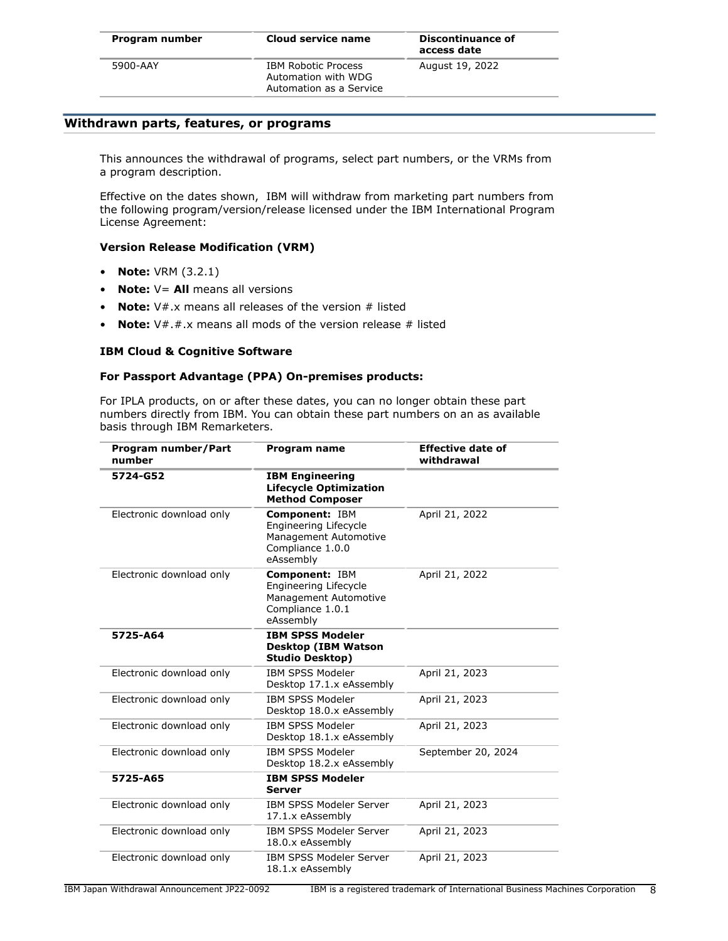| Program number | Cloud service name                                                           | Discontinuance of<br>access date |
|----------------|------------------------------------------------------------------------------|----------------------------------|
| 5900-AAY       | <b>IBM Robotic Process</b><br>Automation with WDG<br>Automation as a Service | August 19, 2022                  |

### <span id="page-7-0"></span>**Withdrawn parts, features, or programs**

This announces the withdrawal of programs, select part numbers, or the VRMs from a program description.

Effective on the dates shown, IBM will withdraw from marketing part numbers from the following program/version/release licensed under the IBM International Program License Agreement:

#### **Version Release Modification (VRM)**

- **Note:** VRM (3.2.1)
- **Note:**  $V =$  **All** means all versions
- **Note:** V#.x means all releases of the version # listed
- **Note:** V#.#.x means all mods of the version release # listed

#### **IBM Cloud & Cognitive Software**

#### **For Passport Advantage (PPA) On-premises products:**

For IPLA products, on or after these dates, you can no longer obtain these part numbers directly from IBM. You can obtain these part numbers on an as available basis through IBM Remarketers.

| Program number/Part<br>number | Program name                                                                                      | <b>Effective date of</b><br>withdrawal |
|-------------------------------|---------------------------------------------------------------------------------------------------|----------------------------------------|
| 5724-G52                      | <b>IBM Engineering</b><br><b>Lifecycle Optimization</b><br><b>Method Composer</b>                 |                                        |
| Electronic download only      | Component: IBM<br>Engineering Lifecycle<br>Management Automotive<br>Compliance 1.0.0<br>eAssembly | April 21, 2022                         |
| Electronic download only      | Component: IBM<br>Engineering Lifecycle<br>Management Automotive<br>Compliance 1.0.1<br>eAssembly | April 21, 2022                         |
| 5725-A64                      | <b>IBM SPSS Modeler</b><br><b>Desktop (IBM Watson</b><br><b>Studio Desktop)</b>                   |                                        |
| Electronic download only      | <b>IBM SPSS Modeler</b><br>Desktop 17.1.x eAssembly                                               | April 21, 2023                         |
| Electronic download only      | <b>IBM SPSS Modeler</b><br>Desktop 18.0.x eAssembly                                               | April 21, 2023                         |
| Electronic download only      | <b>IBM SPSS Modeler</b><br>Desktop 18.1.x eAssembly                                               | April 21, 2023                         |
| Electronic download only      | <b>IBM SPSS Modeler</b><br>Desktop 18.2.x eAssembly                                               | September 20, 2024                     |
| 5725-A65                      | <b>IBM SPSS Modeler</b><br><b>Server</b>                                                          |                                        |
| Electronic download only      | <b>IBM SPSS Modeler Server</b><br>17.1.x eAssembly                                                | April 21, 2023                         |
| Electronic download only      | <b>IBM SPSS Modeler Server</b><br>18.0.x eAssembly                                                | April 21, 2023                         |
| Electronic download only      | <b>IBM SPSS Modeler Server</b><br>18.1.x eAssembly                                                | April 21, 2023                         |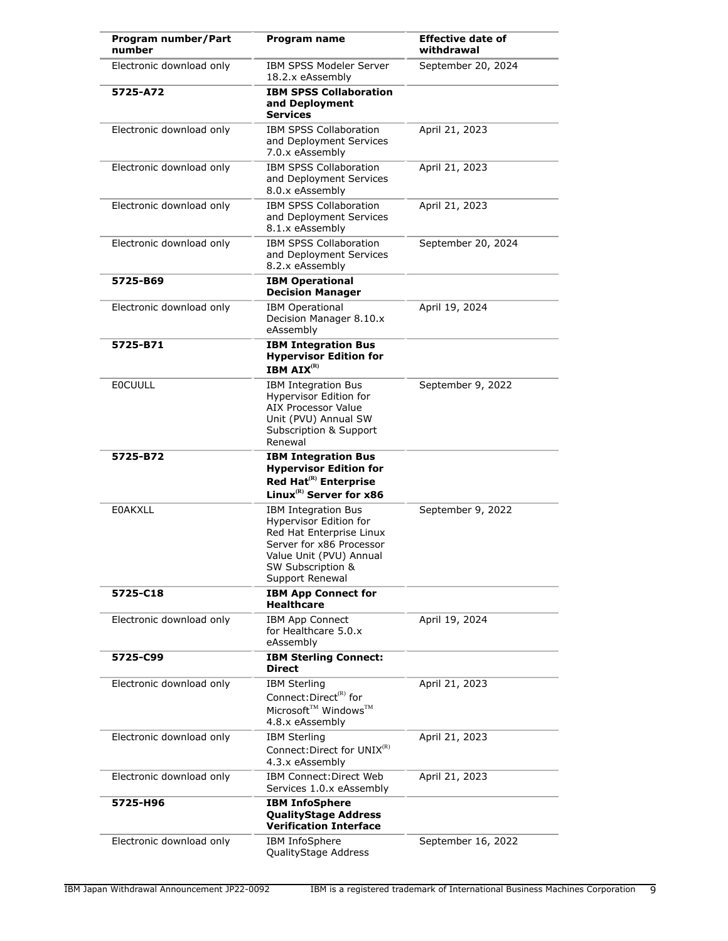| Program number/Part<br>number | Program name                                                                                                                                                                           | <b>Effective date of</b><br>withdrawal |
|-------------------------------|----------------------------------------------------------------------------------------------------------------------------------------------------------------------------------------|----------------------------------------|
| Electronic download only      | IBM SPSS Modeler Server<br>18.2.x eAssembly                                                                                                                                            | September 20, 2024                     |
| 5725-A72                      | <b>IBM SPSS Collaboration</b><br>and Deployment<br><b>Services</b>                                                                                                                     |                                        |
| Electronic download only      | <b>IBM SPSS Collaboration</b><br>and Deployment Services<br>7.0.x eAssembly                                                                                                            | April 21, 2023                         |
| Electronic download only      | <b>IBM SPSS Collaboration</b><br>and Deployment Services<br>8.0.x eAssembly                                                                                                            | April 21, 2023                         |
| Electronic download only      | <b>IBM SPSS Collaboration</b><br>and Deployment Services<br>8.1.x eAssembly                                                                                                            | April 21, 2023                         |
| Electronic download only      | <b>IBM SPSS Collaboration</b><br>and Deployment Services<br>8.2.x eAssembly                                                                                                            | September 20, 2024                     |
| 5725-B69                      | <b>IBM Operational</b><br><b>Decision Manager</b>                                                                                                                                      |                                        |
| Electronic download only      | <b>IBM Operational</b><br>Decision Manager 8.10.x<br>eAssembly                                                                                                                         | April 19, 2024                         |
| 5725-B71                      | <b>IBM Integration Bus</b><br><b>Hypervisor Edition for</b><br><b>IBM AIX<sup>(R)</sup></b>                                                                                            |                                        |
| <b>EOCUULL</b>                | IBM Integration Bus<br>Hypervisor Edition for<br><b>AIX Processor Value</b><br>Unit (PVU) Annual SW<br>Subscription & Support<br>Renewal                                               | September 9, 2022                      |
| 5725-B72                      | <b>IBM Integration Bus</b><br><b>Hypervisor Edition for</b><br>Red Hat <sup>(R)</sup> Enterprise<br>Linux <sup>(R)</sup> Server for x86                                                |                                        |
| <b>E0AKXLL</b>                | <b>IBM Integration Bus</b><br><b>Hypervisor Edition for</b><br>Red Hat Enterprise Linux<br>Server for x86 Processor<br>Value Unit (PVU) Annual<br>SW Subscription &<br>Support Renewal | September 9, 2022                      |
| 5725-C18                      | <b>IBM App Connect for</b><br><b>Healthcare</b>                                                                                                                                        |                                        |
| Electronic download only      | <b>IBM App Connect</b><br>for Healthcare 5.0.x<br>eAssembly                                                                                                                            | April 19, 2024                         |
| 5725-C99                      | <b>IBM Sterling Connect:</b><br><b>Direct</b>                                                                                                                                          |                                        |
| Electronic download only      | <b>IBM Sterling</b><br>Connect: Direct <sup>(R)</sup> for<br>Microsoft <sup>™</sup> Windows™<br>4.8.x eAssembly                                                                        | April 21, 2023                         |
| Electronic download only      | <b>IBM Sterling</b><br>Connect: Direct for UNIX <sup>(R)</sup><br>4.3.x eAssembly                                                                                                      | April 21, 2023                         |
| Electronic download only      | IBM Connect: Direct Web<br>Services 1.0.x eAssembly                                                                                                                                    | April 21, 2023                         |
| 5725-H96                      | <b>IBM InfoSphere</b><br><b>QualityStage Address</b><br><b>Verification Interface</b>                                                                                                  |                                        |
| Electronic download only      | <b>IBM InfoSphere</b><br>QualityStage Address                                                                                                                                          | September 16, 2022                     |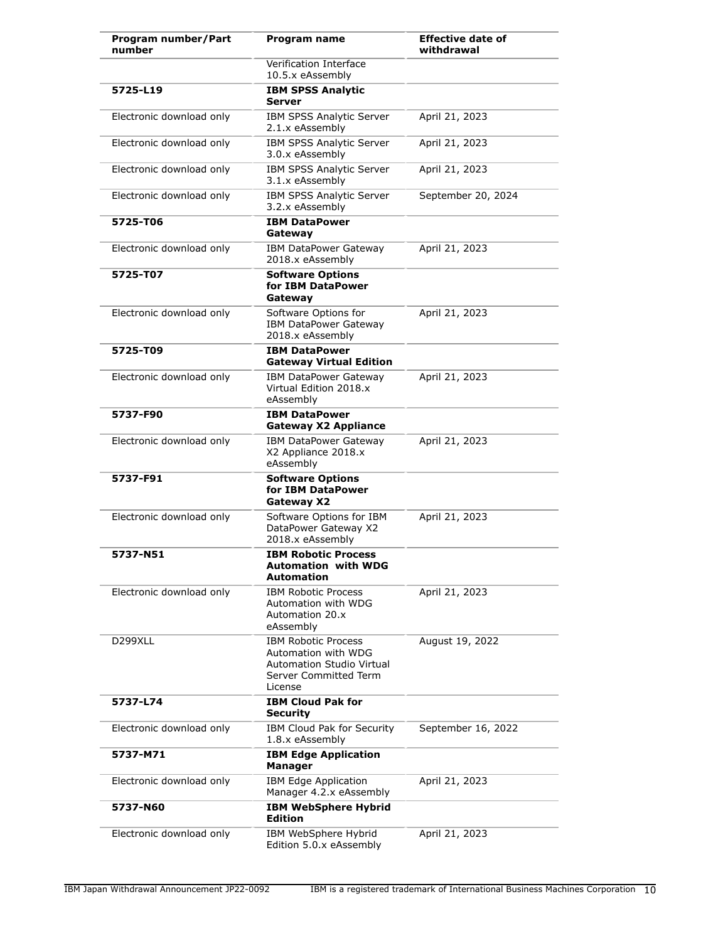| Program number/Part<br>number | Program name                                                                                                              | <b>Effective date of</b><br>withdrawal |
|-------------------------------|---------------------------------------------------------------------------------------------------------------------------|----------------------------------------|
|                               | Verification Interface<br>10.5.x eAssembly                                                                                |                                        |
| 5725-L19                      | <b>IBM SPSS Analytic</b><br>Server                                                                                        |                                        |
| Electronic download only      | IBM SPSS Analytic Server<br>2.1.x eAssembly                                                                               | April 21, 2023                         |
| Electronic download only      | IBM SPSS Analytic Server<br>3.0.x eAssembly                                                                               | April 21, 2023                         |
| Electronic download only      | <b>IBM SPSS Analytic Server</b><br>3.1.x eAssembly                                                                        | April 21, 2023                         |
| Electronic download only      | <b>IBM SPSS Analytic Server</b><br>3.2.x eAssembly                                                                        | September 20, 2024                     |
| 5725-T06                      | <b>IBM DataPower</b><br>Gateway                                                                                           |                                        |
| Electronic download only      | <b>IBM DataPower Gateway</b><br>2018.x eAssembly                                                                          | April 21, 2023                         |
| 5725-T07                      | <b>Software Options</b><br>for IBM DataPower<br>Gateway                                                                   |                                        |
| Electronic download only      | Software Options for<br><b>IBM DataPower Gateway</b><br>2018.x eAssembly                                                  | April 21, 2023                         |
| 5725-T09                      | <b>IBM DataPower</b><br><b>Gateway Virtual Edition</b>                                                                    |                                        |
| Electronic download only      | IBM DataPower Gateway<br>Virtual Edition 2018.x<br>eAssembly                                                              | April 21, 2023                         |
| 5737-F90                      | <b>IBM DataPower</b><br><b>Gateway X2 Appliance</b>                                                                       |                                        |
| Electronic download only      | IBM DataPower Gateway<br>X2 Appliance 2018.x<br>eAssembly                                                                 | April 21, 2023                         |
| 5737-F91                      | <b>Software Options</b><br>for IBM DataPower<br>Gateway X2                                                                |                                        |
| Electronic download only      | Software Options for IBM<br>DataPower Gateway X2<br>2018.x eAssembly                                                      | April 21, 2023                         |
| 5737-N51                      | <b>IBM Robotic Process</b><br>Automation with WDG<br>Automation                                                           |                                        |
| Electronic download only      | <b>IBM Robotic Process</b><br>Automation with WDG<br>Automation 20.x<br>eAssembly                                         | April 21, 2023                         |
| D299XLL                       | <b>IBM Robotic Process</b><br>Automation with WDG<br><b>Automation Studio Virtual</b><br>Server Committed Term<br>License | August 19, 2022                        |
| 5737-L74                      | <b>IBM Cloud Pak for</b><br><b>Security</b>                                                                               |                                        |
| Electronic download only      | IBM Cloud Pak for Security<br>1.8.x eAssembly                                                                             | September 16, 2022                     |
| 5737-M71                      | <b>IBM Edge Application</b><br><b>Manager</b>                                                                             |                                        |
| Electronic download only      | IBM Edge Application<br>Manager 4.2.x eAssembly                                                                           | April 21, 2023                         |
| 5737-N60                      | <b>IBM WebSphere Hybrid</b><br><b>Edition</b>                                                                             |                                        |
| Electronic download only      | IBM WebSphere Hybrid<br>Edition 5.0.x eAssembly                                                                           | April 21, 2023                         |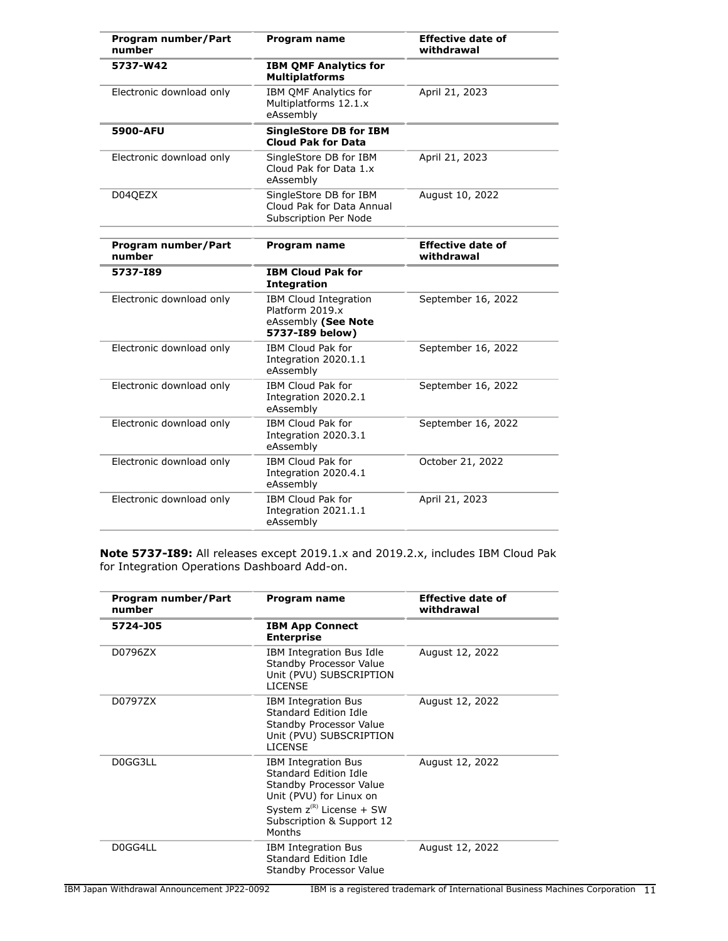| Program number/Part<br>number | <b>Program name</b>                                                                | <b>Effective date of</b><br>withdrawal |
|-------------------------------|------------------------------------------------------------------------------------|----------------------------------------|
| 5737-W42                      | <b>IBM QMF Analytics for</b><br><b>Multiplatforms</b>                              |                                        |
| Electronic download only      | IBM OMF Analytics for<br>Multiplatforms 12.1.x<br>eAssembly                        | April 21, 2023                         |
| 5900-AFU                      | <b>SingleStore DB for IBM</b><br><b>Cloud Pak for Data</b>                         |                                        |
| Electronic download only      | SingleStore DB for IBM<br>Cloud Pak for Data 1.x<br>eAssembly                      | April 21, 2023                         |
| D04QEZX                       | SingleStore DB for IBM<br>Cloud Pak for Data Annual<br>Subscription Per Node       | August 10, 2022                        |
| Program number/Part<br>number | Program name                                                                       | <b>Effective date of</b><br>withdrawal |
| 5737-189                      | <b>IBM Cloud Pak for</b><br><b>Integration</b>                                     |                                        |
| Electronic download only      | IBM Cloud Integration<br>Platform 2019.x<br>eAssembly (See Note<br>5737-I89 below) | September 16, 2022                     |
| Electronic download only      | <b>IBM Cloud Pak for</b><br>Integration 2020.1.1<br>eAssembly                      | September 16, 2022                     |
| Electronic download only      | <b>IBM Cloud Pak for</b><br>Integration 2020.2.1<br>eAssembly                      | September 16, 2022                     |
| Electronic download only      | IBM Cloud Pak for<br>Integration 2020.3.1<br>eAssembly                             | September 16, 2022                     |
| Electronic download only      | IBM Cloud Pak for<br>Integration 2020.4.1<br>eAssembly                             | October 21, 2022                       |
| Electronic download only      | IBM Cloud Pak for<br>Integration 2021.1.1<br>eAssembly                             | April 21, 2023                         |

**Note 5737-I89:** All releases except 2019.1.x and 2019.2.x, includes IBM Cloud Pak for Integration Operations Dashboard Add-on.

| Program number/Part<br>number | Program name                                                                                                                                                                      | <b>Effective date of</b><br>withdrawal |
|-------------------------------|-----------------------------------------------------------------------------------------------------------------------------------------------------------------------------------|----------------------------------------|
| 5724-J05                      | <b>IBM App Connect</b><br><b>Enterprise</b>                                                                                                                                       |                                        |
| D0796ZX                       | IBM Integration Bus Idle<br>Standby Processor Value<br>Unit (PVU) SUBSCRIPTION<br><b>LICENSE</b>                                                                                  | August 12, 2022                        |
| D0797ZX                       | <b>IBM Integration Bus</b><br>Standard Edition Idle<br>Standby Processor Value<br>Unit (PVU) SUBSCRIPTION<br><b>LICENSE</b>                                                       | August 12, 2022                        |
| D0GG3LL                       | <b>IBM Integration Bus</b><br>Standard Edition Idle<br>Standby Processor Value<br>Unit (PVU) for Linux on<br>System $z^{(R)}$ License + SW<br>Subscription & Support 12<br>Months | August 12, 2022                        |
| D0GG4LL                       | <b>IBM Integration Bus</b><br>Standard Edition Idle<br>Standby Processor Value                                                                                                    | August 12, 2022                        |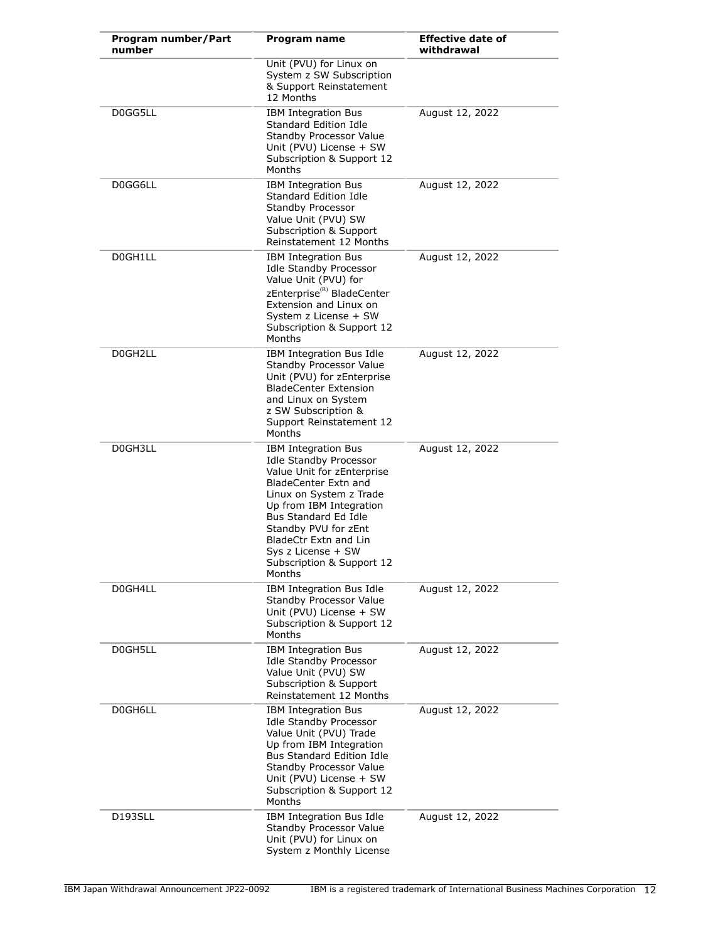| Program number/Part<br>number | Program name                                                                                                                                                                                                                                                                                                  | <b>Effective date of</b><br>withdrawal |
|-------------------------------|---------------------------------------------------------------------------------------------------------------------------------------------------------------------------------------------------------------------------------------------------------------------------------------------------------------|----------------------------------------|
|                               | Unit (PVU) for Linux on<br>System z SW Subscription<br>& Support Reinstatement<br>12 Months                                                                                                                                                                                                                   |                                        |
| D0GG5LL                       | <b>IBM Integration Bus</b><br>Standard Edition Idle<br>Standby Processor Value<br>Unit (PVU) License + SW<br>Subscription & Support 12<br>Months                                                                                                                                                              | August 12, 2022                        |
| D0GG6LL                       | <b>IBM Integration Bus</b><br>Standard Edition Idle<br>Standby Processor<br>Value Unit (PVU) SW<br>Subscription & Support<br>Reinstatement 12 Months                                                                                                                                                          | August 12, 2022                        |
| D0GH1LL                       | <b>IBM Integration Bus</b><br><b>Idle Standby Processor</b><br>Value Unit (PVU) for<br>zEnterprise <sup>(R)</sup> BladeCenter<br>Extension and Linux on<br>System z License + SW<br>Subscription & Support 12<br>Months                                                                                       | August 12, 2022                        |
| D0GH2LL                       | IBM Integration Bus Idle<br>Standby Processor Value<br>Unit (PVU) for zEnterprise<br><b>BladeCenter Extension</b><br>and Linux on System<br>z SW Subscription &<br>Support Reinstatement 12<br>Months                                                                                                         | August 12, 2022                        |
| D0GH3LL                       | <b>IBM Integration Bus</b><br><b>Idle Standby Processor</b><br>Value Unit for zEnterprise<br>BladeCenter Extn and<br>Linux on System z Trade<br>Up from IBM Integration<br>Bus Standard Ed Idle<br>Standby PVU for zEnt<br>BladeCtr Extn and Lin<br>Sys z License + SW<br>Subscription & Support 12<br>Months | August 12, 2022                        |
| D0GH4LL                       | IBM Integration Bus Idle<br>Standby Processor Value<br>Unit (PVU) License + SW<br>Subscription & Support 12<br>Months                                                                                                                                                                                         | August 12, 2022                        |
| D0GH5LL                       | <b>IBM Integration Bus</b><br><b>Idle Standby Processor</b><br>Value Unit (PVU) SW<br>Subscription & Support<br>Reinstatement 12 Months                                                                                                                                                                       | August 12, 2022                        |
| D0GH6LL                       | <b>IBM Integration Bus</b><br><b>Idle Standby Processor</b><br>Value Unit (PVU) Trade<br>Up from IBM Integration<br><b>Bus Standard Edition Idle</b><br>Standby Processor Value<br>Unit (PVU) License + SW<br>Subscription & Support 12<br>Months                                                             | August 12, 2022                        |
| D193SLL                       | IBM Integration Bus Idle<br>Standby Processor Value<br>Unit (PVU) for Linux on<br>System z Monthly License                                                                                                                                                                                                    | August 12, 2022                        |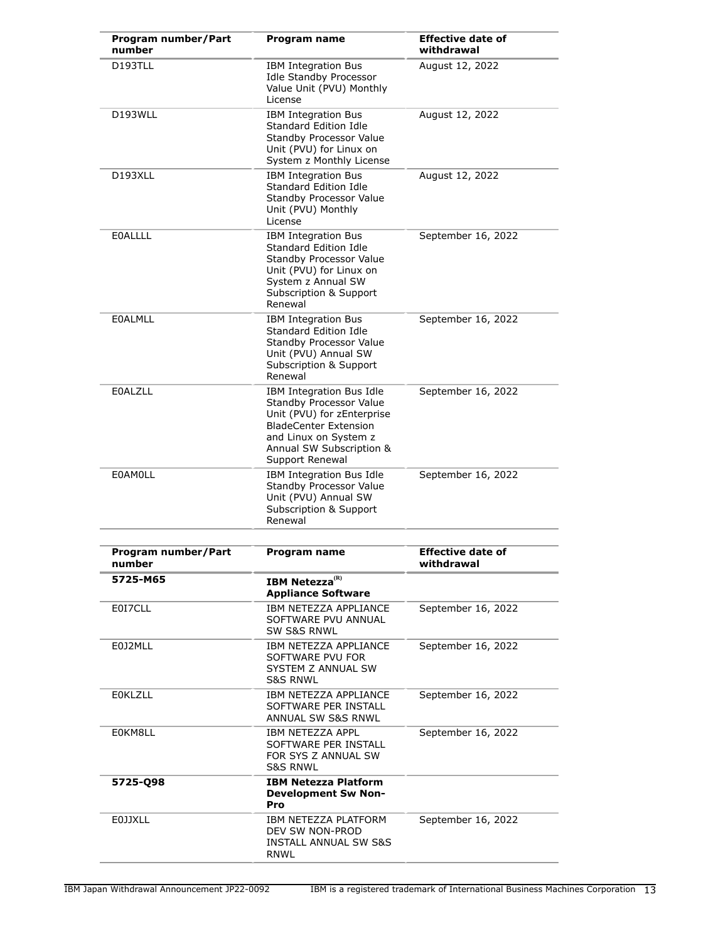| Program number/Part<br>number | <b>Program name</b>                                                                                                                                                                       | <b>Effective date of</b><br>withdrawal |
|-------------------------------|-------------------------------------------------------------------------------------------------------------------------------------------------------------------------------------------|----------------------------------------|
| D193TLL                       | <b>IBM Integration Bus</b><br><b>Idle Standby Processor</b><br>Value Unit (PVU) Monthly<br>License                                                                                        | August 12, 2022                        |
| D193WLL                       | <b>IBM Integration Bus</b><br>Standard Edition Idle<br>Standby Processor Value<br>Unit (PVU) for Linux on<br>System z Monthly License                                                     | August 12, 2022                        |
| D193XLL                       | <b>IBM Integration Bus</b><br>Standard Edition Idle<br>Standby Processor Value<br>Unit (PVU) Monthly<br>License                                                                           | August 12, 2022                        |
| <b>EOALLLL</b>                | <b>IBM Integration Bus</b><br>Standard Edition Idle<br>Standby Processor Value<br>Unit (PVU) for Linux on<br>System z Annual SW<br>Subscription & Support<br>Renewal                      | September 16, 2022                     |
| <b>EOALMLL</b>                | <b>IBM Integration Bus</b><br>Standard Edition Idle<br>Standby Processor Value<br>Unit (PVU) Annual SW<br>Subscription & Support<br>Renewal                                               | September 16, 2022                     |
| <b>E0ALZLL</b>                | IBM Integration Bus Idle<br>Standby Processor Value<br>Unit (PVU) for zEnterprise<br><b>BladeCenter Extension</b><br>and Linux on System z<br>Annual SW Subscription &<br>Support Renewal | September 16, 2022                     |
| <b>EOAMOLL</b>                | IBM Integration Bus Idle<br>Standby Processor Value<br>Unit (PVU) Annual SW<br>Subscription & Support<br>Renewal                                                                          | September 16, 2022                     |
| Program number/Part<br>number | Program name                                                                                                                                                                              | <b>Effective date of</b><br>withdrawal |
| 5725-M65                      | <b>IBM Netezza</b> <sup>(R)</sup><br><b>Appliance Software</b>                                                                                                                            |                                        |
| E0I7CLL                       | IBM NETEZZA APPLIANCE<br>SOFTWARE PVU ANNUAL<br><b>SW S&amp;S RNWL</b>                                                                                                                    | September 16, 2022                     |
| E0J2MLL                       | IBM NETEZZA APPLIANCE<br>SOFTWARE PVU FOR<br>SYSTEM Z ANNUAL SW<br><b>S&amp;S RNWL</b>                                                                                                    | September 16, 2022                     |
| <b>EOKLZLL</b>                | IBM NETEZZA APPLIANCE<br>SOFTWARE PER INSTALL<br>ANNUAL SW S&S RNWL                                                                                                                       | September 16, 2022                     |
| E0KM8LL                       | IBM NETEZZA APPL<br>SOFTWARE PER INSTALL<br>FOR SYS Z ANNUAL SW<br><b>S&amp;S RNWL</b>                                                                                                    | September 16, 2022                     |
| 5725-Q98                      | <b>IBM Netezza Platform</b><br><b>Development Sw Non-</b><br>Pro                                                                                                                          |                                        |
| <b>EOJJXLL</b>                | IBM NETEZZA PLATFORM<br>DEV SW NON-PROD<br>INSTALL ANNUAL SW S&S<br>RNWL                                                                                                                  | September 16, 2022                     |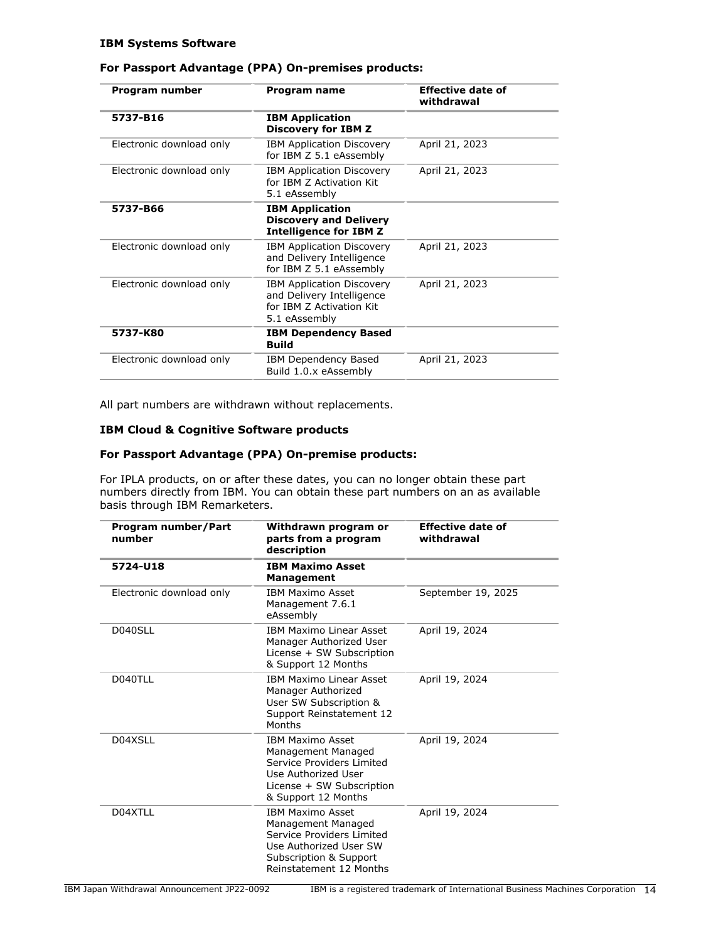#### **IBM Systems Software**

## **For Passport Advantage (PPA) On-premises products:**

| Program number           | Program name                                                                                               | <b>Effective date of</b><br>withdrawal |
|--------------------------|------------------------------------------------------------------------------------------------------------|----------------------------------------|
| 5737-B16                 | <b>IBM Application</b><br><b>Discovery for IBM Z</b>                                                       |                                        |
| Electronic download only | <b>IBM Application Discovery</b><br>for IBM Z 5.1 eAssembly                                                | April 21, 2023                         |
| Electronic download only | <b>IBM Application Discovery</b><br>for TBM 7 Activation Kit<br>5.1 eAssembly                              | April 21, 2023                         |
| 5737-B66                 | <b>IBM Application</b><br><b>Discovery and Delivery</b><br><b>Intelligence for IBM Z</b>                   |                                        |
| Electronic download only | <b>IBM Application Discovery</b><br>and Delivery Intelligence<br>for IBM Z 5.1 eAssembly                   | April 21, 2023                         |
| Electronic download only | <b>IBM Application Discovery</b><br>and Delivery Intelligence<br>for TBM 7 Activation Kit<br>5.1 eAssembly | April 21, 2023                         |
| 5737-K80                 | <b>IBM Dependency Based</b><br><b>Build</b>                                                                |                                        |
| Electronic download only | IBM Dependency Based<br>Build 1.0.x eAssembly                                                              | April 21, 2023                         |

All part numbers are withdrawn without replacements.

#### **IBM Cloud & Cognitive Software products**

#### **For Passport Advantage (PPA) On-premise products:**

For IPLA products, on or after these dates, you can no longer obtain these part numbers directly from IBM. You can obtain these part numbers on an as available basis through IBM Remarketers.

| Program number/Part<br>number | Withdrawn program or<br>parts from a program<br>description                                                                                               | <b>Effective date of</b><br>withdrawal |
|-------------------------------|-----------------------------------------------------------------------------------------------------------------------------------------------------------|----------------------------------------|
| 5724-U18                      | <b>IBM Maximo Asset</b><br><b>Management</b>                                                                                                              |                                        |
| Electronic download only      | <b>IBM Maximo Asset</b><br>Management 7.6.1<br>eAssembly                                                                                                  | September 19, 2025                     |
| D040SLL                       | <b>IBM Maximo Linear Asset</b><br>Manager Authorized User<br>License + SW Subscription<br>& Support 12 Months                                             | April 19, 2024                         |
| D040TLL                       | <b>IBM Maximo Linear Asset</b><br>Manager Authorized<br>User SW Subscription &<br>Support Reinstatement 12<br>Months                                      | April 19, 2024                         |
| D04XSLL                       | <b>IBM Maximo Asset</b><br>Management Managed<br>Service Providers Limited<br>Use Authorized User<br>License + SW Subscription<br>& Support 12 Months     | April 19, 2024                         |
| D04XTLL                       | <b>IBM Maximo Asset</b><br>Management Managed<br>Service Providers Limited<br>Use Authorized User SW<br>Subscription & Support<br>Reinstatement 12 Months | April 19, 2024                         |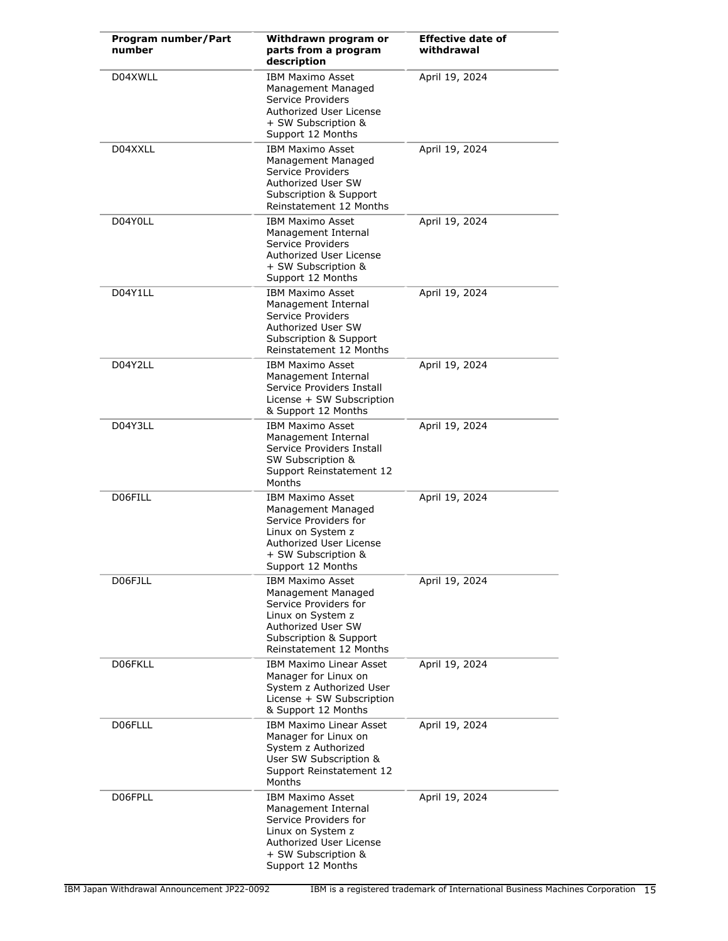| Program number/Part<br>number | Withdrawn program or<br>parts from a program<br>description                                                                                                                       | <b>Effective date of</b><br>withdrawal |
|-------------------------------|-----------------------------------------------------------------------------------------------------------------------------------------------------------------------------------|----------------------------------------|
| D04XWLL                       | <b>IBM Maximo Asset</b><br>Management Managed<br>Service Providers<br>Authorized User License<br>+ SW Subscription &<br>Support 12 Months                                         | April 19, 2024                         |
| D04XXLL                       | <b>IBM Maximo Asset</b><br>Management Managed<br>Service Providers<br>Authorized User SW<br><b>Subscription &amp; Support</b><br>Reinstatement 12 Months                          | April 19, 2024                         |
| D04Y0LL                       | <b>IBM Maximo Asset</b><br>Management Internal<br>Service Providers<br>Authorized User License<br>+ SW Subscription &<br>Support 12 Months                                        | April 19, 2024                         |
| D04Y1LL                       | <b>IBM Maximo Asset</b><br>Management Internal<br>Service Providers<br>Authorized User SW<br>Subscription & Support<br>Reinstatement 12 Months                                    | April 19, 2024                         |
| D04Y2LL                       | <b>IBM Maximo Asset</b><br>Management Internal<br>Service Providers Install<br>License + SW Subscription<br>& Support 12 Months                                                   | April 19, 2024                         |
| D04Y3LL                       | <b>IBM Maximo Asset</b><br>Management Internal<br>Service Providers Install<br>SW Subscription &<br>Support Reinstatement 12<br>Months                                            | April 19, 2024                         |
| D06FILL                       | <b>IBM Maximo Asset</b><br>Management Managed<br>Service Providers for<br>Linux on System z<br>Authorized User License<br>+ SW Subscription &<br>Support 12 Months                | April 19, 2024                         |
| D06FJLL                       | <b>IBM Maximo Asset</b><br>Management Managed<br>Service Providers for<br>Linux on System z<br>Authorized User SW<br><b>Subscription &amp; Support</b><br>Reinstatement 12 Months | April 19, 2024                         |
| D06FKLL                       | <b>IBM Maximo Linear Asset</b><br>Manager for Linux on<br>System z Authorized User<br>License + SW Subscription<br>& Support 12 Months                                            | April 19, 2024                         |
| D06FLLL                       | <b>IBM Maximo Linear Asset</b><br>Manager for Linux on<br>System z Authorized<br>User SW Subscription &<br>Support Reinstatement 12<br>Months                                     | April 19, 2024                         |
| D06FPLL                       | <b>IBM Maximo Asset</b><br>Management Internal<br>Service Providers for<br>Linux on System z<br>Authorized User License<br>+ SW Subscription &<br>Support 12 Months               | April 19, 2024                         |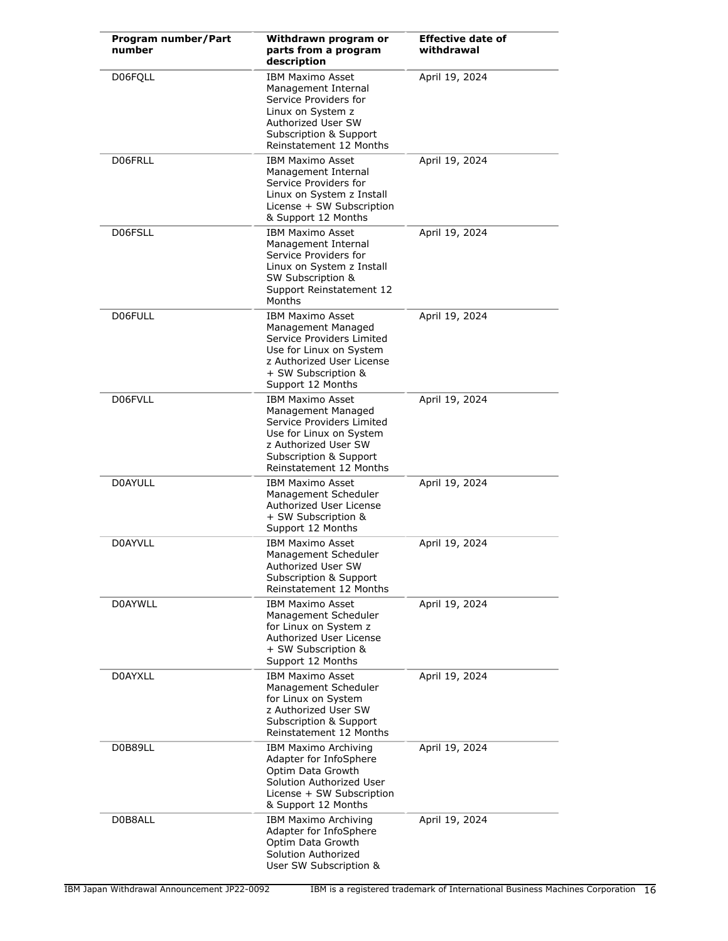| Program number/Part<br>number | Withdrawn program or<br>parts from a program<br>description                                                                                                                        | <b>Effective date of</b><br>withdrawal |
|-------------------------------|------------------------------------------------------------------------------------------------------------------------------------------------------------------------------------|----------------------------------------|
| D06FQLL                       | <b>IBM Maximo Asset</b><br>Management Internal<br>Service Providers for<br>Linux on System z<br>Authorized User SW<br>Subscription & Support<br>Reinstatement 12 Months            | April 19, 2024                         |
| D06FRLL                       | <b>IBM Maximo Asset</b><br>Management Internal<br>Service Providers for<br>Linux on System z Install<br>License + SW Subscription<br>& Support 12 Months                           | April 19, 2024                         |
| D06FSLL                       | <b>IBM Maximo Asset</b><br>Management Internal<br>Service Providers for<br>Linux on System z Install<br>SW Subscription &<br>Support Reinstatement 12<br>Months                    | April 19, 2024                         |
| D06FULL                       | <b>IBM Maximo Asset</b><br>Management Managed<br>Service Providers Limited<br>Use for Linux on System<br>z Authorized User License<br>+ SW Subscription &<br>Support 12 Months     | April 19, 2024                         |
| D06FVLL                       | <b>IBM Maximo Asset</b><br>Management Managed<br>Service Providers Limited<br>Use for Linux on System<br>z Authorized User SW<br>Subscription & Support<br>Reinstatement 12 Months | April 19, 2024                         |
| <b>DOAYULL</b>                | <b>IBM Maximo Asset</b><br>Management Scheduler<br>Authorized User License<br>+ SW Subscription &<br>Support 12 Months                                                             | April 19, 2024                         |
| D0AYVLL                       | <b>IBM Maximo Asset</b><br>Management Scheduler<br>Authorized User SW<br>Subscription & Support<br>Reinstatement 12 Months                                                         | April 19, 2024                         |
| <b>D0AYWLL</b>                | <b>IBM Maximo Asset</b><br>Management Scheduler<br>for Linux on System z<br>Authorized User License<br>+ SW Subscription &<br>Support 12 Months                                    | April 19, 2024                         |
| D0AYXLL                       | <b>IBM Maximo Asset</b><br>Management Scheduler<br>for Linux on System<br>z Authorized User SW<br>Subscription & Support<br>Reinstatement 12 Months                                | April 19, 2024                         |
| D0B89LL                       | IBM Maximo Archiving<br>Adapter for InfoSphere<br>Optim Data Growth<br>Solution Authorized User<br>License + SW Subscription<br>& Support 12 Months                                | April 19, 2024                         |
| D0B8ALL                       | IBM Maximo Archiving<br>Adapter for InfoSphere<br>Optim Data Growth<br>Solution Authorized<br>User SW Subscription &                                                               | April 19, 2024                         |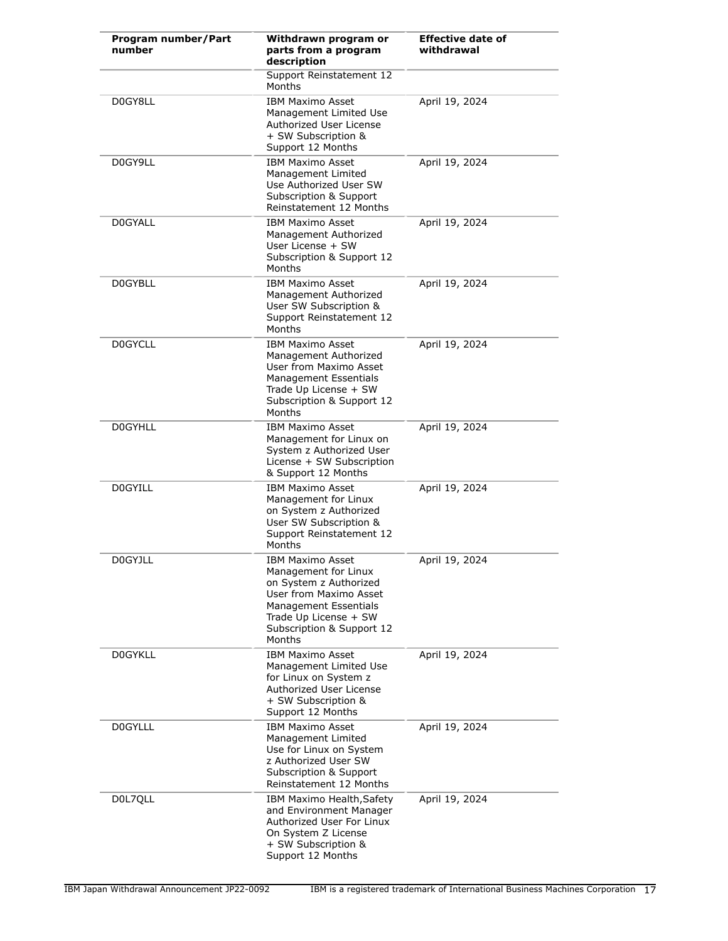| Program number/Part<br>number | Withdrawn program or<br>parts from a program<br>description                                                                                                                                         | <b>Effective date of</b><br>withdrawal |
|-------------------------------|-----------------------------------------------------------------------------------------------------------------------------------------------------------------------------------------------------|----------------------------------------|
|                               | Support Reinstatement 12<br>Months                                                                                                                                                                  |                                        |
| D0GY8LL                       | <b>IBM Maximo Asset</b><br>Management Limited Use<br>Authorized User License<br>+ SW Subscription &<br>Support 12 Months                                                                            | April 19, 2024                         |
| D0GY9LL                       | <b>IBM Maximo Asset</b><br>Management Limited<br>Use Authorized User SW<br>Subscription & Support<br>Reinstatement 12 Months                                                                        | April 19, 2024                         |
| D0GYALL                       | <b>IBM Maximo Asset</b><br>Management Authorized<br>User License + SW<br>Subscription & Support 12<br>Months                                                                                        | April 19, 2024                         |
| D0GYBLL                       | <b>IBM Maximo Asset</b><br>Management Authorized<br>User SW Subscription &<br>Support Reinstatement 12<br>Months                                                                                    | April 19, 2024                         |
| <b>DOGYCLL</b>                | <b>IBM Maximo Asset</b><br>Management Authorized<br>User from Maximo Asset<br><b>Management Essentials</b><br>Trade Up License + SW<br>Subscription & Support 12<br>Months                          | April 19, 2024                         |
| <b>DOGYHLL</b>                | <b>IBM Maximo Asset</b><br>Management for Linux on<br>System z Authorized User<br>License + SW Subscription<br>& Support 12 Months                                                                  | April 19, 2024                         |
| <b>DOGYILL</b>                | <b>IBM Maximo Asset</b><br>Management for Linux<br>on System z Authorized<br>User SW Subscription &<br>Support Reinstatement 12<br>Months                                                           | April 19, 2024                         |
| <b>D0GYJLL</b>                | <b>IBM Maximo Asset</b><br>Management for Linux<br>on System z Authorized<br>User from Maximo Asset<br><b>Management Essentials</b><br>Trade Up License + SW<br>Subscription & Support 12<br>Months | April 19, 2024                         |
| <b>DOGYKLL</b>                | <b>IBM Maximo Asset</b><br>Management Limited Use<br>for Linux on System z<br>Authorized User License<br>+ SW Subscription &<br>Support 12 Months                                                   | April 19, 2024                         |
| <b>DOGYLLL</b>                | <b>IBM Maximo Asset</b><br>Management Limited<br>Use for Linux on System<br>z Authorized User SW<br>Subscription & Support<br>Reinstatement 12 Months                                               | April 19, 2024                         |
| D0L7QLL                       | IBM Maximo Health, Safety<br>and Environment Manager<br>Authorized User For Linux<br>On System Z License<br>+ SW Subscription &<br>Support 12 Months                                                | April 19, 2024                         |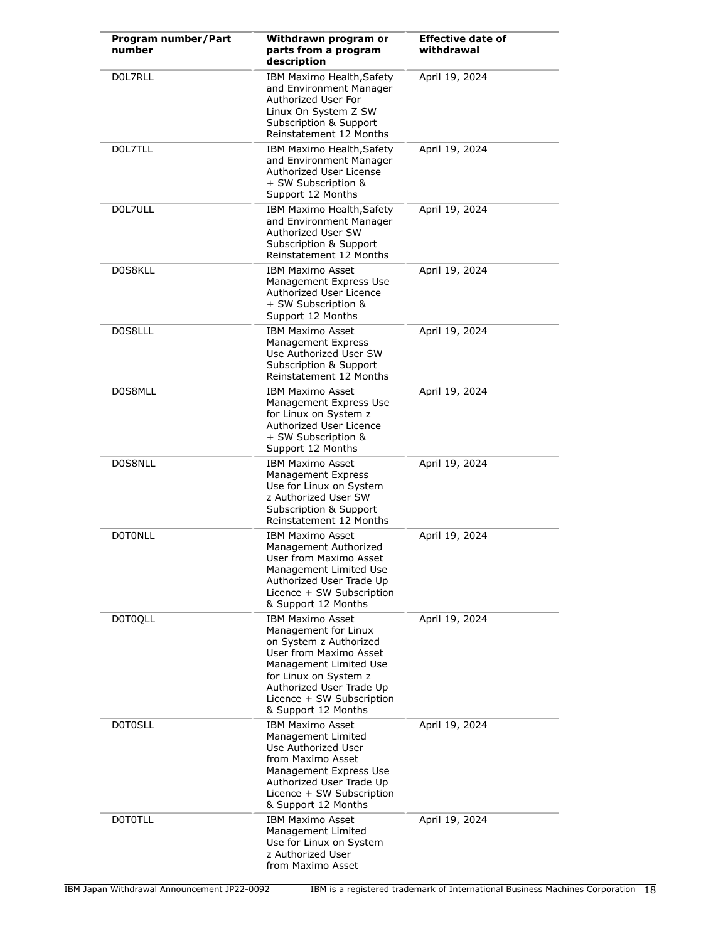| Program number/Part<br>number | Withdrawn program or<br>parts from a program<br>description                                                                                                                                                                            | <b>Effective date of</b><br>withdrawal |
|-------------------------------|----------------------------------------------------------------------------------------------------------------------------------------------------------------------------------------------------------------------------------------|----------------------------------------|
| DOL7RLL                       | IBM Maximo Health, Safety<br>and Environment Manager<br>Authorized User For<br>Linux On System Z SW<br>Subscription & Support<br>Reinstatement 12 Months                                                                               | April 19, 2024                         |
| DOL7TLL                       | IBM Maximo Health, Safety<br>and Environment Manager<br>Authorized User License<br>+ SW Subscription &<br>Support 12 Months                                                                                                            | April 19, 2024                         |
| D0L7ULL                       | IBM Maximo Health, Safety<br>and Environment Manager<br>Authorized User SW<br>Subscription & Support<br>Reinstatement 12 Months                                                                                                        | April 19, 2024                         |
| D0S8KLL                       | <b>IBM Maximo Asset</b><br>Management Express Use<br>Authorized User Licence<br>+ SW Subscription &<br>Support 12 Months                                                                                                               | April 19, 2024                         |
| D0S8LLL                       | <b>IBM Maximo Asset</b><br><b>Management Express</b><br>Use Authorized User SW<br>Subscription & Support<br>Reinstatement 12 Months                                                                                                    | April 19, 2024                         |
| D0S8MLL                       | <b>IBM Maximo Asset</b><br>Management Express Use<br>for Linux on System z<br>Authorized User Licence<br>+ SW Subscription &<br>Support 12 Months                                                                                      | April 19, 2024                         |
| D0S8NLL                       | <b>IBM Maximo Asset</b><br><b>Management Express</b><br>Use for Linux on System<br>z Authorized User SW<br>Subscription & Support<br>Reinstatement 12 Months                                                                           | April 19, 2024                         |
| <b>DOTONLL</b>                | <b>IBM Maximo Asset</b><br>Management Authorized<br>User from Maximo Asset<br>Management Limited Use<br>Authorized User Trade Up<br>Licence + SW Subscription<br>& Support 12 Months                                                   | April 19, 2024                         |
| <b>D0T0QLL</b>                | <b>IBM Maximo Asset</b><br>Management for Linux<br>on System z Authorized<br>User from Maximo Asset<br>Management Limited Use<br>for Linux on System z<br>Authorized User Trade Up<br>Licence + SW Subscription<br>& Support 12 Months | April 19, 2024                         |
| <b>DOTOSLL</b>                | <b>IBM Maximo Asset</b><br>Management Limited<br>Use Authorized User<br>from Maximo Asset<br>Management Express Use<br>Authorized User Trade Up<br>Licence + SW Subscription<br>& Support 12 Months                                    | April 19, 2024                         |
| <b>DOTOTLL</b>                | <b>IBM Maximo Asset</b><br>Management Limited<br>Use for Linux on System<br>z Authorized User<br>from Maximo Asset                                                                                                                     | April 19, 2024                         |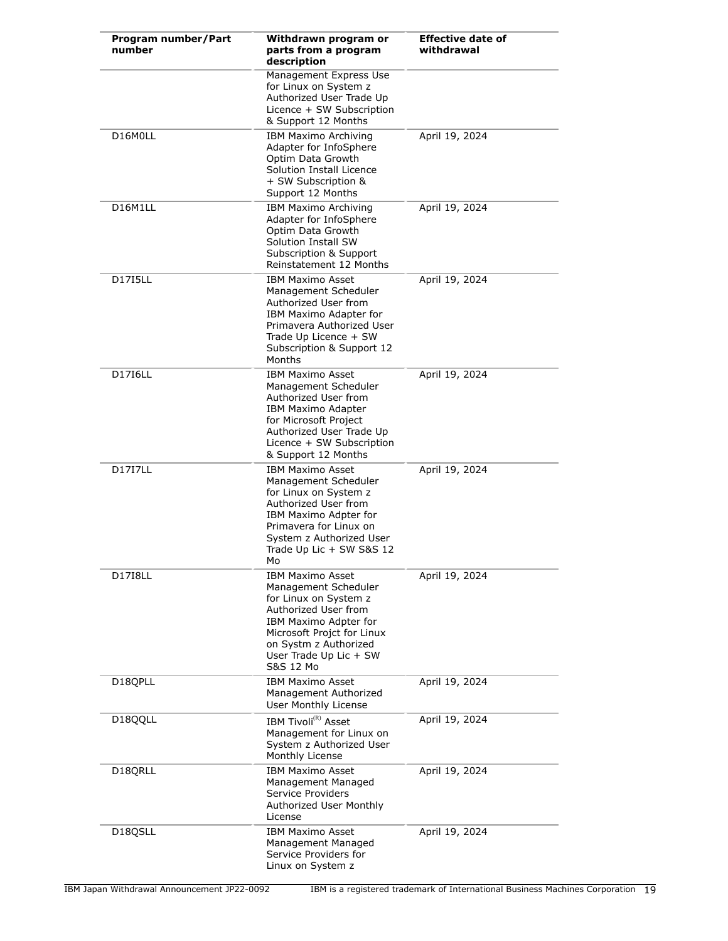| Program number/Part<br>number | Withdrawn program or<br>parts from a program<br>description                                                                                                                                                             | <b>Effective date of</b><br>withdrawal |
|-------------------------------|-------------------------------------------------------------------------------------------------------------------------------------------------------------------------------------------------------------------------|----------------------------------------|
|                               | Management Express Use<br>for Linux on System z<br>Authorized User Trade Up<br>Licence + SW Subscription<br>& Support 12 Months                                                                                         |                                        |
| D16M0LL                       | IBM Maximo Archiving<br>Adapter for InfoSphere<br>Optim Data Growth<br>Solution Install Licence<br>+ SW Subscription &<br>Support 12 Months                                                                             | April 19, 2024                         |
| D16M1LL                       | IBM Maximo Archiving<br>Adapter for InfoSphere<br>Optim Data Growth<br>Solution Install SW<br>Subscription & Support<br>Reinstatement 12 Months                                                                         | April 19, 2024                         |
| <b>D17I5LL</b>                | <b>IBM Maximo Asset</b><br>Management Scheduler<br>Authorized User from<br>IBM Maximo Adapter for<br>Primavera Authorized User<br>Trade Up Licence + SW<br>Subscription & Support 12<br>Months                          | April 19, 2024                         |
| <b>D17I6LL</b>                | <b>IBM Maximo Asset</b><br>Management Scheduler<br>Authorized User from<br><b>IBM Maximo Adapter</b><br>for Microsoft Project<br>Authorized User Trade Up<br>Licence + SW Subscription<br>& Support 12 Months           | April 19, 2024                         |
| <b>D17I7LL</b>                | <b>IBM Maximo Asset</b><br>Management Scheduler<br>for Linux on System z<br>Authorized User from<br>IBM Maximo Adpter for<br>Primavera for Linux on<br>System z Authorized User<br>Trade Up Lic + SW S&S 12<br>Mo       | April 19, 2024                         |
| <b>D17I8LL</b>                | <b>IBM Maximo Asset</b><br>Management Scheduler<br>for Linux on System z<br>Authorized User from<br>IBM Maximo Adpter for<br>Microsoft Projct for Linux<br>on Systm z Authorized<br>User Trade Up Lic + SW<br>S&S 12 Mo | April 19, 2024                         |
| D18QPLL                       | <b>IBM Maximo Asset</b><br>Management Authorized<br><b>User Monthly License</b>                                                                                                                                         | April 19, 2024                         |
| D18QQLL                       | IBM Tivoli <sup>(R)</sup> Asset<br>Management for Linux on<br>System z Authorized User<br>Monthly License                                                                                                               | April 19, 2024                         |
| D18QRLL                       | <b>IBM Maximo Asset</b><br>Management Managed<br>Service Providers<br>Authorized User Monthly<br>License                                                                                                                | April 19, 2024                         |
| D <sub>18QSLL</sub>           | <b>IBM Maximo Asset</b><br>Management Managed<br>Service Providers for<br>Linux on System z                                                                                                                             | April 19, 2024                         |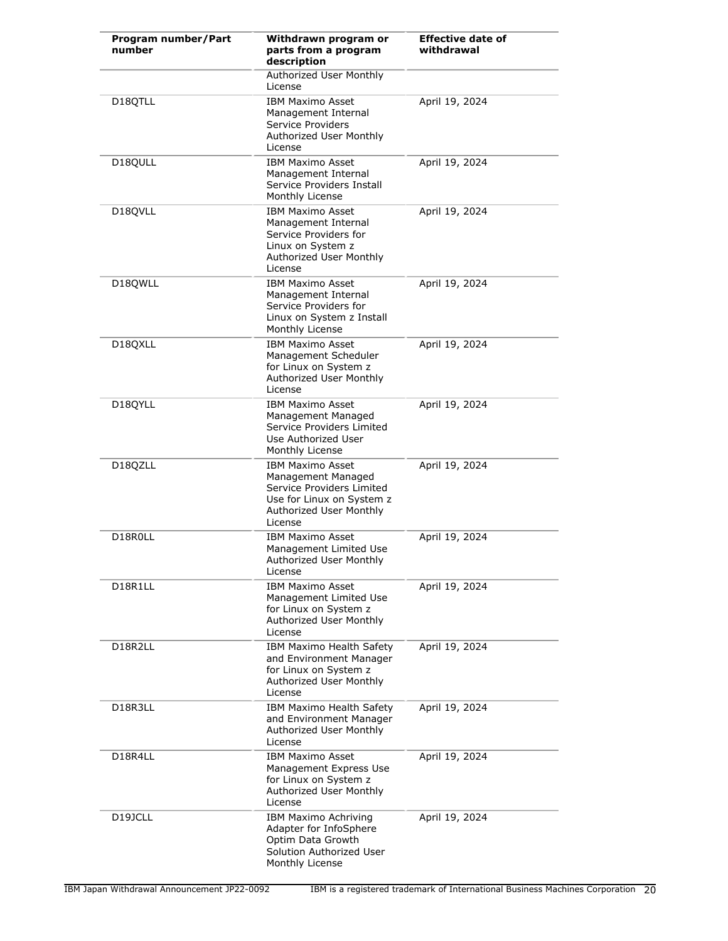| Program number/Part<br>number | Withdrawn program or<br>parts from a program<br>description                                                                                   | <b>Effective date of</b><br>withdrawal |
|-------------------------------|-----------------------------------------------------------------------------------------------------------------------------------------------|----------------------------------------|
|                               | Authorized User Monthly<br>License                                                                                                            |                                        |
| D18QTLL                       | <b>IBM Maximo Asset</b><br>Management Internal<br>Service Providers<br>Authorized User Monthly<br>License                                     | April 19, 2024                         |
| D18QULL                       | <b>IBM Maximo Asset</b><br>Management Internal<br>Service Providers Install<br>Monthly License                                                | April 19, 2024                         |
| D18QVLL                       | <b>IBM Maximo Asset</b><br>Management Internal<br>Service Providers for<br>Linux on System z<br>Authorized User Monthly<br>License            | April 19, 2024                         |
| D18OWLL                       | <b>IBM Maximo Asset</b><br>Management Internal<br>Service Providers for<br>Linux on System z Install<br>Monthly License                       | April 19, 2024                         |
| D18QXLL                       | <b>IBM Maximo Asset</b><br>Management Scheduler<br>for Linux on System z<br>Authorized User Monthly<br>License                                | April 19, 2024                         |
| D18QYLL                       | <b>IBM Maximo Asset</b><br>Management Managed<br>Service Providers Limited<br>Use Authorized User<br>Monthly License                          | April 19, 2024                         |
| D18QZLL                       | <b>IBM Maximo Asset</b><br>Management Managed<br>Service Providers Limited<br>Use for Linux on System z<br>Authorized User Monthly<br>License | April 19, 2024                         |
| D18R0LL                       | <b>IBM Maximo Asset</b><br>Management Limited Use<br>Authorized User Monthly<br>License                                                       | April 19, 2024                         |
| D18R1LL                       | <b>IBM Maximo Asset</b><br>Management Limited Use<br>for Linux on System z<br>Authorized User Monthly<br>License                              | April 19, 2024                         |
| D18R2LL                       | IBM Maximo Health Safety<br>and Environment Manager<br>for Linux on System z<br>Authorized User Monthly<br>License                            | April 19, 2024                         |
| D18R3LL                       | IBM Maximo Health Safety<br>and Environment Manager<br>Authorized User Monthly<br>License                                                     | April 19, 2024                         |
| D18R4LL                       | <b>IBM Maximo Asset</b><br>Management Express Use<br>for Linux on System z<br>Authorized User Monthly<br>License                              | April 19, 2024                         |
| D <sub>19</sub> JCLL          | IBM Maximo Achriving<br>Adapter for InfoSphere<br>Optim Data Growth<br>Solution Authorized User<br>Monthly License                            | April 19, 2024                         |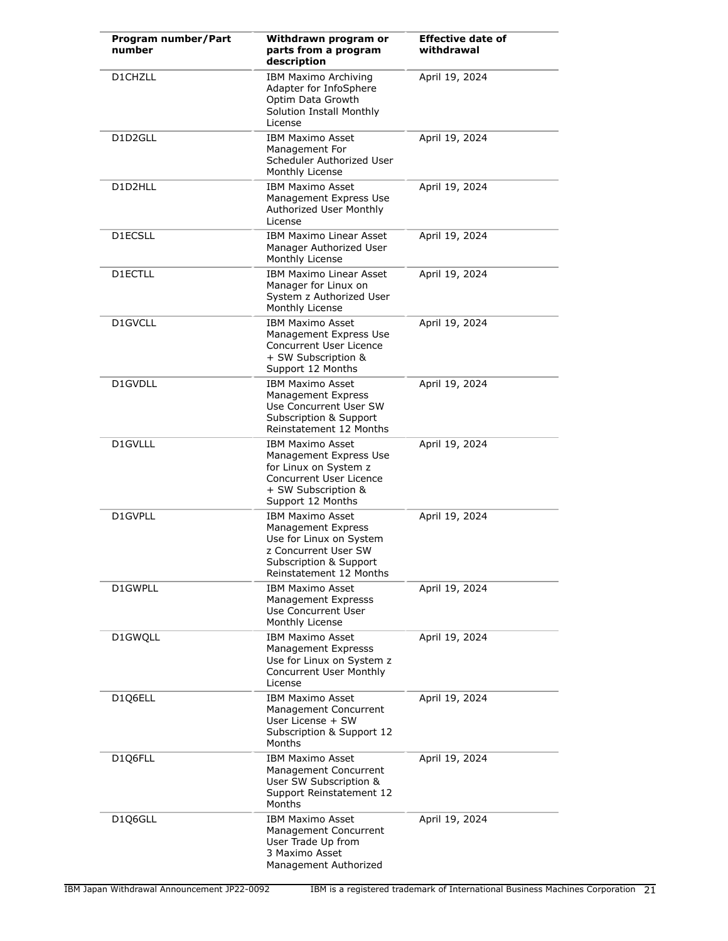| Program number/Part<br>number | Withdrawn program or<br>parts from a program<br>description                                                                                                  | <b>Effective date of</b><br>withdrawal |
|-------------------------------|--------------------------------------------------------------------------------------------------------------------------------------------------------------|----------------------------------------|
| D1CHZLL                       | IBM Maximo Archiving<br>Adapter for InfoSphere<br>Optim Data Growth<br>Solution Install Monthly<br>License                                                   | April 19, 2024                         |
| D1D2GLL                       | <b>IBM Maximo Asset</b><br>Management For<br>Scheduler Authorized User<br>Monthly License                                                                    | April 19, 2024                         |
| D1D2HLL                       | <b>IBM Maximo Asset</b><br>Management Express Use<br>Authorized User Monthly<br>License                                                                      | April 19, 2024                         |
| D1ECSLL                       | <b>IBM Maximo Linear Asset</b><br>Manager Authorized User<br>Monthly License                                                                                 | April 19, 2024                         |
| D1ECTLL                       | <b>IBM Maximo Linear Asset</b><br>Manager for Linux on<br>System z Authorized User<br>Monthly License                                                        | April 19, 2024                         |
| D1GVCLL                       | <b>IBM Maximo Asset</b><br>Management Express Use<br>Concurrent User Licence<br>+ SW Subscription &<br>Support 12 Months                                     | April 19, 2024                         |
| D1GVDLL                       | <b>IBM Maximo Asset</b><br>Management Express<br>Use Concurrent User SW<br>Subscription & Support<br>Reinstatement 12 Months                                 | April 19, 2024                         |
| D1GVLLL                       | <b>IBM Maximo Asset</b><br>Management Express Use<br>for Linux on System z<br>Concurrent User Licence<br>+ SW Subscription &<br>Support 12 Months            | April 19, 2024                         |
| D1GVPLL                       | <b>IBM Maximo Asset</b><br><b>Management Express</b><br>Use for Linux on System<br>z Concurrent User SW<br>Subscription & Support<br>Reinstatement 12 Months | April 19, 2024                         |
| D1GWPLL                       | <b>IBM Maximo Asset</b><br>Management Expresss<br>Use Concurrent User<br>Monthly License                                                                     | April 19, 2024                         |
| D1GWQLL                       | <b>IBM Maximo Asset</b><br><b>Management Expresss</b><br>Use for Linux on System z<br>Concurrent User Monthly<br>License                                     | April 19, 2024                         |
| D1Q6ELL                       | <b>IBM Maximo Asset</b><br>Management Concurrent<br>User License + SW<br>Subscription & Support 12<br>Months                                                 | April 19, 2024                         |
| D1Q6FLL                       | <b>IBM Maximo Asset</b><br>Management Concurrent<br>User SW Subscription &<br>Support Reinstatement 12<br>Months                                             | April 19, 2024                         |
| D1Q6GLL                       | <b>IBM Maximo Asset</b><br>Management Concurrent<br>User Trade Up from<br>3 Maximo Asset<br>Management Authorized                                            | April 19, 2024                         |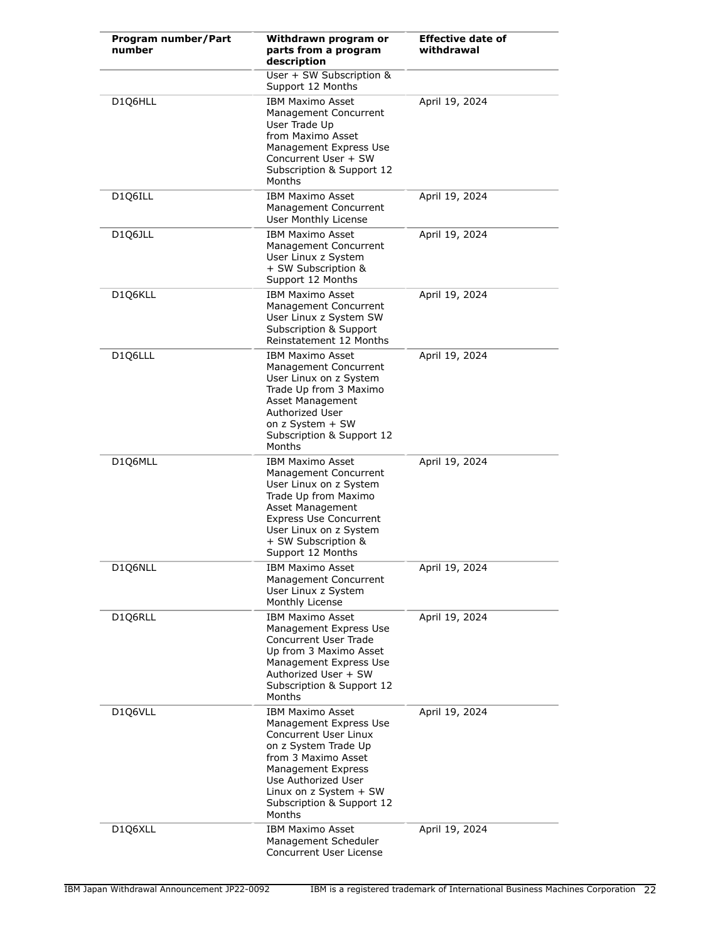| Program number/Part<br>number | Withdrawn program or<br>parts from a program<br>description                                                                                                                                                                                    | <b>Effective date of</b><br>withdrawal |
|-------------------------------|------------------------------------------------------------------------------------------------------------------------------------------------------------------------------------------------------------------------------------------------|----------------------------------------|
|                               | User + SW Subscription &<br>Support 12 Months                                                                                                                                                                                                  |                                        |
| D1Q6HLL                       | <b>IBM Maximo Asset</b><br>Management Concurrent<br>User Trade Up<br>from Maximo Asset<br>Management Express Use<br>Concurrent User + SW<br>Subscription & Support 12<br>Months                                                                | April 19, 2024                         |
| D1Q6ILL                       | <b>IBM Maximo Asset</b><br>Management Concurrent<br>User Monthly License                                                                                                                                                                       | April 19, 2024                         |
| D1Q6JLL                       | <b>IBM Maximo Asset</b><br>Management Concurrent<br>User Linux z System<br>+ SW Subscription &<br>Support 12 Months                                                                                                                            | April 19, 2024                         |
| D1Q6KLL                       | <b>IBM Maximo Asset</b><br>Management Concurrent<br>User Linux z System SW<br>Subscription & Support<br>Reinstatement 12 Months                                                                                                                | April 19, 2024                         |
| D1Q6LLL                       | <b>IBM Maximo Asset</b><br>Management Concurrent<br>User Linux on z System<br>Trade Up from 3 Maximo<br>Asset Management<br>Authorized User<br>on z System + SW<br>Subscription & Support 12<br>Months                                         | April 19, 2024                         |
| D1Q6MLL                       | <b>IBM Maximo Asset</b><br>Management Concurrent<br>User Linux on z System<br>Trade Up from Maximo<br>Asset Management<br><b>Express Use Concurrent</b><br>User Linux on z System<br>+ SW Subscription &<br>Support 12 Months                  | April 19, 2024                         |
| D1Q6NLL                       | IBM Maximo Asset<br>Management Concurrent<br>User Linux z System<br>Monthly License                                                                                                                                                            | April 19, 2024                         |
| D1Q6RLL                       | <b>IBM Maximo Asset</b><br>Management Express Use<br>Concurrent User Trade<br>Up from 3 Maximo Asset<br>Management Express Use<br>Authorized User + SW<br>Subscription & Support 12<br>Months                                                  | April 19, 2024                         |
| D1Q6VLL                       | <b>IBM Maximo Asset</b><br>Management Express Use<br>Concurrent User Linux<br>on z System Trade Up<br>from 3 Maximo Asset<br><b>Management Express</b><br>Use Authorized User<br>Linux on z System + SW<br>Subscription & Support 12<br>Months | April 19, 2024                         |
| D1Q6XLL                       | <b>IBM Maximo Asset</b><br>Management Scheduler<br>Concurrent User License                                                                                                                                                                     | April 19, 2024                         |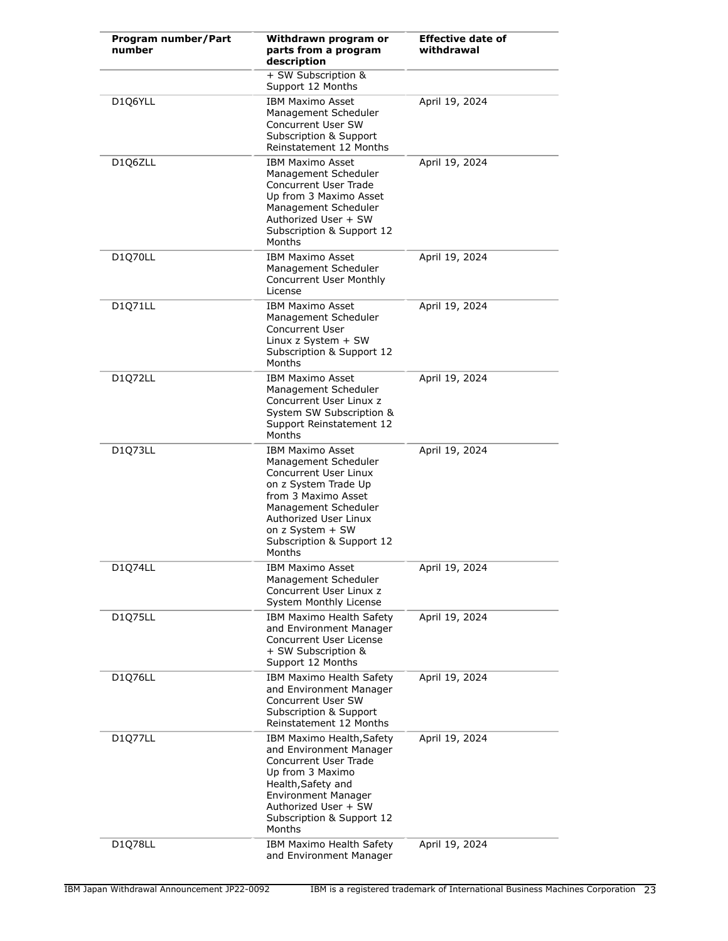| Program number/Part<br>number | Withdrawn program or<br>parts from a program<br>description                                                                                                                                                                         | <b>Effective date of</b><br>withdrawal |
|-------------------------------|-------------------------------------------------------------------------------------------------------------------------------------------------------------------------------------------------------------------------------------|----------------------------------------|
|                               | + SW Subscription &<br>Support 12 Months                                                                                                                                                                                            |                                        |
| D1Q6YLL                       | <b>IBM Maximo Asset</b><br>Management Scheduler<br>Concurrent User SW<br>Subscription & Support<br>Reinstatement 12 Months                                                                                                          | April 19, 2024                         |
| D1Q6ZLL                       | <b>IBM Maximo Asset</b><br>Management Scheduler<br>Concurrent User Trade<br>Up from 3 Maximo Asset<br>Management Scheduler<br>Authorized User + SW<br>Subscription & Support 12<br>Months                                           | April 19, 2024                         |
| D1Q70LL                       | <b>IBM Maximo Asset</b><br>Management Scheduler<br><b>Concurrent User Monthly</b><br>License                                                                                                                                        | April 19, 2024                         |
| D1Q71LL                       | <b>IBM Maximo Asset</b><br>Management Scheduler<br><b>Concurrent User</b><br>Linux z System $+$ SW<br>Subscription & Support 12<br>Months                                                                                           | April 19, 2024                         |
| D1Q72LL                       | <b>IBM Maximo Asset</b><br>Management Scheduler<br>Concurrent User Linux z<br>System SW Subscription &<br>Support Reinstatement 12<br>Months                                                                                        | April 19, 2024                         |
| D1Q73LL                       | <b>IBM Maximo Asset</b><br>Management Scheduler<br>Concurrent User Linux<br>on z System Trade Up<br>from 3 Maximo Asset<br>Management Scheduler<br>Authorized User Linux<br>on z System + SW<br>Subscription & Support 12<br>Months | April 19, 2024                         |
| D1Q74LL                       | <b>IBM Maximo Asset</b><br>Management Scheduler<br>Concurrent User Linux z<br><b>System Monthly License</b>                                                                                                                         | April 19, 2024                         |
| D1Q75LL                       | IBM Maximo Health Safety<br>and Environment Manager<br>Concurrent User License<br>+ SW Subscription &<br>Support 12 Months                                                                                                          | April 19, 2024                         |
| D1Q76LL                       | IBM Maximo Health Safety<br>and Environment Manager<br><b>Concurrent User SW</b><br>Subscription & Support<br>Reinstatement 12 Months                                                                                               | April 19, 2024                         |
| D1Q77LL                       | IBM Maximo Health, Safety<br>and Environment Manager<br>Concurrent User Trade<br>Up from 3 Maximo<br>Health, Safety and<br><b>Environment Manager</b><br>Authorized User + SW<br>Subscription & Support 12<br>Months                | April 19, 2024                         |
| D1Q78LL                       | IBM Maximo Health Safety<br>and Environment Manager                                                                                                                                                                                 | April 19, 2024                         |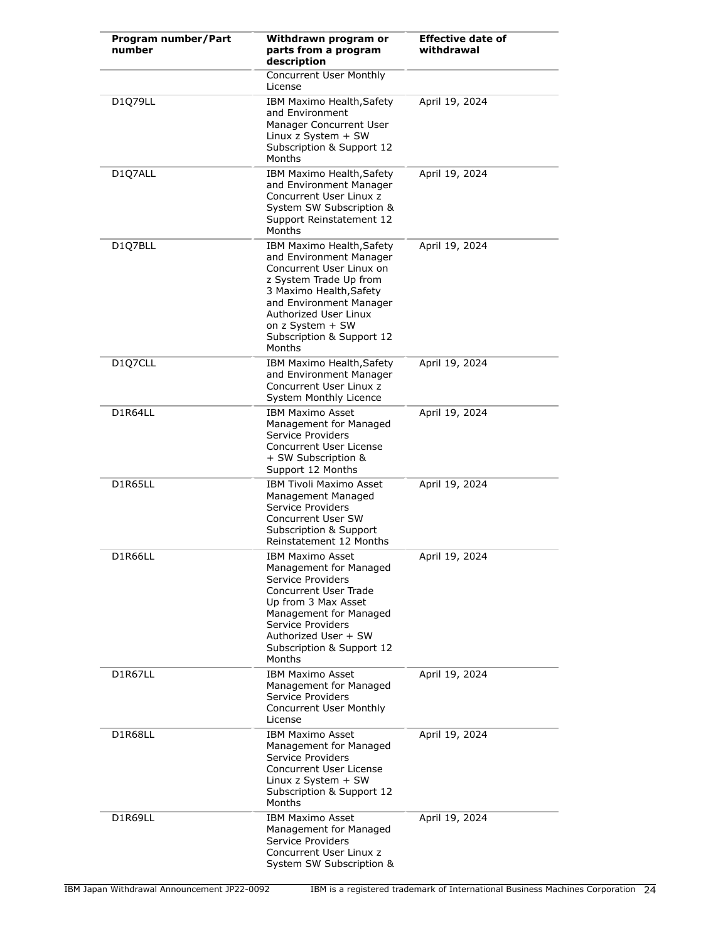| Program number/Part<br>number | Withdrawn program or<br>parts from a program<br>description                                                                                                                                                                                          | <b>Effective date of</b><br>withdrawal |
|-------------------------------|------------------------------------------------------------------------------------------------------------------------------------------------------------------------------------------------------------------------------------------------------|----------------------------------------|
|                               | Concurrent User Monthly<br>License                                                                                                                                                                                                                   |                                        |
| D1Q79LL                       | IBM Maximo Health, Safety<br>and Environment<br>Manager Concurrent User<br>Linux $z$ System $+$ SW<br>Subscription & Support 12<br>Months                                                                                                            | April 19, 2024                         |
| D107ALL                       | IBM Maximo Health, Safety<br>and Environment Manager<br>Concurrent User Linux z<br>System SW Subscription &<br>Support Reinstatement 12<br>Months                                                                                                    | April 19, 2024                         |
| D1Q7BLL                       | IBM Maximo Health, Safety<br>and Environment Manager<br>Concurrent User Linux on<br>z System Trade Up from<br>3 Maximo Health, Safety<br>and Environment Manager<br>Authorized User Linux<br>on z System + SW<br>Subscription & Support 12<br>Months | April 19, 2024                         |
| D1Q7CLL                       | IBM Maximo Health, Safety<br>and Environment Manager<br>Concurrent User Linux z<br>System Monthly Licence                                                                                                                                            | April 19, 2024                         |
| D1R64LL                       | <b>IBM Maximo Asset</b><br>Management for Managed<br>Service Providers<br>Concurrent User License<br>+ SW Subscription &<br>Support 12 Months                                                                                                        | April 19, 2024                         |
| D1R65LL                       | <b>IBM Tivoli Maximo Asset</b><br>Management Managed<br>Service Providers<br>Concurrent User SW<br>Subscription & Support<br>Reinstatement 12 Months                                                                                                 | April 19, 2024                         |
| D1R66LL                       | <b>IBM Maximo Asset</b><br>Management for Managed<br>Service Providers<br><b>Concurrent User Trade</b><br>Up from 3 Max Asset<br>Management for Managed<br>Service Providers<br>Authorized User + SW<br>Subscription & Support 12<br>Months          | April 19, 2024                         |
| D1R67LL                       | <b>IBM Maximo Asset</b><br>Management for Managed<br>Service Providers<br><b>Concurrent User Monthly</b><br>License                                                                                                                                  | April 19, 2024                         |
| D1R68LL                       | <b>IBM Maximo Asset</b><br>Management for Managed<br>Service Providers<br>Concurrent User License<br>Linux z System + SW<br>Subscription & Support 12<br>Months                                                                                      | April 19, 2024                         |
| D1R69LL                       | <b>IBM Maximo Asset</b><br>Management for Managed<br>Service Providers<br>Concurrent User Linux z<br>System SW Subscription &                                                                                                                        | April 19, 2024                         |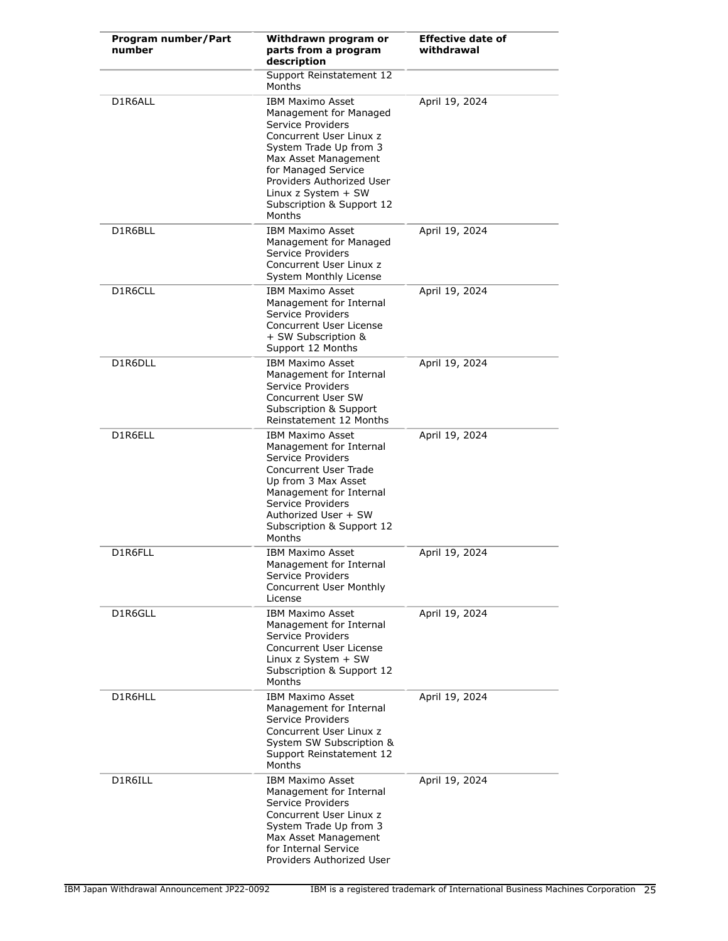| Program number/Part<br>number | Withdrawn program or<br>parts from a program<br>description                                                                                                                                                                                                             | <b>Effective date of</b><br>withdrawal |
|-------------------------------|-------------------------------------------------------------------------------------------------------------------------------------------------------------------------------------------------------------------------------------------------------------------------|----------------------------------------|
|                               | Support Reinstatement 12<br>Months                                                                                                                                                                                                                                      |                                        |
| D1R6ALL                       | <b>IBM Maximo Asset</b><br>Management for Managed<br>Service Providers<br>Concurrent User Linux z<br>System Trade Up from 3<br>Max Asset Management<br>for Managed Service<br>Providers Authorized User<br>Linux z System $+$ SW<br>Subscription & Support 12<br>Months | April 19, 2024                         |
| D1R6BLL                       | <b>IBM Maximo Asset</b><br>Management for Managed<br>Service Providers<br>Concurrent User Linux z<br>System Monthly License                                                                                                                                             | April 19, 2024                         |
| D1R6CLL                       | <b>IBM Maximo Asset</b><br>Management for Internal<br>Service Providers<br>Concurrent User License<br>+ SW Subscription &<br>Support 12 Months                                                                                                                          | April 19, 2024                         |
| D1R6DLL                       | <b>IBM Maximo Asset</b><br>Management for Internal<br>Service Providers<br><b>Concurrent User SW</b><br>Subscription & Support<br>Reinstatement 12 Months                                                                                                               | April 19, 2024                         |
| D1R6ELL                       | <b>IBM Maximo Asset</b><br>Management for Internal<br>Service Providers<br><b>Concurrent User Trade</b><br>Up from 3 Max Asset<br>Management for Internal<br>Service Providers<br>Authorized User + SW<br>Subscription & Support 12<br>Months                           | April 19, 2024                         |
| D1R6FLL                       | <b>IBM Maximo Asset</b><br>Management for Internal<br>Service Providers<br>Concurrent User Monthly<br>License                                                                                                                                                           | April 19, 2024                         |
| D1R6GLL                       | <b>IBM Maximo Asset</b><br>Management for Internal<br>Service Providers<br><b>Concurrent User License</b><br>Linux $z$ System $+$ SW<br>Subscription & Support 12<br>Months                                                                                             | April 19, 2024                         |
| D1R6HLL                       | <b>IBM Maximo Asset</b><br>Management for Internal<br>Service Providers<br>Concurrent User Linux z<br>System SW Subscription &<br>Support Reinstatement 12<br>Months                                                                                                    | April 19, 2024                         |
| D1R6ILL                       | <b>IBM Maximo Asset</b><br>Management for Internal<br>Service Providers<br>Concurrent User Linux z<br>System Trade Up from 3<br>Max Asset Management<br>for Internal Service<br>Providers Authorized User                                                               | April 19, 2024                         |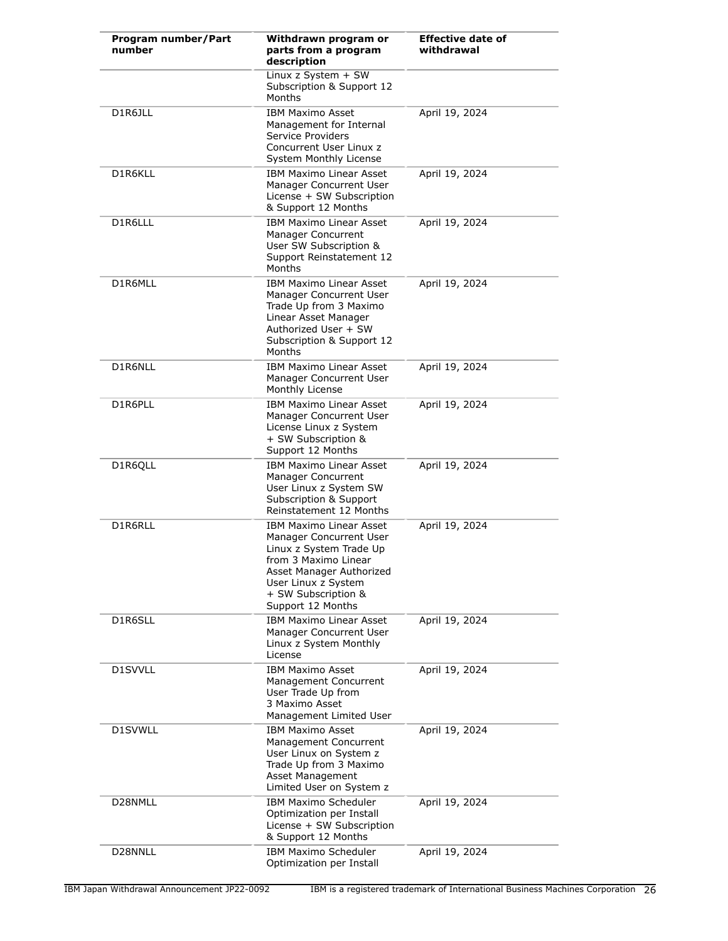| Program number/Part<br>number | Withdrawn program or<br>parts from a program<br>description                                                                                                                                                 | <b>Effective date of</b><br>withdrawal |
|-------------------------------|-------------------------------------------------------------------------------------------------------------------------------------------------------------------------------------------------------------|----------------------------------------|
|                               | Linux z System + SW<br>Subscription & Support 12<br>Months                                                                                                                                                  |                                        |
| D1R6JLL                       | <b>IBM Maximo Asset</b><br>Management for Internal<br>Service Providers<br>Concurrent User Linux z<br>System Monthly License                                                                                | April 19, 2024                         |
| D1R6KLL                       | <b>IBM Maximo Linear Asset</b><br>Manager Concurrent User<br>License + SW Subscription<br>& Support 12 Months                                                                                               | April 19, 2024                         |
| D1R6LLL                       | IBM Maximo Linear Asset<br>Manager Concurrent<br>User SW Subscription &<br>Support Reinstatement 12<br>Months                                                                                               | April 19, 2024                         |
| D1R6MLL                       | <b>IBM Maximo Linear Asset</b><br>Manager Concurrent User<br>Trade Up from 3 Maximo<br>Linear Asset Manager<br>Authorized User + SW<br>Subscription & Support 12<br>Months                                  | April 19, 2024                         |
| D1R6NLL                       | <b>IBM Maximo Linear Asset</b><br>Manager Concurrent User<br>Monthly License                                                                                                                                | April 19, 2024                         |
| D1R6PLL                       | <b>IBM Maximo Linear Asset</b><br>Manager Concurrent User<br>License Linux z System<br>+ SW Subscription &<br>Support 12 Months                                                                             | April 19, 2024                         |
| D1R6QLL                       | <b>IBM Maximo Linear Asset</b><br>Manager Concurrent<br>User Linux z System SW<br>Subscription & Support<br>Reinstatement 12 Months                                                                         | April 19, 2024                         |
| D1R6RLL                       | <b>IBM Maximo Linear Asset</b><br>Manager Concurrent User<br>Linux z System Trade Up<br>from 3 Maximo Linear<br>Asset Manager Authorized<br>User Linux z System<br>+ SW Subscription &<br>Support 12 Months | April 19, 2024                         |
| D1R6SLL                       | <b>IBM Maximo Linear Asset</b><br>Manager Concurrent User<br>Linux z System Monthly<br>License                                                                                                              | April 19, 2024                         |
| D1SVVLL                       | <b>IBM Maximo Asset</b><br>Management Concurrent<br>User Trade Up from<br>3 Maximo Asset<br>Management Limited User                                                                                         | April 19, 2024                         |
| D1SVWLL                       | <b>IBM Maximo Asset</b><br>Management Concurrent<br>User Linux on System z<br>Trade Up from 3 Maximo<br>Asset Management<br>Limited User on System z                                                        | April 19, 2024                         |
| D28NMLL                       | IBM Maximo Scheduler<br>Optimization per Install<br>License + SW Subscription<br>& Support 12 Months                                                                                                        | April 19, 2024                         |
| D28NNLL                       | <b>IBM Maximo Scheduler</b><br>Optimization per Install                                                                                                                                                     | April 19, 2024                         |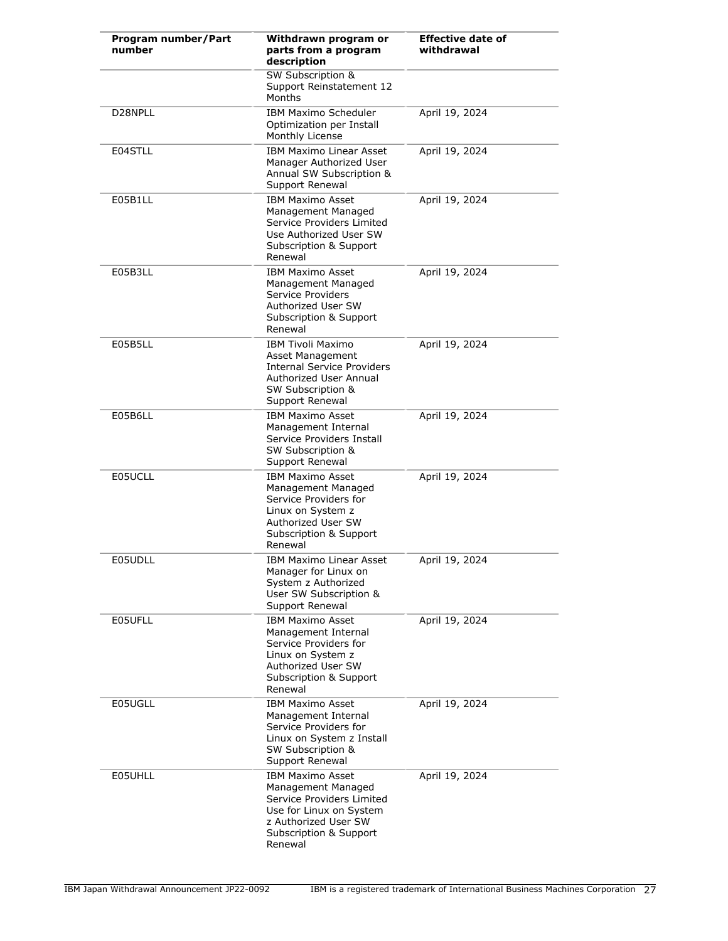| Program number/Part<br>number | Withdrawn program or<br>parts from a program<br>description                                                                                                        | <b>Effective date of</b><br>withdrawal |
|-------------------------------|--------------------------------------------------------------------------------------------------------------------------------------------------------------------|----------------------------------------|
|                               | <b>SW Subscription &amp;</b><br>Support Reinstatement 12<br>Months                                                                                                 |                                        |
| D28NPLL                       | <b>IBM Maximo Scheduler</b><br>Optimization per Install<br>Monthly License                                                                                         | April 19, 2024                         |
| E04STLL                       | <b>IBM Maximo Linear Asset</b><br>Manager Authorized User<br>Annual SW Subscription &<br>Support Renewal                                                           | April 19, 2024                         |
| E05B1LL                       | <b>IBM Maximo Asset</b><br>Management Managed<br>Service Providers Limited<br>Use Authorized User SW<br>Subscription & Support<br>Renewal                          | April 19, 2024                         |
| E05B3LL                       | <b>IBM Maximo Asset</b><br>Management Managed<br>Service Providers<br>Authorized User SW<br>Subscription & Support<br>Renewal                                      | April 19, 2024                         |
| E05B5LL                       | <b>IBM Tivoli Maximo</b><br>Asset Management<br><b>Internal Service Providers</b><br>Authorized User Annual<br>SW Subscription &<br>Support Renewal                | April 19, 2024                         |
| E05B6LL                       | <b>IBM Maximo Asset</b><br>Management Internal<br>Service Providers Install<br>SW Subscription &<br>Support Renewal                                                | April 19, 2024                         |
| E05UCLL                       | <b>IBM Maximo Asset</b><br>Management Managed<br>Service Providers for<br>Linux on System z<br>Authorized User SW<br>Subscription & Support<br>Renewal             | April 19, 2024                         |
| E05UDLL                       | IBM Maximo Linear Asset<br>Manager for Linux on<br>System z Authorized<br>User SW Subscription &<br>Support Renewal                                                | April 19, 2024                         |
| E05UFLL                       | <b>IBM Maximo Asset</b><br>Management Internal<br>Service Providers for<br>Linux on System z<br>Authorized User SW<br><b>Subscription &amp; Support</b><br>Renewal | April 19, 2024                         |
| E05UGLL                       | <b>IBM Maximo Asset</b><br>Management Internal<br>Service Providers for<br>Linux on System z Install<br>SW Subscription &<br>Support Renewal                       | April 19, 2024                         |
| E05UHLL                       | <b>IBM Maximo Asset</b><br>Management Managed<br>Service Providers Limited<br>Use for Linux on System<br>z Authorized User SW<br>Subscription & Support<br>Renewal | April 19, 2024                         |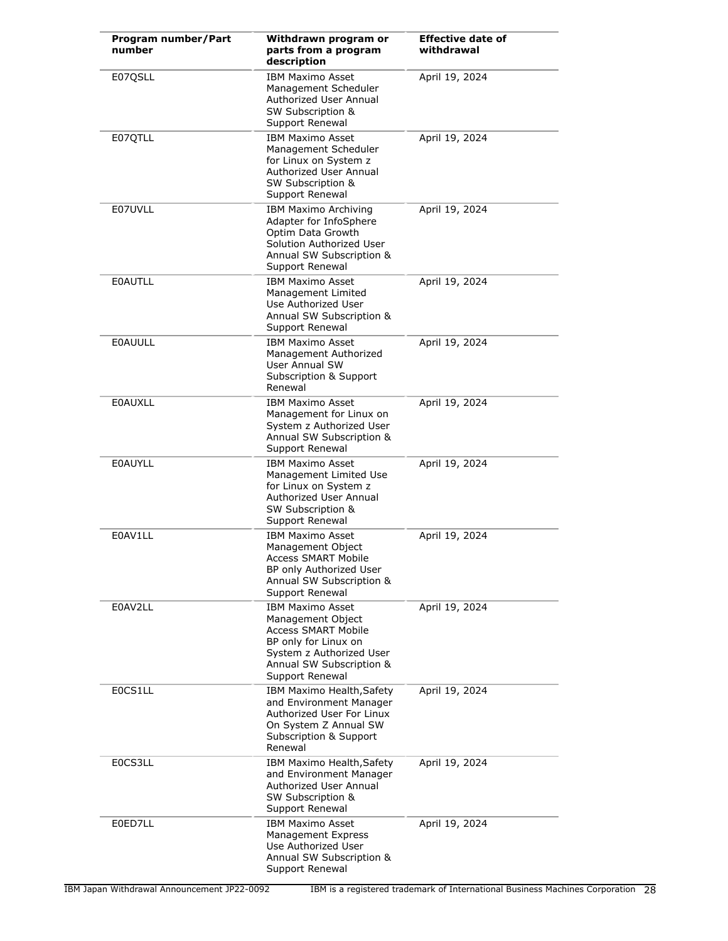| Program number/Part<br>number | Withdrawn program or<br>parts from a program<br>description                                                                                                                   | <b>Effective date of</b><br>withdrawal |
|-------------------------------|-------------------------------------------------------------------------------------------------------------------------------------------------------------------------------|----------------------------------------|
| E07QSLL                       | <b>IBM Maximo Asset</b><br>Management Scheduler<br>Authorized User Annual<br><b>SW Subscription &amp;</b><br>Support Renewal                                                  | April 19, 2024                         |
| E07QTLL                       | <b>IBM Maximo Asset</b><br>Management Scheduler<br>for Linux on System z<br>Authorized User Annual<br>SW Subscription &<br>Support Renewal                                    | April 19, 2024                         |
| E07UVLL                       | <b>IBM Maximo Archiving</b><br>Adapter for InfoSphere<br>Optim Data Growth<br>Solution Authorized User<br>Annual SW Subscription &<br>Support Renewal                         | April 19, 2024                         |
| <b>E0AUTLL</b>                | <b>IBM Maximo Asset</b><br>Management Limited<br>Use Authorized User<br>Annual SW Subscription &<br>Support Renewal                                                           | April 19, 2024                         |
| <b>EOAUULL</b>                | <b>IBM Maximo Asset</b><br>Management Authorized<br><b>User Annual SW</b><br>Subscription & Support<br>Renewal                                                                | April 19, 2024                         |
| <b>E0AUXLL</b>                | <b>IBM Maximo Asset</b><br>Management for Linux on<br>System z Authorized User<br>Annual SW Subscription &<br>Support Renewal                                                 | April 19, 2024                         |
| <b>E0AUYLL</b>                | <b>IBM Maximo Asset</b><br>Management Limited Use<br>for Linux on System z<br>Authorized User Annual<br>SW Subscription &<br>Support Renewal                                  | April 19, 2024                         |
| E0AV1LL                       | <b>IBM Maximo Asset</b><br>Management Object<br><b>Access SMART Mobile</b><br>BP only Authorized User<br>Annual SW Subscription &<br>Support Renewal                          | April 19, 2024                         |
| E0AV2LL                       | <b>IBM Maximo Asset</b><br>Management Object<br><b>Access SMART Mobile</b><br>BP only for Linux on<br>System z Authorized User<br>Annual SW Subscription &<br>Support Renewal | April 19, 2024                         |
| E0CS1LL                       | IBM Maximo Health, Safety<br>and Environment Manager<br>Authorized User For Linux<br>On System Z Annual SW<br>Subscription & Support<br>Renewal                               | April 19, 2024                         |
| E0CS3LL                       | IBM Maximo Health, Safety<br>and Environment Manager<br>Authorized User Annual<br>SW Subscription &<br>Support Renewal                                                        | April 19, 2024                         |
| E0ED7LL                       | <b>IBM Maximo Asset</b><br><b>Management Express</b><br>Use Authorized User<br>Annual SW Subscription &<br>Support Renewal                                                    | April 19, 2024                         |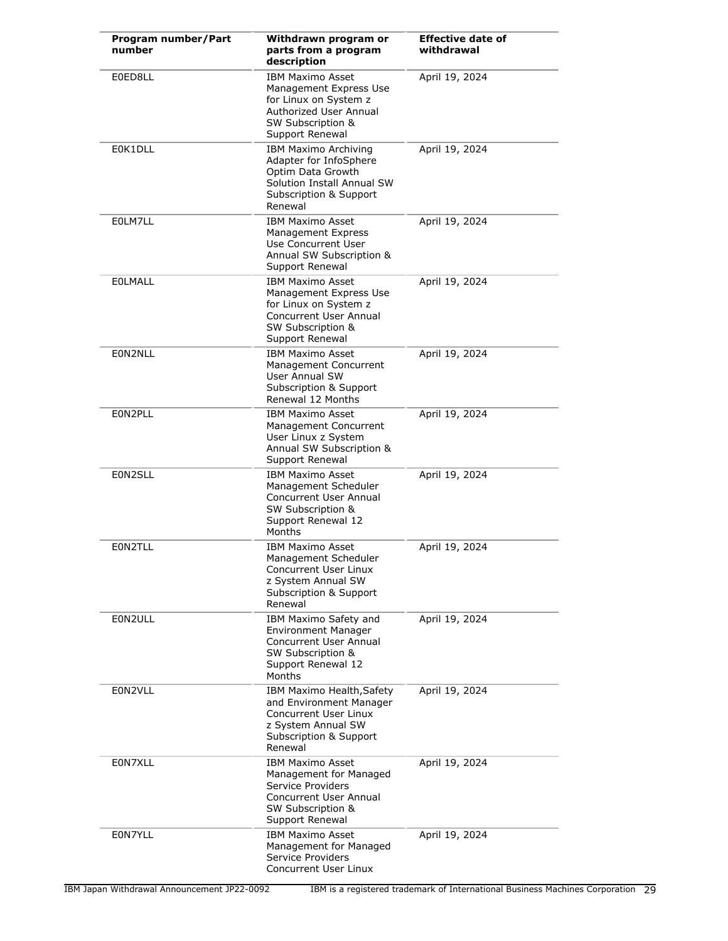| Program number/Part<br>number | Withdrawn program or<br>parts from a program<br>description                                                                                     | <b>Effective date of</b><br>withdrawal |
|-------------------------------|-------------------------------------------------------------------------------------------------------------------------------------------------|----------------------------------------|
| E0ED8LL                       | <b>IBM Maximo Asset</b><br>Management Express Use<br>for Linux on System z<br>Authorized User Annual<br>SW Subscription &<br>Support Renewal    | April 19, 2024                         |
| E0K1DLL                       | <b>IBM Maximo Archiving</b><br>Adapter for InfoSphere<br>Optim Data Growth<br>Solution Install Annual SW<br>Subscription & Support<br>Renewal   | April 19, 2024                         |
| E0LM7LL                       | <b>IBM Maximo Asset</b><br><b>Management Express</b><br>Use Concurrent User<br>Annual SW Subscription &<br>Support Renewal                      | April 19, 2024                         |
| <b>EOLMALL</b>                | <b>IBM Maximo Asset</b><br>Management Express Use<br>for Linux on System z<br>Concurrent User Annual<br>SW Subscription &<br>Support Renewal    | April 19, 2024                         |
| E0N2NLL                       | IBM Maximo Asset<br>Management Concurrent<br><b>User Annual SW</b><br>Subscription & Support<br>Renewal 12 Months                               | April 19, 2024                         |
| EON2PLL                       | <b>IBM Maximo Asset</b><br>Management Concurrent<br>User Linux z System<br>Annual SW Subscription &<br>Support Renewal                          | April 19, 2024                         |
| E0N2SLL                       | <b>IBM Maximo Asset</b><br>Management Scheduler<br>Concurrent User Annual<br>SW Subscription &<br>Support Renewal 12<br>Months                  | April 19, 2024                         |
| E0N2TLL                       | <b>IBM Maximo Asset</b><br>Management Scheduler<br>Concurrent User Linux<br>z System Annual SW<br>Subscription & Support<br>Renewal             | April 19, 2024                         |
| E0N2ULL                       | IBM Maximo Safety and<br><b>Environment Manager</b><br><b>Concurrent User Annual</b><br>SW Subscription &<br>Support Renewal 12<br>Months       | April 19, 2024                         |
| E0N2VLL                       | IBM Maximo Health, Safety<br>and Environment Manager<br>Concurrent User Linux<br>z System Annual SW<br>Subscription & Support<br>Renewal        | April 19, 2024                         |
| E0N7XLL                       | <b>IBM Maximo Asset</b><br>Management for Managed<br>Service Providers<br><b>Concurrent User Annual</b><br>SW Subscription &<br>Support Renewal | April 19, 2024                         |
| E0N7YLL                       | <b>IBM Maximo Asset</b><br>Management for Managed<br>Service Providers<br>Concurrent User Linux                                                 | April 19, 2024                         |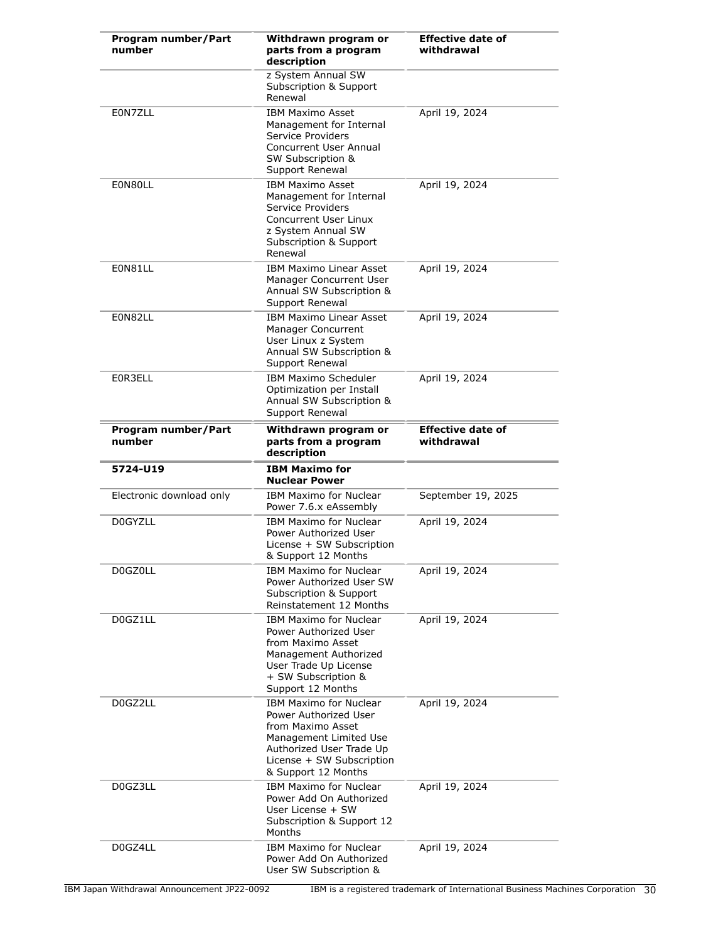| Program number/Part<br>number | Withdrawn program or<br>parts from a program<br>description                                                                                                                           | <b>Effective date of</b><br>withdrawal |
|-------------------------------|---------------------------------------------------------------------------------------------------------------------------------------------------------------------------------------|----------------------------------------|
|                               | z System Annual SW<br>Subscription & Support<br>Renewal                                                                                                                               |                                        |
| E0N7ZLL                       | <b>IBM Maximo Asset</b><br>Management for Internal<br>Service Providers<br><b>Concurrent User Annual</b><br>SW Subscription &<br>Support Renewal                                      | April 19, 2024                         |
| E0N80LL                       | <b>IBM Maximo Asset</b><br>Management for Internal<br>Service Providers<br>Concurrent User Linux<br>z System Annual SW<br>Subscription & Support<br>Renewal                           | April 19, 2024                         |
| E0N81LL                       | IBM Maximo Linear Asset<br>Manager Concurrent User<br>Annual SW Subscription &<br>Support Renewal                                                                                     | April 19, 2024                         |
| E0N82LL                       | <b>IBM Maximo Linear Asset</b><br>Manager Concurrent<br>User Linux z System<br>Annual SW Subscription &<br>Support Renewal                                                            | April 19, 2024                         |
| E0R3ELL                       | IBM Maximo Scheduler<br>Optimization per Install<br>Annual SW Subscription &<br>Support Renewal                                                                                       | April 19, 2024                         |
| Program number/Part<br>number | Withdrawn program or<br>parts from a program<br>description                                                                                                                           | <b>Effective date of</b><br>withdrawal |
| 5724-U19                      | <b>IBM Maximo for</b><br><b>Nuclear Power</b>                                                                                                                                         |                                        |
| Electronic download only      | IBM Maximo for Nuclear<br>Power 7.6.x eAssembly                                                                                                                                       | September 19, 2025                     |
| D0GYZLL                       | <b>IBM Maximo for Nuclear</b><br>Power Authorized User<br>License + SW Subscription<br>& Support 12 Months                                                                            | April 19, 2024                         |
| D0GZ0LL                       | <b>IBM Maximo for Nuclear</b><br>Power Authorized User SW<br>Subscription & Support<br>Reinstatement 12 Months                                                                        | April 19, 2024                         |
| D0GZ1LL                       | <b>IBM Maximo for Nuclear</b><br>Power Authorized User<br>from Maximo Asset<br>Management Authorized<br>User Trade Up License<br>+ SW Subscription &<br>Support 12 Months             | April 19, 2024                         |
| D0GZ2LL                       | <b>IBM Maximo for Nuclear</b><br>Power Authorized User<br>from Maximo Asset<br>Management Limited Use<br>Authorized User Trade Up<br>License + SW Subscription<br>& Support 12 Months | April 19, 2024                         |
| D0GZ3LL                       | IBM Maximo for Nuclear<br>Power Add On Authorized<br>User License + SW<br>Subscription & Support 12<br>Months                                                                         | April 19, 2024                         |
| D0GZ4LL                       | <b>IBM Maximo for Nuclear</b><br>Power Add On Authorized                                                                                                                              | April 19, 2024                         |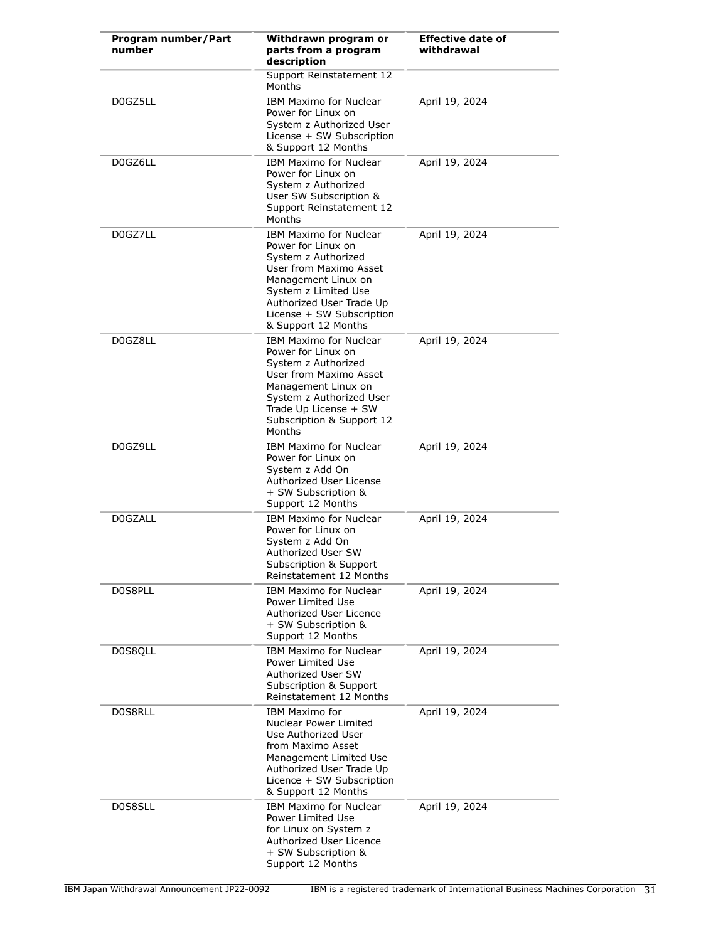| Program number/Part<br>number | Withdrawn program or<br>parts from a program<br>description                                                                                                                                                                         | <b>Effective date of</b><br>withdrawal |
|-------------------------------|-------------------------------------------------------------------------------------------------------------------------------------------------------------------------------------------------------------------------------------|----------------------------------------|
|                               | Support Reinstatement 12<br>Months                                                                                                                                                                                                  |                                        |
| D0GZ5LL                       | <b>IBM Maximo for Nuclear</b><br>Power for Linux on<br>System z Authorized User<br>License + SW Subscription<br>& Support 12 Months                                                                                                 | April 19, 2024                         |
| D0GZ6LL                       | <b>IBM Maximo for Nuclear</b><br>Power for Linux on<br>System z Authorized<br>User SW Subscription &<br>Support Reinstatement 12<br>Months                                                                                          | April 19, 2024                         |
| D0GZ7LL                       | <b>IBM Maximo for Nuclear</b><br>Power for Linux on<br>System z Authorized<br>User from Maximo Asset<br>Management Linux on<br>System z Limited Use<br>Authorized User Trade Up<br>License + SW Subscription<br>& Support 12 Months | April 19, 2024                         |
| D0GZ8LL                       | <b>IBM Maximo for Nuclear</b><br>Power for Linux on<br>System z Authorized<br>User from Maximo Asset<br>Management Linux on<br>System z Authorized User<br>Trade Up License + SW<br>Subscription & Support 12<br>Months             | April 19, 2024                         |
| D0GZ9LL                       | <b>IBM Maximo for Nuclear</b><br>Power for Linux on<br>System z Add On<br>Authorized User License<br>+ SW Subscription &<br>Support 12 Months                                                                                       | April 19, 2024                         |
| <b>D0GZALL</b>                | <b>IBM Maximo for Nuclear</b><br>Power for Linux on<br>System z Add On<br>Authorized User SW<br>Subscription & Support<br>Reinstatement 12 Months                                                                                   | April 19, 2024                         |
| D0S8PLL                       | <b>IBM Maximo for Nuclear</b><br>Power Limited Use<br>Authorized User Licence<br>+ SW Subscription &<br>Support 12 Months                                                                                                           | April 19, 2024                         |
| D0S8QLL                       | <b>IBM Maximo for Nuclear</b><br>Power Limited Use<br>Authorized User SW<br>Subscription & Support<br>Reinstatement 12 Months                                                                                                       | April 19, 2024                         |
| D0S8RLL                       | <b>IBM Maximo for</b><br>Nuclear Power Limited<br>Use Authorized User<br>from Maximo Asset<br>Management Limited Use<br>Authorized User Trade Up<br>Licence + SW Subscription<br>& Support 12 Months                                | April 19, 2024                         |
| D0S8SLL                       | <b>IBM Maximo for Nuclear</b><br>Power Limited Use<br>for Linux on System z<br>Authorized User Licence<br>+ SW Subscription &<br>Support 12 Months                                                                                  | April 19, 2024                         |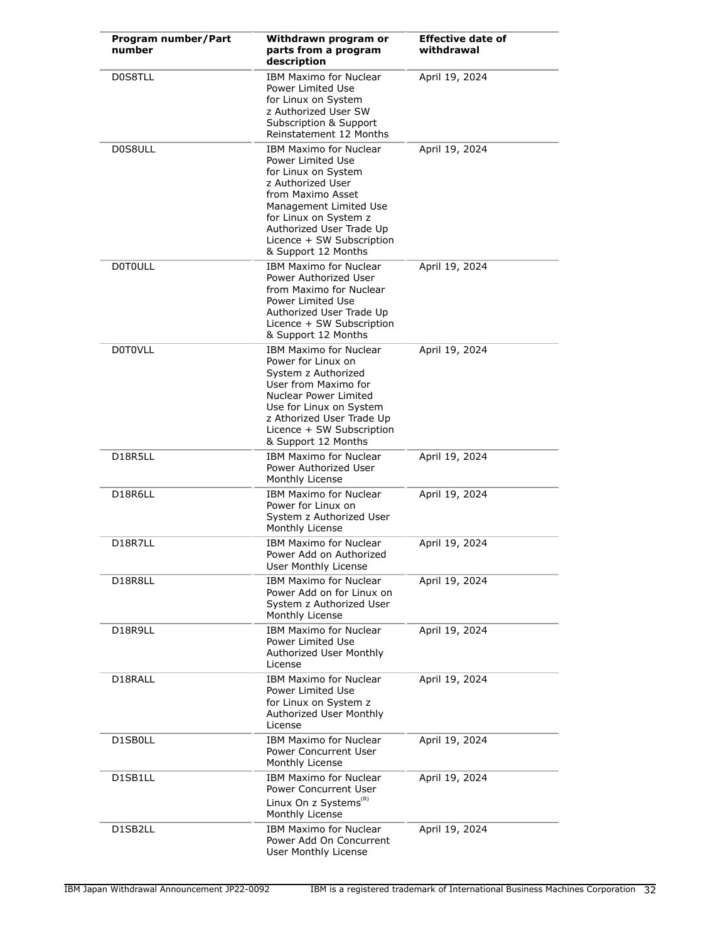| Program number/Part<br>number | Withdrawn program or<br>parts from a program<br>description                                                                                                                                                                                            | <b>Effective date of</b><br>withdrawal |
|-------------------------------|--------------------------------------------------------------------------------------------------------------------------------------------------------------------------------------------------------------------------------------------------------|----------------------------------------|
| D0S8TLL                       | <b>IBM Maximo for Nuclear</b><br>Power Limited Use<br>for Linux on System<br>z Authorized User SW<br>Subscription & Support<br>Reinstatement 12 Months                                                                                                 | April 19, 2024                         |
| D0S8ULL                       | <b>IBM Maximo for Nuclear</b><br>Power Limited Use<br>for Linux on System<br>z Authorized User<br>from Maximo Asset<br>Management Limited Use<br>for Linux on System z<br>Authorized User Trade Up<br>Licence + SW Subscription<br>& Support 12 Months | April 19, 2024                         |
| <b>DOTOULL</b>                | <b>IBM Maximo for Nuclear</b><br>Power Authorized User<br>from Maximo for Nuclear<br>Power Limited Use<br>Authorized User Trade Up<br>Licence + SW Subscription<br>& Support 12 Months                                                                 | April 19, 2024                         |
| <b>D0T0VLL</b>                | <b>IBM Maximo for Nuclear</b><br>Power for Linux on<br>System z Authorized<br>User from Maximo for<br>Nuclear Power Limited<br>Use for Linux on System<br>z Athorized User Trade Up<br>Licence + SW Subscription<br>& Support 12 Months                | April 19, 2024                         |
| D18R5LL                       | <b>IBM Maximo for Nuclear</b><br>Power Authorized User<br>Monthly License                                                                                                                                                                              | April 19, 2024                         |
| D18R6LL                       | <b>IBM Maximo for Nuclear</b><br>Power for Linux on<br>System z Authorized User<br>Monthly License                                                                                                                                                     | April 19, 2024                         |
| D18R7LL                       | <b>IBM Maximo for Nuclear</b><br>Power Add on Authorized<br>User Monthly License                                                                                                                                                                       | April 19, 2024                         |
| D18R8LL                       | IBM Maximo for Nuclear<br>Power Add on for Linux on<br>System z Authorized User<br>Monthly License                                                                                                                                                     | April 19, 2024                         |
| D18R9LL                       | <b>IBM Maximo for Nuclear</b><br>Power Limited Use<br>Authorized User Monthly<br>License                                                                                                                                                               | April 19, 2024                         |
| D18RALL                       | <b>IBM Maximo for Nuclear</b><br>Power Limited Use<br>for Linux on System z<br>Authorized User Monthly<br>License                                                                                                                                      | April 19, 2024                         |
| D1SB0LL                       | <b>IBM Maximo for Nuclear</b><br>Power Concurrent User<br>Monthly License                                                                                                                                                                              | April 19, 2024                         |
| D1SB1LL                       | <b>IBM Maximo for Nuclear</b><br>Power Concurrent User<br>Linux On z Systems ${}^{\textrm{\tiny{(R)}}}$                                                                                                                                                | April 19, 2024                         |
| D1SB2LL                       | Monthly License<br><b>IBM Maximo for Nuclear</b><br>Power Add On Concurrent<br>User Monthly License                                                                                                                                                    | April 19, 2024                         |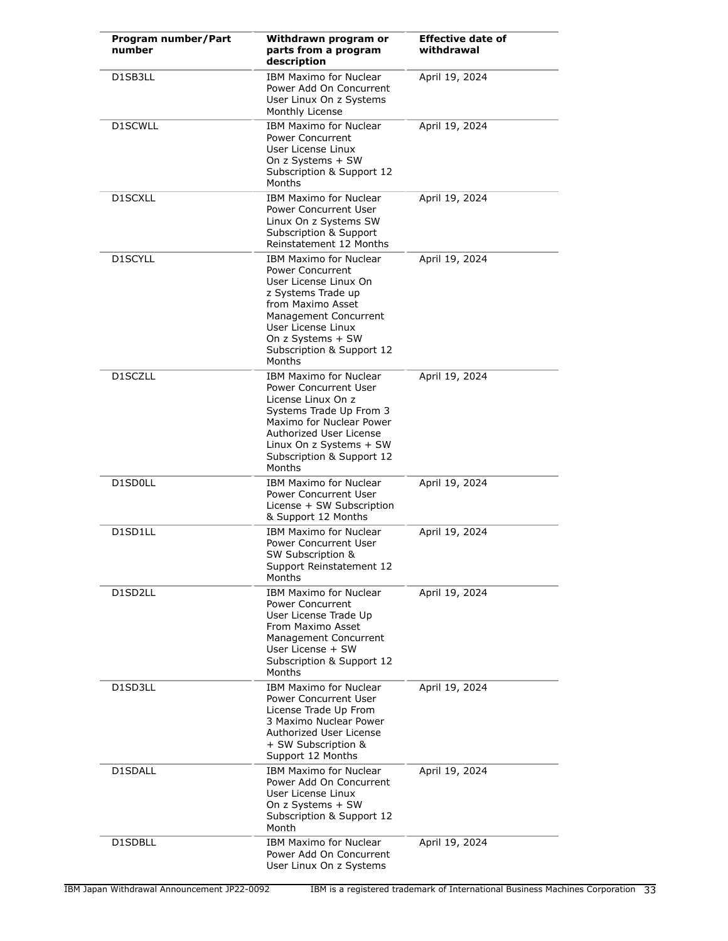| Program number/Part<br>number | Withdrawn program or<br>parts from a program<br>description                                                                                                                                                                             | <b>Effective date of</b><br>withdrawal |
|-------------------------------|-----------------------------------------------------------------------------------------------------------------------------------------------------------------------------------------------------------------------------------------|----------------------------------------|
| D1SB3LL                       | <b>IBM Maximo for Nuclear</b><br>Power Add On Concurrent<br>User Linux On z Systems<br>Monthly License                                                                                                                                  | April 19, 2024                         |
| D1SCWLL                       | <b>IBM Maximo for Nuclear</b><br><b>Power Concurrent</b><br>User License Linux<br>On z Systems + SW<br>Subscription & Support 12<br>Months                                                                                              | April 19, 2024                         |
| D1SCXLL                       | IBM Maximo for Nuclear<br>Power Concurrent User<br>Linux On z Systems SW<br>Subscription & Support<br>Reinstatement 12 Months                                                                                                           | April 19, 2024                         |
| D1SCYLL                       | IBM Maximo for Nuclear<br><b>Power Concurrent</b><br>User License Linux On<br>z Systems Trade up<br>from Maximo Asset<br>Management Concurrent<br>User License Linux<br>On z Systems + SW<br>Subscription & Support 12<br>Months        | April 19, 2024                         |
| D1SCZLL                       | <b>IBM Maximo for Nuclear</b><br><b>Power Concurrent User</b><br>License Linux On z<br>Systems Trade Up From 3<br>Maximo for Nuclear Power<br>Authorized User License<br>Linux On z Systems + SW<br>Subscription & Support 12<br>Months | April 19, 2024                         |
| D1SD0LL                       | <b>IBM Maximo for Nuclear</b><br><b>Power Concurrent User</b><br>License + SW Subscription<br>& Support 12 Months                                                                                                                       | April 19, 2024                         |
| D1SD1LL                       | IBM Maximo for Nuclear<br>Power Concurrent User<br>SW Subscription &<br>Support Reinstatement 12<br>Months                                                                                                                              | April 19, 2024                         |
| D1SD2LL                       | <b>IBM Maximo for Nuclear</b><br>Power Concurrent<br>User License Trade Up<br>From Maximo Asset<br>Management Concurrent<br>User License + SW<br>Subscription & Support 12<br>Months                                                    | April 19, 2024                         |
| D1SD3LL                       | <b>IBM Maximo for Nuclear</b><br>Power Concurrent User<br>License Trade Up From<br>3 Maximo Nuclear Power<br>Authorized User License<br>+ SW Subscription &<br>Support 12 Months                                                        | April 19, 2024                         |
| D1SDALL                       | <b>IBM Maximo for Nuclear</b><br>Power Add On Concurrent<br>User License Linux<br>On z Systems + SW<br>Subscription & Support 12<br>Month                                                                                               | April 19, 2024                         |
| D1SDBLL                       | <b>IBM Maximo for Nuclear</b><br>Power Add On Concurrent<br>User Linux On z Systems                                                                                                                                                     | April 19, 2024                         |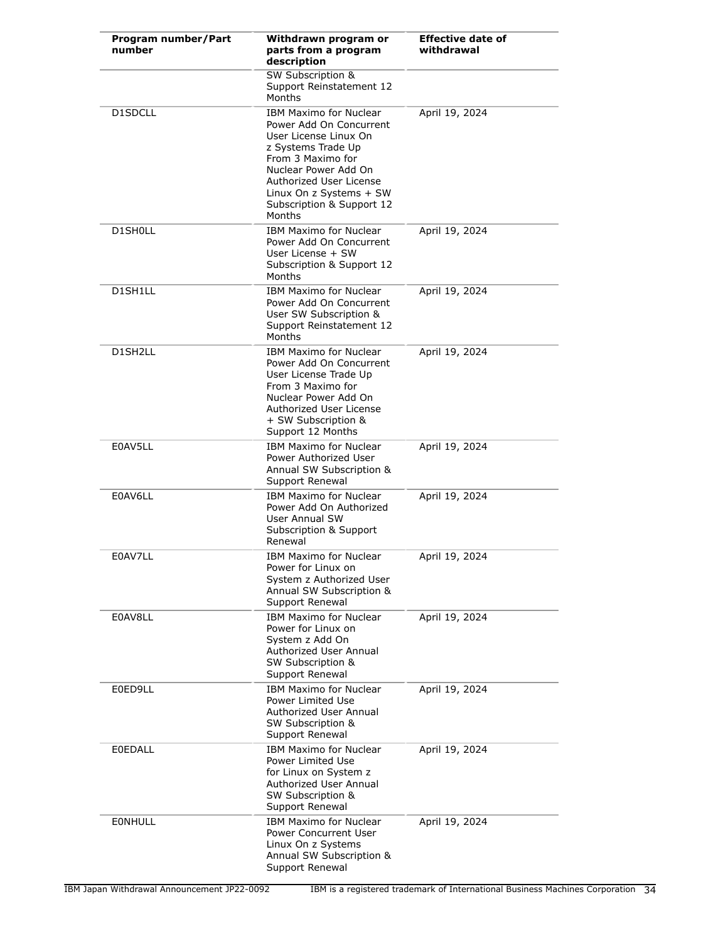| Program number/Part<br>number | Withdrawn program or<br>parts from a program<br>description                                                                                                                                                                                       | <b>Effective date of</b><br>withdrawal |
|-------------------------------|---------------------------------------------------------------------------------------------------------------------------------------------------------------------------------------------------------------------------------------------------|----------------------------------------|
|                               | <b>SW Subscription &amp;</b><br>Support Reinstatement 12<br>Months                                                                                                                                                                                |                                        |
| D1SDCLL                       | <b>IBM Maximo for Nuclear</b><br>Power Add On Concurrent<br>User License Linux On<br>z Systems Trade Up<br>From 3 Maximo for<br>Nuclear Power Add On<br>Authorized User License<br>Linux On z Systems + SW<br>Subscription & Support 12<br>Months | April 19, 2024                         |
| D1SH0LL                       | <b>IBM Maximo for Nuclear</b><br>Power Add On Concurrent<br>User License + SW<br>Subscription & Support 12<br>Months                                                                                                                              | April 19, 2024                         |
| D1SH1LL                       | <b>IBM Maximo for Nuclear</b><br>Power Add On Concurrent<br>User SW Subscription &<br>Support Reinstatement 12<br>Months                                                                                                                          | April 19, 2024                         |
| D1SH2LL                       | <b>IBM Maximo for Nuclear</b><br>Power Add On Concurrent<br>User License Trade Up<br>From 3 Maximo for<br>Nuclear Power Add On<br>Authorized User License<br>+ SW Subscription &<br>Support 12 Months                                             | April 19, 2024                         |
| E0AV5LL                       | <b>IBM Maximo for Nuclear</b><br>Power Authorized User<br>Annual SW Subscription &<br>Support Renewal                                                                                                                                             | April 19, 2024                         |
| E0AV6LL                       | <b>IBM Maximo for Nuclear</b><br>Power Add On Authorized<br>User Annual SW<br>Subscription & Support<br>Renewal                                                                                                                                   | April 19, 2024                         |
| E0AV7LL                       | <b>IBM Maximo for Nuclear</b><br>Power for Linux on<br>System z Authorized User<br>Annual SW Subscription &<br>Support Renewal                                                                                                                    | April 19, 2024                         |
| E0AV8LL                       | <b>IBM Maximo for Nuclear</b><br>Power for Linux on<br>System z Add On<br>Authorized User Annual<br>SW Subscription &<br>Support Renewal                                                                                                          | April 19, 2024                         |
| E0ED9LL                       | IBM Maximo for Nuclear<br>Power Limited Use<br>Authorized User Annual<br>SW Subscription &<br>Support Renewal                                                                                                                                     | April 19, 2024                         |
| <b>E0EDALL</b>                | <b>IBM Maximo for Nuclear</b><br>Power Limited Use<br>for Linux on System z<br>Authorized User Annual<br>SW Subscription &<br>Support Renewal                                                                                                     | April 19, 2024                         |
| EONHULL                       | <b>IBM Maximo for Nuclear</b><br>Power Concurrent User<br>Linux On z Systems<br>Annual SW Subscription &<br>Support Renewal                                                                                                                       | April 19, 2024                         |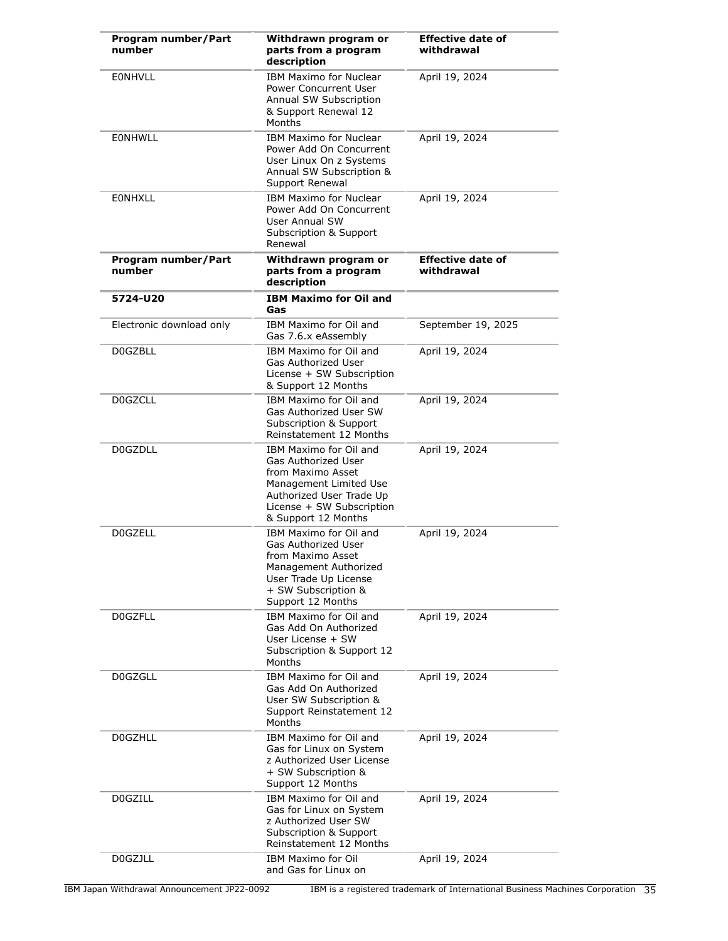| Program number/Part<br>number | Withdrawn program or<br>parts from a program<br>description                                                                                                                  | <b>Effective date of</b><br>withdrawal |
|-------------------------------|------------------------------------------------------------------------------------------------------------------------------------------------------------------------------|----------------------------------------|
| <b>EONHVLL</b>                | <b>IBM Maximo for Nuclear</b><br>Power Concurrent User<br>Annual SW Subscription<br>& Support Renewal 12<br>Months                                                           | April 19, 2024                         |
| EONHWLL                       | <b>IBM Maximo for Nuclear</b><br>Power Add On Concurrent<br>User Linux On z Systems<br>Annual SW Subscription &<br>Support Renewal                                           | April 19, 2024                         |
| <b>EONHXLL</b>                | <b>IBM Maximo for Nuclear</b><br>Power Add On Concurrent<br><b>User Annual SW</b><br>Subscription & Support<br>Renewal                                                       | April 19, 2024                         |
| Program number/Part<br>number | Withdrawn program or<br>parts from a program<br>description                                                                                                                  | <b>Effective date of</b><br>withdrawal |
| 5724-U20                      | <b>IBM Maximo for Oil and</b><br>Gas                                                                                                                                         |                                        |
| Electronic download only      | IBM Maximo for Oil and<br>Gas 7.6.x eAssembly                                                                                                                                | September 19, 2025                     |
| <b>D0GZBLL</b>                | IBM Maximo for Oil and<br>Gas Authorized User<br>License + SW Subscription<br>& Support 12 Months                                                                            | April 19, 2024                         |
| <b>D0GZCLL</b>                | IBM Maximo for Oil and<br>Gas Authorized User SW<br>Subscription & Support<br>Reinstatement 12 Months                                                                        | April 19, 2024                         |
| <b>DOGZDLL</b>                | IBM Maximo for Oil and<br>Gas Authorized User<br>from Maximo Asset<br>Management Limited Use<br>Authorized User Trade Up<br>License + SW Subscription<br>& Support 12 Months | April 19, 2024                         |
| <b>DOGZELL</b>                | IBM Maximo for Oil and<br>Gas Authorized User<br>from Maximo Asset<br>Management Authorized<br>User Trade Up License<br>+ SW Subscription &<br>Support 12 Months             | April 19, 2024                         |
| <b>DOGZFLL</b>                | IBM Maximo for Oil and<br>Gas Add On Authorized<br>User License + SW<br>Subscription & Support 12<br>Months                                                                  | April 19, 2024                         |
| D0GZGLL                       | IBM Maximo for Oil and<br>Gas Add On Authorized<br>User SW Subscription &<br>Support Reinstatement 12<br>Months                                                              | April 19, 2024                         |
| <b>DOGZHLL</b>                | IBM Maximo for Oil and<br>Gas for Linux on System<br>z Authorized User License<br>+ SW Subscription &<br>Support 12 Months                                                   | April 19, 2024                         |
| <b>D0GZILL</b>                | IBM Maximo for Oil and<br>Gas for Linux on System<br>z Authorized User SW<br>Subscription & Support<br>Reinstatement 12 Months                                               | April 19, 2024                         |
| D0GZJLL                       | <b>IBM Maximo for Oil</b><br>and Gas for Linux on                                                                                                                            | April 19, 2024                         |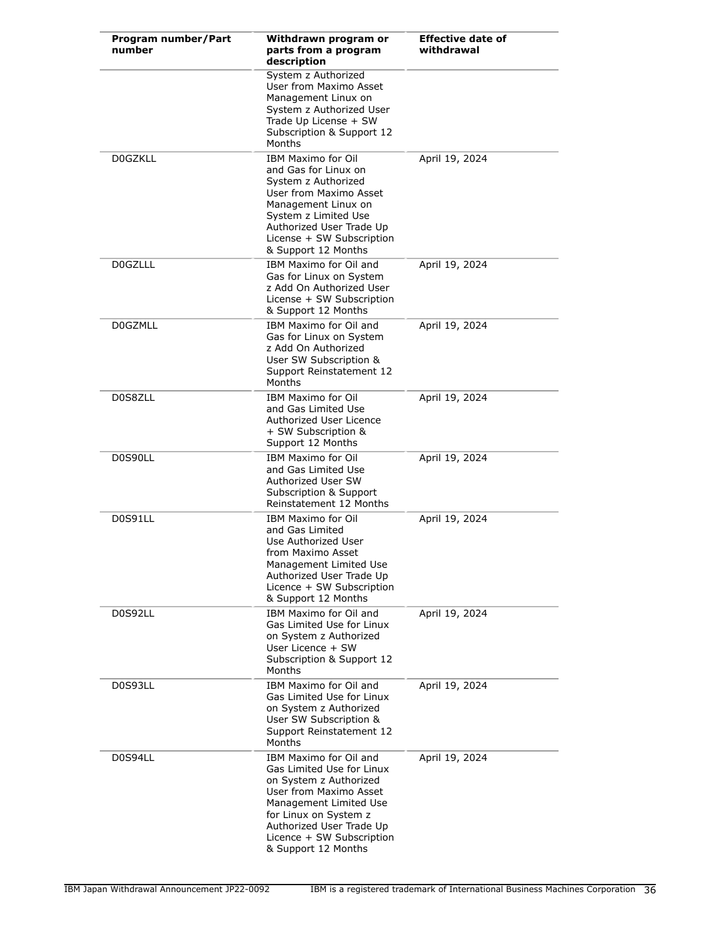| Program number/Part<br>number | Withdrawn program or<br>parts from a program<br>description                                                                                                                                                                                | <b>Effective date of</b><br>withdrawal |
|-------------------------------|--------------------------------------------------------------------------------------------------------------------------------------------------------------------------------------------------------------------------------------------|----------------------------------------|
|                               | System z Authorized<br>User from Maximo Asset<br>Management Linux on<br>System z Authorized User<br>Trade Up License + SW<br>Subscription & Support 12<br>Months                                                                           |                                        |
| <b>DOGZKLL</b>                | <b>IBM Maximo for Oil</b><br>and Gas for Linux on<br>System z Authorized<br>User from Maximo Asset<br>Management Linux on<br>System z Limited Use<br>Authorized User Trade Up<br>License + SW Subscription<br>& Support 12 Months          | April 19, 2024                         |
| <b>D0GZLLL</b>                | IBM Maximo for Oil and<br>Gas for Linux on System<br>z Add On Authorized User<br>License + SW Subscription<br>& Support 12 Months                                                                                                          | April 19, 2024                         |
| <b>DOGZMLL</b>                | IBM Maximo for Oil and<br>Gas for Linux on System<br>z Add On Authorized<br>User SW Subscription &<br>Support Reinstatement 12<br>Months                                                                                                   | April 19, 2024                         |
| D0S8ZLL                       | <b>IBM Maximo for Oil</b><br>and Gas Limited Use<br>Authorized User Licence<br>+ SW Subscription &<br>Support 12 Months                                                                                                                    | April 19, 2024                         |
| D0S90LL                       | <b>IBM Maximo for Oil</b><br>and Gas Limited Use<br>Authorized User SW<br>Subscription & Support<br>Reinstatement 12 Months                                                                                                                | April 19, 2024                         |
| D0S91LL                       | <b>IBM Maximo for Oil</b><br>and Gas Limited<br>Use Authorized User<br>from Maximo Asset<br>Management Limited Use<br>Authorized User Trade Up<br>Licence + SW Subscription<br>& Support 12 Months                                         | April 19, 2024                         |
| D0S92LL                       | IBM Maximo for Oil and<br>Gas Limited Use for Linux<br>on System z Authorized<br>User Licence + SW<br>Subscription & Support 12<br>Months                                                                                                  | April 19, 2024                         |
| D0S93LL                       | IBM Maximo for Oil and<br>Gas Limited Use for Linux<br>on System z Authorized<br>User SW Subscription &<br>Support Reinstatement 12<br>Months                                                                                              | April 19, 2024                         |
| D0S94LL                       | IBM Maximo for Oil and<br>Gas Limited Use for Linux<br>on System z Authorized<br>User from Maximo Asset<br>Management Limited Use<br>for Linux on System z<br>Authorized User Trade Up<br>Licence + SW Subscription<br>& Support 12 Months | April 19, 2024                         |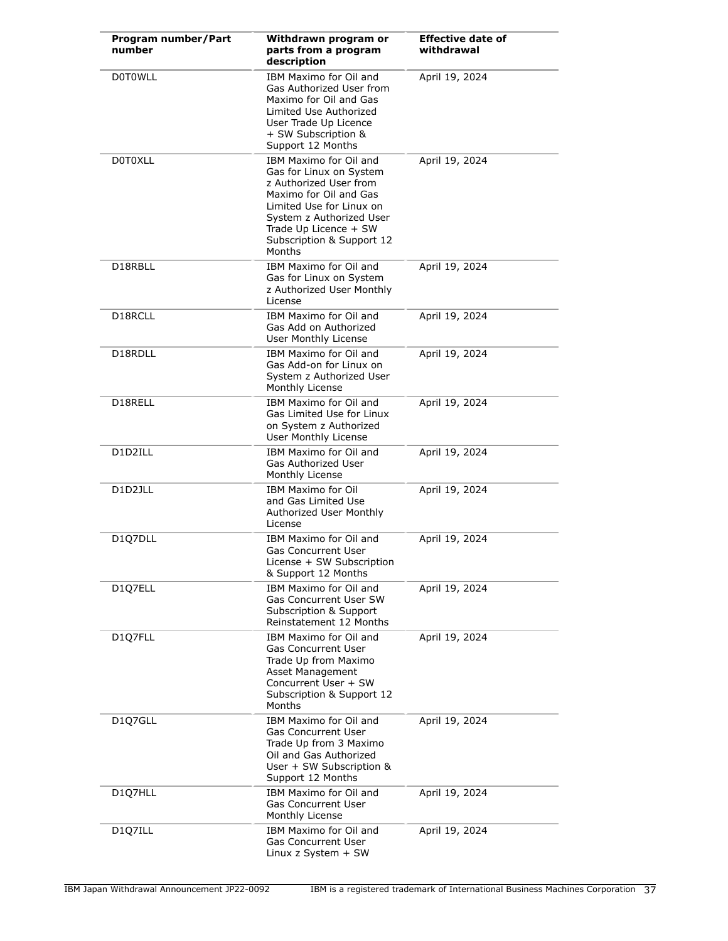| Program number/Part<br>number | Withdrawn program or<br>parts from a program<br>description                                                                                                                                                                   | <b>Effective date of</b><br>withdrawal |
|-------------------------------|-------------------------------------------------------------------------------------------------------------------------------------------------------------------------------------------------------------------------------|----------------------------------------|
| <b>DOTOWLL</b>                | IBM Maximo for Oil and<br>Gas Authorized User from<br>Maximo for Oil and Gas<br>Limited Use Authorized<br>User Trade Up Licence<br>+ SW Subscription &<br>Support 12 Months                                                   | April 19, 2024                         |
| <b>D0T0XLL</b>                | IBM Maximo for Oil and<br>Gas for Linux on System<br>z Authorized User from<br>Maximo for Oil and Gas<br>Limited Use for Linux on<br>System z Authorized User<br>Trade Up Licence + SW<br>Subscription & Support 12<br>Months | April 19, 2024                         |
| D18RBLL                       | IBM Maximo for Oil and<br>Gas for Linux on System<br>z Authorized User Monthly<br>License                                                                                                                                     | April 19, 2024                         |
| D18RCLL                       | IBM Maximo for Oil and<br>Gas Add on Authorized<br>User Monthly License                                                                                                                                                       | April 19, 2024                         |
| D18RDLL                       | IBM Maximo for Oil and<br>Gas Add-on for Linux on<br>System z Authorized User<br>Monthly License                                                                                                                              | April 19, 2024                         |
| D18RELL                       | IBM Maximo for Oil and<br>Gas Limited Use for Linux<br>on System z Authorized<br>User Monthly License                                                                                                                         | April 19, 2024                         |
| D1D2ILL                       | IBM Maximo for Oil and<br>Gas Authorized User<br>Monthly License                                                                                                                                                              | April 19, 2024                         |
| D1D2JLL                       | <b>IBM Maximo for Oil</b><br>and Gas Limited Use<br>Authorized User Monthly<br>License                                                                                                                                        | April 19, 2024                         |
| D1Q7DLL                       | IBM Maximo for Oil and<br><b>Gas Concurrent User</b><br>License + SW Subscription<br>& Support 12 Months                                                                                                                      | April 19, 2024                         |
| D1Q7ELL                       | IBM Maximo for Oil and<br><b>Gas Concurrent User SW</b><br>Subscription & Support<br>Reinstatement 12 Months                                                                                                                  | April 19, 2024                         |
| D1Q7FLL                       | IBM Maximo for Oil and<br><b>Gas Concurrent User</b><br>Trade Up from Maximo<br>Asset Management<br>Concurrent User + SW<br>Subscription & Support 12<br>Months                                                               | April 19, 2024                         |
| D1Q7GLL                       | IBM Maximo for Oil and<br><b>Gas Concurrent User</b><br>Trade Up from 3 Maximo<br>Oil and Gas Authorized<br>User + SW Subscription &<br>Support 12 Months                                                                     | April 19, 2024                         |
| D1Q7HLL                       | IBM Maximo for Oil and<br><b>Gas Concurrent User</b><br>Monthly License                                                                                                                                                       | April 19, 2024                         |
| D1Q7ILL                       | IBM Maximo for Oil and<br><b>Gas Concurrent User</b><br>Linux z System + SW                                                                                                                                                   | April 19, 2024                         |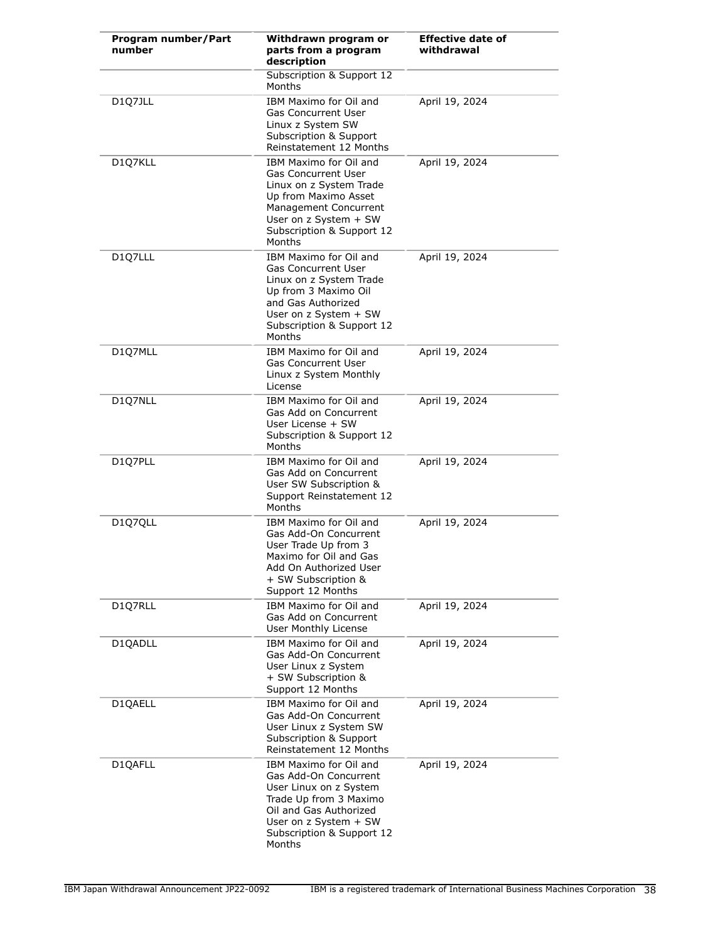| Program number/Part<br>number | Withdrawn program or<br>parts from a program<br>description                                                                                                                                      | <b>Effective date of</b><br>withdrawal |
|-------------------------------|--------------------------------------------------------------------------------------------------------------------------------------------------------------------------------------------------|----------------------------------------|
|                               | Subscription & Support 12<br>Months                                                                                                                                                              |                                        |
| D1Q7JLL                       | IBM Maximo for Oil and<br><b>Gas Concurrent User</b><br>Linux z System SW<br>Subscription & Support<br>Reinstatement 12 Months                                                                   | April 19, 2024                         |
| D1Q7KLL                       | IBM Maximo for Oil and<br><b>Gas Concurrent User</b><br>Linux on z System Trade<br>Up from Maximo Asset<br>Management Concurrent<br>User on z System + SW<br>Subscription & Support 12<br>Months | April 19, 2024                         |
| D1Q7LLL                       | IBM Maximo for Oil and<br><b>Gas Concurrent User</b><br>Linux on z System Trade<br>Up from 3 Maximo Oil<br>and Gas Authorized<br>User on z System + SW<br>Subscription & Support 12<br>Months    | April 19, 2024                         |
| D1Q7MLL                       | IBM Maximo for Oil and<br><b>Gas Concurrent User</b><br>Linux z System Monthly<br>License                                                                                                        | April 19, 2024                         |
| D1Q7NLL                       | IBM Maximo for Oil and<br>Gas Add on Concurrent<br>User License + SW<br>Subscription & Support 12<br>Months                                                                                      | April 19, 2024                         |
| D1Q7PLL                       | IBM Maximo for Oil and<br>Gas Add on Concurrent<br>User SW Subscription &<br>Support Reinstatement 12<br>Months                                                                                  | April 19, 2024                         |
| D1Q7QLL                       | IBM Maximo for Oil and<br>Gas Add-On Concurrent<br>User Trade Up from 3<br>Maximo for Oil and Gas<br>Add On Authorized User<br>+ SW Subscription &<br>Support 12 Months                          | April 19, 2024                         |
| D1Q7RLL                       | IBM Maximo for Oil and<br>Gas Add on Concurrent<br>User Monthly License                                                                                                                          | April 19, 2024                         |
| D10ADLL                       | IBM Maximo for Oil and<br>Gas Add-On Concurrent<br>User Linux z System<br>+ SW Subscription &<br>Support 12 Months                                                                               | April 19, 2024                         |
| D1QAELL                       | IBM Maximo for Oil and<br>Gas Add-On Concurrent<br>User Linux z System SW<br>Subscription & Support<br>Reinstatement 12 Months                                                                   | April 19, 2024                         |
| D1QAFLL                       | IBM Maximo for Oil and<br>Gas Add-On Concurrent<br>User Linux on z System<br>Trade Up from 3 Maximo<br>Oil and Gas Authorized<br>User on z System + SW<br>Subscription & Support 12<br>Months    | April 19, 2024                         |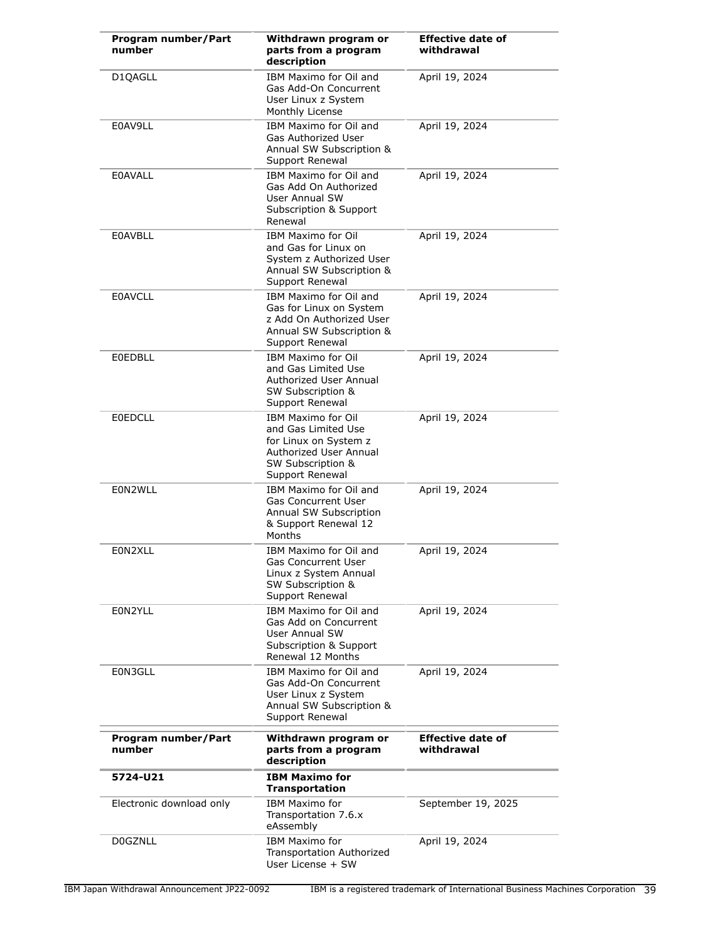| Program number/Part<br>number | Withdrawn program or<br>parts from a program<br>description                                                                                 | <b>Effective date of</b><br>withdrawal |
|-------------------------------|---------------------------------------------------------------------------------------------------------------------------------------------|----------------------------------------|
| D1QAGLL                       | IBM Maximo for Oil and<br>Gas Add-On Concurrent<br>User Linux z System<br>Monthly License                                                   | April 19, 2024                         |
| E0AV9LL                       | IBM Maximo for Oil and<br>Gas Authorized User<br>Annual SW Subscription &<br>Support Renewal                                                | April 19, 2024                         |
| <b>E0AVALL</b>                | IBM Maximo for Oil and<br>Gas Add On Authorized<br>User Annual SW<br>Subscription & Support<br>Renewal                                      | April 19, 2024                         |
| <b>E0AVBLL</b>                | <b>IBM Maximo for Oil</b><br>and Gas for Linux on<br>System z Authorized User<br>Annual SW Subscription &<br>Support Renewal                | April 19, 2024                         |
| <b>E0AVCLL</b>                | IBM Maximo for Oil and<br>Gas for Linux on System<br>z Add On Authorized User<br>Annual SW Subscription &<br>Support Renewal                | April 19, 2024                         |
| <b>E0EDBLL</b>                | <b>IBM Maximo for Oil</b><br>and Gas Limited Use<br>Authorized User Annual<br>SW Subscription &<br>Support Renewal                          | April 19, 2024                         |
| <b>E0EDCLL</b>                | <b>IBM Maximo for Oil</b><br>and Gas Limited Use<br>for Linux on System z<br>Authorized User Annual<br>SW Subscription &<br>Support Renewal | April 19, 2024                         |
| E0N2WLL                       | IBM Maximo for Oil and<br><b>Gas Concurrent User</b><br>Annual SW Subscription<br>& Support Renewal 12<br>Months                            | April 19, 2024                         |
| E0N2XLL                       | IBM Maximo for Oil and<br>Gas Concurrent User<br>Linux z System Annual<br>SW Subscription &<br>Support Renewal                              | April 19, 2024                         |
| E0N2YLL                       | IBM Maximo for Oil and<br>Gas Add on Concurrent<br>User Annual SW<br>Subscription & Support<br>Renewal 12 Months                            | April 19, 2024                         |
| E0N3GLL                       | IBM Maximo for Oil and<br>Gas Add-On Concurrent<br>User Linux z System<br>Annual SW Subscription &<br>Support Renewal                       | April 19, 2024                         |
| Program number/Part<br>number | Withdrawn program or<br>parts from a program<br>description                                                                                 | <b>Effective date of</b><br>withdrawal |
| 5724-U21                      | <b>IBM Maximo for</b><br><b>Transportation</b>                                                                                              |                                        |
| Electronic download only      | IBM Maximo for<br>Transportation 7.6.x<br>eAssembly                                                                                         | September 19, 2025                     |
| <b>DOGZNLL</b>                | <b>IBM Maximo for</b><br>Transportation Authorized<br>User License + SW                                                                     | April 19, 2024                         |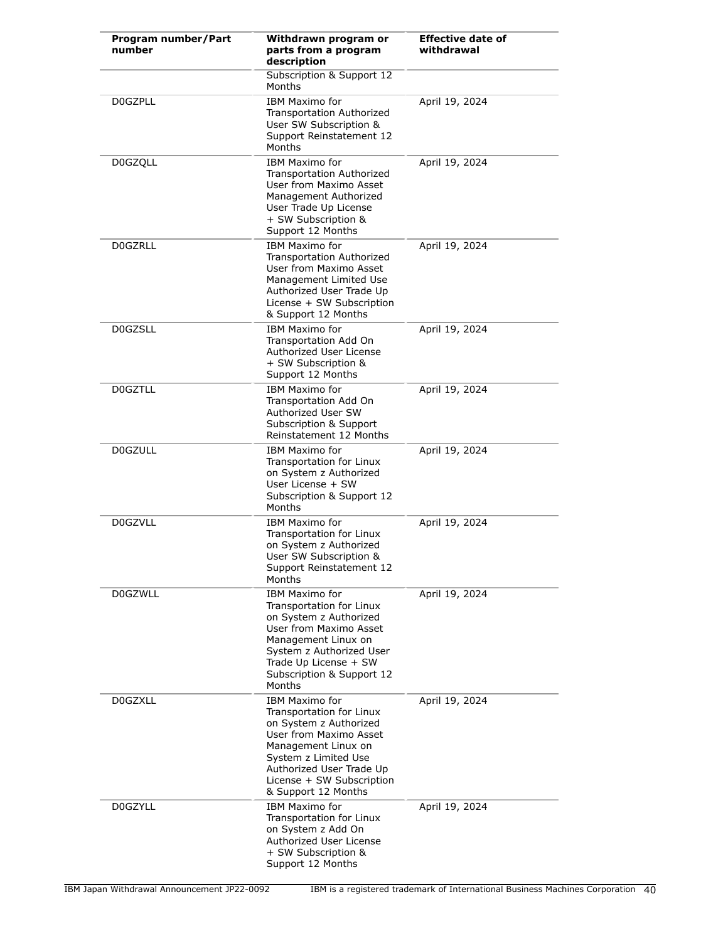| Program number/Part<br>number | Withdrawn program or<br>parts from a program<br>description                                                                                                                                                                                 | <b>Effective date of</b><br>withdrawal |
|-------------------------------|---------------------------------------------------------------------------------------------------------------------------------------------------------------------------------------------------------------------------------------------|----------------------------------------|
|                               | Subscription & Support 12<br>Months                                                                                                                                                                                                         |                                        |
| <b>DOGZPLL</b>                | IBM Maximo for<br><b>Transportation Authorized</b><br>User SW Subscription &<br>Support Reinstatement 12<br>Months                                                                                                                          | April 19, 2024                         |
| <b>D0GZQLL</b>                | <b>IBM Maximo for</b><br>Transportation Authorized<br>User from Maximo Asset<br>Management Authorized<br>User Trade Up License<br>+ SW Subscription &<br>Support 12 Months                                                                  | April 19, 2024                         |
| <b>DOGZRLL</b>                | IBM Maximo for<br>Transportation Authorized<br>User from Maximo Asset<br>Management Limited Use<br>Authorized User Trade Up<br>License + SW Subscription<br>& Support 12 Months                                                             | April 19, 2024                         |
| <b>D0GZSLL</b>                | <b>IBM Maximo for</b><br><b>Transportation Add On</b><br>Authorized User License<br>+ SW Subscription &<br>Support 12 Months                                                                                                                | April 19, 2024                         |
| <b>DOGZTLL</b>                | <b>IBM Maximo for</b><br>Transportation Add On<br>Authorized User SW<br>Subscription & Support<br>Reinstatement 12 Months                                                                                                                   | April 19, 2024                         |
| <b>DOGZULL</b>                | <b>IBM Maximo for</b><br>Transportation for Linux<br>on System z Authorized<br>User License + SW<br>Subscription & Support 12<br><b>Months</b>                                                                                              | April 19, 2024                         |
| <b>D0GZVLL</b>                | IBM Maximo for<br><b>Transportation for Linux</b><br>on System z Authorized<br>User SW Subscription &<br>Support Reinstatement 12<br>Months                                                                                                 | April 19, 2024                         |
| <b>D0GZWLL</b>                | <b>IBM Maximo for</b><br>Transportation for Linux<br>on System z Authorized<br>User from Maximo Asset<br>Management Linux on<br>System z Authorized User<br>Trade Up License + SW<br>Subscription & Support 12<br>Months                    | April 19, 2024                         |
| D0GZXLL                       | <b>IBM Maximo for</b><br><b>Transportation for Linux</b><br>on System z Authorized<br>User from Maximo Asset<br>Management Linux on<br>System z Limited Use<br>Authorized User Trade Up<br>License + SW Subscription<br>& Support 12 Months | April 19, 2024                         |
| <b>D0GZYLL</b>                | IBM Maximo for<br>Transportation for Linux<br>on System z Add On<br>Authorized User License<br>+ SW Subscription &<br>Support 12 Months                                                                                                     | April 19, 2024                         |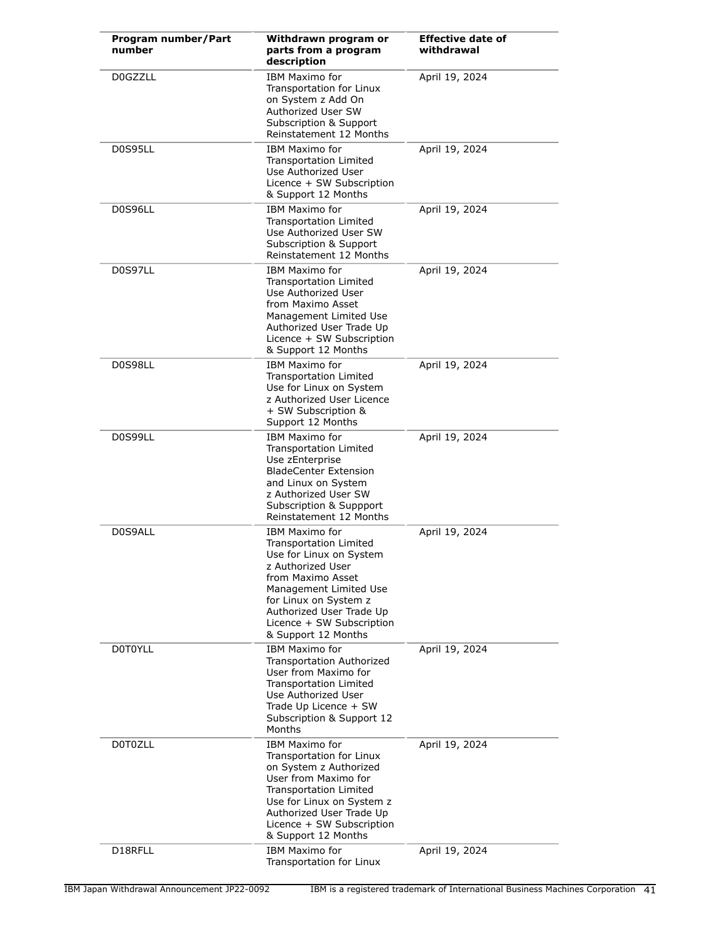| Program number/Part<br>number | Withdrawn program or<br>parts from a program<br>description                                                                                                                                                                                                    | <b>Effective date of</b><br>withdrawal |
|-------------------------------|----------------------------------------------------------------------------------------------------------------------------------------------------------------------------------------------------------------------------------------------------------------|----------------------------------------|
| <b>D0GZZLL</b>                | <b>IBM Maximo for</b><br>Transportation for Linux<br>on System z Add On<br>Authorized User SW<br>Subscription & Support<br>Reinstatement 12 Months                                                                                                             | April 19, 2024                         |
| D0S95LL                       | <b>IBM Maximo for</b><br><b>Transportation Limited</b><br>Use Authorized User<br>Licence + SW Subscription<br>& Support 12 Months                                                                                                                              | April 19, 2024                         |
| D0S96LL                       | <b>IBM Maximo for</b><br><b>Transportation Limited</b><br>Use Authorized User SW<br>Subscription & Support<br>Reinstatement 12 Months                                                                                                                          | April 19, 2024                         |
| D0S97LL                       | <b>IBM Maximo for</b><br><b>Transportation Limited</b><br>Use Authorized User<br>from Maximo Asset<br>Management Limited Use<br>Authorized User Trade Up<br>Licence + SW Subscription<br>& Support 12 Months                                                   | April 19, 2024                         |
| D0S98LL                       | <b>IBM Maximo for</b><br>Transportation Limited<br>Use for Linux on System<br>z Authorized User Licence<br>+ SW Subscription &<br>Support 12 Months                                                                                                            | April 19, 2024                         |
| D0S99LL                       | <b>IBM Maximo for</b><br><b>Transportation Limited</b><br>Use zEnterprise<br><b>BladeCenter Extension</b><br>and Linux on System<br>z Authorized User SW<br>Subscription & Suppport<br>Reinstatement 12 Months                                                 | April 19, 2024                         |
| D0S9ALL                       | <b>IBM Maximo for</b><br><b>Transportation Limited</b><br>Use for Linux on System<br>z Authorized User<br>from Maximo Asset<br>Management Limited Use<br>for Linux on System z<br>Authorized User Trade Up<br>Licence + SW Subscription<br>& Support 12 Months | April 19, 2024                         |
| <b>DOTOYLL</b>                | <b>IBM Maximo for</b><br>Transportation Authorized<br>User from Maximo for<br>Transportation Limited<br>Use Authorized User<br>Trade Up Licence + SW<br>Subscription & Support 12<br>Months                                                                    | April 19, 2024                         |
| D0T0ZLL                       | <b>IBM Maximo for</b><br>Transportation for Linux<br>on System z Authorized<br>User from Maximo for<br>Transportation Limited<br>Use for Linux on System z<br>Authorized User Trade Up<br>Licence + SW Subscription<br>& Support 12 Months                     | April 19, 2024                         |
| D18RFLL                       | <b>IBM Maximo for</b><br>Transportation for Linux                                                                                                                                                                                                              | April 19, 2024                         |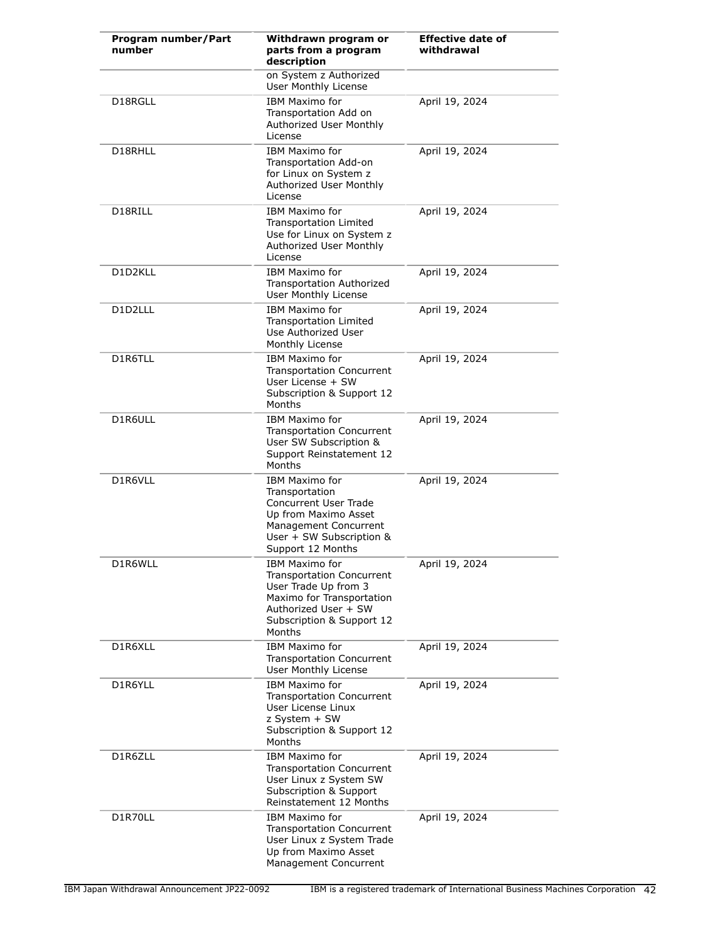| Program number/Part<br>number | Withdrawn program or<br>parts from a program<br>description                                                                                                               | <b>Effective date of</b><br>withdrawal |
|-------------------------------|---------------------------------------------------------------------------------------------------------------------------------------------------------------------------|----------------------------------------|
|                               | on System z Authorized<br>User Monthly License                                                                                                                            |                                        |
| D18RGLL                       | <b>IBM Maximo for</b><br>Transportation Add on<br>Authorized User Monthly<br>License                                                                                      | April 19, 2024                         |
| D18RHLL                       | <b>IBM Maximo for</b><br>Transportation Add-on<br>for Linux on System z<br>Authorized User Monthly<br>License                                                             | April 19, 2024                         |
| D18RILL                       | <b>IBM Maximo for</b><br>Transportation Limited<br>Use for Linux on System z<br>Authorized User Monthly<br>License                                                        | April 19, 2024                         |
| D1D2KLL                       | <b>IBM Maximo for</b><br><b>Transportation Authorized</b><br>User Monthly License                                                                                         | April 19, 2024                         |
| D1D2LLL                       | IBM Maximo for<br>Transportation Limited<br>Use Authorized User<br>Monthly License                                                                                        | April 19, 2024                         |
| D1R6TLL                       | <b>IBM Maximo for</b><br><b>Transportation Concurrent</b><br>User License + SW<br>Subscription & Support 12<br>Months                                                     | April 19, 2024                         |
| D1R6ULL                       | <b>IBM Maximo for</b><br><b>Transportation Concurrent</b><br>User SW Subscription &<br>Support Reinstatement 12<br>Months                                                 | April 19, 2024                         |
| D1R6VLL                       | <b>IBM Maximo for</b><br>Transportation<br><b>Concurrent User Trade</b><br>Up from Maximo Asset<br>Management Concurrent<br>User + SW Subscription &<br>Support 12 Months | April 19, 2024                         |
| D1R6WLL                       | IBM Maximo for<br><b>Transportation Concurrent</b><br>User Trade Up from 3<br>Maximo for Transportation<br>Authorized User + SW<br>Subscription & Support 12<br>Months    | April 19, 2024                         |
| D1R6XLL                       | <b>IBM Maximo for</b><br><b>Transportation Concurrent</b><br>User Monthly License                                                                                         | April 19, 2024                         |
| D1R6YLL                       | <b>IBM Maximo for</b><br><b>Transportation Concurrent</b><br>User License Linux<br>z System + SW<br>Subscription & Support 12<br>Months                                   | April 19, 2024                         |
| D1R6ZLL                       | <b>IBM Maximo for</b><br><b>Transportation Concurrent</b><br>User Linux z System SW<br>Subscription & Support<br>Reinstatement 12 Months                                  | April 19, 2024                         |
| D1R70LL                       | <b>IBM Maximo for</b><br><b>Transportation Concurrent</b><br>User Linux z System Trade<br>Up from Maximo Asset<br>Management Concurrent                                   | April 19, 2024                         |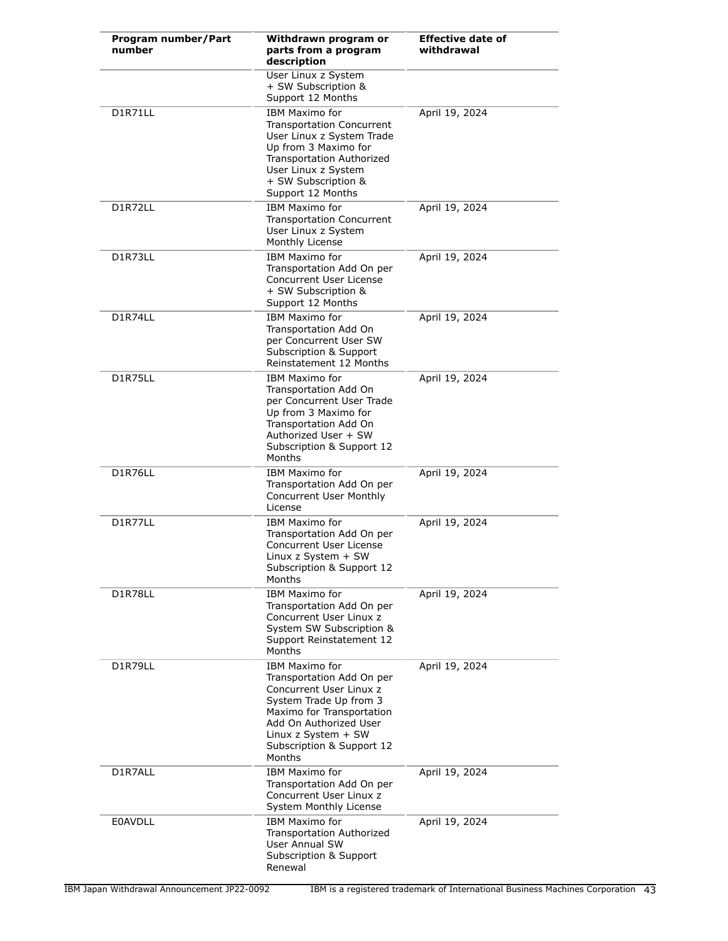| Program number/Part<br>number | Withdrawn program or<br>parts from a program<br>description                                                                                                                                                                  | <b>Effective date of</b><br>withdrawal |
|-------------------------------|------------------------------------------------------------------------------------------------------------------------------------------------------------------------------------------------------------------------------|----------------------------------------|
|                               | User Linux z System<br>+ SW Subscription &<br>Support 12 Months                                                                                                                                                              |                                        |
| D1R71LL                       | <b>IBM Maximo for</b><br><b>Transportation Concurrent</b><br>User Linux z System Trade<br>Up from 3 Maximo for<br><b>Transportation Authorized</b><br>User Linux z System<br>+ SW Subscription &<br>Support 12 Months        | April 19, 2024                         |
| D1R72LL                       | <b>IBM Maximo for</b><br><b>Transportation Concurrent</b><br>User Linux z System<br>Monthly License                                                                                                                          | April 19, 2024                         |
| D1R73LL                       | <b>IBM Maximo for</b><br>Transportation Add On per<br>Concurrent User License<br>+ SW Subscription &<br>Support 12 Months                                                                                                    | April 19, 2024                         |
| D1R74LL                       | <b>IBM Maximo for</b><br>Transportation Add On<br>per Concurrent User SW<br>Subscription & Support<br>Reinstatement 12 Months                                                                                                | April 19, 2024                         |
| D1R75LL                       | <b>IBM Maximo for</b><br>Transportation Add On<br>per Concurrent User Trade<br>Up from 3 Maximo for<br>Transportation Add On<br>Authorized User + SW<br>Subscription & Support 12<br>Months                                  | April 19, 2024                         |
| D1R76LL                       | <b>IBM Maximo for</b><br>Transportation Add On per<br>Concurrent User Monthly<br>License                                                                                                                                     | April 19, 2024                         |
| D1R77LL                       | <b>IBM Maximo for</b><br>Transportation Add On per<br><b>Concurrent User License</b><br>Linux $z$ System $+$ SW<br>Subscription & Support 12<br><b>Months</b>                                                                | April 19, 2024                         |
| D1R78LL                       | <b>IBM Maximo for</b><br>Transportation Add On per<br>Concurrent User Linux z<br>System SW Subscription &<br>Support Reinstatement 12<br>Months                                                                              | April 19, 2024                         |
| D1R79LL                       | <b>IBM Maximo for</b><br>Transportation Add On per<br>Concurrent User Linux z<br>System Trade Up from 3<br>Maximo for Transportation<br>Add On Authorized User<br>Linux z System + SW<br>Subscription & Support 12<br>Months | April 19, 2024                         |
| D1R7ALL                       | <b>IBM Maximo for</b><br>Transportation Add On per<br>Concurrent User Linux z<br>System Monthly License                                                                                                                      | April 19, 2024                         |
| <b>E0AVDLL</b>                | <b>IBM Maximo for</b><br><b>Transportation Authorized</b><br><b>User Annual SW</b><br>Subscription & Support<br>Renewal                                                                                                      | April 19, 2024                         |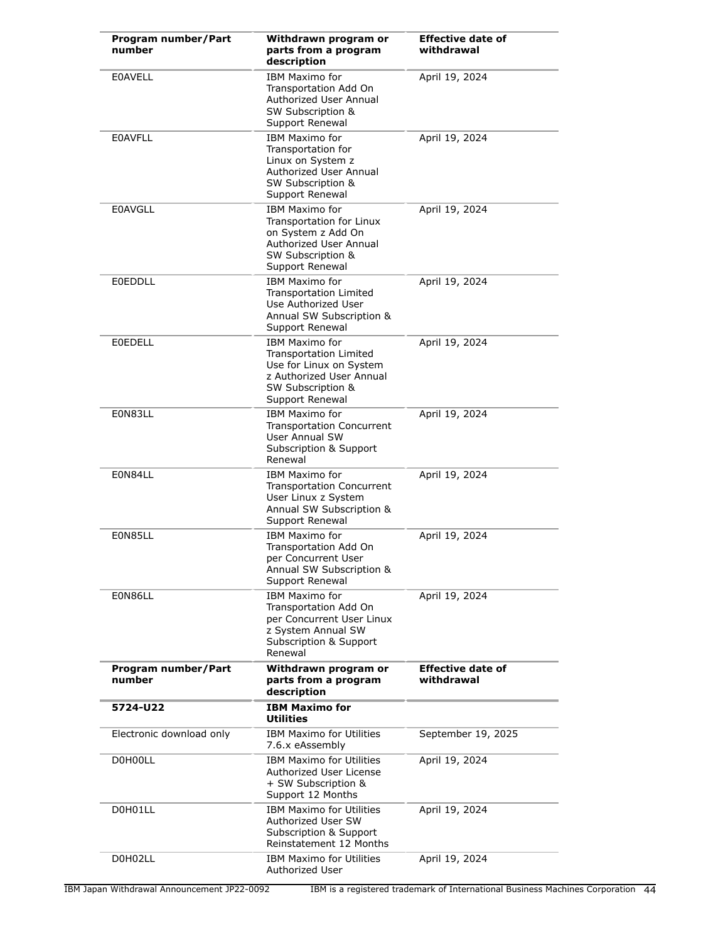| Program number/Part<br>number | Withdrawn program or<br>parts from a program<br>description                                                                                           | <b>Effective date of</b><br>withdrawal |
|-------------------------------|-------------------------------------------------------------------------------------------------------------------------------------------------------|----------------------------------------|
| <b>EOAVELL</b>                | <b>IBM Maximo for</b><br>Transportation Add On<br>Authorized User Annual<br>SW Subscription &<br>Support Renewal                                      | April 19, 2024                         |
| <b>EOAVFLL</b>                | <b>IBM Maximo for</b><br>Transportation for<br>Linux on System z<br>Authorized User Annual<br>SW Subscription &<br>Support Renewal                    | April 19, 2024                         |
| <b>E0AVGLL</b>                | <b>IBM Maximo for</b><br>Transportation for Linux<br>on System z Add On<br>Authorized User Annual<br>SW Subscription &<br>Support Renewal             | April 19, 2024                         |
| <b>E0EDDLL</b>                | <b>IBM Maximo for</b><br>Transportation Limited<br>Use Authorized User<br>Annual SW Subscription &<br>Support Renewal                                 | April 19, 2024                         |
| <b>EOEDELL</b>                | <b>IBM Maximo for</b><br><b>Transportation Limited</b><br>Use for Linux on System<br>z Authorized User Annual<br>SW Subscription &<br>Support Renewal | April 19, 2024                         |
| E0N83LL                       | <b>IBM Maximo for</b><br><b>Transportation Concurrent</b><br><b>User Annual SW</b><br>Subscription & Support<br>Renewal                               | April 19, 2024                         |
| E0N84LL                       | <b>IBM Maximo for</b><br><b>Transportation Concurrent</b><br>User Linux z System<br>Annual SW Subscription &<br>Support Renewal                       | April 19, 2024                         |
| E0N85LL                       | <b>IBM Maximo for</b><br>Transportation Add On<br>per Concurrent User<br>Annual SW Subscription &<br>Support Renewal                                  | April 19, 2024                         |
| E0N86LL                       | <b>IBM Maximo for</b><br>Transportation Add On<br>per Concurrent User Linux<br>z System Annual SW<br>Subscription & Support<br>Renewal                | April 19, 2024                         |
| Program number/Part<br>number | Withdrawn program or<br>parts from a program<br>description                                                                                           | <b>Effective date of</b><br>withdrawal |
| 5724-U22                      | <b>IBM Maximo for</b><br><b>Utilities</b>                                                                                                             |                                        |
| Electronic download only      | <b>IBM Maximo for Utilities</b><br>7.6.x eAssembly                                                                                                    | September 19, 2025                     |
| D0H00LL                       | <b>IBM Maximo for Utilities</b><br>Authorized User License<br>+ SW Subscription &<br>Support 12 Months                                                | April 19, 2024                         |
| D0H01LL                       | <b>IBM Maximo for Utilities</b><br>Authorized User SW<br>Subscription & Support<br>Reinstatement 12 Months                                            | April 19, 2024                         |
| D0H02LL                       | <b>IBM Maximo for Utilities</b><br>Authorized User                                                                                                    | April 19, 2024                         |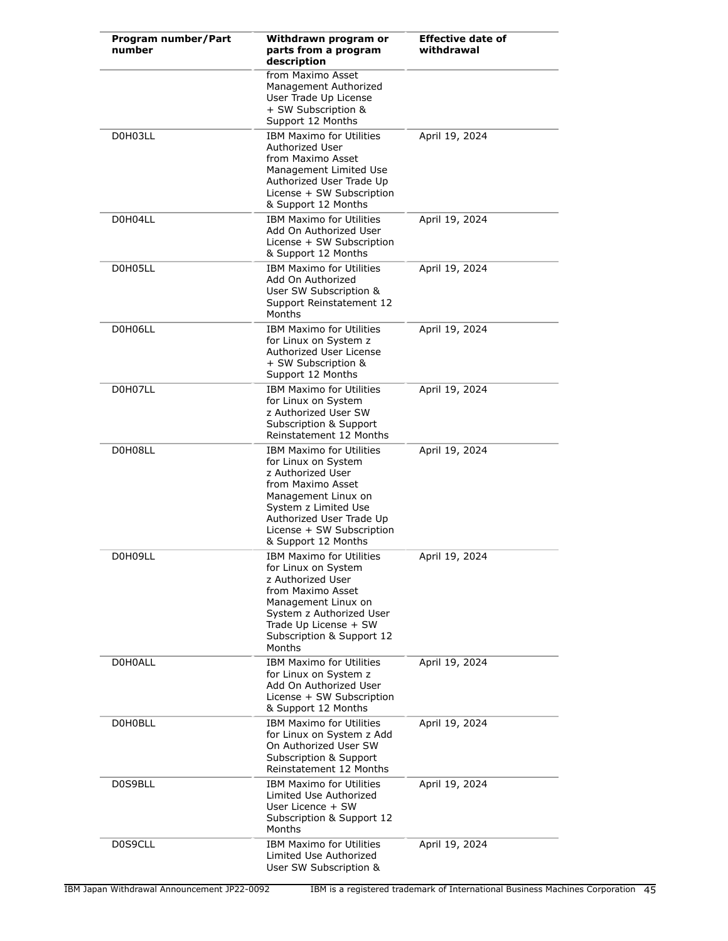| Program number/Part<br>number | Withdrawn program or<br>parts from a program<br>description                                                                                                                                                                     | <b>Effective date of</b><br>withdrawal |
|-------------------------------|---------------------------------------------------------------------------------------------------------------------------------------------------------------------------------------------------------------------------------|----------------------------------------|
|                               | from Maximo Asset<br>Management Authorized<br>User Trade Up License<br>+ SW Subscription &<br>Support 12 Months                                                                                                                 |                                        |
| D0H03LL                       | <b>IBM Maximo for Utilities</b><br>Authorized User<br>from Maximo Asset<br>Management Limited Use<br>Authorized User Trade Up<br>License + SW Subscription<br>& Support 12 Months                                               | April 19, 2024                         |
| D0H04LL                       | <b>IBM Maximo for Utilities</b><br>Add On Authorized User<br>License + SW Subscription<br>& Support 12 Months                                                                                                                   | April 19, 2024                         |
| D0H05LL                       | <b>IBM Maximo for Utilities</b><br>Add On Authorized<br>User SW Subscription &<br>Support Reinstatement 12<br>Months                                                                                                            | April 19, 2024                         |
| D0H06LL                       | <b>IBM Maximo for Utilities</b><br>for Linux on System z<br>Authorized User License<br>+ SW Subscription &<br>Support 12 Months                                                                                                 | April 19, 2024                         |
| D0H07LL                       | <b>IBM Maximo for Utilities</b><br>for Linux on System<br>z Authorized User SW<br>Subscription & Support<br>Reinstatement 12 Months                                                                                             | April 19, 2024                         |
| D0H08LL                       | <b>IBM Maximo for Utilities</b><br>for Linux on System<br>z Authorized User<br>from Maximo Asset<br>Management Linux on<br>System z Limited Use<br>Authorized User Trade Up<br>License + SW Subscription<br>& Support 12 Months | April 19, 2024                         |
| D0H09LL                       | <b>IBM Maximo for Utilities</b><br>for Linux on System<br>z Authorized User<br>from Maximo Asset<br>Management Linux on<br>System z Authorized User<br>Trade Up License + SW<br>Subscription & Support 12<br>Months             | April 19, 2024                         |
| D0H0ALL                       | <b>IBM Maximo for Utilities</b><br>for Linux on System z<br>Add On Authorized User<br>License + SW Subscription<br>& Support 12 Months                                                                                          | April 19, 2024                         |
| D0H0BLL                       | <b>IBM Maximo for Utilities</b><br>for Linux on System z Add<br>On Authorized User SW<br>Subscription & Support<br>Reinstatement 12 Months                                                                                      | April 19, 2024                         |
| D0S9BLL                       | <b>IBM Maximo for Utilities</b><br>Limited Use Authorized<br>User Licence + SW<br>Subscription & Support 12<br>Months                                                                                                           | April 19, 2024                         |
| D0S9CLL                       | <b>IBM Maximo for Utilities</b><br>Limited Use Authorized<br>User SW Subscription &                                                                                                                                             | April 19, 2024                         |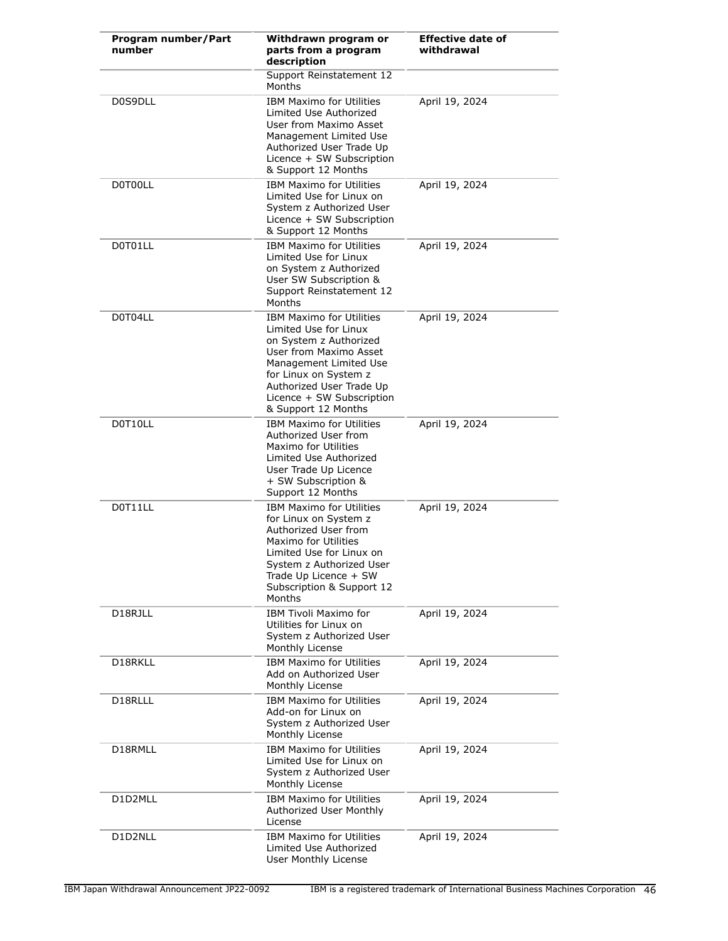| Program number/Part<br>number | Withdrawn program or<br>parts from a program<br>description                                                                                                                                                                                     | <b>Effective date of</b><br>withdrawal |
|-------------------------------|-------------------------------------------------------------------------------------------------------------------------------------------------------------------------------------------------------------------------------------------------|----------------------------------------|
|                               | Support Reinstatement 12<br><b>Months</b>                                                                                                                                                                                                       |                                        |
| D0S9DLL                       | <b>IBM Maximo for Utilities</b><br>Limited Use Authorized<br>User from Maximo Asset<br>Management Limited Use<br>Authorized User Trade Up<br>Licence + SW Subscription<br>& Support 12 Months                                                   | April 19, 2024                         |
| D0T00LL                       | <b>IBM Maximo for Utilities</b><br>Limited Use for Linux on<br>System z Authorized User<br>Licence + SW Subscription<br>& Support 12 Months                                                                                                     | April 19, 2024                         |
| D0T01LL                       | <b>IBM Maximo for Utilities</b><br>Limited Use for Linux<br>on System z Authorized<br>User SW Subscription &<br>Support Reinstatement 12<br>Months                                                                                              | April 19, 2024                         |
| D0T04LL                       | <b>IBM Maximo for Utilities</b><br>Limited Use for Linux<br>on System z Authorized<br>User from Maximo Asset<br>Management Limited Use<br>for Linux on System z<br>Authorized User Trade Up<br>Licence + SW Subscription<br>& Support 12 Months | April 19, 2024                         |
| D0T10LL                       | <b>IBM Maximo for Utilities</b><br>Authorized User from<br>Maximo for Utilities<br>Limited Use Authorized<br>User Trade Up Licence<br>+ SW Subscription &<br>Support 12 Months                                                                  | April 19, 2024                         |
| D0T11LL                       | <b>IBM Maximo for Utilities</b><br>for Linux on System z<br>Authorized User from<br>Maximo for Utilities<br>Limited Use for Linux on<br>System z Authorized User<br>Trade Up Licence + SW<br>Subscription & Support 12<br>Months                | April 19, 2024                         |
| D18RJLL                       | IBM Tivoli Maximo for<br>Utilities for Linux on<br>System z Authorized User<br>Monthly License                                                                                                                                                  | April 19, 2024                         |
| D18RKLL                       | <b>IBM Maximo for Utilities</b><br>Add on Authorized User<br>Monthly License                                                                                                                                                                    | April 19, 2024                         |
| D18RLLL                       | <b>IBM Maximo for Utilities</b><br>Add-on for Linux on<br>System z Authorized User<br>Monthly License                                                                                                                                           | April 19, 2024                         |
| D18RMLL                       | <b>IBM Maximo for Utilities</b><br>Limited Use for Linux on<br>System z Authorized User<br>Monthly License                                                                                                                                      | April 19, 2024                         |
| D1D2MLL                       | <b>IBM Maximo for Utilities</b><br>Authorized User Monthly<br>License                                                                                                                                                                           | April 19, 2024                         |
| D1D2NLL                       | <b>IBM Maximo for Utilities</b><br>Limited Use Authorized<br>User Monthly License                                                                                                                                                               | April 19, 2024                         |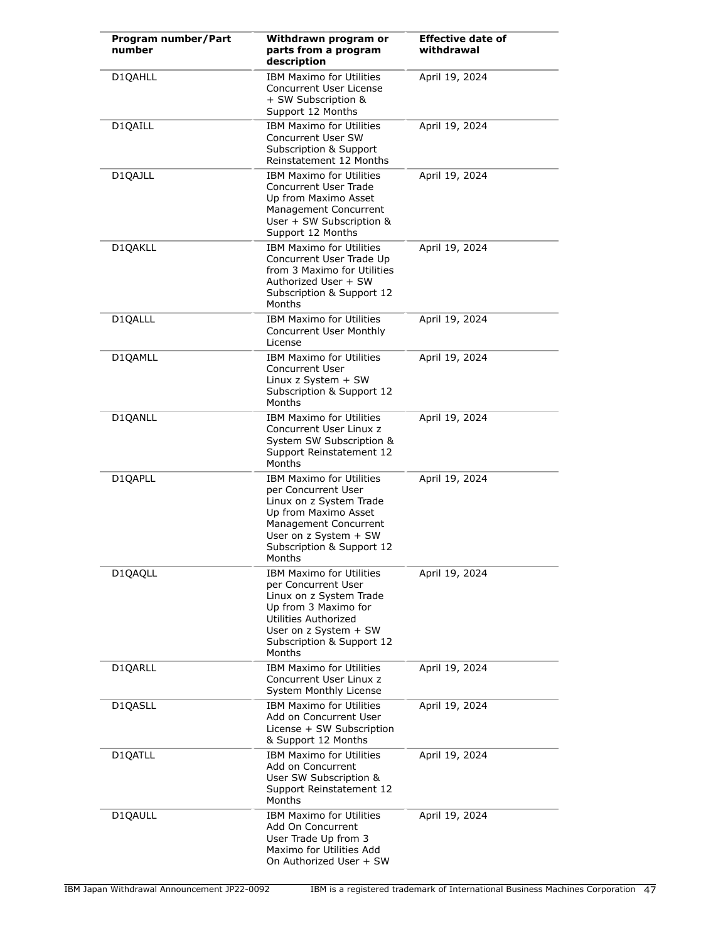| Program number/Part<br>number | Withdrawn program or<br>parts from a program<br>description                                                                                                                                        | <b>Effective date of</b><br>withdrawal |
|-------------------------------|----------------------------------------------------------------------------------------------------------------------------------------------------------------------------------------------------|----------------------------------------|
| D1QAHLL                       | <b>IBM Maximo for Utilities</b><br>Concurrent User License<br>+ SW Subscription &<br>Support 12 Months                                                                                             | April 19, 2024                         |
| D1QAILL                       | <b>IBM Maximo for Utilities</b><br>Concurrent User SW<br>Subscription & Support<br>Reinstatement 12 Months                                                                                         | April 19, 2024                         |
| D1QAJLL                       | <b>IBM Maximo for Utilities</b><br>Concurrent User Trade<br>Up from Maximo Asset<br>Management Concurrent<br>User + SW Subscription &<br>Support 12 Months                                         | April 19, 2024                         |
| D1QAKLL                       | <b>IBM Maximo for Utilities</b><br>Concurrent User Trade Up<br>from 3 Maximo for Utilities<br>Authorized User + SW<br>Subscription & Support 12<br>Months                                          | April 19, 2024                         |
| D1QALLL                       | <b>IBM Maximo for Utilities</b><br>Concurrent User Monthly<br>License                                                                                                                              | April 19, 2024                         |
| D1QAMLL                       | <b>IBM Maximo for Utilities</b><br>Concurrent User<br>Linux $z$ System $+$ SW<br>Subscription & Support 12<br>Months                                                                               | April 19, 2024                         |
| D1QANLL                       | <b>IBM Maximo for Utilities</b><br>Concurrent User Linux z<br>System SW Subscription &<br>Support Reinstatement 12<br>Months                                                                       | April 19, 2024                         |
| D1QAPLL                       | <b>IBM Maximo for Utilities</b><br>per Concurrent User<br>Linux on z System Trade<br>Up from Maximo Asset<br>Management Concurrent<br>User on z System + SW<br>Subscription & Support 12<br>Months | April 19, 2024                         |
| D1QAQLL                       | <b>IBM Maximo for Utilities</b><br>per Concurrent User<br>Linux on z System Trade<br>Up from 3 Maximo for<br>Utilities Authorized<br>User on z System + SW<br>Subscription & Support 12<br>Months  | April 19, 2024                         |
| D1QARLL                       | <b>IBM Maximo for Utilities</b><br>Concurrent User Linux z<br>System Monthly License                                                                                                               | April 19, 2024                         |
| D1QASLL                       | <b>IBM Maximo for Utilities</b><br>Add on Concurrent User<br>License + SW Subscription<br>& Support 12 Months                                                                                      | April 19, 2024                         |
| D1QATLL                       | <b>IBM Maximo for Utilities</b><br>Add on Concurrent<br>User SW Subscription &<br>Support Reinstatement 12<br>Months                                                                               | April 19, 2024                         |
| D1QAULL                       | <b>IBM Maximo for Utilities</b><br>Add On Concurrent<br>User Trade Up from 3<br>Maximo for Utilities Add<br>On Authorized User + SW                                                                | April 19, 2024                         |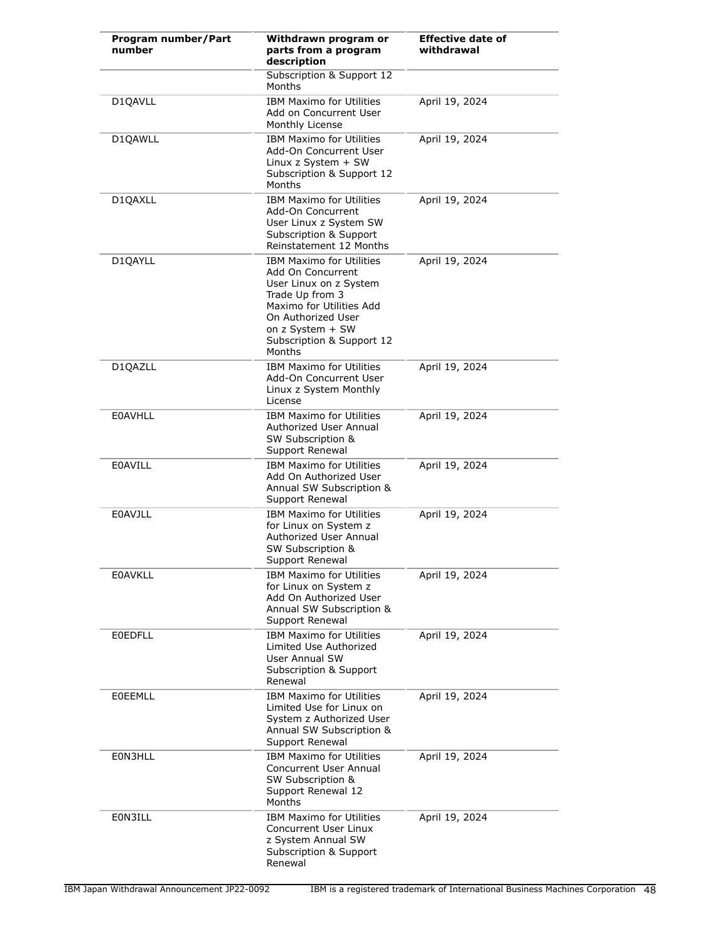| Program number/Part<br>number | Withdrawn program or<br>parts from a program<br>description                                                                                                                                                    | <b>Effective date of</b><br>withdrawal |
|-------------------------------|----------------------------------------------------------------------------------------------------------------------------------------------------------------------------------------------------------------|----------------------------------------|
|                               | Subscription & Support 12<br>Months                                                                                                                                                                            |                                        |
| D1QAVLL                       | <b>IBM Maximo for Utilities</b><br>Add on Concurrent User<br>Monthly License                                                                                                                                   | April 19, 2024                         |
| D1QAWLL                       | <b>IBM Maximo for Utilities</b><br>Add-On Concurrent User<br>Linux z System $+$ SW<br>Subscription & Support 12<br>Months                                                                                      | April 19, 2024                         |
| D1QAXLL                       | <b>IBM Maximo for Utilities</b><br>Add-On Concurrent<br>User Linux z System SW<br><b>Subscription &amp; Support</b><br>Reinstatement 12 Months                                                                 | April 19, 2024                         |
| D1QAYLL                       | <b>IBM Maximo for Utilities</b><br>Add On Concurrent<br>User Linux on z System<br>Trade Up from 3<br>Maximo for Utilities Add<br>On Authorized User<br>on z System + SW<br>Subscription & Support 12<br>Months | April 19, 2024                         |
| D1QAZLL                       | <b>IBM Maximo for Utilities</b><br>Add-On Concurrent User<br>Linux z System Monthly<br>License                                                                                                                 | April 19, 2024                         |
| <b>EOAVHLL</b>                | <b>IBM Maximo for Utilities</b><br>Authorized User Annual<br>SW Subscription &<br>Support Renewal                                                                                                              | April 19, 2024                         |
| <b>E0AVILL</b>                | <b>IBM Maximo for Utilities</b><br>Add On Authorized User<br>Annual SW Subscription &<br>Support Renewal                                                                                                       | April 19, 2024                         |
| <b>E0AVJLL</b>                | <b>IBM Maximo for Utilities</b><br>for Linux on System z<br>Authorized User Annual<br>SW Subscription &<br>Support Renewal                                                                                     | April 19, 2024                         |
| <b>E0AVKLL</b>                | <b>IBM Maximo for Utilities</b><br>for Linux on System z<br>Add On Authorized User<br>Annual SW Subscription &<br>Support Renewal                                                                              | April 19, 2024                         |
| <b>EOEDFLL</b>                | <b>IBM Maximo for Utilities</b><br>Limited Use Authorized<br>User Annual SW<br>Subscription & Support<br>Renewal                                                                                               | April 19, 2024                         |
| <b>EOEEMLL</b>                | <b>IBM Maximo for Utilities</b><br>Limited Use for Linux on<br>System z Authorized User<br>Annual SW Subscription &<br>Support Renewal                                                                         | April 19, 2024                         |
| E0N3HLL                       | <b>IBM Maximo for Utilities</b><br>Concurrent User Annual<br>SW Subscription &<br>Support Renewal 12<br>Months                                                                                                 | April 19, 2024                         |
| E0N3ILL                       | <b>IBM Maximo for Utilities</b><br>Concurrent User Linux<br>z System Annual SW<br>Subscription & Support<br>Renewal                                                                                            | April 19, 2024                         |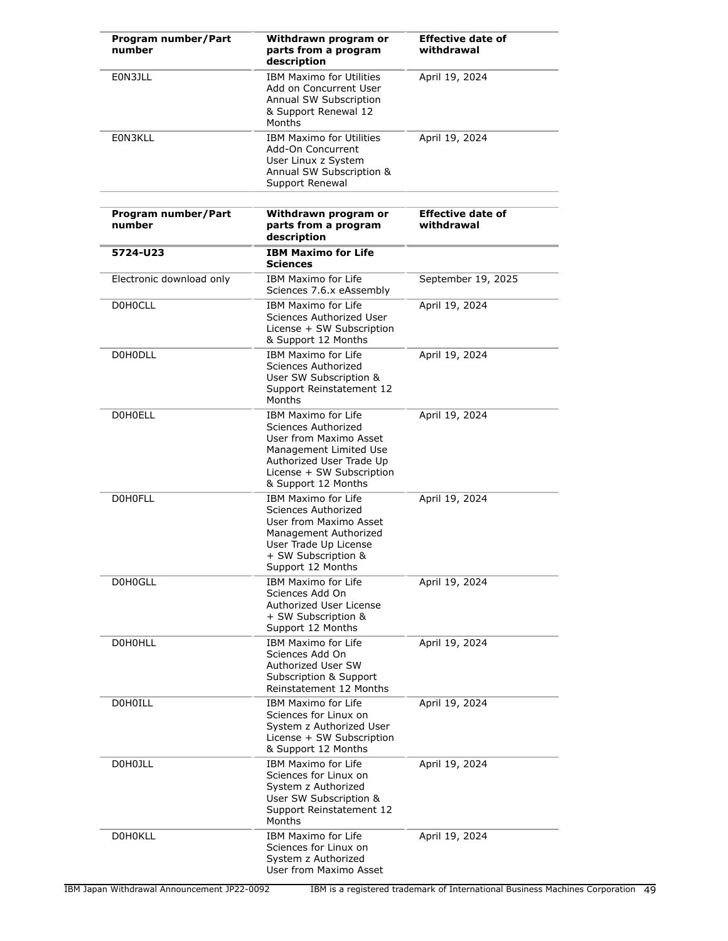| Program number/Part<br>number | Withdrawn program or<br>parts from a program<br>description                                                                                                                           | <b>Effective date of</b><br>withdrawal |
|-------------------------------|---------------------------------------------------------------------------------------------------------------------------------------------------------------------------------------|----------------------------------------|
| EON3JLL                       | <b>IBM Maximo for Utilities</b><br>Add on Concurrent User<br>Annual SW Subscription<br>& Support Renewal 12<br>Months                                                                 | April 19, 2024                         |
| E0N3KLL                       | <b>IBM Maximo for Utilities</b><br>Add-On Concurrent<br>User Linux z System<br>Annual SW Subscription &<br>Support Renewal                                                            | April 19, 2024                         |
| Program number/Part<br>number | Withdrawn program or<br>parts from a program<br>description                                                                                                                           | <b>Effective date of</b><br>withdrawal |
| 5724-U23                      | <b>IBM Maximo for Life</b><br><b>Sciences</b>                                                                                                                                         |                                        |
| Electronic download only      | <b>IBM Maximo for Life</b><br>Sciences 7.6.x eAssembly                                                                                                                                | September 19, 2025                     |
| <b>DOHOCLL</b>                | <b>IBM Maximo for Life</b><br>Sciences Authorized User<br>License + SW Subscription<br>& Support 12 Months                                                                            | April 19, 2024                         |
| <b>D0H0DLL</b>                | <b>IBM Maximo for Life</b><br>Sciences Authorized<br>User SW Subscription &<br>Support Reinstatement 12<br>Months                                                                     | April 19, 2024                         |
| <b>DOHOELL</b>                | <b>IBM Maximo for Life</b><br>Sciences Authorized<br>User from Maximo Asset<br>Management Limited Use<br>Authorized User Trade Up<br>License + SW Subscription<br>& Support 12 Months | April 19, 2024                         |
| <b>DOHOFLL</b>                | IBM Maximo for Life<br>Sciences Authorized<br>User from Maximo Asset<br>Management Authorized<br>User Trade Up License<br>+ SW Subscription &<br>Support 12 Months                    | April 19, 2024                         |
| D0H0GLL                       | IBM Maximo for Life<br>Sciences Add On<br>Authorized User License<br>+ SW Subscription &<br>Support 12 Months                                                                         | April 19, 2024                         |
| <b>DOHOHLL</b>                | IBM Maximo for Life<br>Sciences Add On<br>Authorized User SW<br>Subscription & Support<br>Reinstatement 12 Months                                                                     | April 19, 2024                         |
| <b>DOHOILL</b>                | IBM Maximo for Life<br>Sciences for Linux on<br>System z Authorized User<br>License + SW Subscription<br>& Support 12 Months                                                          | April 19, 2024                         |
| D0H0JLL                       | IBM Maximo for Life<br>Sciences for Linux on<br>System z Authorized<br>User SW Subscription &<br>Support Reinstatement 12<br>Months                                                   | April 19, 2024                         |
| <b>DOHOKLL</b>                | IBM Maximo for Life<br>Sciences for Linux on<br>System z Authorized<br>User from Maximo Asset                                                                                         | April 19, 2024                         |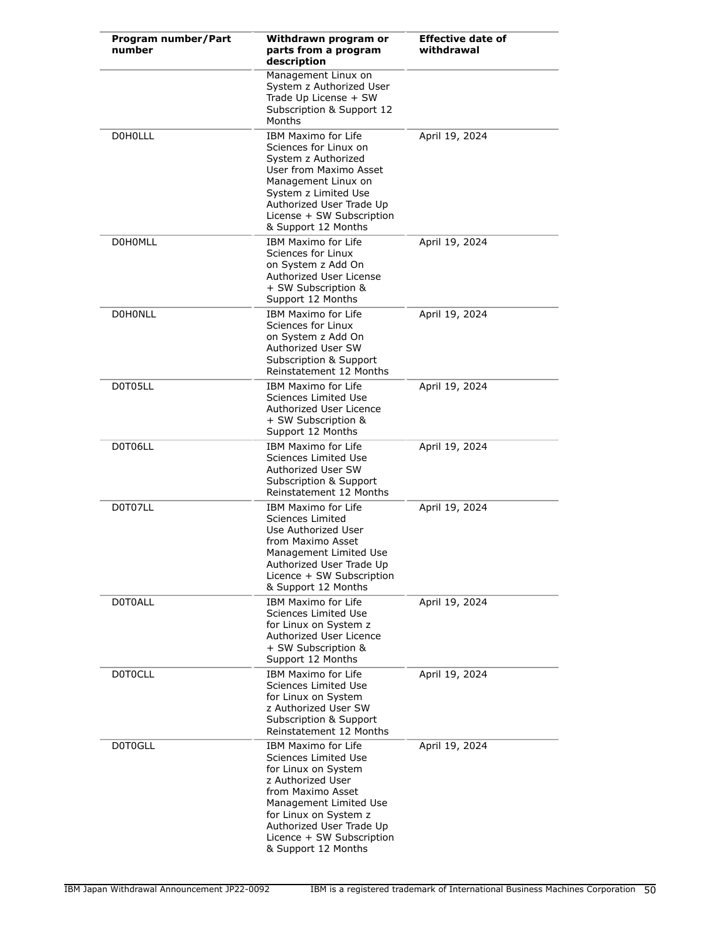| Program number/Part<br>number | Withdrawn program or<br>parts from a program<br>description                                                                                                                                                                                            | <b>Effective date of</b><br>withdrawal |
|-------------------------------|--------------------------------------------------------------------------------------------------------------------------------------------------------------------------------------------------------------------------------------------------------|----------------------------------------|
|                               | Management Linux on<br>System z Authorized User<br>Trade Up License + SW<br>Subscription & Support 12<br>Months                                                                                                                                        |                                        |
| <b>DOHOLLL</b>                | <b>IBM Maximo for Life</b><br>Sciences for Linux on<br>System z Authorized<br>User from Maximo Asset<br>Management Linux on<br>System z Limited Use<br>Authorized User Trade Up<br>License + SW Subscription<br>& Support 12 Months                    | April 19, 2024                         |
| <b>DOHOMLL</b>                | IBM Maximo for Life<br>Sciences for Linux<br>on System z Add On<br>Authorized User License<br>+ SW Subscription &<br>Support 12 Months                                                                                                                 | April 19, 2024                         |
| <b>DOHONLL</b>                | IBM Maximo for Life<br>Sciences for Linux<br>on System z Add On<br>Authorized User SW<br>Subscription & Support<br>Reinstatement 12 Months                                                                                                             | April 19, 2024                         |
| D0T05LL                       | IBM Maximo for Life<br>Sciences Limited Use<br>Authorized User Licence<br>+ SW Subscription &<br>Support 12 Months                                                                                                                                     | April 19, 2024                         |
| D0T06LL                       | IBM Maximo for Life<br>Sciences Limited Use<br>Authorized User SW<br>Subscription & Support<br>Reinstatement 12 Months                                                                                                                                 | April 19, 2024                         |
| D0T07LL                       | <b>IBM Maximo for Life</b><br>Sciences Limited<br>Use Authorized User<br>from Maximo Asset<br>Management Limited Use<br>Authorized User Trade Up<br>Licence + SW Subscription<br>& Support 12 Months                                                   | April 19, 2024                         |
| <b>DOTOALL</b>                | <b>IBM Maximo for Life</b><br>Sciences Limited Use<br>for Linux on System z<br>Authorized User Licence<br>+ SW Subscription &<br>Support 12 Months                                                                                                     | April 19, 2024                         |
| <b>DOTOCLL</b>                | IBM Maximo for Life<br>Sciences Limited Use<br>for Linux on System<br>z Authorized User SW<br>Subscription & Support<br>Reinstatement 12 Months                                                                                                        | April 19, 2024                         |
| D0T0GLL                       | <b>IBM Maximo for Life</b><br>Sciences Limited Use<br>for Linux on System<br>z Authorized User<br>from Maximo Asset<br>Management Limited Use<br>for Linux on System z<br>Authorized User Trade Up<br>Licence + SW Subscription<br>& Support 12 Months | April 19, 2024                         |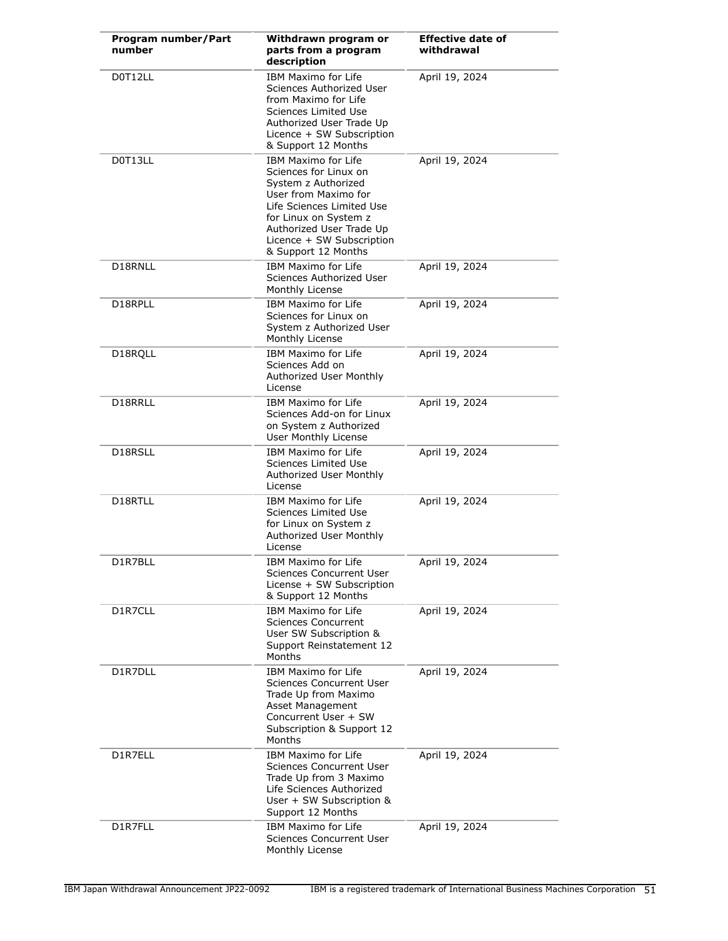| Program number/Part<br>number | Withdrawn program or<br>parts from a program<br>description                                                                                                                                                                       | <b>Effective date of</b><br>withdrawal |
|-------------------------------|-----------------------------------------------------------------------------------------------------------------------------------------------------------------------------------------------------------------------------------|----------------------------------------|
| D0T12LL                       | <b>IBM Maximo for Life</b><br>Sciences Authorized User<br>from Maximo for Life<br>Sciences Limited Use<br>Authorized User Trade Up<br>Licence + SW Subscription<br>& Support 12 Months                                            | April 19, 2024                         |
| D0T13LL                       | IBM Maximo for Life<br>Sciences for Linux on<br>System z Authorized<br>User from Maximo for<br>Life Sciences Limited Use<br>for Linux on System z<br>Authorized User Trade Up<br>Licence + SW Subscription<br>& Support 12 Months | April 19, 2024                         |
| D18RNLL                       | <b>IBM Maximo for Life</b><br>Sciences Authorized User<br>Monthly License                                                                                                                                                         | April 19, 2024                         |
| D18RPLL                       | <b>IBM Maximo for Life</b><br>Sciences for Linux on<br>System z Authorized User<br>Monthly License                                                                                                                                | April 19, 2024                         |
| D18RQLL                       | <b>IBM Maximo for Life</b><br>Sciences Add on<br>Authorized User Monthly<br>License                                                                                                                                               | April 19, 2024                         |
| D18RRLL                       | <b>IBM Maximo for Life</b><br>Sciences Add-on for Linux<br>on System z Authorized<br>User Monthly License                                                                                                                         | April 19, 2024                         |
| D18RSLL                       | IBM Maximo for Life<br>Sciences Limited Use<br>Authorized User Monthly<br>License                                                                                                                                                 | April 19, 2024                         |
| D18RTLL                       | <b>IBM Maximo for Life</b><br>Sciences Limited Use<br>for Linux on System z<br>Authorized User Monthly<br>License                                                                                                                 | April 19, 2024                         |
| D1R7BLL                       | <b>IBM Maximo for Life</b><br>Sciences Concurrent User<br>License + SW Subscription<br>& Support 12 Months                                                                                                                        | April 19, 2024                         |
| D1R7CLL                       | <b>IBM Maximo for Life</b><br><b>Sciences Concurrent</b><br>User SW Subscription &<br>Support Reinstatement 12<br>Months                                                                                                          | April 19, 2024                         |
| D1R7DLL                       | <b>IBM Maximo for Life</b><br><b>Sciences Concurrent User</b><br>Trade Up from Maximo<br>Asset Management<br>Concurrent User + SW<br>Subscription & Support 12<br>Months                                                          | April 19, 2024                         |
| D1R7ELL                       | <b>IBM Maximo for Life</b><br><b>Sciences Concurrent User</b><br>Trade Up from 3 Maximo<br>Life Sciences Authorized<br>User + SW Subscription &<br>Support 12 Months                                                              | April 19, 2024                         |
| D1R7FLL                       | IBM Maximo for Life<br><b>Sciences Concurrent User</b><br>Monthly License                                                                                                                                                         | April 19, 2024                         |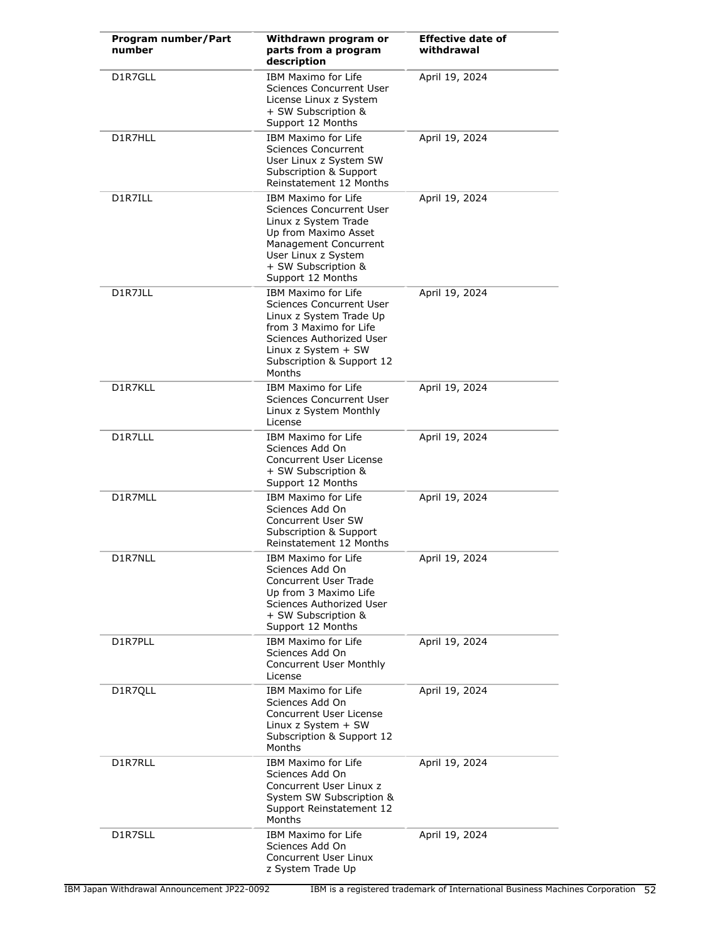| Program number/Part<br>number | Withdrawn program or<br>parts from a program<br>description                                                                                                                                        | <b>Effective date of</b><br>withdrawal |
|-------------------------------|----------------------------------------------------------------------------------------------------------------------------------------------------------------------------------------------------|----------------------------------------|
| D1R7GLL                       | <b>IBM Maximo for Life</b><br>Sciences Concurrent User<br>License Linux z System<br>+ SW Subscription &<br>Support 12 Months                                                                       | April 19, 2024                         |
| D1R7HLL                       | IBM Maximo for Life<br>Sciences Concurrent<br>User Linux z System SW<br>Subscription & Support<br>Reinstatement 12 Months                                                                          | April 19, 2024                         |
| D1R7ILL                       | IBM Maximo for Life<br><b>Sciences Concurrent User</b><br>Linux z System Trade<br>Up from Maximo Asset<br>Management Concurrent<br>User Linux z System<br>+ SW Subscription &<br>Support 12 Months | April 19, 2024                         |
| D1R7JLL                       | IBM Maximo for Life<br>Sciences Concurrent User<br>Linux z System Trade Up<br>from 3 Maximo for Life<br>Sciences Authorized User<br>Linux $z$ System $+$ SW<br>Subscription & Support 12<br>Months | April 19, 2024                         |
| D1R7KLL                       | IBM Maximo for Life<br>Sciences Concurrent User<br>Linux z System Monthly<br>License                                                                                                               | April 19, 2024                         |
| D1R7LLL                       | IBM Maximo for Life<br>Sciences Add On<br>Concurrent User License<br>+ SW Subscription &<br>Support 12 Months                                                                                      | April 19, 2024                         |
| D1R7MLL                       | IBM Maximo for Life<br>Sciences Add On<br>Concurrent User SW<br>Subscription & Support<br>Reinstatement 12 Months                                                                                  | April 19, 2024                         |
| D1R7NLL                       | <b>IBM Maximo for Life</b><br>Sciences Add On<br>Concurrent User Trade<br>Up from 3 Maximo Life<br>Sciences Authorized User<br>+ SW Subscription &<br>Support 12 Months                            | April 19, 2024                         |
| D1R7PLL                       | IBM Maximo for Life<br>Sciences Add On<br>Concurrent User Monthly<br>License                                                                                                                       | April 19, 2024                         |
| D1R7QLL                       | <b>IBM Maximo for Life</b><br>Sciences Add On<br>Concurrent User License<br>Linux $z$ System $+$ SW<br>Subscription & Support 12<br>Months                                                         | April 19, 2024                         |
| D1R7RLL                       | IBM Maximo for Life<br>Sciences Add On<br>Concurrent User Linux z<br>System SW Subscription &<br>Support Reinstatement 12<br>Months                                                                | April 19, 2024                         |
| D1R7SLL                       | IBM Maximo for Life<br>Sciences Add On<br>Concurrent User Linux<br>z System Trade Up                                                                                                               | April 19, 2024                         |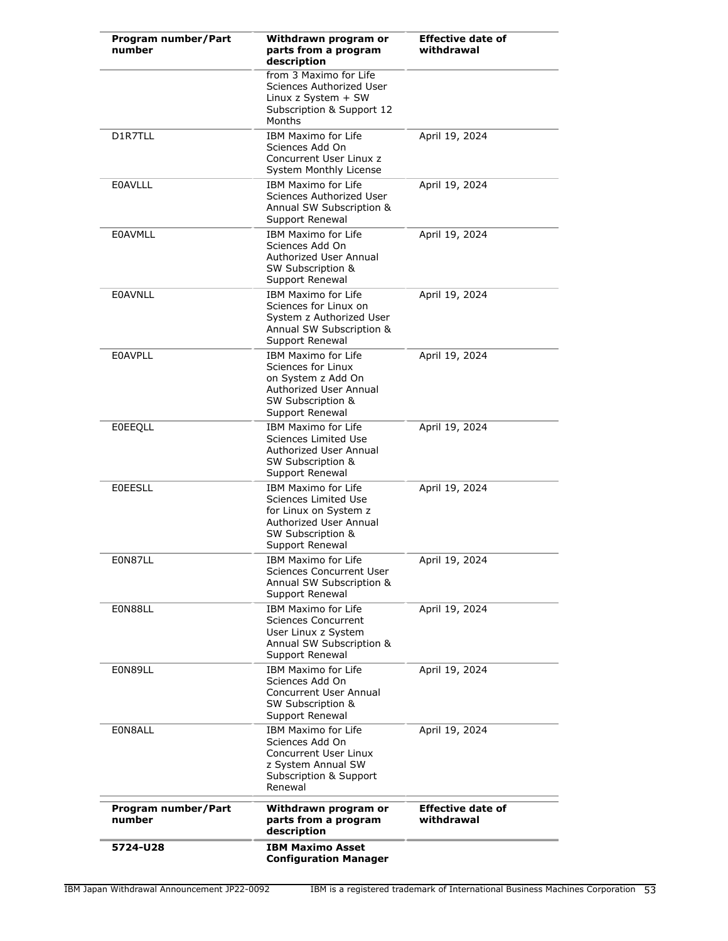| Program number/Part<br>number | Withdrawn program or<br>parts from a program<br>description                                                                                  | <b>Effective date of</b><br>withdrawal |
|-------------------------------|----------------------------------------------------------------------------------------------------------------------------------------------|----------------------------------------|
|                               | from 3 Maximo for Life<br>Sciences Authorized User<br>Linux z System $+$ SW<br>Subscription & Support 12<br>Months                           |                                        |
| D1R7TLL                       | <b>IBM Maximo for Life</b><br>Sciences Add On<br>Concurrent User Linux z<br><b>System Monthly License</b>                                    | April 19, 2024                         |
| <b>EOAVLLL</b>                | <b>IBM Maximo for Life</b><br>Sciences Authorized User<br>Annual SW Subscription &<br>Support Renewal                                        | April 19, 2024                         |
| <b>EOAVMLL</b>                | <b>IBM Maximo for Life</b><br>Sciences Add On<br>Authorized User Annual<br>SW Subscription &<br>Support Renewal                              | April 19, 2024                         |
| <b>EOAVNLL</b>                | IBM Maximo for Life<br>Sciences for Linux on<br>System z Authorized User<br>Annual SW Subscription &<br>Support Renewal                      | April 19, 2024                         |
| <b>E0AVPLL</b>                | <b>IBM Maximo for Life</b><br>Sciences for Linux<br>on System z Add On<br>Authorized User Annual<br>SW Subscription &<br>Support Renewal     | April 19, 2024                         |
| <b>EOEEQLL</b>                | <b>IBM Maximo for Life</b><br>Sciences Limited Use<br>Authorized User Annual<br>SW Subscription &<br>Support Renewal                         | April 19, 2024                         |
| <b>EOEESLL</b>                | IBM Maximo for Life<br>Sciences Limited Use<br>for Linux on System z<br>Authorized User Annual<br>SW Subscription &<br>Support Renewal       | April 19, 2024                         |
| E0N87LL                       | IBM Maximo for Life<br>Sciences Concurrent User<br>Annual SW Subscription &<br>Support Renewal                                               | April 19, 2024                         |
| E0N88LL                       | IBM Maximo for Life<br>Sciences Concurrent<br>User Linux z System<br>Annual SW Subscription &<br>Support Renewal                             | April 19, 2024                         |
| E0N89LL                       | <b>IBM Maximo for Life</b><br>Sciences Add On<br>Concurrent User Annual<br>SW Subscription &<br>Support Renewal                              | April 19, 2024                         |
| E0N8ALL                       | <b>IBM Maximo for Life</b><br>Sciences Add On<br>Concurrent User Linux<br>z System Annual SW<br><b>Subscription &amp; Support</b><br>Renewal | April 19, 2024                         |
| Program number/Part<br>number | Withdrawn program or<br>parts from a program<br>description                                                                                  | <b>Effective date of</b><br>withdrawal |
| 5724-U28                      | <b>IBM Maximo Asset</b><br><b>Configuration Manager</b>                                                                                      |                                        |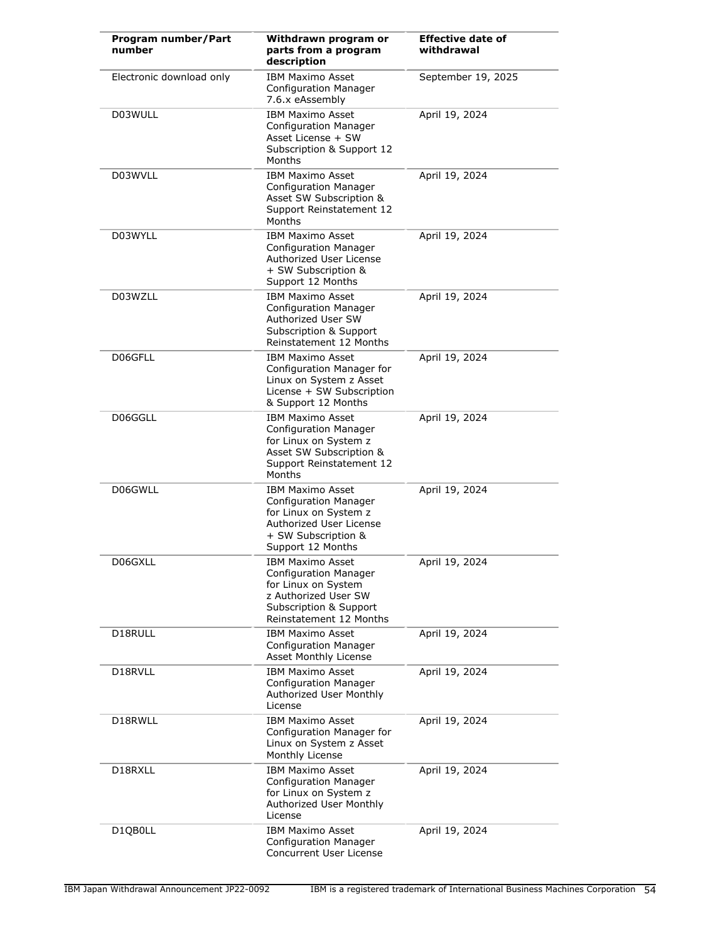| Program number/Part<br>number | Withdrawn program or<br>parts from a program<br>description                                                                                                 | <b>Effective date of</b><br>withdrawal |
|-------------------------------|-------------------------------------------------------------------------------------------------------------------------------------------------------------|----------------------------------------|
| Electronic download only      | <b>IBM Maximo Asset</b><br><b>Configuration Manager</b><br>7.6.x eAssembly                                                                                  | September 19, 2025                     |
| D03WULL                       | <b>IBM Maximo Asset</b><br><b>Configuration Manager</b><br>Asset License + SW<br>Subscription & Support 12<br>Months                                        | April 19, 2024                         |
| D03WVLL                       | <b>IBM Maximo Asset</b><br><b>Configuration Manager</b><br>Asset SW Subscription &<br>Support Reinstatement 12<br>Months                                    | April 19, 2024                         |
| D03WYLL                       | <b>IBM Maximo Asset</b><br><b>Configuration Manager</b><br>Authorized User License<br>+ SW Subscription &<br>Support 12 Months                              | April 19, 2024                         |
| D03WZLL                       | <b>IBM Maximo Asset</b><br><b>Configuration Manager</b><br>Authorized User SW<br>Subscription & Support<br>Reinstatement 12 Months                          | April 19, 2024                         |
| D06GFLL                       | <b>IBM Maximo Asset</b><br>Configuration Manager for<br>Linux on System z Asset<br>License + SW Subscription<br>& Support 12 Months                         | April 19, 2024                         |
| D06GGLL                       | <b>IBM Maximo Asset</b><br><b>Configuration Manager</b><br>for Linux on System z<br>Asset SW Subscription &<br>Support Reinstatement 12<br>Months           | April 19, 2024                         |
| D06GWLL                       | <b>IBM Maximo Asset</b><br><b>Configuration Manager</b><br>for Linux on System z<br>Authorized User License<br>+ SW Subscription &<br>Support 12 Months     | April 19, 2024                         |
| D06GXLL                       | <b>IBM Maximo Asset</b><br><b>Configuration Manager</b><br>for Linux on System<br>z Authorized User SW<br>Subscription & Support<br>Reinstatement 12 Months | April 19, 2024                         |
| D18RULL                       | <b>IBM Maximo Asset</b><br><b>Configuration Manager</b><br>Asset Monthly License                                                                            | April 19, 2024                         |
| D18RVLL                       | <b>IBM Maximo Asset</b><br><b>Configuration Manager</b><br>Authorized User Monthly<br>License                                                               | April 19, 2024                         |
| D18RWLL                       | <b>IBM Maximo Asset</b><br>Configuration Manager for<br>Linux on System z Asset<br>Monthly License                                                          | April 19, 2024                         |
| D18RXLL                       | <b>IBM Maximo Asset</b><br><b>Configuration Manager</b><br>for Linux on System z<br>Authorized User Monthly<br>License                                      | April 19, 2024                         |
| D1QB0LL                       | <b>IBM Maximo Asset</b><br><b>Configuration Manager</b><br>Concurrent User License                                                                          | April 19, 2024                         |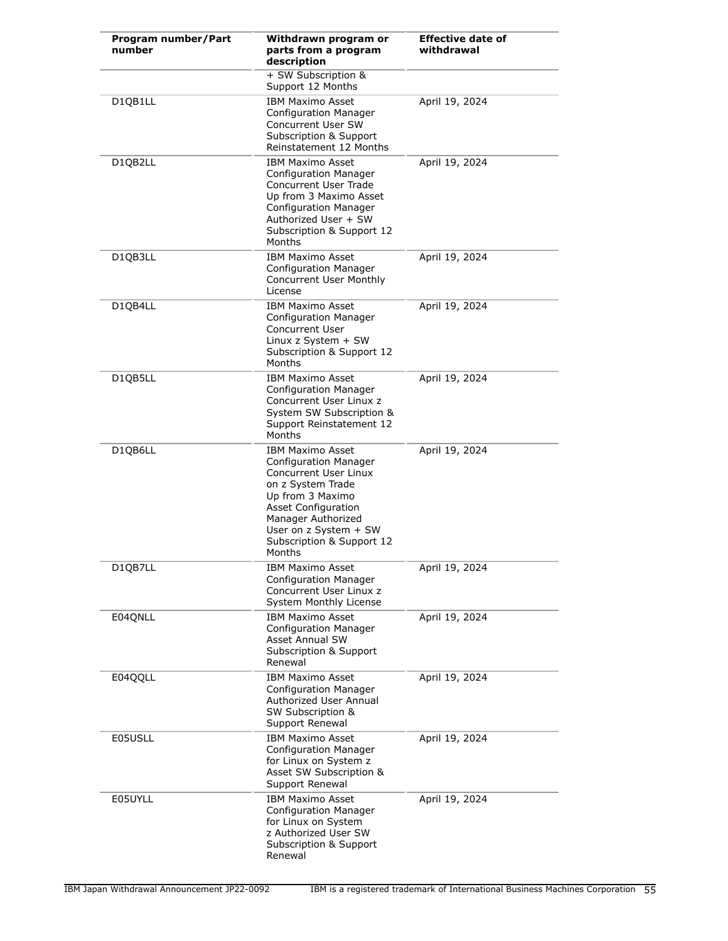| Program number/Part<br>number | Withdrawn program or<br>parts from a program<br>description                                                                                                                                                                                   | <b>Effective date of</b><br>withdrawal |
|-------------------------------|-----------------------------------------------------------------------------------------------------------------------------------------------------------------------------------------------------------------------------------------------|----------------------------------------|
|                               | + SW Subscription &<br>Support 12 Months                                                                                                                                                                                                      |                                        |
| D1QB1LL                       | <b>IBM Maximo Asset</b><br><b>Configuration Manager</b><br>Concurrent User SW<br>Subscription & Support<br>Reinstatement 12 Months                                                                                                            | April 19, 2024                         |
| D1QB2LL                       | <b>IBM Maximo Asset</b><br><b>Configuration Manager</b><br><b>Concurrent User Trade</b><br>Up from 3 Maximo Asset<br><b>Configuration Manager</b><br>Authorized User + SW<br>Subscription & Support 12<br>Months                              | April 19, 2024                         |
| D1QB3LL                       | <b>IBM Maximo Asset</b><br><b>Configuration Manager</b><br>Concurrent User Monthly<br><b>License</b>                                                                                                                                          | April 19, 2024                         |
| D1QB4LL                       | <b>IBM Maximo Asset</b><br><b>Configuration Manager</b><br><b>Concurrent User</b><br>Linux z System + SW<br>Subscription & Support 12<br>Months                                                                                               | April 19, 2024                         |
| D1QB5LL                       | <b>IBM Maximo Asset</b><br><b>Configuration Manager</b><br>Concurrent User Linux z<br>System SW Subscription &<br>Support Reinstatement 12<br>Months                                                                                          | April 19, 2024                         |
| D1QB6LL                       | <b>IBM Maximo Asset</b><br>Configuration Manager<br><b>Concurrent User Linux</b><br>on z System Trade<br>Up from 3 Maximo<br><b>Asset Configuration</b><br>Manager Authorized<br>User on z System + SW<br>Subscription & Support 12<br>Months | April 19, 2024                         |
| D1QB7LL                       | <b>IBM Maximo Asset</b><br><b>Configuration Manager</b><br>Concurrent User Linux z<br>System Monthly License                                                                                                                                  | April 19, 2024                         |
| E04QNLL                       | <b>IBM Maximo Asset</b><br><b>Configuration Manager</b><br>Asset Annual SW<br>Subscription & Support<br>Renewal                                                                                                                               | April 19, 2024                         |
| E04QQLL                       | <b>IBM Maximo Asset</b><br><b>Configuration Manager</b><br>Authorized User Annual<br><b>SW Subscription &amp;</b><br>Support Renewal                                                                                                          | April 19, 2024                         |
| E05USLL                       | <b>IBM Maximo Asset</b><br><b>Configuration Manager</b><br>for Linux on System z<br>Asset SW Subscription &<br>Support Renewal                                                                                                                | April 19, 2024                         |
| E05UYLL                       | <b>IBM Maximo Asset</b><br><b>Configuration Manager</b><br>for Linux on System<br>z Authorized User SW<br>Subscription & Support<br>Renewal                                                                                                   | April 19, 2024                         |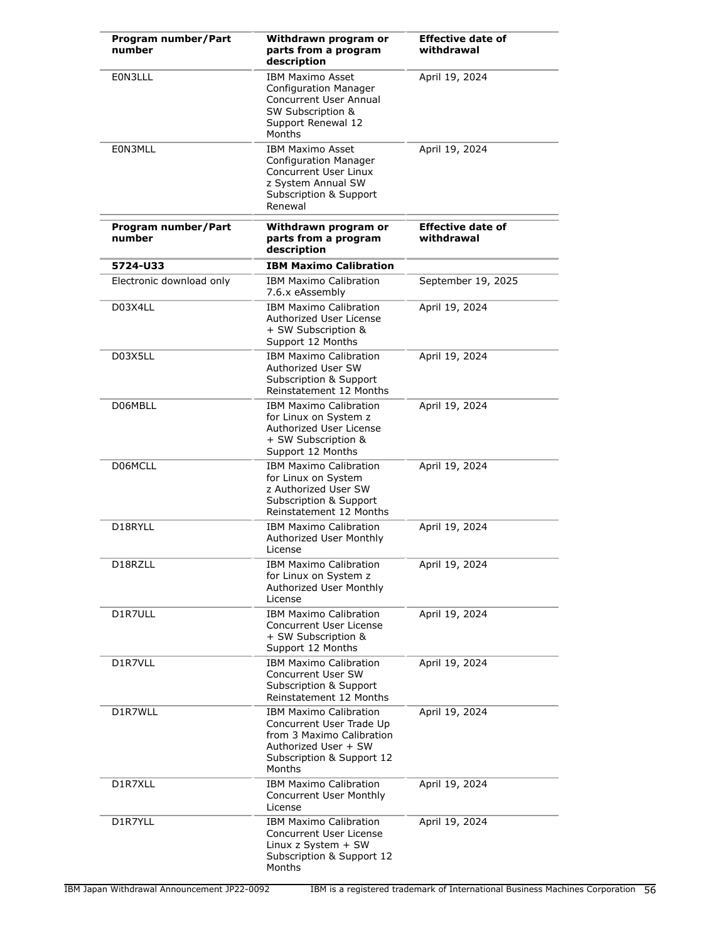| Program number/Part<br>number | Withdrawn program or<br>parts from a program<br>description                                                                                           | <b>Effective date of</b><br>withdrawal |
|-------------------------------|-------------------------------------------------------------------------------------------------------------------------------------------------------|----------------------------------------|
| E0N3LLL                       | <b>IBM Maximo Asset</b><br><b>Configuration Manager</b><br><b>Concurrent User Annual</b><br>SW Subscription &<br>Support Renewal 12<br>Months         | April 19, 2024                         |
| E0N3MLL                       | <b>IBM Maximo Asset</b><br><b>Configuration Manager</b><br>Concurrent User Linux<br>z System Annual SW<br>Subscription & Support<br>Renewal           | April 19, 2024                         |
| Program number/Part<br>number | Withdrawn program or<br>parts from a program<br>description                                                                                           | <b>Effective date of</b><br>withdrawal |
| 5724-U33                      | <b>IBM Maximo Calibration</b>                                                                                                                         |                                        |
| Electronic download only      | <b>IBM Maximo Calibration</b><br>7.6.x eAssembly                                                                                                      | September 19, 2025                     |
| D03X4LL                       | <b>IBM Maximo Calibration</b><br>Authorized User License<br>+ SW Subscription &<br>Support 12 Months                                                  | April 19, 2024                         |
| D03X5LL                       | <b>IBM Maximo Calibration</b><br>Authorized User SW<br>Subscription & Support<br>Reinstatement 12 Months                                              | April 19, 2024                         |
| D06MBLL                       | <b>IBM Maximo Calibration</b><br>for Linux on System z<br>Authorized User License<br>+ SW Subscription &<br>Support 12 Months                         | April 19, 2024                         |
| D06MCLL                       | <b>IBM Maximo Calibration</b><br>for Linux on System<br>z Authorized User SW<br>Subscription & Support<br>Reinstatement 12 Months                     | April 19, 2024                         |
| D18RYLL                       | <b>IBM Maximo Calibration</b><br>Authorized User Monthly<br>License                                                                                   | April 19, 2024                         |
| D18RZLL                       | <b>IBM Maximo Calibration</b><br>for Linux on System z<br>Authorized User Monthly<br>License                                                          | April 19, 2024                         |
| D1R7ULL                       | <b>IBM Maximo Calibration</b><br><b>Concurrent User License</b><br>+ SW Subscription &<br>Support 12 Months                                           | April 19, 2024                         |
| D1R7VLL                       | <b>IBM Maximo Calibration</b><br>Concurrent User SW<br>Subscription & Support<br>Reinstatement 12 Months                                              | April 19, 2024                         |
| D1R7WLL                       | <b>IBM Maximo Calibration</b><br>Concurrent User Trade Up<br>from 3 Maximo Calibration<br>Authorized User + SW<br>Subscription & Support 12<br>Months | April 19, 2024                         |
| D1R7XLL                       | <b>IBM Maximo Calibration</b><br>Concurrent User Monthly<br>License                                                                                   | April 19, 2024                         |
| D1R7YLL                       | <b>IBM Maximo Calibration</b><br>Concurrent User License<br>Linux z System + SW<br>Subscription & Support 12<br>Months                                | April 19, 2024                         |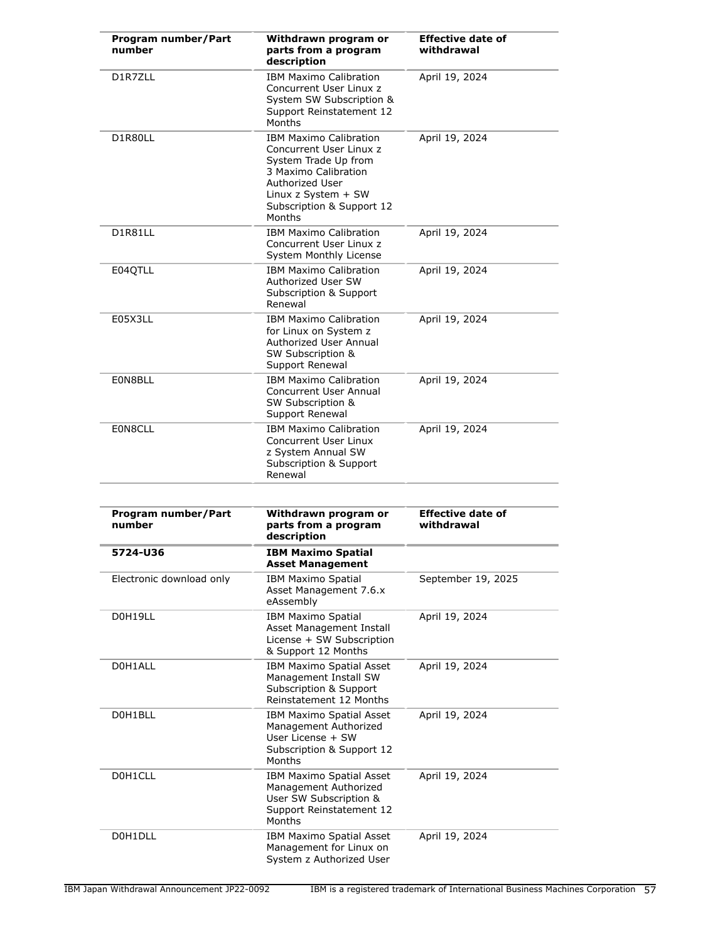| Program number/Part<br>number | Withdrawn program or<br>parts from a program<br>description                                                                                                                               | <b>Effective date of</b><br>withdrawal |
|-------------------------------|-------------------------------------------------------------------------------------------------------------------------------------------------------------------------------------------|----------------------------------------|
| D1R7ZLL                       | <b>IBM Maximo Calibration</b><br>Concurrent User Linux z<br>System SW Subscription &<br>Support Reinstatement 12<br>Months                                                                | April 19, 2024                         |
| D1R80LL                       | <b>IBM Maximo Calibration</b><br>Concurrent User Linux z<br>System Trade Up from<br>3 Maximo Calibration<br>Authorized User<br>Linux z System + SW<br>Subscription & Support 12<br>Months | April 19, 2024                         |
| D1R81LL                       | <b>IBM Maximo Calibration</b><br>Concurrent User Linux z<br>System Monthly License                                                                                                        | April 19, 2024                         |
| E04QTLL                       | <b>IBM Maximo Calibration</b><br>Authorized User SW<br><b>Subscription &amp; Support</b><br>Renewal                                                                                       | April 19, 2024                         |
| E05X3LL                       | <b>IBM Maximo Calibration</b><br>for Linux on System z<br>Authorized User Annual<br>SW Subscription &<br>Support Renewal                                                                  | April 19, 2024                         |
| E0N8BLL                       | <b>IBM Maximo Calibration</b><br><b>Concurrent User Annual</b><br>SW Subscription &<br>Support Renewal                                                                                    | April 19, 2024                         |
| E0N8CLL                       | <b>IBM Maximo Calibration</b><br>Concurrent User Linux<br>z System Annual SW<br>Subscription & Support<br>Renewal                                                                         | April 19, 2024                         |
|                               |                                                                                                                                                                                           |                                        |
| Program number/Part<br>number | Withdrawn program or<br>parts from a program<br>description                                                                                                                               | <b>Effective date of</b><br>withdrawal |
| 5724-U36                      | <b>IBM Maximo Spatial</b><br><b>Asset Management</b>                                                                                                                                      |                                        |
| Electronic download only      | <b>IBM Maximo Spatial</b><br>Asset Management 7.6.x<br>eAssembly                                                                                                                          | September 19, 2025                     |
| D0H19LL                       | <b>IBM Maximo Spatial</b><br>Asset Management Install<br>License + SW Subscription<br>& Support 12 Months                                                                                 | April 19, 2024                         |
| D0H1ALL                       | IBM Maximo Spatial Asset<br>Management Install SW<br>Subscription & Support<br>Reinstatement 12 Months                                                                                    | April 19, 2024                         |
| D0H1BLL                       | IBM Maximo Spatial Asset<br>Management Authorized<br>User License + SW<br>Subscription & Support 12<br>Months                                                                             | April 19, 2024                         |
| D0H1CLL                       | IBM Maximo Spatial Asset<br>Management Authorized<br>User SW Subscription &<br>Support Reinstatement 12<br>Months                                                                         | April 19, 2024                         |
| D0H1DLL                       | IBM Maximo Spatial Asset<br>Management for Linux on<br>System z Authorized User                                                                                                           | April 19, 2024                         |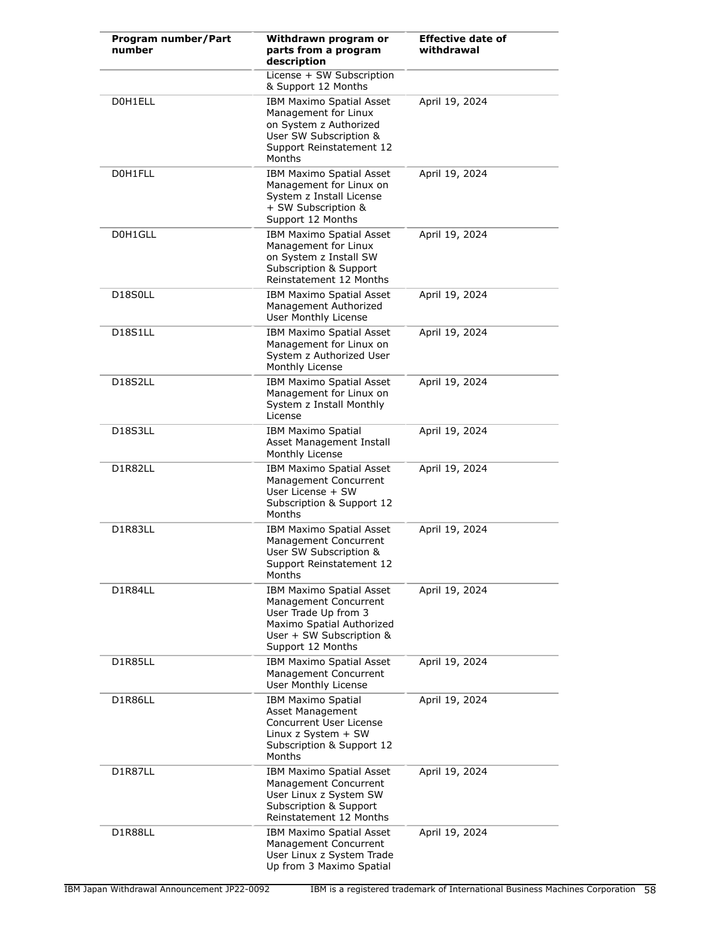| Program number/Part<br>number    | Withdrawn program or<br>parts from a program<br>description                                                                                                    | <b>Effective date of</b><br>withdrawal |
|----------------------------------|----------------------------------------------------------------------------------------------------------------------------------------------------------------|----------------------------------------|
|                                  | License + SW Subscription<br>& Support 12 Months                                                                                                               |                                        |
| D0H1ELL                          | IBM Maximo Spatial Asset<br>Management for Linux<br>on System z Authorized<br>User SW Subscription &<br>Support Reinstatement 12<br>Months                     | April 19, 2024                         |
| D0H1FLL                          | <b>IBM Maximo Spatial Asset</b><br>Management for Linux on<br>System z Install License<br>+ SW Subscription &<br>Support 12 Months                             | April 19, 2024                         |
| D0H1GLL                          | IBM Maximo Spatial Asset<br>Management for Linux<br>on System z Install SW<br><b>Subscription &amp; Support</b><br>Reinstatement 12 Months                     | April 19, 2024                         |
| D <sub>18</sub> S <sub>OLL</sub> | IBM Maximo Spatial Asset<br>Management Authorized<br>User Monthly License                                                                                      | April 19, 2024                         |
| <b>D18S1LL</b>                   | IBM Maximo Spatial Asset<br>Management for Linux on<br>System z Authorized User<br>Monthly License                                                             | April 19, 2024                         |
| D18S2LL                          | IBM Maximo Spatial Asset<br>Management for Linux on<br>System z Install Monthly<br>License                                                                     | April 19, 2024                         |
| D18S3LL                          | <b>IBM Maximo Spatial</b><br>Asset Management Install<br>Monthly License                                                                                       | April 19, 2024                         |
| D1R82LL                          | IBM Maximo Spatial Asset<br>Management Concurrent<br>User License + SW<br>Subscription & Support 12<br><b>Months</b>                                           | April 19, 2024                         |
| D1R83LL                          | IBM Maximo Spatial Asset<br>Management Concurrent<br>User SW Subscription &<br>Support Reinstatement 12<br>Months                                              | April 19, 2024                         |
| D1R84LL                          | <b>IBM Maximo Spatial Asset</b><br>Management Concurrent<br>User Trade Up from 3<br>Maximo Spatial Authorized<br>User + SW Subscription &<br>Support 12 Months | April 19, 2024                         |
| D1R85LL                          | IBM Maximo Spatial Asset<br>Management Concurrent<br>User Monthly License                                                                                      | April 19, 2024                         |
| D1R86LL                          | <b>IBM Maximo Spatial</b><br>Asset Management<br>Concurrent User License<br>Linux $z$ System $+$ SW<br>Subscription & Support 12<br>Months                     | April 19, 2024                         |
| D1R87LL                          | IBM Maximo Spatial Asset<br>Management Concurrent<br>User Linux z System SW<br>Subscription & Support<br>Reinstatement 12 Months                               | April 19, 2024                         |
| D1R88LL                          | IBM Maximo Spatial Asset<br>Management Concurrent<br>User Linux z System Trade<br>Up from 3 Maximo Spatial                                                     | April 19, 2024                         |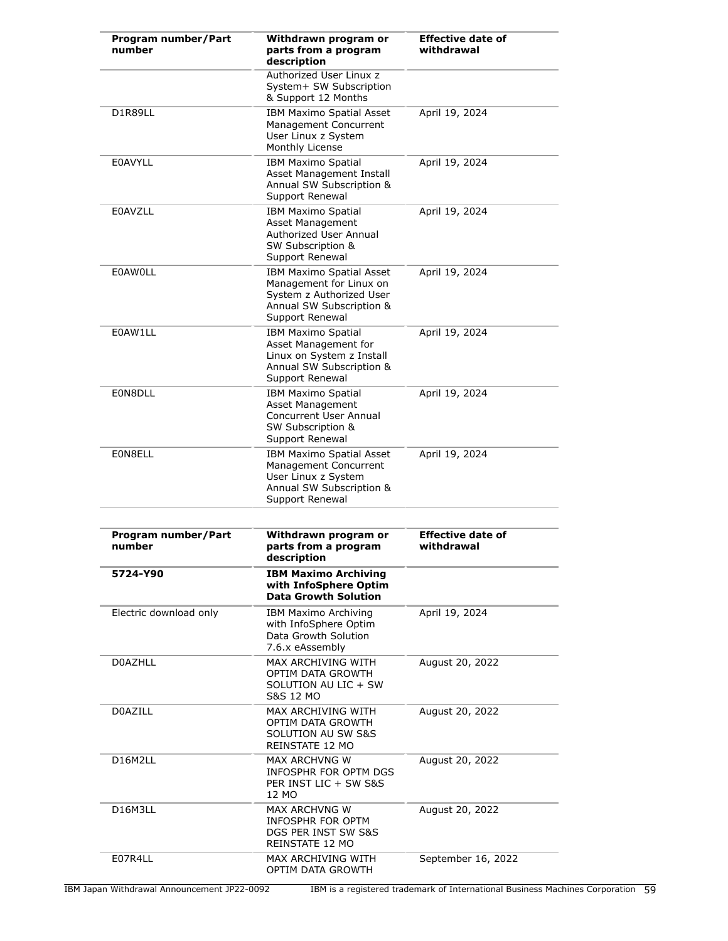| Program number/Part<br>number | Withdrawn program or<br>parts from a program<br>description                                                                           | <b>Effective date of</b><br>withdrawal |
|-------------------------------|---------------------------------------------------------------------------------------------------------------------------------------|----------------------------------------|
|                               | Authorized User Linux z<br>System+ SW Subscription<br>& Support 12 Months                                                             |                                        |
| D1R89LL                       | <b>IBM Maximo Spatial Asset</b><br>Management Concurrent<br>User Linux z System<br>Monthly License                                    | April 19, 2024                         |
| <b>E0AVYLL</b>                | <b>IBM Maximo Spatial</b><br>Asset Management Install<br>Annual SW Subscription &<br>Support Renewal                                  | April 19, 2024                         |
| <b>E0AVZLL</b>                | <b>IBM Maximo Spatial</b><br>Asset Management<br>Authorized User Annual<br>SW Subscription &<br>Support Renewal                       | April 19, 2024                         |
| <b>EOAWOLL</b>                | <b>IBM Maximo Spatial Asset</b><br>Management for Linux on<br>System z Authorized User<br>Annual SW Subscription &<br>Support Renewal | April 19, 2024                         |
| E0AW1LL                       | <b>IBM Maximo Spatial</b><br>Asset Management for<br>Linux on System z Install<br>Annual SW Subscription &<br>Support Renewal         | April 19, 2024                         |
| E0N8DLL                       | <b>IBM Maximo Spatial</b><br><b>Asset Management</b><br><b>Concurrent User Annual</b><br>SW Subscription &<br>Support Renewal         | April 19, 2024                         |
| E0N8ELL                       | IBM Maximo Spatial Asset<br>Management Concurrent<br>User Linux z System<br>Annual SW Subscription &<br>Support Renewal               | April 19, 2024                         |
| Program number/Part<br>number | Withdrawn program or<br>parts from a program<br>description                                                                           | <b>Effective date of</b><br>withdrawal |
| 5724-Y90                      | <b>IBM Maximo Archiving</b><br>with InfoSphere Optim<br><b>Data Growth Solution</b>                                                   |                                        |
| Electric download only        | IBM Maximo Archiving<br>with InfoSphere Optim<br>Data Growth Solution<br>7.6.x eAssembly                                              | April 19, 2024                         |
| <b>D0AZHLL</b>                | MAX ARCHIVING WITH<br>OPTIM DATA GROWTH<br>SOLUTION AU LIC + SW<br><b>S&amp;S 12 MO</b>                                               | August 20, 2022                        |
| D0AZILL                       | MAX ARCHIVING WITH<br>OPTIM DATA GROWTH<br>SOLUTION AU SW S&S<br>REINSTATE 12 MO                                                      | August 20, 2022                        |
| D16M2LL                       | <b>MAX ARCHVNG W</b><br>INFOSPHR FOR OPTM DGS<br>PER INST LIC + SW S&S<br>12 MO                                                       | August 20, 2022                        |
| D16M3LL                       | MAX ARCHVNG W<br>INFOSPHR FOR OPTM<br>DGS PER INST SW S&S<br>REINSTATE 12 MO                                                          | August 20, 2022                        |
| E07R4LL                       | MAX ARCHIVING WITH<br>OPTIM DATA GROWTH                                                                                               | September 16, 2022                     |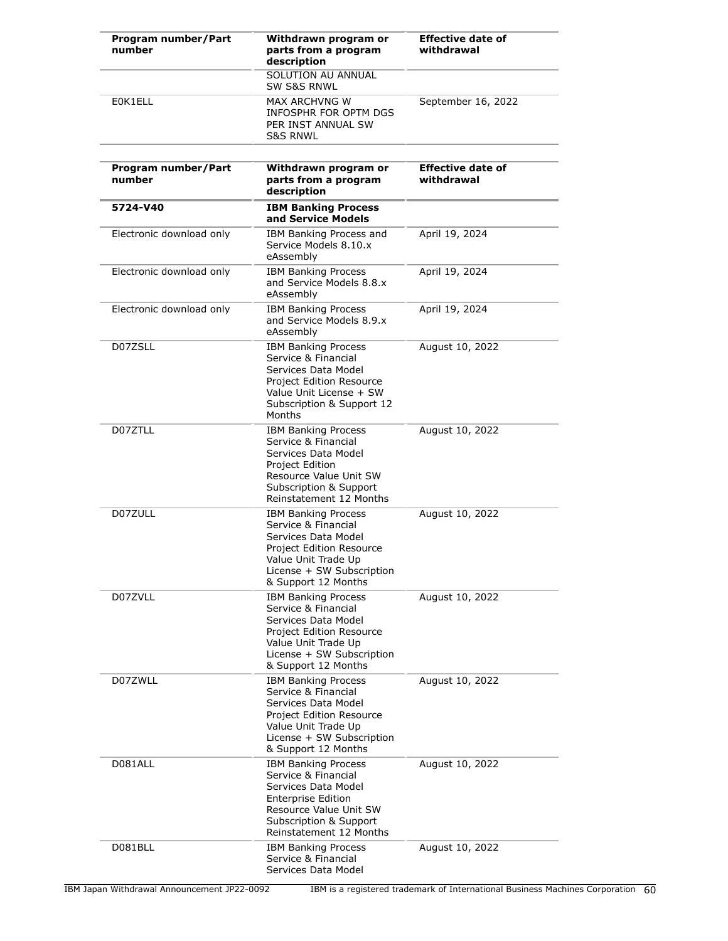| Program number/Part<br>number | Withdrawn program or<br>parts from a program<br>description                                                                                                                          | <b>Effective date of</b><br>withdrawal |
|-------------------------------|--------------------------------------------------------------------------------------------------------------------------------------------------------------------------------------|----------------------------------------|
|                               | SOLUTION AU ANNUAL<br><b>SW S&amp;S RNWL</b>                                                                                                                                         |                                        |
| E0K1ELL                       | MAX ARCHVNG W<br>INFOSPHR FOR OPTM DGS<br>PER INST ANNUAL SW<br><b>S&amp;S RNWL</b>                                                                                                  | September 16, 2022                     |
| Program number/Part<br>number | Withdrawn program or<br>parts from a program<br>description                                                                                                                          | <b>Effective date of</b><br>withdrawal |
| 5724-V40                      | <b>IBM Banking Process</b><br>and Service Models                                                                                                                                     |                                        |
| Electronic download only      | IBM Banking Process and<br>Service Models 8.10.x<br>eAssembly                                                                                                                        | April 19, 2024                         |
| Electronic download only      | <b>IBM Banking Process</b><br>and Service Models 8.8.x<br>eAssembly                                                                                                                  | April 19, 2024                         |
| Electronic download only      | <b>IBM Banking Process</b><br>and Service Models 8.9.x<br>eAssembly                                                                                                                  | April 19, 2024                         |
| D07ZSLL                       | <b>IBM Banking Process</b><br>Service & Financial<br>Services Data Model<br><b>Project Edition Resource</b><br>Value Unit License + SW<br>Subscription & Support 12<br>Months        | August 10, 2022                        |
| D07ZTLL                       | <b>IBM Banking Process</b><br>Service & Financial<br>Services Data Model<br>Project Edition<br>Resource Value Unit SW<br>Subscription & Support<br>Reinstatement 12 Months           | August 10, 2022                        |
| D07ZULL                       | <b>IBM Banking Process</b><br>Service & Financial<br>Services Data Model<br>Project Edition Resource<br>Value Unit Trade Up<br>License + SW Subscription<br>& Support 12 Months      | August 10, 2022                        |
| D07ZVLL                       | <b>IBM Banking Process</b><br>Service & Financial<br>Services Data Model<br>Project Edition Resource<br>Value Unit Trade Up<br>License + SW Subscription<br>& Support 12 Months      | August 10, 2022                        |
| D07ZWLL                       | <b>IBM Banking Process</b><br>Service & Financial<br>Services Data Model<br>Project Edition Resource<br>Value Unit Trade Up<br>License + SW Subscription<br>& Support 12 Months      | August 10, 2022                        |
| D081ALL                       | <b>IBM Banking Process</b><br>Service & Financial<br>Services Data Model<br><b>Enterprise Edition</b><br>Resource Value Unit SW<br>Subscription & Support<br>Reinstatement 12 Months | August 10, 2022                        |
| D081BLL                       | <b>IBM Banking Process</b><br>Service & Financial<br>Services Data Model                                                                                                             | August 10, 2022                        |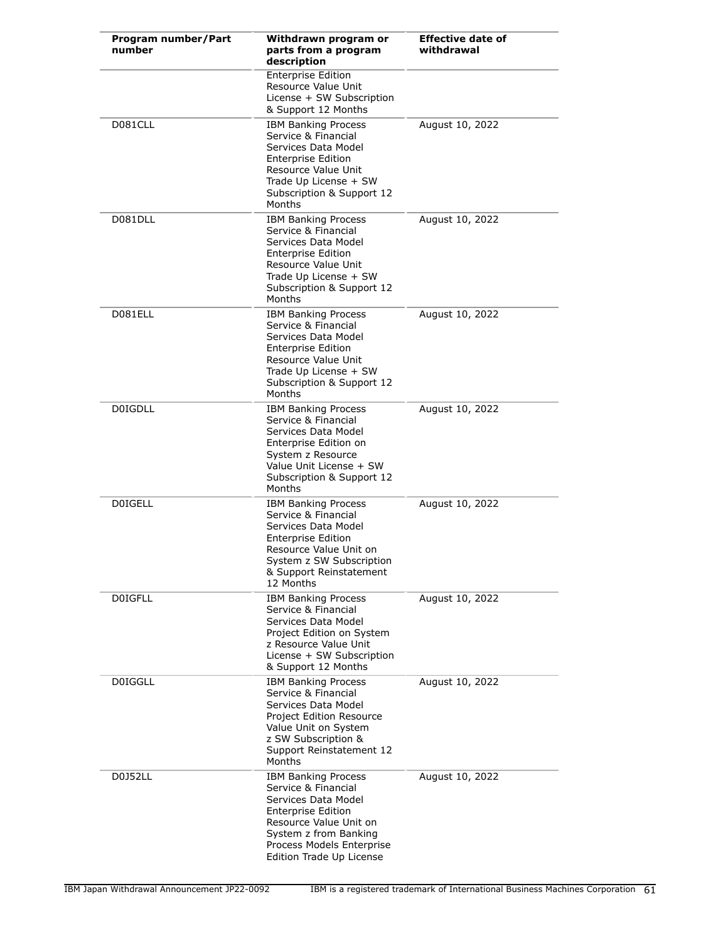| Program number/Part<br>number | Withdrawn program or<br>parts from a program<br>description                                                                                                                                                       | <b>Effective date of</b><br>withdrawal |
|-------------------------------|-------------------------------------------------------------------------------------------------------------------------------------------------------------------------------------------------------------------|----------------------------------------|
|                               | <b>Enterprise Edition</b><br>Resource Value Unit<br>License + SW Subscription<br>& Support 12 Months                                                                                                              |                                        |
| D081CLL                       | <b>IBM Banking Process</b><br>Service & Financial<br>Services Data Model<br><b>Enterprise Edition</b><br>Resource Value Unit<br>Trade Up License + SW<br>Subscription & Support 12<br>Months                      | August 10, 2022                        |
| D081DLL                       | <b>IBM Banking Process</b><br>Service & Financial<br>Services Data Model<br><b>Enterprise Edition</b><br>Resource Value Unit<br>Trade Up License + SW<br>Subscription & Support 12<br>Months                      | August 10, 2022                        |
| D081ELL                       | <b>IBM Banking Process</b><br>Service & Financial<br>Services Data Model<br><b>Enterprise Edition</b><br>Resource Value Unit<br>Trade Up License + SW<br>Subscription & Support 12<br>Months                      | August 10, 2022                        |
| <b>D0IGDLL</b>                | <b>IBM Banking Process</b><br>Service & Financial<br>Services Data Model<br>Enterprise Edition on<br>System z Resource<br>Value Unit License + SW<br>Subscription & Support 12<br>Months                          | August 10, 2022                        |
| <b>DOIGELL</b>                | <b>IBM Banking Process</b><br>Service & Financial<br>Services Data Model<br><b>Enterprise Edition</b><br>Resource Value Unit on<br>System z SW Subscription<br>& Support Reinstatement<br>12 Months               | August 10, 2022                        |
| <b>DOIGFLL</b>                | <b>IBM Banking Process</b><br>Service & Financial<br>Services Data Model<br>Project Edition on System<br>z Resource Value Unit<br>License + SW Subscription<br>& Support 12 Months                                | August 10, 2022                        |
| <b>D0IGGLL</b>                | <b>IBM Banking Process</b><br>Service & Financial<br>Services Data Model<br><b>Project Edition Resource</b><br>Value Unit on System<br>z SW Subscription &<br>Support Reinstatement 12<br>Months                  | August 10, 2022                        |
| D0J52LL                       | <b>IBM Banking Process</b><br>Service & Financial<br>Services Data Model<br><b>Enterprise Edition</b><br>Resource Value Unit on<br>System z from Banking<br>Process Models Enterprise<br>Edition Trade Up License | August 10, 2022                        |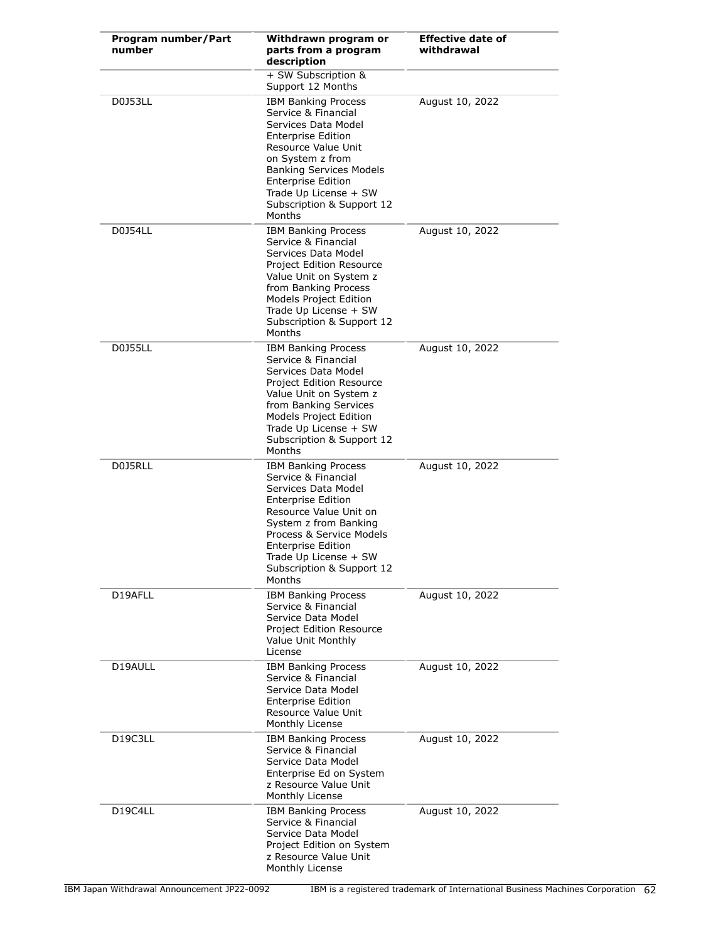| Program number/Part<br>number     | Withdrawn program or<br>parts from a program<br>description                                                                                                                                                                                                                       | <b>Effective date of</b><br>withdrawal |
|-----------------------------------|-----------------------------------------------------------------------------------------------------------------------------------------------------------------------------------------------------------------------------------------------------------------------------------|----------------------------------------|
|                                   | + SW Subscription &<br>Support 12 Months                                                                                                                                                                                                                                          |                                        |
| D0J53LL                           | <b>IBM Banking Process</b><br>Service & Financial<br>Services Data Model<br><b>Enterprise Edition</b><br>Resource Value Unit<br>on System z from<br><b>Banking Services Models</b><br><b>Enterprise Edition</b><br>Trade Up License + SW<br>Subscription & Support 12<br>Months   | August 10, 2022                        |
| D0J54LL                           | <b>IBM Banking Process</b><br>Service & Financial<br>Services Data Model<br>Project Edition Resource<br>Value Unit on System z<br>from Banking Process<br>Models Project Edition<br>Trade Up License + SW<br>Subscription & Support 12<br>Months                                  | August 10, 2022                        |
| <b>D0J55LL</b>                    | <b>IBM Banking Process</b><br>Service & Financial<br>Services Data Model<br>Project Edition Resource<br>Value Unit on System z<br>from Banking Services<br>Models Project Edition<br>Trade Up License + SW<br>Subscription & Support 12<br>Months                                 | August 10, 2022                        |
| D0J5RLL                           | <b>IBM Banking Process</b><br>Service & Financial<br>Services Data Model<br><b>Enterprise Edition</b><br>Resource Value Unit on<br>System z from Banking<br>Process & Service Models<br><b>Enterprise Edition</b><br>Trade Up License + SW<br>Subscription & Support 12<br>Months | August 10, 2022                        |
| D19AFLL                           | <b>IBM Banking Process</b><br>Service & Financial<br>Service Data Model<br><b>Project Edition Resource</b><br>Value Unit Monthly<br>License                                                                                                                                       | August 10, 2022                        |
| D19AULL                           | <b>IBM Banking Process</b><br>Service & Financial<br>Service Data Model<br><b>Enterprise Edition</b><br>Resource Value Unit<br>Monthly License                                                                                                                                    | August 10, 2022                        |
| D <sub>19</sub> C <sub>3</sub> LL | <b>IBM Banking Process</b><br>Service & Financial<br>Service Data Model<br>Enterprise Ed on System<br>z Resource Value Unit<br>Monthly License                                                                                                                                    | August 10, 2022                        |
| D19C4LL                           | <b>IBM Banking Process</b><br>Service & Financial<br>Service Data Model<br>Project Edition on System<br>z Resource Value Unit<br>Monthly License                                                                                                                                  | August 10, 2022                        |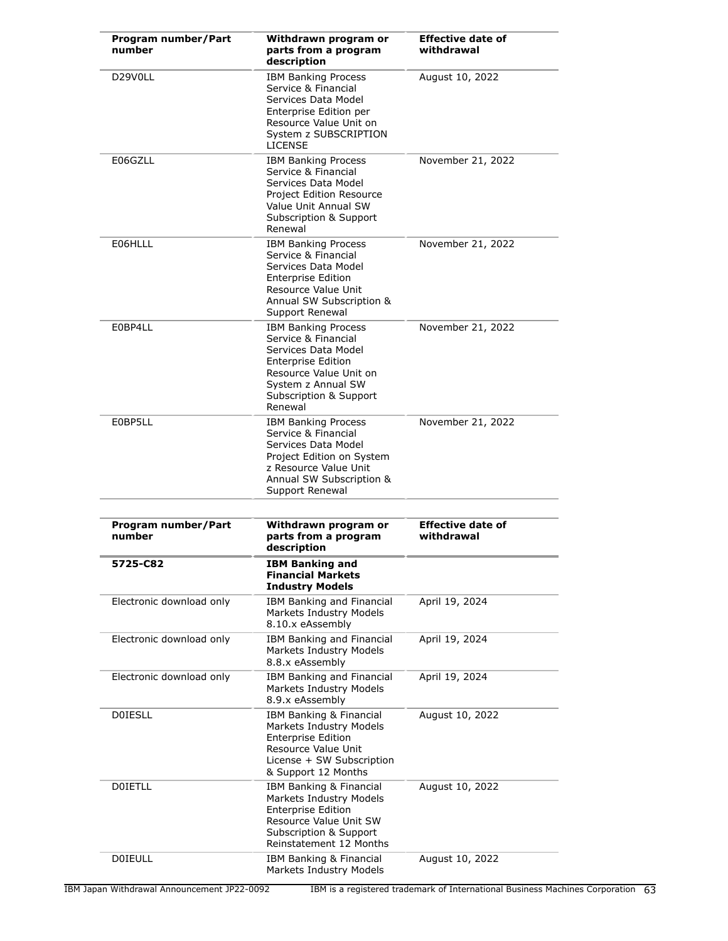| Program number/Part<br>number | Withdrawn program or<br>parts from a program<br>description                                                                                                                                | <b>Effective date of</b><br>withdrawal |
|-------------------------------|--------------------------------------------------------------------------------------------------------------------------------------------------------------------------------------------|----------------------------------------|
| D29V0LL                       | <b>IBM Banking Process</b><br>Service & Financial<br>Services Data Model<br>Enterprise Edition per<br>Resource Value Unit on<br>System z SUBSCRIPTION<br><b>LICENSE</b>                    | August 10, 2022                        |
| E06GZLL                       | <b>IBM Banking Process</b><br>Service & Financial<br>Services Data Model<br><b>Project Edition Resource</b><br>Value Unit Annual SW<br>Subscription & Support<br>Renewal                   | November 21, 2022                      |
| E06HLLL                       | <b>IBM Banking Process</b><br>Service & Financial<br>Services Data Model<br><b>Enterprise Edition</b><br>Resource Value Unit<br>Annual SW Subscription &<br>Support Renewal                | November 21, 2022                      |
| E0BP4LL                       | <b>IBM Banking Process</b><br>Service & Financial<br>Services Data Model<br><b>Enterprise Edition</b><br>Resource Value Unit on<br>System z Annual SW<br>Subscription & Support<br>Renewal | November 21, 2022                      |
| E0BP5LL                       | <b>IBM Banking Process</b><br>Service & Financial<br>Services Data Model<br>Project Edition on System<br>z Resource Value Unit<br>Annual SW Subscription &<br>Support Renewal              | November 21, 2022                      |
|                               |                                                                                                                                                                                            |                                        |
| Program number/Part<br>number | Withdrawn program or<br>parts from a program<br>description                                                                                                                                | <b>Effective date of</b><br>withdrawal |
| 5725-C82                      | <b>IBM Banking and</b><br><b>Financial Markets</b><br><b>Industry Models</b>                                                                                                               |                                        |
| Electronic download only      | IBM Banking and Financial<br>Markets Industry Models<br>8.10.x eAssembly                                                                                                                   | April 19, 2024                         |
| Electronic download only      | IBM Banking and Financial<br>Markets Industry Models<br>8.8.x eAssembly                                                                                                                    | April 19, 2024                         |
| Electronic download only      | IBM Banking and Financial<br>Markets Industry Models<br>8.9.x eAssembly                                                                                                                    | April 19, 2024                         |
| <b>DOIESLL</b>                | IBM Banking & Financial<br>Markets Industry Models<br><b>Enterprise Edition</b><br>Resource Value Unit<br>License + SW Subscription<br>& Support 12 Months                                 | August 10, 2022                        |
| <b>DOIETLL</b>                | IBM Banking & Financial<br>Markets Industry Models<br><b>Enterprise Edition</b><br>Resource Value Unit SW<br>Subscription & Support<br>Reinstatement 12 Months                             | August 10, 2022                        |
| <b>DOIEULL</b>                | IBM Banking & Financial<br>Markets Industry Models                                                                                                                                         | August 10, 2022                        |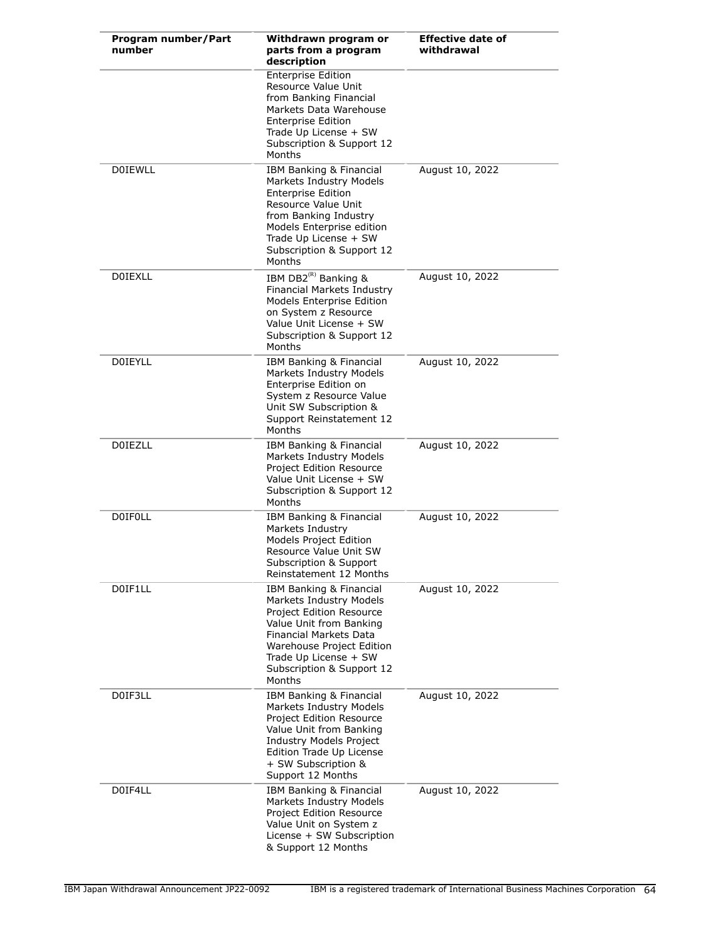| Program number/Part<br>number | Withdrawn program or<br>parts from a program<br>description                                                                                                                                                                             | <b>Effective date of</b><br>withdrawal |
|-------------------------------|-----------------------------------------------------------------------------------------------------------------------------------------------------------------------------------------------------------------------------------------|----------------------------------------|
|                               | <b>Enterprise Edition</b><br>Resource Value Unit<br>from Banking Financial<br>Markets Data Warehouse<br><b>Enterprise Edition</b><br>Trade Up License + SW<br>Subscription & Support 12<br>Months                                       |                                        |
| <b>DOIEWLL</b>                | IBM Banking & Financial<br><b>Markets Industry Models</b><br><b>Enterprise Edition</b><br>Resource Value Unit<br>from Banking Industry<br>Models Enterprise edition<br>Trade Up License + SW<br>Subscription & Support 12<br>Months     | August 10, 2022                        |
| <b>DOIEXLL</b>                | IBM DB2 <sup>(R)</sup> Banking &<br>Financial Markets Industry<br><b>Models Enterprise Edition</b><br>on System z Resource<br>Value Unit License + SW<br>Subscription & Support 12<br>Months                                            | August 10, 2022                        |
| <b>DOIEYLL</b>                | IBM Banking & Financial<br>Markets Industry Models<br>Enterprise Edition on<br>System z Resource Value<br>Unit SW Subscription &<br>Support Reinstatement 12<br>Months                                                                  | August 10, 2022                        |
| <b>DOIEZLL</b>                | IBM Banking & Financial<br>Markets Industry Models<br>Project Edition Resource<br>Value Unit License + SW<br>Subscription & Support 12<br>Months                                                                                        | August 10, 2022                        |
| <b>DOIFOLL</b>                | IBM Banking & Financial<br>Markets Industry<br>Models Project Edition<br>Resource Value Unit SW<br>Subscription & Support<br>Reinstatement 12 Months                                                                                    | August 10, 2022                        |
| D0IF1LL                       | IBM Banking & Financial<br>Markets Industry Models<br><b>Project Edition Resource</b><br>Value Unit from Banking<br>Financial Markets Data<br>Warehouse Project Edition<br>Trade Up License + SW<br>Subscription & Support 12<br>Months | August 10, 2022                        |
| D0IF3LL                       | IBM Banking & Financial<br>Markets Industry Models<br><b>Project Edition Resource</b><br>Value Unit from Banking<br><b>Industry Models Project</b><br>Edition Trade Up License<br>+ SW Subscription &<br>Support 12 Months              | August 10, 2022                        |
| D0IF4LL                       | IBM Banking & Financial<br>Markets Industry Models<br><b>Project Edition Resource</b><br>Value Unit on System z<br>License + SW Subscription<br>& Support 12 Months                                                                     | August 10, 2022                        |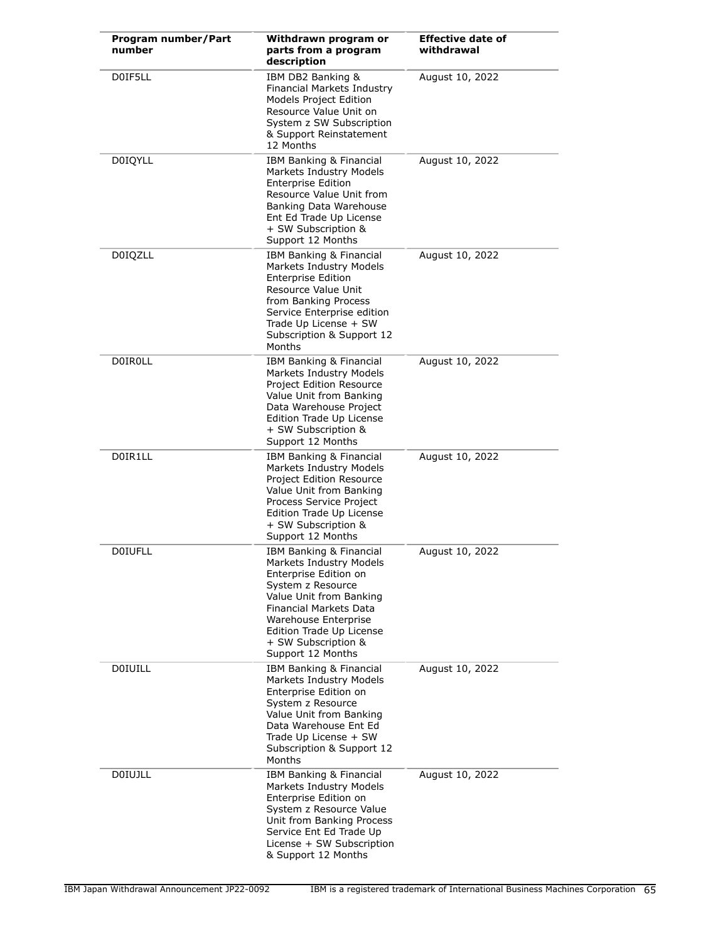| Program number/Part<br>number | Withdrawn program or<br>parts from a program<br>description                                                                                                                                                                                           | <b>Effective date of</b><br>withdrawal |
|-------------------------------|-------------------------------------------------------------------------------------------------------------------------------------------------------------------------------------------------------------------------------------------------------|----------------------------------------|
| D0IF5LL                       | IBM DB2 Banking &<br>Financial Markets Industry<br>Models Project Edition<br>Resource Value Unit on<br>System z SW Subscription<br>& Support Reinstatement<br>12 Months                                                                               | August 10, 2022                        |
| <b>DOIQYLL</b>                | IBM Banking & Financial<br>Markets Industry Models<br><b>Enterprise Edition</b><br>Resource Value Unit from<br>Banking Data Warehouse<br>Ent Ed Trade Up License<br>+ SW Subscription &<br>Support 12 Months                                          | August 10, 2022                        |
| <b>D0IQZLL</b>                | IBM Banking & Financial<br>Markets Industry Models<br><b>Enterprise Edition</b><br>Resource Value Unit<br>from Banking Process<br>Service Enterprise edition<br>Trade Up License + SW<br>Subscription & Support 12<br>Months                          | August 10, 2022                        |
| <b>DOIROLL</b>                | IBM Banking & Financial<br>Markets Industry Models<br>Project Edition Resource<br>Value Unit from Banking<br>Data Warehouse Project<br>Edition Trade Up License<br>+ SW Subscription &<br>Support 12 Months                                           | August 10, 2022                        |
| D0IR1LL                       | IBM Banking & Financial<br>Markets Industry Models<br>Project Edition Resource<br>Value Unit from Banking<br>Process Service Project<br>Edition Trade Up License<br>+ SW Subscription &<br>Support 12 Months                                          | August 10, 2022                        |
| <b>DOIUFLL</b>                | IBM Banking & Financial<br>Markets Industry Models<br>Enterprise Edition on<br>System z Resource<br>Value Unit from Banking<br>Financial Markets Data<br>Warehouse Enterprise<br>Edition Trade Up License<br>+ SW Subscription &<br>Support 12 Months | August 10, 2022                        |
| <b>DOIUILL</b>                | IBM Banking & Financial<br>Markets Industry Models<br>Enterprise Edition on<br>System z Resource<br>Value Unit from Banking<br>Data Warehouse Ent Ed<br>Trade Up License + SW<br>Subscription & Support 12<br>Months                                  | August 10, 2022                        |
| <b>DOIUJLL</b>                | IBM Banking & Financial<br>Markets Industry Models<br>Enterprise Edition on<br>System z Resource Value<br>Unit from Banking Process<br>Service Ent Ed Trade Up<br>License + SW Subscription<br>& Support 12 Months                                    | August 10, 2022                        |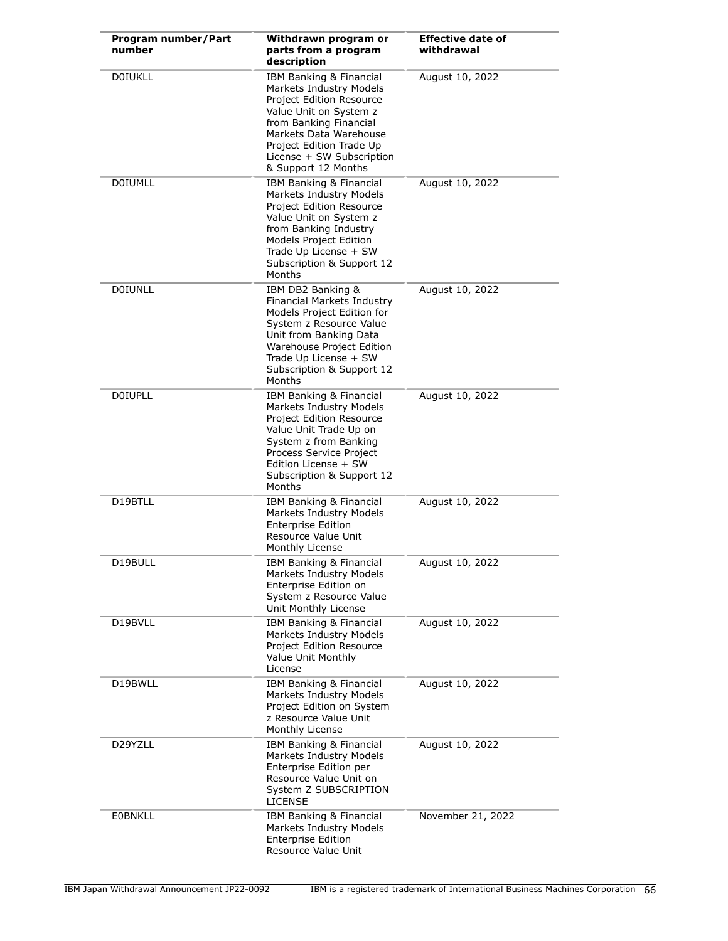| Program number/Part<br>number | Withdrawn program or<br>parts from a program<br>description                                                                                                                                                                                  | <b>Effective date of</b><br>withdrawal |
|-------------------------------|----------------------------------------------------------------------------------------------------------------------------------------------------------------------------------------------------------------------------------------------|----------------------------------------|
| <b>DOIUKLL</b>                | IBM Banking & Financial<br>Markets Industry Models<br>Project Edition Resource<br>Value Unit on System z<br>from Banking Financial<br>Markets Data Warehouse<br>Project Edition Trade Up<br>License + SW Subscription<br>& Support 12 Months | August 10, 2022                        |
| <b>DOIUMLL</b>                | IBM Banking & Financial<br>Markets Industry Models<br>Project Edition Resource<br>Value Unit on System z<br>from Banking Industry<br>Models Project Edition<br>Trade Up License + SW<br>Subscription & Support 12<br>Months                  | August 10, 2022                        |
| <b>DOIUNLL</b>                | IBM DB2 Banking &<br><b>Financial Markets Industry</b><br>Models Project Edition for<br>System z Resource Value<br>Unit from Banking Data<br>Warehouse Project Edition<br>Trade Up License + SW<br>Subscription & Support 12<br>Months       | August 10, 2022                        |
| <b>DOIUPLL</b>                | IBM Banking & Financial<br>Markets Industry Models<br>Project Edition Resource<br>Value Unit Trade Up on<br>System z from Banking<br>Process Service Project<br>Edition License + SW<br>Subscription & Support 12<br>Months                  | August 10, 2022                        |
| D19BTLL                       | IBM Banking & Financial<br>Markets Industry Models<br><b>Enterprise Edition</b><br>Resource Value Unit<br>Monthly License                                                                                                                    | August 10, 2022                        |
| D19BULL                       | IBM Banking & Financial<br>Markets Industry Models<br>Enterprise Edition on<br>System z Resource Value<br>Unit Monthly License                                                                                                               | August 10, 2022                        |
| D19BVLL                       | IBM Banking & Financial<br>Markets Industry Models<br>Project Edition Resource<br>Value Unit Monthly<br>License                                                                                                                              | August 10, 2022                        |
| D19BWLL                       | IBM Banking & Financial<br>Markets Industry Models<br>Project Edition on System<br>z Resource Value Unit<br>Monthly License                                                                                                                  | August 10, 2022                        |
| D29YZLL                       | IBM Banking & Financial<br>Markets Industry Models<br>Enterprise Edition per<br>Resource Value Unit on<br>System Z SUBSCRIPTION<br><b>LICENSE</b>                                                                                            | August 10, 2022                        |
| <b>EOBNKLL</b>                | IBM Banking & Financial<br>Markets Industry Models<br><b>Enterprise Edition</b><br>Resource Value Unit                                                                                                                                       | November 21, 2022                      |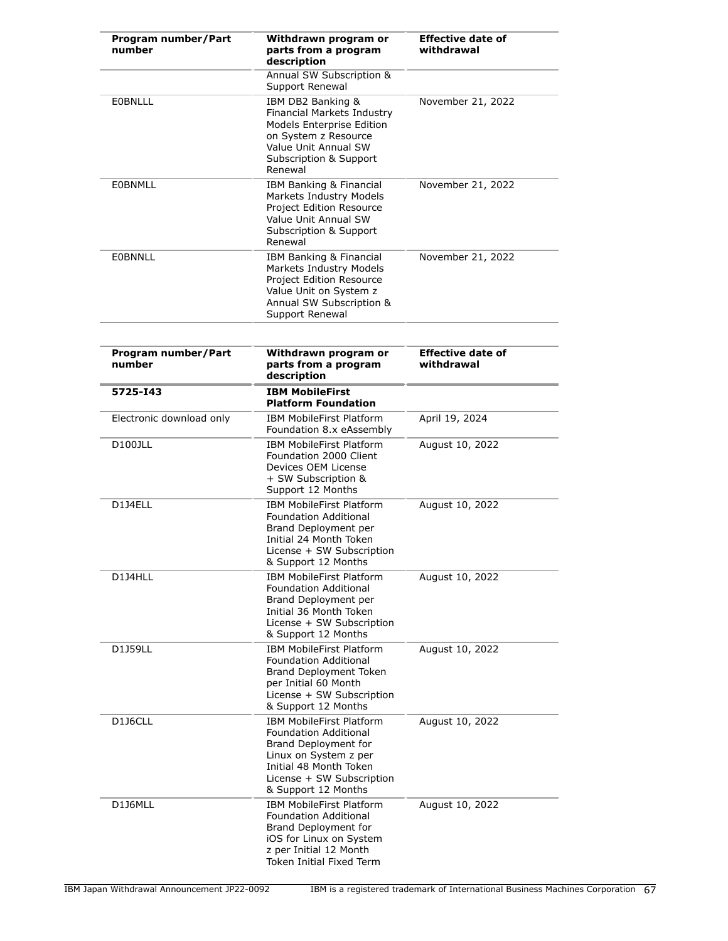| Program number/Part<br>number | Withdrawn program or<br>parts from a program<br>description                                                                                                                                    | <b>Effective date of</b><br>withdrawal |
|-------------------------------|------------------------------------------------------------------------------------------------------------------------------------------------------------------------------------------------|----------------------------------------|
|                               | <b>Annual SW Subscription &amp;</b><br>Support Renewal                                                                                                                                         |                                        |
| <b>EOBNLLL</b>                | IBM DB2 Banking &<br><b>Financial Markets Industry</b><br><b>Models Enterprise Edition</b><br>on System z Resource<br>Value Unit Annual SW<br>Subscription & Support<br>Renewal                | November 21, 2022                      |
| EOBNMLL                       | IBM Banking & Financial<br>Markets Industry Models<br>Project Edition Resource<br>Value Unit Annual SW<br>Subscription & Support<br>Renewal                                                    | November 21, 2022                      |
| <b>EOBNNLL</b>                | IBM Banking & Financial<br>Markets Industry Models<br>Project Edition Resource<br>Value Unit on System z<br>Annual SW Subscription &<br>Support Renewal                                        | November 21, 2022                      |
| Program number/Part<br>number | Withdrawn program or<br>parts from a program<br>description                                                                                                                                    | <b>Effective date of</b><br>withdrawal |
| 5725-143                      | <b>IBM MobileFirst</b><br><b>Platform Foundation</b>                                                                                                                                           |                                        |
| Electronic download only      | IBM MobileFirst Platform<br>Foundation 8.x eAssembly                                                                                                                                           | April 19, 2024                         |
| D100JLL                       | <b>IBM MobileFirst Platform</b><br>Foundation 2000 Client<br>Devices OEM License<br>+ SW Subscription &<br>Support 12 Months                                                                   | August 10, 2022                        |
| D1J4ELL                       | IBM MobileFirst Platform<br>Foundation Additional<br>Brand Deployment per<br>Initial 24 Month Token<br>License + SW Subscription<br>& Support 12 Months                                        | August 10, 2022                        |
| D1J4HLL                       | <b>IBM MobileFirst Platform</b><br><b>Foundation Additional</b><br>Brand Deployment per<br>Initial 36 Month Token<br>License + SW Subscription<br>& Support 12 Months                          | August 10, 2022                        |
| D1J59LL                       | <b>IBM MobileFirst Platform</b><br><b>Foundation Additional</b><br>Brand Deployment Token<br>per Initial 60 Month<br>License + SW Subscription<br>& Support 12 Months                          | August 10, 2022                        |
| D1J6CLL                       | <b>IBM MobileFirst Platform</b><br><b>Foundation Additional</b><br>Brand Deployment for<br>Linux on System z per<br>Initial 48 Month Token<br>License + SW Subscription<br>& Support 12 Months | August 10, 2022                        |
| D1J6MLL                       | <b>IBM MobileFirst Platform</b><br><b>Foundation Additional</b><br>Brand Deployment for<br>iOS for Linux on System<br>z per Initial 12 Month<br>Token Initial Fixed Term                       | August 10, 2022                        |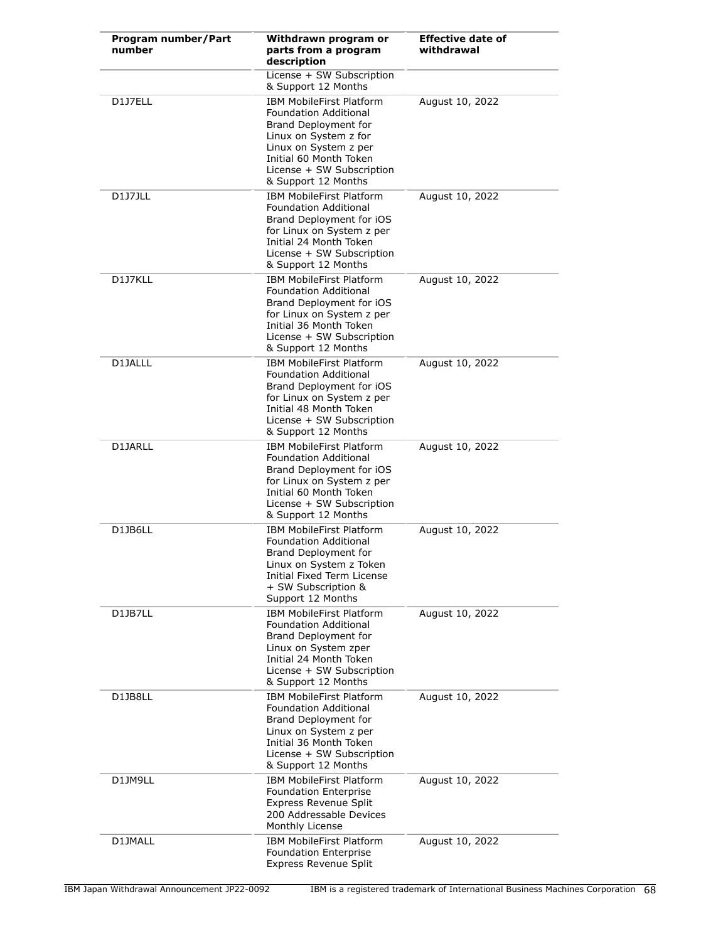| Program number/Part<br>number | Withdrawn program or<br>parts from a program<br>description                                                                                                                                                             | <b>Effective date of</b><br>withdrawal |
|-------------------------------|-------------------------------------------------------------------------------------------------------------------------------------------------------------------------------------------------------------------------|----------------------------------------|
|                               | License + SW Subscription<br>& Support 12 Months                                                                                                                                                                        |                                        |
| D1J7ELL                       | <b>IBM MobileFirst Platform</b><br><b>Foundation Additional</b><br>Brand Deployment for<br>Linux on System z for<br>Linux on System z per<br>Initial 60 Month Token<br>License + SW Subscription<br>& Support 12 Months | August 10, 2022                        |
| D1J7JLL                       | <b>IBM MobileFirst Platform</b><br><b>Foundation Additional</b><br>Brand Deployment for iOS<br>for Linux on System z per<br>Initial 24 Month Token<br>License + SW Subscription<br>& Support 12 Months                  | August 10, 2022                        |
| D1J7KLL                       | <b>IBM MobileFirst Platform</b><br><b>Foundation Additional</b><br>Brand Deployment for iOS<br>for Linux on System z per<br>Initial 36 Month Token<br>License + SW Subscription<br>& Support 12 Months                  | August 10, 2022                        |
| D1JALLL                       | <b>IBM MobileFirst Platform</b><br><b>Foundation Additional</b><br>Brand Deployment for iOS<br>for Linux on System z per<br>Initial 48 Month Token<br>License + SW Subscription<br>& Support 12 Months                  | August 10, 2022                        |
| D1JARLL                       | <b>IBM MobileFirst Platform</b><br><b>Foundation Additional</b><br>Brand Deployment for iOS<br>for Linux on System z per<br>Initial 60 Month Token<br>License + SW Subscription<br>& Support 12 Months                  | August 10, 2022                        |
| D1JB6LL                       | <b>IBM MobileFirst Platform</b><br><b>Foundation Additional</b><br>Brand Deployment for<br>Linux on System z Token<br>Initial Fixed Term License<br>+ SW Subscription &<br>Support 12 Months                            | August 10, 2022                        |
| D1JB7LL                       | IBM MobileFirst Platform<br>Foundation Additional<br>Brand Deployment for<br>Linux on System zper<br>Initial 24 Month Token<br>License + SW Subscription<br>& Support 12 Months                                         | August 10, 2022                        |
| D1JB8LL                       | <b>IBM MobileFirst Platform</b><br><b>Foundation Additional</b><br>Brand Deployment for<br>Linux on System z per<br>Initial 36 Month Token<br>License + SW Subscription<br>& Support 12 Months                          | August 10, 2022                        |
| D1JM9LL                       | <b>IBM MobileFirst Platform</b><br><b>Foundation Enterprise</b><br><b>Express Revenue Split</b><br>200 Addressable Devices<br>Monthly License                                                                           | August 10, 2022                        |
| D1JMALL                       | <b>IBM MobileFirst Platform</b><br><b>Foundation Enterprise</b><br><b>Express Revenue Split</b>                                                                                                                         | August 10, 2022                        |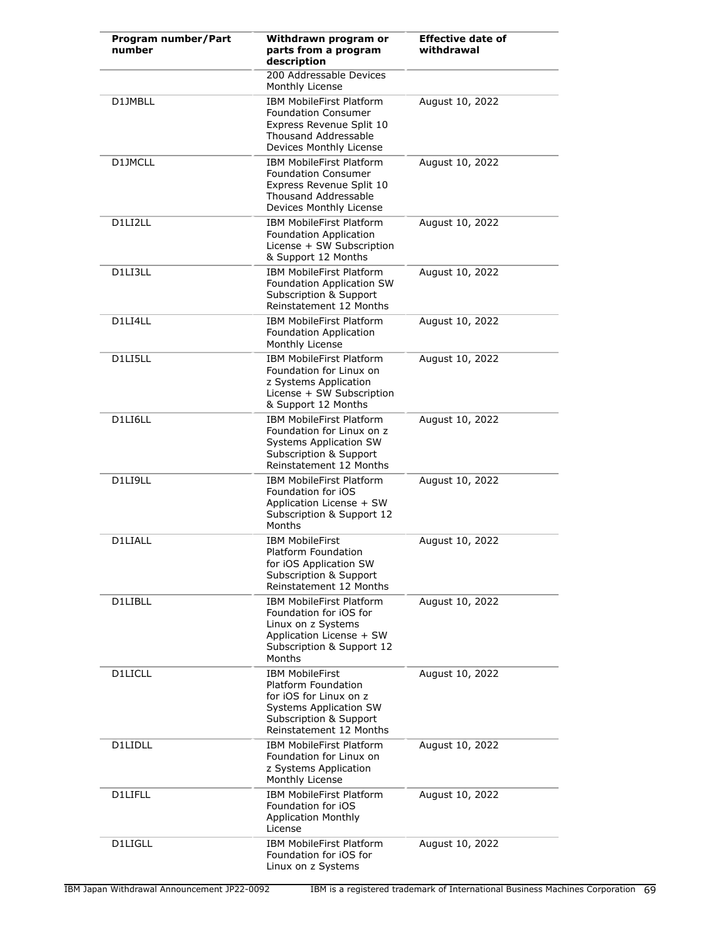| Program number/Part<br>number | Withdrawn program or<br>parts from a program<br>description                                                                                            | <b>Effective date of</b><br>withdrawal |
|-------------------------------|--------------------------------------------------------------------------------------------------------------------------------------------------------|----------------------------------------|
|                               | 200 Addressable Devices<br>Monthly License                                                                                                             |                                        |
| D1JMBLL                       | <b>IBM MobileFirst Platform</b><br><b>Foundation Consumer</b><br>Express Revenue Split 10<br>Thousand Addressable<br>Devices Monthly License           | August 10, 2022                        |
| D1JMCLL                       | <b>IBM MobileFirst Platform</b><br><b>Foundation Consumer</b><br>Express Revenue Split 10<br><b>Thousand Addressable</b><br>Devices Monthly License    | August 10, 2022                        |
| D1LI2LL                       | IBM MobileFirst Platform<br>Foundation Application<br>License + SW Subscription<br>& Support 12 Months                                                 | August 10, 2022                        |
| D1LI3LL                       | <b>IBM MobileFirst Platform</b><br>Foundation Application SW<br>Subscription & Support<br>Reinstatement 12 Months                                      | August 10, 2022                        |
| D1LI4LL                       | <b>IBM MobileFirst Platform</b><br>Foundation Application<br>Monthly License                                                                           | August 10, 2022                        |
| D1LI5LL                       | <b>IBM MobileFirst Platform</b><br>Foundation for Linux on<br>z Systems Application<br>License + SW Subscription<br>& Support 12 Months                | August 10, 2022                        |
| D1LI6LL                       | <b>IBM MobileFirst Platform</b><br>Foundation for Linux on z<br>Systems Application SW<br>Subscription & Support<br>Reinstatement 12 Months            | August 10, 2022                        |
| D1LI9LL                       | <b>IBM MobileFirst Platform</b><br>Foundation for iOS<br>Application License + SW<br>Subscription & Support 12<br>Months                               | August 10, 2022                        |
| D1LIALL                       | <b>IBM MobileFirst</b><br>Platform Foundation<br>for iOS Application SW<br>Subscription & Support<br>Reinstatement 12 Months                           | August 10, 2022                        |
| D1LIBLL                       | <b>IBM MobileFirst Platform</b><br>Foundation for iOS for<br>Linux on z Systems<br>Application License + SW<br>Subscription & Support 12<br>Months     | August 10, 2022                        |
| <b>D1LICLL</b>                | <b>IBM MobileFirst</b><br>Platform Foundation<br>for iOS for Linux on z<br>Systems Application SW<br>Subscription & Support<br>Reinstatement 12 Months | August 10, 2022                        |
| D1LIDLL                       | <b>IBM MobileFirst Platform</b><br>Foundation for Linux on<br>z Systems Application<br>Monthly License                                                 | August 10, 2022                        |
| D1LIFLL                       | IBM MobileFirst Platform<br>Foundation for iOS<br><b>Application Monthly</b><br>License                                                                | August 10, 2022                        |
| D1LIGLL                       | <b>IBM MobileFirst Platform</b><br>Foundation for iOS for<br>Linux on z Systems                                                                        | August 10, 2022                        |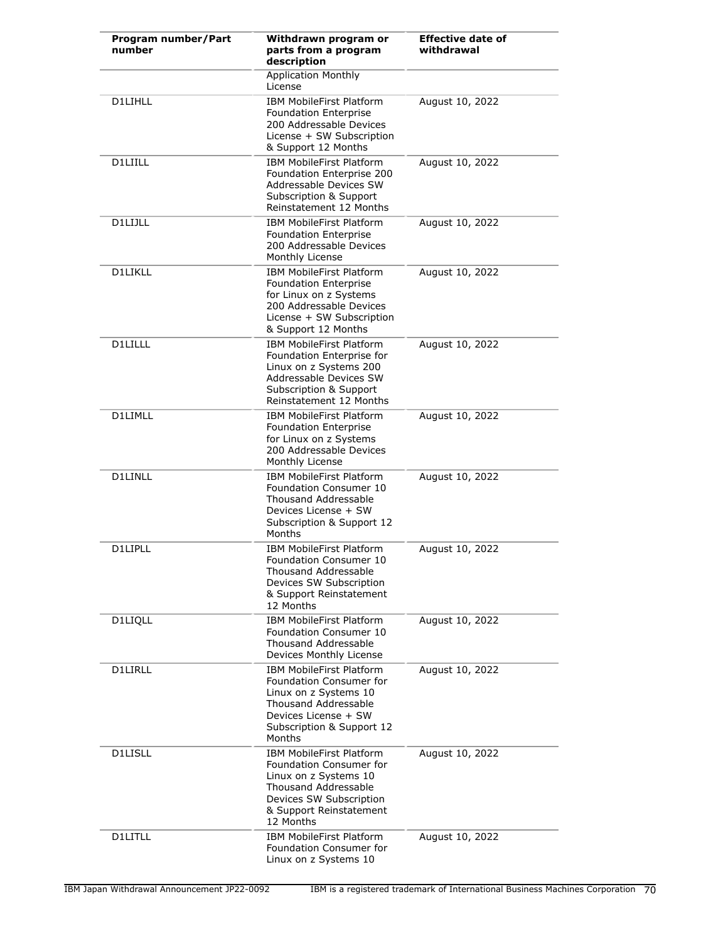| Program number/Part<br>number | Withdrawn program or<br>parts from a program<br>description                                                                                                                           | <b>Effective date of</b><br>withdrawal |
|-------------------------------|---------------------------------------------------------------------------------------------------------------------------------------------------------------------------------------|----------------------------------------|
|                               | <b>Application Monthly</b><br>License                                                                                                                                                 |                                        |
| D1LIHLL                       | <b>IBM MobileFirst Platform</b><br><b>Foundation Enterprise</b><br>200 Addressable Devices<br>License + SW Subscription<br>& Support 12 Months                                        | August 10, 2022                        |
| <b>D1LIILL</b>                | <b>IBM MobileFirst Platform</b><br>Foundation Enterprise 200<br>Addressable Devices SW<br><b>Subscription &amp; Support</b><br>Reinstatement 12 Months                                | August 10, 2022                        |
| D1LIJLL                       | <b>IBM MobileFirst Platform</b><br><b>Foundation Enterprise</b><br>200 Addressable Devices<br>Monthly License                                                                         | August 10, 2022                        |
| D1LIKLL                       | <b>IBM MobileFirst Platform</b><br><b>Foundation Enterprise</b><br>for Linux on z Systems<br>200 Addressable Devices<br>License + SW Subscription<br>& Support 12 Months              | August 10, 2022                        |
| D1LILLL                       | <b>IBM MobileFirst Platform</b><br>Foundation Enterprise for<br>Linux on z Systems 200<br>Addressable Devices SW<br>Subscription & Support<br>Reinstatement 12 Months                 | August 10, 2022                        |
| D1LIMLL                       | <b>IBM MobileFirst Platform</b><br><b>Foundation Enterprise</b><br>for Linux on z Systems<br>200 Addressable Devices<br>Monthly License                                               | August 10, 2022                        |
| <b>D1LINLL</b>                | <b>IBM MobileFirst Platform</b><br>Foundation Consumer 10<br>Thousand Addressable<br>Devices License + SW<br>Subscription & Support 12<br>Months                                      | August 10, 2022                        |
| D1LIPLL                       | <b>IBM MobileFirst Platform</b><br>Foundation Consumer 10<br><b>Thousand Addressable</b><br>Devices SW Subscription<br>& Support Reinstatement<br>12 Months                           | August 10, 2022                        |
| D1LIQLL                       | <b>IBM MobileFirst Platform</b><br><b>Foundation Consumer 10</b><br><b>Thousand Addressable</b><br>Devices Monthly License                                                            | August 10, 2022                        |
| <b>D1LIRLL</b>                | <b>IBM MobileFirst Platform</b><br>Foundation Consumer for<br>Linux on z Systems 10<br><b>Thousand Addressable</b><br>Devices License + SW<br>Subscription & Support 12<br>Months     | August 10, 2022                        |
| D1LISLL                       | <b>IBM MobileFirst Platform</b><br>Foundation Consumer for<br>Linux on z Systems 10<br><b>Thousand Addressable</b><br>Devices SW Subscription<br>& Support Reinstatement<br>12 Months | August 10, 2022                        |
| D1LITLL                       | <b>IBM MobileFirst Platform</b><br>Foundation Consumer for<br>Linux on z Systems 10                                                                                                   | August 10, 2022                        |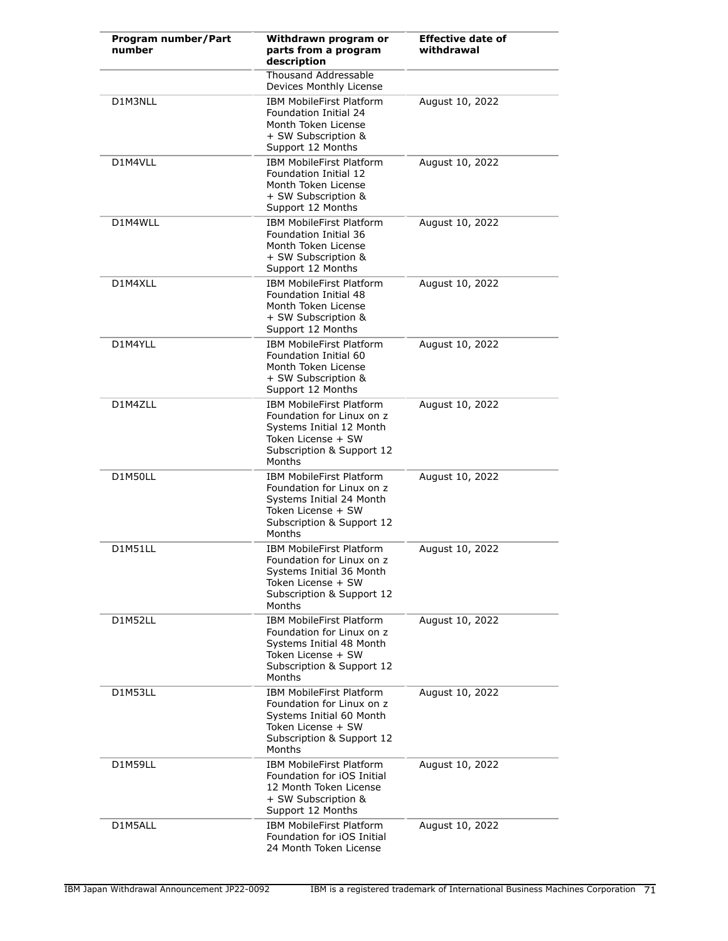| Program number/Part<br>number | Withdrawn program or<br>parts from a program<br>description                                                                                           | <b>Effective date of</b><br>withdrawal |
|-------------------------------|-------------------------------------------------------------------------------------------------------------------------------------------------------|----------------------------------------|
|                               | <b>Thousand Addressable</b><br>Devices Monthly License                                                                                                |                                        |
| D1M3NLL                       | <b>IBM MobileFirst Platform</b><br><b>Foundation Initial 24</b><br>Month Token License<br>+ SW Subscription &<br>Support 12 Months                    | August 10, 2022                        |
| D1M4VLL                       | <b>IBM MobileFirst Platform</b><br>Foundation Initial 12<br>Month Token License<br>+ SW Subscription &<br>Support 12 Months                           | August 10, 2022                        |
| D1M4WLL                       | <b>IBM MobileFirst Platform</b><br><b>Foundation Initial 36</b><br>Month Token License<br>+ SW Subscription &<br>Support 12 Months                    | August 10, 2022                        |
| D1M4XLL                       | <b>IBM MobileFirst Platform</b><br>Foundation Initial 48<br>Month Token License<br>+ SW Subscription &<br>Support 12 Months                           | August 10, 2022                        |
| D1M4YLL                       | <b>IBM MobileFirst Platform</b><br>Foundation Initial 60<br>Month Token License<br>+ SW Subscription &<br>Support 12 Months                           | August 10, 2022                        |
| D1M4ZLL                       | <b>IBM MobileFirst Platform</b><br>Foundation for Linux on z<br>Systems Initial 12 Month<br>Token License + SW<br>Subscription & Support 12<br>Months | August 10, 2022                        |
| D1M50LL                       | <b>IBM MobileFirst Platform</b><br>Foundation for Linux on z<br>Systems Initial 24 Month<br>Token License + SW<br>Subscription & Support 12<br>Months | August 10, 2022                        |
| D1M51LL                       | <b>IBM MobileFirst Platform</b><br>Foundation for Linux on z<br>Systems Initial 36 Month<br>Token License + SW<br>Subscription & Support 12<br>Months | August 10, 2022                        |
| D1M52LL                       | <b>IBM MobileFirst Platform</b><br>Foundation for Linux on z<br>Systems Initial 48 Month<br>Token License + SW<br>Subscription & Support 12<br>Months | August 10, 2022                        |
| D1M53LL                       | <b>IBM MobileFirst Platform</b><br>Foundation for Linux on z<br>Systems Initial 60 Month<br>Token License + SW<br>Subscription & Support 12<br>Months | August 10, 2022                        |
| D1M59LL                       | <b>IBM MobileFirst Platform</b><br>Foundation for <i>iOS</i> Initial<br>12 Month Token License<br>+ SW Subscription &<br>Support 12 Months            | August 10, 2022                        |
| D1M5ALL                       | <b>IBM MobileFirst Platform</b><br>Foundation for <i>iOS</i> Initial<br>24 Month Token License                                                        | August 10, 2022                        |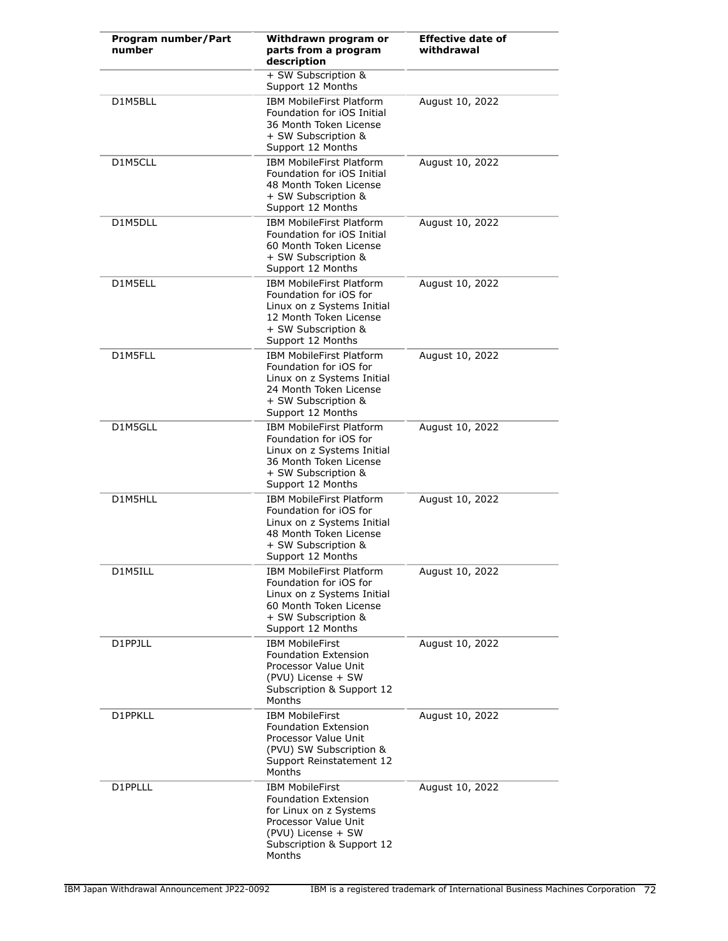| Program number/Part<br>number | Withdrawn program or<br>parts from a program<br>description                                                                                                   | <b>Effective date of</b><br>withdrawal |
|-------------------------------|---------------------------------------------------------------------------------------------------------------------------------------------------------------|----------------------------------------|
|                               | + SW Subscription &<br>Support 12 Months                                                                                                                      |                                        |
| D1M5BLL                       | <b>IBM MobileFirst Platform</b><br>Foundation for <i>iOS</i> Initial<br>36 Month Token License<br>+ SW Subscription &<br>Support 12 Months                    | August 10, 2022                        |
| D1M5CLL                       | <b>IBM MobileFirst Platform</b><br>Foundation for iOS Initial<br>48 Month Token License<br>+ SW Subscription &<br>Support 12 Months                           | August 10, 2022                        |
| D1M5DLL                       | <b>IBM MobileFirst Platform</b><br>Foundation for <i>iOS</i> Initial<br>60 Month Token License<br>+ SW Subscription &<br>Support 12 Months                    | August 10, 2022                        |
| D1M5ELL                       | <b>IBM MobileFirst Platform</b><br>Foundation for iOS for<br>Linux on z Systems Initial<br>12 Month Token License<br>+ SW Subscription &<br>Support 12 Months | August 10, 2022                        |
| D1M5FLL                       | <b>IBM MobileFirst Platform</b><br>Foundation for iOS for<br>Linux on z Systems Initial<br>24 Month Token License<br>+ SW Subscription &<br>Support 12 Months | August 10, 2022                        |
| D1M5GLL                       | <b>IBM MobileFirst Platform</b><br>Foundation for iOS for<br>Linux on z Systems Initial<br>36 Month Token License<br>+ SW Subscription &<br>Support 12 Months | August 10, 2022                        |
| D1M5HLL                       | <b>IBM MobileFirst Platform</b><br>Foundation for iOS for<br>Linux on z Systems Initial<br>48 Month Token License<br>+ SW Subscription &<br>Support 12 Months | August 10, 2022                        |
| D1M5ILL                       | <b>IBM MobileFirst Platform</b><br>Foundation for iOS for<br>Linux on z Systems Initial<br>60 Month Token License<br>+ SW Subscription &<br>Support 12 Months | August 10, 2022                        |
| D1PPJLL                       | <b>IBM MobileFirst</b><br><b>Foundation Extension</b><br>Processor Value Unit<br>(PVU) License + SW<br>Subscription & Support 12<br>Months                    | August 10, 2022                        |
| D1PPKLL                       | <b>IBM MobileFirst</b><br><b>Foundation Extension</b><br>Processor Value Unit<br>(PVU) SW Subscription &<br>Support Reinstatement 12<br>Months                | August 10, 2022                        |
| D1PPLLL                       | <b>IBM MobileFirst</b><br>Foundation Extension<br>for Linux on z Systems<br>Processor Value Unit<br>(PVU) License + SW<br>Subscription & Support 12<br>Months | August 10, 2022                        |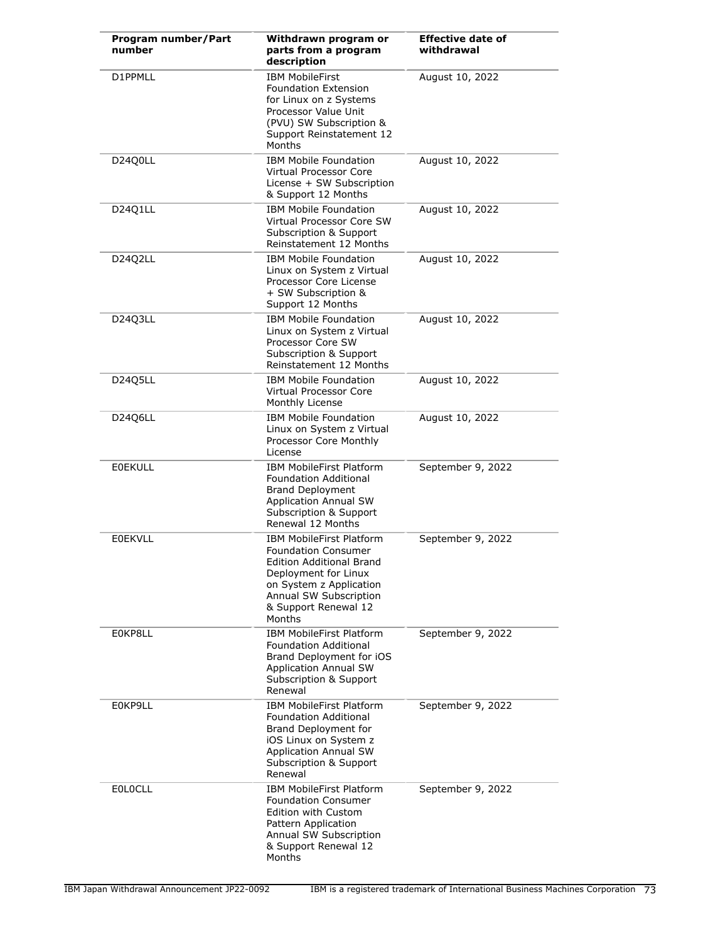| <b>Program number/Part</b><br>number | Withdrawn program or<br>parts from a program<br>description                                                                                                                                       | <b>Effective date of</b><br>withdrawal |
|--------------------------------------|---------------------------------------------------------------------------------------------------------------------------------------------------------------------------------------------------|----------------------------------------|
| D1PPMLL                              | <b>IBM MobileFirst</b><br>Foundation Extension<br>for Linux on z Systems<br>Processor Value Unit<br>(PVU) SW Subscription &<br>Support Reinstatement 12<br>Months                                 | August 10, 2022                        |
| D24Q0LL                              | <b>IBM Mobile Foundation</b><br>Virtual Processor Core<br>License + SW Subscription<br>& Support 12 Months                                                                                        | August 10, 2022                        |
| D24Q1LL                              | <b>IBM Mobile Foundation</b><br>Virtual Processor Core SW<br>Subscription & Support<br>Reinstatement 12 Months                                                                                    | August 10, 2022                        |
| D24Q2LL                              | <b>IBM Mobile Foundation</b><br>Linux on System z Virtual<br>Processor Core License<br>+ SW Subscription &<br>Support 12 Months                                                                   | August 10, 2022                        |
| D24Q3LL                              | <b>IBM Mobile Foundation</b><br>Linux on System z Virtual<br>Processor Core SW<br>Subscription & Support<br>Reinstatement 12 Months                                                               | August 10, 2022                        |
| D24Q5LL                              | <b>IBM Mobile Foundation</b><br>Virtual Processor Core<br>Monthly License                                                                                                                         | August 10, 2022                        |
| D24Q6LL                              | <b>IBM Mobile Foundation</b><br>Linux on System z Virtual<br>Processor Core Monthly<br>License                                                                                                    | August 10, 2022                        |
| <b>EOEKULL</b>                       | <b>IBM MobileFirst Platform</b><br>Foundation Additional<br><b>Brand Deployment</b><br><b>Application Annual SW</b><br>Subscription & Support<br>Renewal 12 Months                                | September 9, 2022                      |
| <b>E0EKVLL</b>                       | IBM MobileFirst Platform<br><b>Foundation Consumer</b><br>Edition Additional Brand<br>Deployment for Linux<br>on System z Application<br>Annual SW Subscription<br>& Support Renewal 12<br>Months | September 9, 2022                      |
| E0KP8LL                              | <b>IBM MobileFirst Platform</b><br><b>Foundation Additional</b><br>Brand Deployment for iOS<br><b>Application Annual SW</b><br>Subscription & Support<br>Renewal                                  | September 9, 2022                      |
| E0KP9LL                              | <b>IBM MobileFirst Platform</b><br><b>Foundation Additional</b><br>Brand Deployment for<br>iOS Linux on System z<br><b>Application Annual SW</b><br>Subscription & Support<br>Renewal             | September 9, 2022                      |
| <b>EOLOCLL</b>                       | IBM MobileFirst Platform<br><b>Foundation Consumer</b><br><b>Edition with Custom</b><br>Pattern Application<br>Annual SW Subscription<br>& Support Renewal 12<br>Months                           | September 9, 2022                      |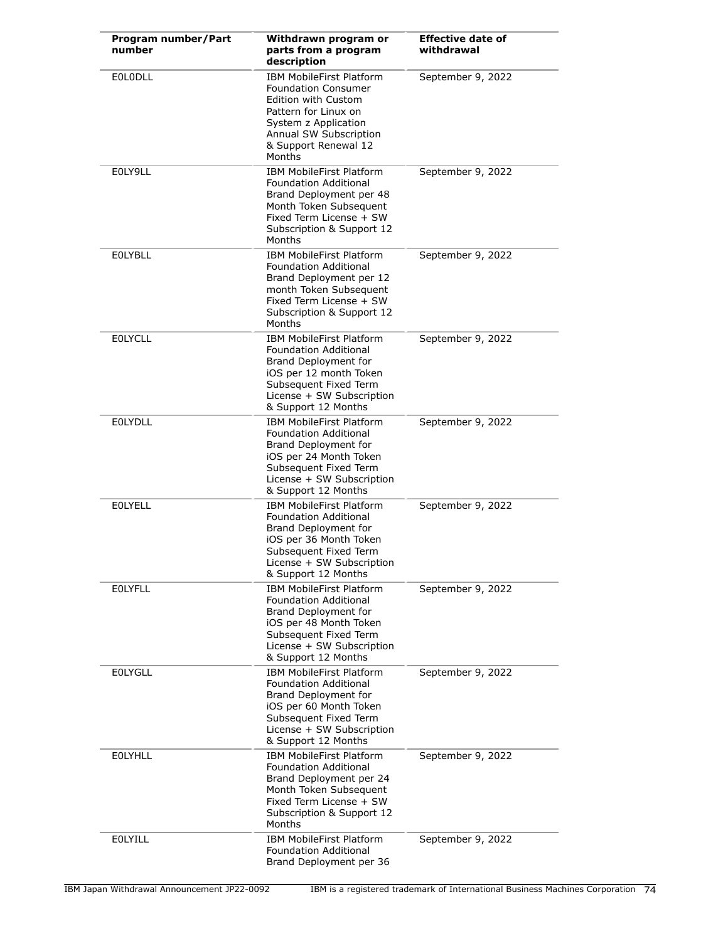| Program number/Part<br>number | Withdrawn program or<br>parts from a program<br>description                                                                                                                                             | <b>Effective date of</b><br>withdrawal |
|-------------------------------|---------------------------------------------------------------------------------------------------------------------------------------------------------------------------------------------------------|----------------------------------------|
| <b>EOLODLL</b>                | <b>IBM MobileFirst Platform</b><br><b>Foundation Consumer</b><br><b>Edition with Custom</b><br>Pattern for Linux on<br>System z Application<br>Annual SW Subscription<br>& Support Renewal 12<br>Months | September 9, 2022                      |
| E0LY9LL                       | <b>IBM MobileFirst Platform</b><br>Foundation Additional<br>Brand Deployment per 48<br>Month Token Subsequent<br>Fixed Term License + SW<br>Subscription & Support 12<br>Months                         | September 9, 2022                      |
| <b>EOLYBLL</b>                | <b>IBM MobileFirst Platform</b><br><b>Foundation Additional</b><br>Brand Deployment per 12<br>month Token Subsequent<br>Fixed Term License + SW<br>Subscription & Support 12<br>Months                  | September 9, 2022                      |
| <b>EOLYCLL</b>                | <b>IBM MobileFirst Platform</b><br><b>Foundation Additional</b><br>Brand Deployment for<br>iOS per 12 month Token<br>Subsequent Fixed Term<br>License + SW Subscription<br>& Support 12 Months          | September 9, 2022                      |
| <b>EOLYDLL</b>                | <b>IBM MobileFirst Platform</b><br>Foundation Additional<br>Brand Deployment for<br>iOS per 24 Month Token<br>Subsequent Fixed Term<br>License + SW Subscription<br>& Support 12 Months                 | September 9, 2022                      |
| <b>EOLYELL</b>                | <b>IBM MobileFirst Platform</b><br><b>Foundation Additional</b><br>Brand Deployment for<br>iOS per 36 Month Token<br>Subsequent Fixed Term<br>License + SW Subscription<br>& Support 12 Months          | September 9, 2022                      |
| <b>EOLYFLL</b>                | <b>IBM MobileFirst Platform</b><br><b>Foundation Additional</b><br>Brand Deployment for<br>iOS per 48 Month Token<br>Subsequent Fixed Term<br>License + SW Subscription<br>& Support 12 Months          | September 9, 2022                      |
| <b>EOLYGLL</b>                | <b>IBM MobileFirst Platform</b><br>Foundation Additional<br>Brand Deployment for<br>iOS per 60 Month Token<br>Subsequent Fixed Term<br>License + SW Subscription<br>& Support 12 Months                 | September 9, 2022                      |
| <b>EOLYHLL</b>                | IBM MobileFirst Platform<br><b>Foundation Additional</b><br>Brand Deployment per 24<br>Month Token Subsequent<br>Fixed Term License + SW<br>Subscription & Support 12<br>Months                         | September 9, 2022                      |
| <b>EOLYILL</b>                | IBM MobileFirst Platform<br><b>Foundation Additional</b><br>Brand Deployment per 36                                                                                                                     | September 9, 2022                      |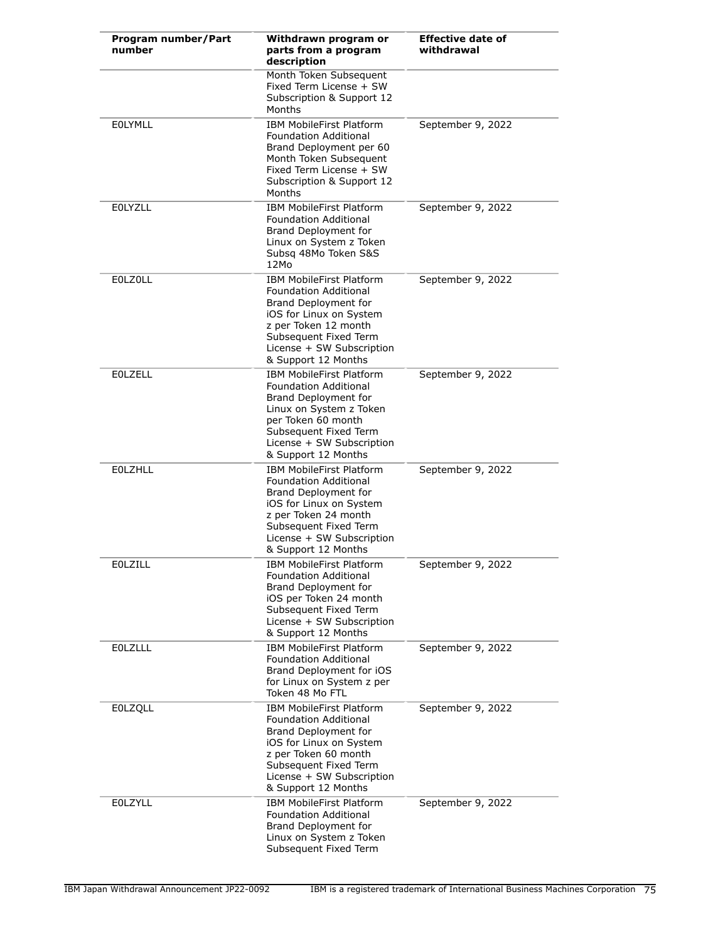| Program number/Part<br>number | Withdrawn program or<br>parts from a program<br>description                                                                                                                                                             | <b>Effective date of</b><br>withdrawal |
|-------------------------------|-------------------------------------------------------------------------------------------------------------------------------------------------------------------------------------------------------------------------|----------------------------------------|
|                               | Month Token Subsequent<br>Fixed Term License + SW<br>Subscription & Support 12<br>Months                                                                                                                                |                                        |
| <b>EOLYMLL</b>                | <b>IBM MobileFirst Platform</b><br><b>Foundation Additional</b><br>Brand Deployment per 60<br>Month Token Subsequent<br>Fixed Term License + SW<br>Subscription & Support 12<br>Months                                  | September 9, 2022                      |
| <b>EOLYZLL</b>                | <b>IBM MobileFirst Platform</b><br><b>Foundation Additional</b><br>Brand Deployment for<br>Linux on System z Token<br>Subsq 48Mo Token S&S<br>12Mo                                                                      | September 9, 2022                      |
| <b>EOLZOLL</b>                | <b>IBM MobileFirst Platform</b><br><b>Foundation Additional</b><br>Brand Deployment for<br>iOS for Linux on System<br>z per Token 12 month<br>Subsequent Fixed Term<br>License + SW Subscription<br>& Support 12 Months | September 9, 2022                      |
| <b>EOLZELL</b>                | <b>IBM MobileFirst Platform</b><br><b>Foundation Additional</b><br>Brand Deployment for<br>Linux on System z Token<br>per Token 60 month<br>Subsequent Fixed Term<br>License + SW Subscription<br>& Support 12 Months   | September 9, 2022                      |
| <b>EOLZHLL</b>                | <b>IBM MobileFirst Platform</b><br><b>Foundation Additional</b><br>Brand Deployment for<br>iOS for Linux on System<br>z per Token 24 month<br>Subsequent Fixed Term<br>License + SW Subscription<br>& Support 12 Months | September 9, 2022                      |
| EOLZILL                       | <b>IBM MobileFirst Platform</b><br><b>Foundation Additional</b><br>Brand Deployment for<br>iOS per Token 24 month<br>Subsequent Fixed Term<br>License + SW Subscription<br>& Support 12 Months                          | September 9, 2022                      |
| <b>EOLZLLL</b>                | <b>IBM MobileFirst Platform</b><br>Foundation Additional<br>Brand Deployment for iOS<br>for Linux on System z per<br>Token 48 Mo FTL                                                                                    | September 9, 2022                      |
| <b>EOLZQLL</b>                | IBM MobileFirst Platform<br><b>Foundation Additional</b><br>Brand Deployment for<br>iOS for Linux on System<br>z per Token 60 month<br>Subsequent Fixed Term<br>License + SW Subscription<br>& Support 12 Months        | September 9, 2022                      |
| <b>EOLZYLL</b>                | <b>IBM MobileFirst Platform</b><br>Foundation Additional<br>Brand Deployment for<br>Linux on System z Token<br>Subsequent Fixed Term                                                                                    | September 9, 2022                      |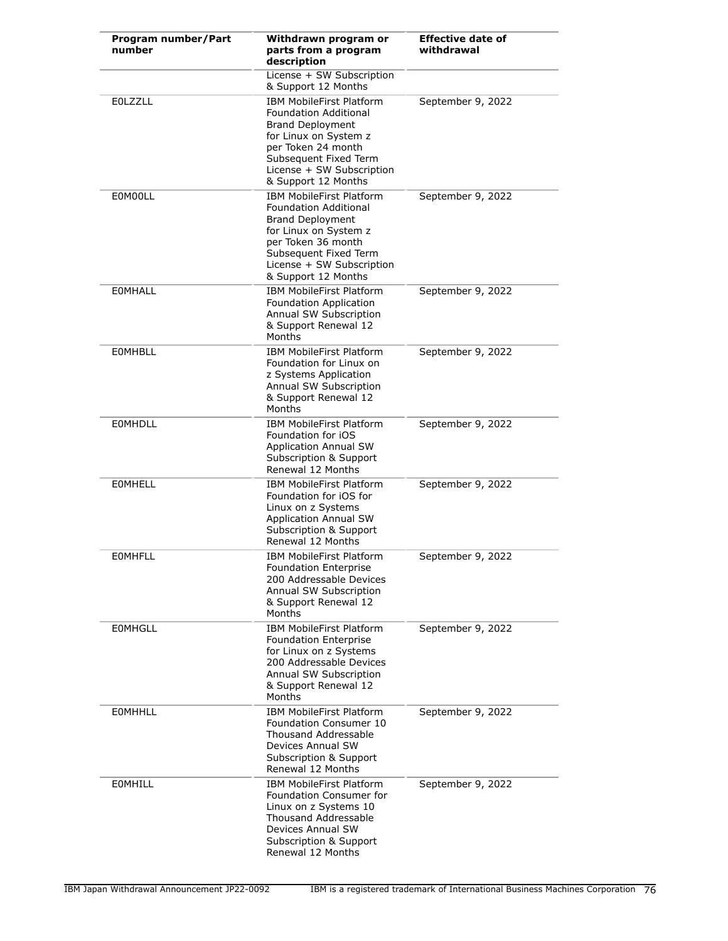| Program number/Part<br>number | Withdrawn program or<br>parts from a program<br>description                                                                                                                                                            | <b>Effective date of</b><br>withdrawal |
|-------------------------------|------------------------------------------------------------------------------------------------------------------------------------------------------------------------------------------------------------------------|----------------------------------------|
|                               | License + SW Subscription<br>& Support 12 Months                                                                                                                                                                       |                                        |
| <b>EOLZZLL</b>                | <b>IBM MobileFirst Platform</b><br>Foundation Additional<br><b>Brand Deployment</b><br>for Linux on System z<br>per Token 24 month<br>Subsequent Fixed Term<br>License + SW Subscription<br>& Support 12 Months        | September 9, 2022                      |
| E0M00LL                       | <b>IBM MobileFirst Platform</b><br><b>Foundation Additional</b><br><b>Brand Deployment</b><br>for Linux on System z<br>per Token 36 month<br>Subsequent Fixed Term<br>License + SW Subscription<br>& Support 12 Months | September 9, 2022                      |
| <b>EOMHALL</b>                | <b>IBM MobileFirst Platform</b><br>Foundation Application<br>Annual SW Subscription<br>& Support Renewal 12<br>Months                                                                                                  | September 9, 2022                      |
| <b>EOMHBLL</b>                | <b>IBM MobileFirst Platform</b><br>Foundation for Linux on<br>z Systems Application<br>Annual SW Subscription<br>& Support Renewal 12<br>Months                                                                        | September 9, 2022                      |
| <b>EOMHDLL</b>                | <b>IBM MobileFirst Platform</b><br>Foundation for iOS<br><b>Application Annual SW</b><br>Subscription & Support<br>Renewal 12 Months                                                                                   | September 9, 2022                      |
| <b>EOMHELL</b>                | <b>IBM MobileFirst Platform</b><br>Foundation for iOS for<br>Linux on z Systems<br><b>Application Annual SW</b><br>Subscription & Support<br>Renewal 12 Months                                                         | September 9, 2022                      |
| <b>EOMHFLL</b>                | <b>IBM MobileFirst Platform</b><br>Foundation Enterprise<br>200 Addressable Devices<br>Annual SW Subscription<br>& Support Renewal 12<br>Months                                                                        | September 9, 2022                      |
| <b>EOMHGLL</b>                | <b>IBM MobileFirst Platform</b><br><b>Foundation Enterprise</b><br>for Linux on z Systems<br>200 Addressable Devices<br>Annual SW Subscription<br>& Support Renewal 12<br>Months                                       | September 9, 2022                      |
| <b>EOMHHLL</b>                | <b>IBM MobileFirst Platform</b><br>Foundation Consumer 10<br><b>Thousand Addressable</b><br>Devices Annual SW<br>Subscription & Support<br>Renewal 12 Months                                                           | September 9, 2022                      |
| <b>EOMHILL</b>                | <b>IBM MobileFirst Platform</b><br>Foundation Consumer for<br>Linux on z Systems 10<br>Thousand Addressable<br>Devices Annual SW<br>Subscription & Support<br>Renewal 12 Months                                        | September 9, 2022                      |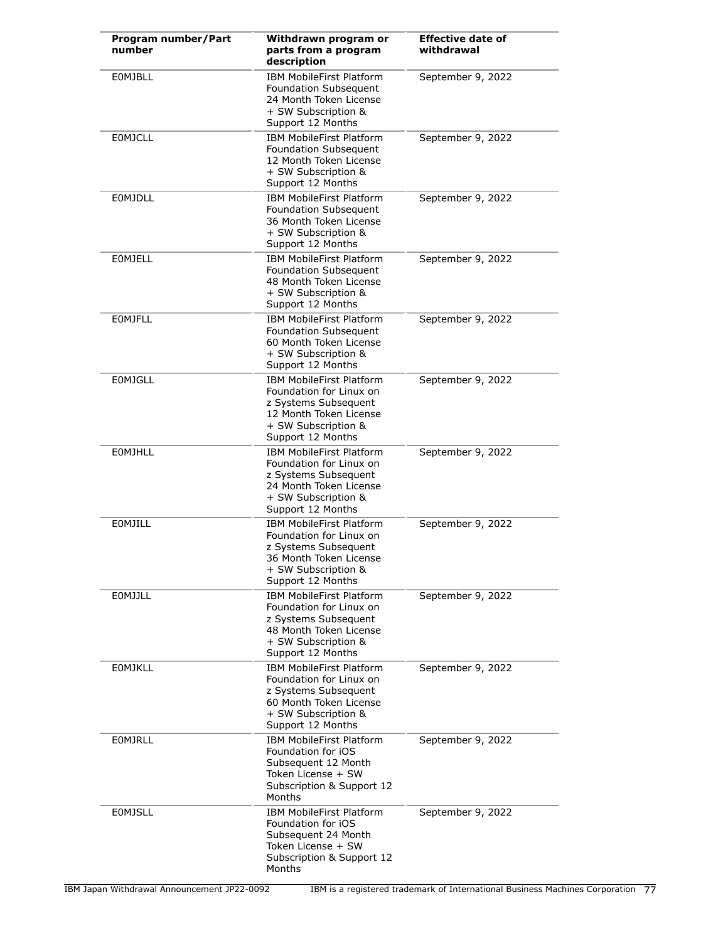| Program number/Part<br>number | Withdrawn program or<br>parts from a program<br>description                                                                                              | <b>Effective date of</b><br>withdrawal |
|-------------------------------|----------------------------------------------------------------------------------------------------------------------------------------------------------|----------------------------------------|
| <b>EOMJBLL</b>                | <b>IBM MobileFirst Platform</b><br>Foundation Subsequent<br>24 Month Token License<br>+ SW Subscription &<br>Support 12 Months                           | September 9, 2022                      |
| <b>EOMJCLL</b>                | IBM MobileFirst Platform<br><b>Foundation Subsequent</b><br>12 Month Token License<br>+ SW Subscription &<br>Support 12 Months                           | September 9, 2022                      |
| <b>EOMJDLL</b>                | <b>IBM MobileFirst Platform</b><br>Foundation Subsequent<br>36 Month Token License<br>+ SW Subscription &<br>Support 12 Months                           | September 9, 2022                      |
| <b>EOMJELL</b>                | <b>IBM MobileFirst Platform</b><br><b>Foundation Subsequent</b><br>48 Month Token License<br>+ SW Subscription &<br>Support 12 Months                    | September 9, 2022                      |
| <b>EOMJFLL</b>                | <b>IBM MobileFirst Platform</b><br>Foundation Subsequent<br>60 Month Token License<br>+ SW Subscription &<br>Support 12 Months                           | September 9, 2022                      |
| <b>EOMJGLL</b>                | <b>IBM MobileFirst Platform</b><br>Foundation for Linux on<br>z Systems Subsequent<br>12 Month Token License<br>+ SW Subscription &<br>Support 12 Months | September 9, 2022                      |
| <b>EOMJHLL</b>                | <b>IBM MobileFirst Platform</b><br>Foundation for Linux on<br>z Systems Subsequent<br>24 Month Token License<br>+ SW Subscription &<br>Support 12 Months | September 9, 2022                      |
| EOMJILL                       | <b>IBM MobileFirst Platform</b><br>Foundation for Linux on<br>z Systems Subsequent<br>36 Month Token License<br>+ SW Subscription &<br>Support 12 Months | September 9, 2022                      |
| <b>EOMJJLL</b>                | <b>IBM MobileFirst Platform</b><br>Foundation for Linux on<br>z Systems Subsequent<br>48 Month Token License<br>+ SW Subscription &<br>Support 12 Months | September 9, 2022                      |
| <b>EOMJKLL</b>                | <b>IBM MobileFirst Platform</b><br>Foundation for Linux on<br>z Systems Subsequent<br>60 Month Token License<br>+ SW Subscription &<br>Support 12 Months | September 9, 2022                      |
| <b>EOMJRLL</b>                | <b>IBM MobileFirst Platform</b><br>Foundation for iOS<br>Subsequent 12 Month<br>Token License + SW<br>Subscription & Support 12<br>Months                | September 9, 2022                      |
| <b>EOMJSLL</b>                | <b>IBM MobileFirst Platform</b><br>Foundation for iOS<br>Subsequent 24 Month<br>Token License + SW<br>Subscription & Support 12<br>Months                | September 9, 2022                      |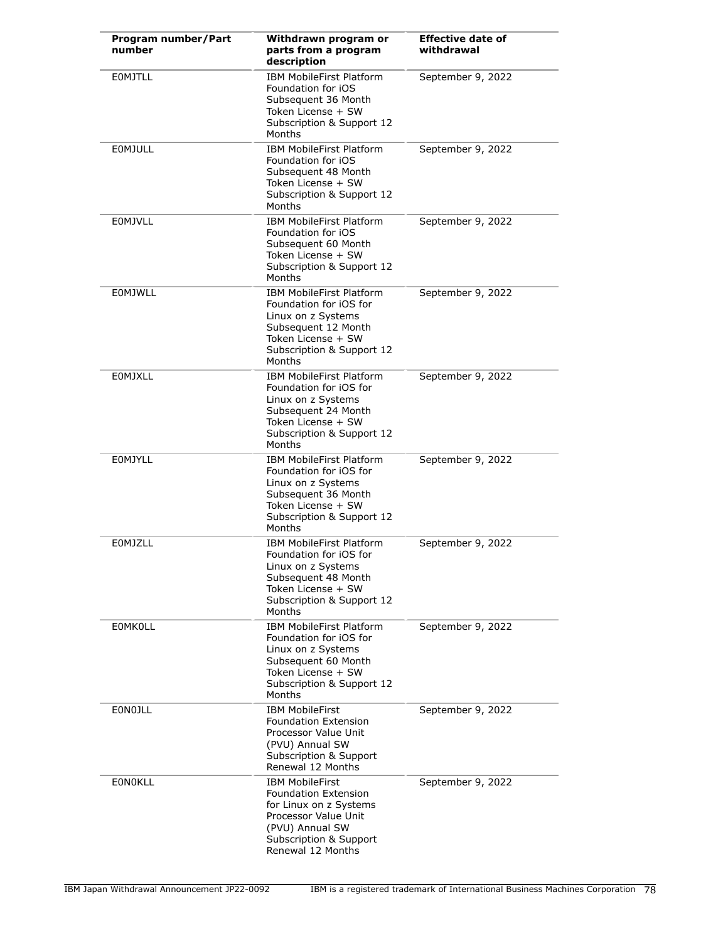| Program number/Part<br>number | Withdrawn program or<br>parts from a program<br>description                                                                                                               | <b>Effective date of</b><br>withdrawal |
|-------------------------------|---------------------------------------------------------------------------------------------------------------------------------------------------------------------------|----------------------------------------|
| <b>EOMJTLL</b>                | <b>IBM MobileFirst Platform</b><br>Foundation for iOS<br>Subsequent 36 Month<br>Token License + SW<br>Subscription & Support 12<br>Months                                 | September 9, 2022                      |
| <b>EOMJULL</b>                | <b>IBM MobileFirst Platform</b><br>Foundation for iOS<br>Subsequent 48 Month<br>Token License + SW<br>Subscription & Support 12<br>Months                                 | September 9, 2022                      |
| <b>EOMJVLL</b>                | <b>IBM MobileFirst Platform</b><br>Foundation for iOS<br>Subsequent 60 Month<br>Token License + SW<br>Subscription & Support 12<br>Months                                 | September 9, 2022                      |
| <b>EOMJWLL</b>                | <b>IBM MobileFirst Platform</b><br>Foundation for iOS for<br>Linux on z Systems<br>Subsequent 12 Month<br>Token License + SW<br>Subscription & Support 12<br>Months       | September 9, 2022                      |
| <b>EOMJXLL</b>                | <b>IBM MobileFirst Platform</b><br>Foundation for iOS for<br>Linux on z Systems<br>Subsequent 24 Month<br>Token License + SW<br>Subscription & Support 12<br>Months       | September 9, 2022                      |
| EOMJYLL                       | IBM MobileFirst Platform<br>Foundation for iOS for<br>Linux on z Systems<br>Subsequent 36 Month<br>Token License + SW<br>Subscription & Support 12<br>Months              | September 9, 2022                      |
| EOMJZLL                       | <b>IBM MobileFirst Platform</b><br>Foundation for iOS for<br>Linux on z Systems<br>Subsequent 48 Month<br>Token License + SW<br>Subscription & Support 12<br>Months       | September 9, 2022                      |
| <b>EOMKOLL</b>                | <b>IBM MobileFirst Platform</b><br>Foundation for iOS for<br>Linux on z Systems<br>Subsequent 60 Month<br>Token License + SW<br>Subscription & Support 12<br>Months       | September 9, 2022                      |
| EONOJLL                       | <b>IBM MobileFirst</b><br><b>Foundation Extension</b><br>Processor Value Unit<br>(PVU) Annual SW<br>Subscription & Support<br>Renewal 12 Months                           | September 9, 2022                      |
| <b>EONOKLL</b>                | <b>IBM MobileFirst</b><br><b>Foundation Extension</b><br>for Linux on z Systems<br>Processor Value Unit<br>(PVU) Annual SW<br>Subscription & Support<br>Renewal 12 Months | September 9, 2022                      |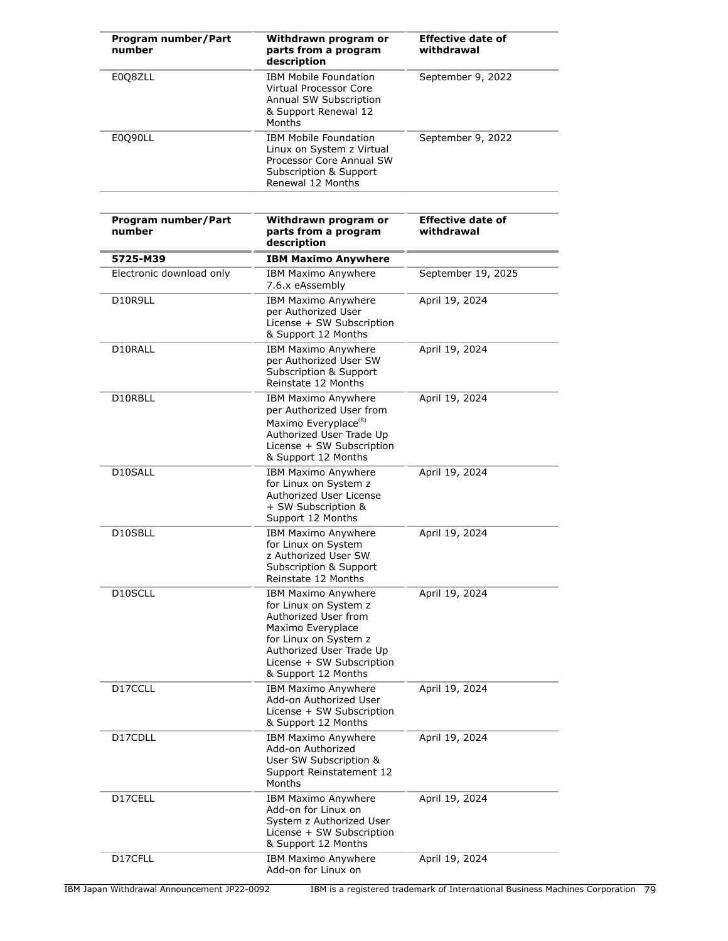| Program number/Part<br>number | Withdrawn program or<br>parts from a program<br>description                                                                                                                                               | <b>Effective date of</b><br>withdrawal |
|-------------------------------|-----------------------------------------------------------------------------------------------------------------------------------------------------------------------------------------------------------|----------------------------------------|
| E0Q8ZLL                       | <b>IBM Mobile Foundation</b><br><b>Virtual Processor Core</b><br>Annual SW Subscription<br>& Support Renewal 12<br>Months                                                                                 | September 9, 2022                      |
| E0Q90LL                       | <b>IBM Mobile Foundation</b><br>Linux on System z Virtual<br>Processor Core Annual SW<br>Subscription & Support<br>Renewal 12 Months                                                                      | September 9, 2022                      |
| Program number/Part<br>number | Withdrawn program or<br>parts from a program<br>description                                                                                                                                               | <b>Effective date of</b><br>withdrawal |
| 5725-M39                      | <b>IBM Maximo Anywhere</b>                                                                                                                                                                                |                                        |
| Electronic download only      | IBM Maximo Anywhere<br>7.6.x eAssembly                                                                                                                                                                    | September 19, 2025                     |
| D10R9LL                       | IBM Maximo Anywhere<br>per Authorized User<br>License + SW Subscription<br>& Support 12 Months                                                                                                            | April 19, 2024                         |
| D10RALL                       | IBM Maximo Anywhere<br>per Authorized User SW<br>Subscription & Support<br>Reinstate 12 Months                                                                                                            | April 19, 2024                         |
| D10RBLL                       | IBM Maximo Anywhere<br>per Authorized User from<br>Maximo Everyplace <sup>(R)</sup><br>Authorized User Trade Up<br>License + SW Subscription<br>& Support 12 Months                                       | April 19, 2024                         |
| D10SALL                       | IBM Maximo Anywhere<br>for Linux on System z<br>Authorized User License<br>+ SW Subscription &<br>Support 12 Months                                                                                       | April 19, 2024                         |
| D10SBLL                       | IBM Maximo Anywhere<br>for Linux on System<br>z Authorized User SW<br>Subscription & Support<br>Reinstate 12 Months                                                                                       | April 19, 2024                         |
| D <sub>10</sub> SCLL          | <b>IBM Maximo Anywhere</b><br>for Linux on System z<br>Authorized User from<br>Maximo Everyplace<br>for Linux on System z<br>Authorized User Trade Up<br>License + SW Subscription<br>& Support 12 Months | April 19, 2024                         |
| D17CCLL                       | IBM Maximo Anywhere<br>Add-on Authorized User<br>License + SW Subscription<br>& Support 12 Months                                                                                                         | April 19, 2024                         |
| D17CDLL                       | <b>IBM Maximo Anywhere</b><br>Add-on Authorized<br>User SW Subscription &<br>Support Reinstatement 12<br>Months                                                                                           | April 19, 2024                         |
| D17CELL                       | <b>IBM Maximo Anywhere</b><br>Add-on for Linux on<br>System z Authorized User<br>License + SW Subscription<br>& Support 12 Months                                                                         | April 19, 2024                         |
| D17CFLL                       | IBM Maximo Anywhere<br>Add-on for Linux on                                                                                                                                                                | April 19, 2024                         |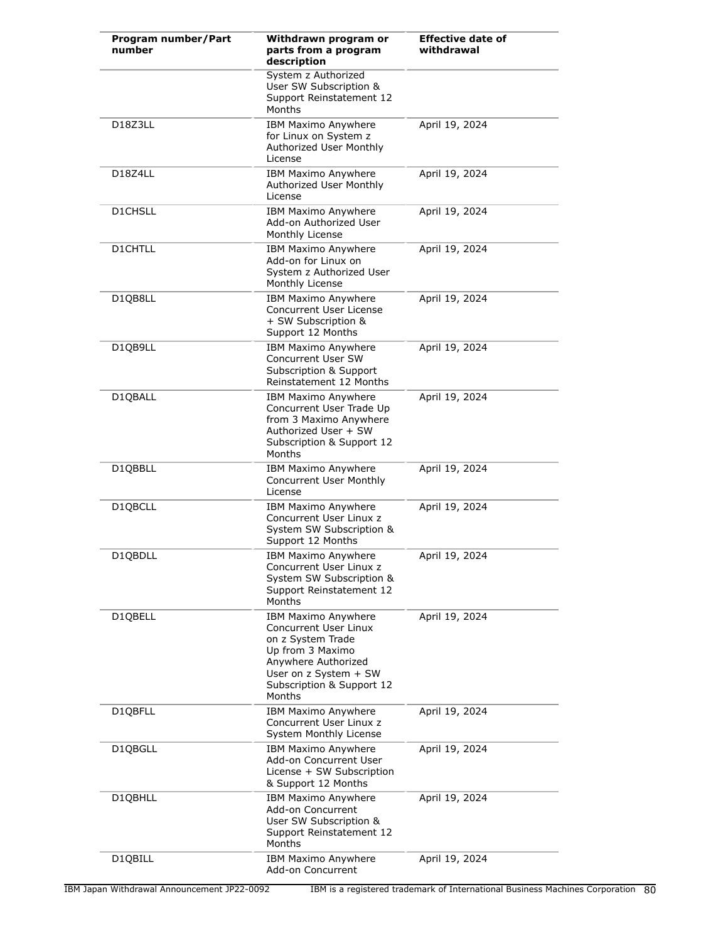| Program number/Part<br>number     | Withdrawn program or<br>parts from a program<br>description                                                                                                                         | <b>Effective date of</b><br>withdrawal |
|-----------------------------------|-------------------------------------------------------------------------------------------------------------------------------------------------------------------------------------|----------------------------------------|
|                                   | System z Authorized<br>User SW Subscription &<br>Support Reinstatement 12<br>Months                                                                                                 |                                        |
| D18Z3LL                           | IBM Maximo Anywhere<br>for Linux on System z<br>Authorized User Monthly<br>License                                                                                                  | April 19, 2024                         |
| D <sub>18</sub> Z <sub>4</sub> LL | <b>IBM Maximo Anywhere</b><br>Authorized User Monthly<br>License                                                                                                                    | April 19, 2024                         |
| D1CHSLL                           | IBM Maximo Anywhere<br>Add-on Authorized User<br>Monthly License                                                                                                                    | April 19, 2024                         |
| <b>D1CHTLL</b>                    | IBM Maximo Anywhere<br>Add-on for Linux on<br>System z Authorized User<br>Monthly License                                                                                           | April 19, 2024                         |
| D1QB8LL                           | IBM Maximo Anywhere<br>Concurrent User License<br>+ SW Subscription &<br>Support 12 Months                                                                                          | April 19, 2024                         |
| D1QB9LL                           | IBM Maximo Anywhere<br>Concurrent User SW<br>Subscription & Support<br>Reinstatement 12 Months                                                                                      | April 19, 2024                         |
| D1QBALL                           | IBM Maximo Anywhere<br>Concurrent User Trade Up<br>from 3 Maximo Anywhere<br>Authorized User + SW<br>Subscription & Support 12<br>Months                                            | April 19, 2024                         |
| D1QBBLL                           | IBM Maximo Anywhere<br>Concurrent User Monthly<br>License                                                                                                                           | April 19, 2024                         |
| D1QBCLL                           | <b>IBM Maximo Anywhere</b><br>Concurrent User Linux z<br>System SW Subscription &<br>Support 12 Months                                                                              | April 19, 2024                         |
| D1QBDLL                           | IBM Maximo Anywhere<br>Concurrent User Linux z<br>System SW Subscription &<br>Support Reinstatement 12<br>Months                                                                    | April 19, 2024                         |
| D1QBELL                           | IBM Maximo Anywhere<br><b>Concurrent User Linux</b><br>on z System Trade<br>Up from 3 Maximo<br>Anywhere Authorized<br>User on z System + SW<br>Subscription & Support 12<br>Months | April 19, 2024                         |
| D1QBFLL                           | IBM Maximo Anywhere<br>Concurrent User Linux z<br>System Monthly License                                                                                                            | April 19, 2024                         |
| D1QBGLL                           | IBM Maximo Anywhere<br>Add-on Concurrent User<br>License + SW Subscription<br>& Support 12 Months                                                                                   | April 19, 2024                         |
| D1QBHLL                           | IBM Maximo Anywhere<br>Add-on Concurrent<br>User SW Subscription &<br>Support Reinstatement 12<br>Months                                                                            | April 19, 2024                         |
| D1QBILL                           | IBM Maximo Anywhere<br>Add-on Concurrent                                                                                                                                            | April 19, 2024                         |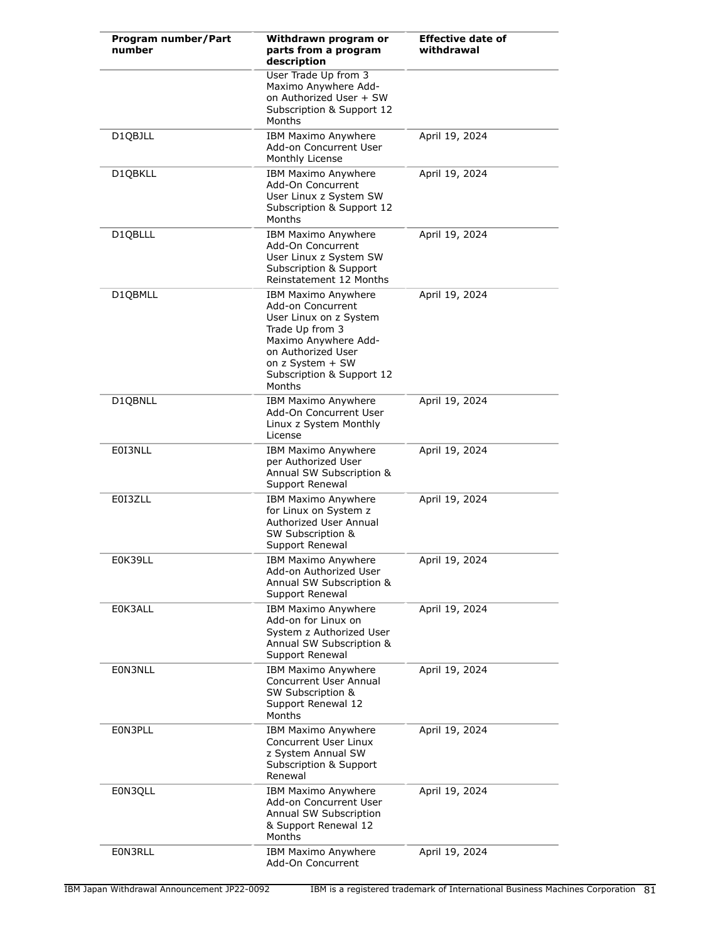| Program number/Part<br>number | Withdrawn program or<br>parts from a program<br>description                                                                                                                                    | <b>Effective date of</b><br>withdrawal |
|-------------------------------|------------------------------------------------------------------------------------------------------------------------------------------------------------------------------------------------|----------------------------------------|
|                               | User Trade Up from 3<br>Maximo Anywhere Add-<br>on Authorized User + SW<br>Subscription & Support 12<br>Months                                                                                 |                                        |
| D1QBJLL                       | <b>IBM Maximo Anywhere</b><br>Add-on Concurrent User<br>Monthly License                                                                                                                        | April 19, 2024                         |
| D1QBKLL                       | IBM Maximo Anywhere<br>Add-On Concurrent<br>User Linux z System SW<br>Subscription & Support 12<br>Months                                                                                      | April 19, 2024                         |
| D1QBLLL                       | IBM Maximo Anywhere<br>Add-On Concurrent<br>User Linux z System SW<br>Subscription & Support<br>Reinstatement 12 Months                                                                        | April 19, 2024                         |
| D1QBMLL                       | IBM Maximo Anywhere<br>Add-on Concurrent<br>User Linux on z System<br>Trade Up from 3<br>Maximo Anywhere Add-<br>on Authorized User<br>on z System + SW<br>Subscription & Support 12<br>Months | April 19, 2024                         |
| D1QBNLL                       | IBM Maximo Anywhere<br>Add-On Concurrent User<br>Linux z System Monthly<br>License                                                                                                             | April 19, 2024                         |
| E0I3NLL                       | IBM Maximo Anywhere<br>per Authorized User<br>Annual SW Subscription &<br>Support Renewal                                                                                                      | April 19, 2024                         |
| E0I3ZLL                       | IBM Maximo Anywhere<br>for Linux on System z<br>Authorized User Annual<br>SW Subscription &<br>Support Renewal                                                                                 | April 19, 2024                         |
| E0K39LL                       | <b>IBM Maximo Anywhere</b><br>Add-on Authorized User<br>Annual SW Subscription &<br>Support Renewal                                                                                            | April 19, 2024                         |
| E0K3ALL                       | IBM Maximo Anywhere<br>Add-on for Linux on<br>System z Authorized User<br>Annual SW Subscription &<br>Support Renewal                                                                          | April 19, 2024                         |
| E0N3NLL                       | IBM Maximo Anywhere<br>Concurrent User Annual<br>SW Subscription &<br>Support Renewal 12<br>Months                                                                                             | April 19, 2024                         |
| E0N3PLL                       | IBM Maximo Anywhere<br>Concurrent User Linux<br>z System Annual SW<br>Subscription & Support<br>Renewal                                                                                        | April 19, 2024                         |
| E0N3QLL                       | <b>IBM Maximo Anywhere</b><br>Add-on Concurrent User<br>Annual SW Subscription<br>& Support Renewal 12<br>Months                                                                               | April 19, 2024                         |
| E0N3RLL                       | IBM Maximo Anywhere<br>Add-On Concurrent                                                                                                                                                       | April 19, 2024                         |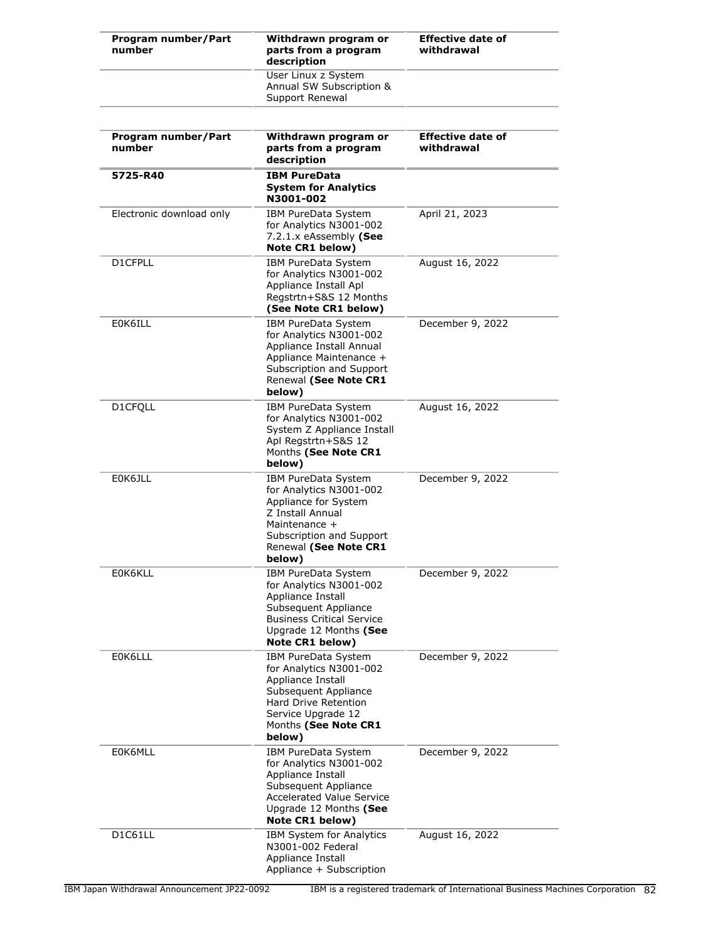| Program number/Part<br>number | Withdrawn program or<br>parts from a program<br>description                                                                                                                  | <b>Effective date of</b><br>withdrawal |
|-------------------------------|------------------------------------------------------------------------------------------------------------------------------------------------------------------------------|----------------------------------------|
|                               | User Linux z System<br>Annual SW Subscription &<br>Support Renewal                                                                                                           |                                        |
| Program number/Part<br>number | Withdrawn program or<br>parts from a program<br>description                                                                                                                  | <b>Effective date of</b><br>withdrawal |
| 5725-R40                      | <b>IBM PureData</b><br><b>System for Analytics</b><br>N3001-002                                                                                                              |                                        |
| Electronic download only      | IBM PureData System<br>for Analytics N3001-002<br>7.2.1. $x$ eAssembly (See<br>Note CR1 below)                                                                               | April 21, 2023                         |
| D1CFPLL                       | IBM PureData System<br>for Analytics N3001-002<br>Appliance Install Apl<br>Regstrtn+S&S 12 Months<br>(See Note CR1 below)                                                    | August 16, 2022                        |
| E0K6ILL                       | IBM PureData System<br>for Analytics N3001-002<br>Appliance Install Annual<br>Appliance Maintenance +<br>Subscription and Support<br>Renewal (See Note CR1<br>below)         | December 9, 2022                       |
| D1CFQLL                       | IBM PureData System<br>for Analytics N3001-002<br>System Z Appliance Install<br>Apl Regstrtn+S&S 12<br>Months (See Note CR1<br>below)                                        | August 16, 2022                        |
| E0K6JLL                       | IBM PureData System<br>for Analytics N3001-002<br>Appliance for System<br>Z Install Annual<br>Maintenance +<br>Subscription and Support<br>Renewal (See Note CR1<br>below)   | December 9, 2022                       |
| E0K6KLL                       | IBM PureData System<br>for Analytics N3001-002<br>Appliance Install<br>Subsequent Appliance<br><b>Business Critical Service</b><br>Upgrade 12 Months (See<br>Note CR1 below) | December 9, 2022                       |
| E0K6LLL                       | IBM PureData System<br>for Analytics N3001-002<br>Appliance Install<br>Subsequent Appliance<br>Hard Drive Retention<br>Service Upgrade 12<br>Months (See Note CR1<br>below)  | December 9, 2022                       |
| E0K6MLL                       | IBM PureData System<br>for Analytics N3001-002<br>Appliance Install<br>Subsequent Appliance<br><b>Accelerated Value Service</b><br>Upgrade 12 Months (See<br>Note CR1 below) | December 9, 2022                       |
| D1C61LL                       | <b>IBM System for Analytics</b><br>N3001-002 Federal<br>Appliance Install<br>Appliance + Subscription                                                                        | August 16, 2022                        |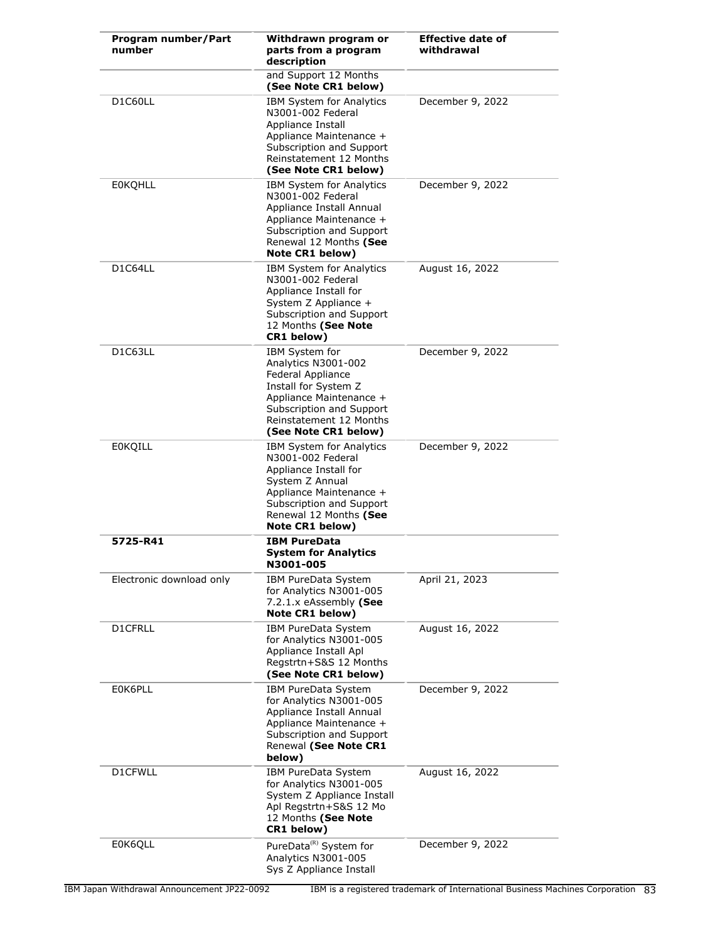| Program number/Part<br>number     | Withdrawn program or<br>parts from a program<br>description                                                                                                                                          | <b>Effective date of</b><br>withdrawal |
|-----------------------------------|------------------------------------------------------------------------------------------------------------------------------------------------------------------------------------------------------|----------------------------------------|
|                                   | and Support 12 Months<br>(See Note CR1 below)                                                                                                                                                        |                                        |
| D1C60LL                           | <b>IBM System for Analytics</b><br>N3001-002 Federal<br>Appliance Install<br>Appliance Maintenance +<br>Subscription and Support<br>Reinstatement 12 Months<br>(See Note CR1 below)                  | December 9, 2022                       |
| <b>EOKOHLL</b>                    | <b>IBM System for Analytics</b><br>N3001-002 Federal<br>Appliance Install Annual<br>Appliance Maintenance +<br>Subscription and Support<br>Renewal 12 Months (See<br>Note CR1 below)                 | December 9, 2022                       |
| D1C64LL                           | <b>IBM System for Analytics</b><br>N3001-002 Federal<br>Appliance Install for<br>System Z Appliance +<br>Subscription and Support<br>12 Months (See Note<br>CR1 below)                               | August 16, 2022                        |
| D <sub>1</sub> C <sub>63</sub> LL | IBM System for<br>Analytics N3001-002<br>Federal Appliance<br>Install for System Z<br>Appliance Maintenance +<br>Subscription and Support<br>Reinstatement 12 Months<br>(See Note CR1 below)         | December 9, 2022                       |
| <b>E0KQILL</b>                    | <b>IBM System for Analytics</b><br>N3001-002 Federal<br>Appliance Install for<br>System Z Annual<br>Appliance Maintenance +<br>Subscription and Support<br>Renewal 12 Months (See<br>Note CR1 below) | December 9, 2022                       |
| 5725-R41                          | <b>IBM PureData</b><br><b>System for Analytics</b><br>N3001-005                                                                                                                                      |                                        |
| Electronic download only          | IBM PureData System<br>for Analytics N3001-005<br>7.2.1.x eAssembly (See<br>Note CR1 below)                                                                                                          | April 21, 2023                         |
| D1CFRLL                           | IBM PureData System<br>for Analytics N3001-005<br>Appliance Install Apl<br>Regstrtn+S&S 12 Months<br>(See Note CR1 below)                                                                            | August 16, 2022                        |
| E0K6PLL                           | <b>IBM PureData System</b><br>for Analytics N3001-005<br>Appliance Install Annual<br>Appliance Maintenance +<br>Subscription and Support<br>Renewal (See Note CR1<br>below)                          | December 9, 2022                       |
| D1CFWLL                           | IBM PureData System<br>for Analytics N3001-005<br>System Z Appliance Install<br>Apl Regstrtn+S&S 12 Mo<br>12 Months (See Note<br>CR1 below)                                                          | August 16, 2022                        |
| E0K6QLL                           | PureData <sup>(R)</sup> System for<br>Analytics N3001-005<br>Sys Z Appliance Install                                                                                                                 | December 9, 2022                       |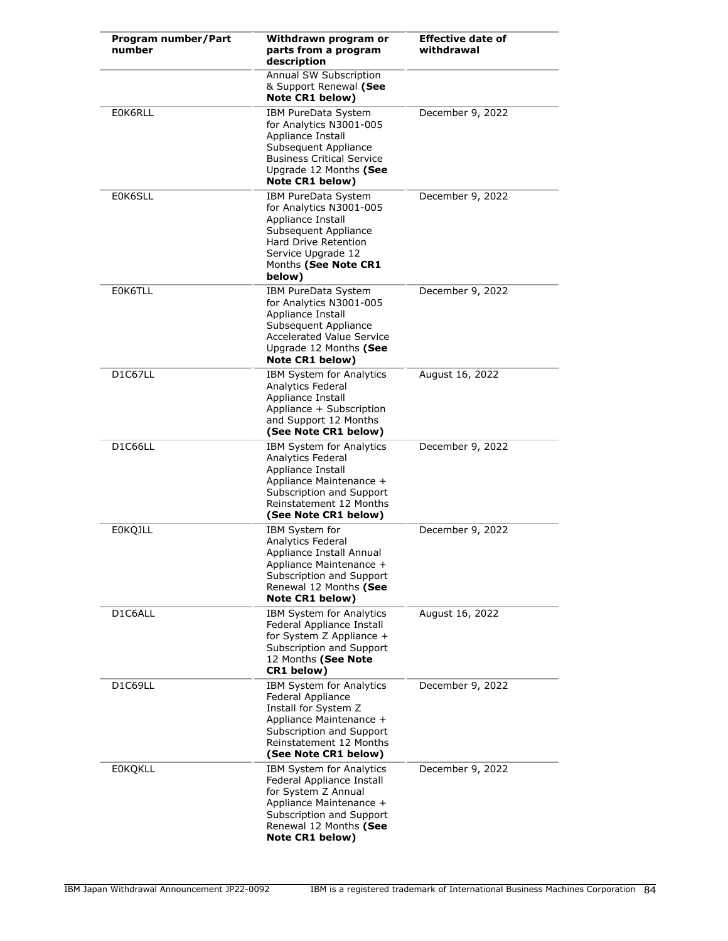| Program number/Part<br>number | Withdrawn program or<br>parts from a program<br>description                                                                                                                         | <b>Effective date of</b><br>withdrawal |
|-------------------------------|-------------------------------------------------------------------------------------------------------------------------------------------------------------------------------------|----------------------------------------|
|                               | Annual SW Subscription<br>& Support Renewal (See<br>Note CR1 below)                                                                                                                 |                                        |
| E0K6RLL                       | IBM PureData System<br>for Analytics N3001-005<br>Appliance Install<br>Subsequent Appliance<br><b>Business Critical Service</b><br>Upgrade 12 Months (See<br>Note CR1 below)        | December 9, 2022                       |
| E0K6SLL                       | IBM PureData System<br>for Analytics N3001-005<br>Appliance Install<br>Subsequent Appliance<br><b>Hard Drive Retention</b><br>Service Upgrade 12<br>Months (See Note CR1<br>below)  | December 9, 2022                       |
| E0K6TLL                       | <b>IBM PureData System</b><br>for Analytics N3001-005<br>Appliance Install<br>Subsequent Appliance<br><b>Accelerated Value Service</b><br>Upgrade 12 Months (See<br>Note CR1 below) | December 9, 2022                       |
| D1C67LL                       | IBM System for Analytics<br>Analytics Federal<br>Appliance Install<br>Appliance + Subscription<br>and Support 12 Months<br>(See Note CR1 below)                                     | August 16, 2022                        |
| D1C66LL                       | IBM System for Analytics<br>Analytics Federal<br>Appliance Install<br>Appliance Maintenance +<br>Subscription and Support<br>Reinstatement 12 Months<br>(See Note CR1 below)        | December 9, 2022                       |
| <b>EOKQJLL</b>                | IBM System for<br>Analytics Federal<br>Appliance Install Annual<br>Appliance Maintenance +<br>Subscription and Support<br>Renewal 12 Months (See<br>Note CR1 below)                 | December 9, 2022                       |
| D1C6ALL                       | IBM System for Analytics<br>Federal Appliance Install<br>for System Z Appliance +<br>Subscription and Support<br>12 Months (See Note<br>CR1 below)                                  | August 16, 2022                        |
| D1C69LL                       | IBM System for Analytics<br>Federal Appliance<br>Install for System Z<br>Appliance Maintenance +<br>Subscription and Support<br>Reinstatement 12 Months<br>(See Note CR1 below)     | December 9, 2022                       |
| <b>EOKQKLL</b>                | IBM System for Analytics<br>Federal Appliance Install<br>for System Z Annual<br>Appliance Maintenance +<br>Subscription and Support<br>Renewal 12 Months (See<br>Note CR1 below)    | December 9, 2022                       |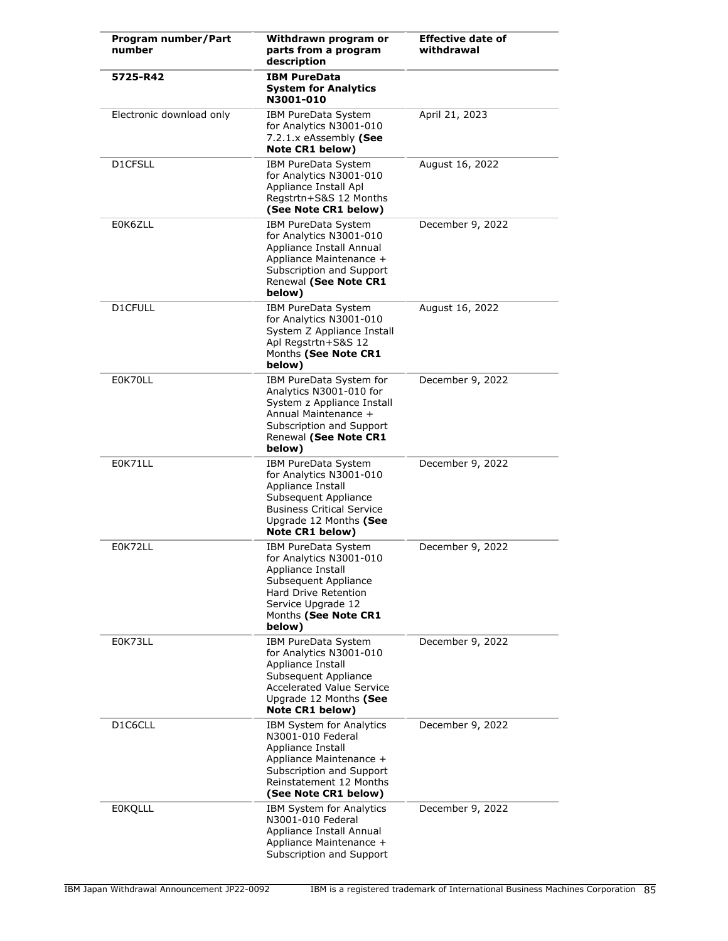| Program number/Part<br>number     | Withdrawn program or<br>parts from a program<br>description                                                                                                                         | <b>Effective date of</b><br>withdrawal |
|-----------------------------------|-------------------------------------------------------------------------------------------------------------------------------------------------------------------------------------|----------------------------------------|
| 5725-R42                          | <b>IBM PureData</b><br><b>System for Analytics</b><br>N3001-010                                                                                                                     |                                        |
| Electronic download only          | IBM PureData System<br>for Analytics N3001-010<br>7.2.1.x eAssembly (See<br>Note CR1 below)                                                                                         | April 21, 2023                         |
| D1CFSLL                           | IBM PureData System<br>for Analytics N3001-010<br>Appliance Install Apl<br>Regstrtn+S&S 12 Months<br>(See Note CR1 below)                                                           | August 16, 2022                        |
| E0K6ZLL                           | IBM PureData System<br>for Analytics N3001-010<br>Appliance Install Annual<br>Appliance Maintenance +<br>Subscription and Support<br>Renewal (See Note CR1<br>below)                | December 9, 2022                       |
| D1CFULL                           | IBM PureData System<br>for Analytics N3001-010<br>System Z Appliance Install<br>Apl Regstrtn+S&S 12<br>Months (See Note CR1<br>below)                                               | August 16, 2022                        |
| E0K70LL                           | IBM PureData System for<br>Analytics N3001-010 for<br>System z Appliance Install<br>Annual Maintenance +<br>Subscription and Support<br>Renewal (See Note CR1<br>below)             | December 9, 2022                       |
| E0K71LL                           | IBM PureData System<br>for Analytics N3001-010<br>Appliance Install<br>Subsequent Appliance<br><b>Business Critical Service</b><br>Upgrade 12 Months (See<br>Note CR1 below)        | December 9, 2022                       |
| E0K72LL                           | IBM PureData System<br>for Analytics N3001-010<br>Appliance Install<br>Subsequent Appliance<br>Hard Drive Retention<br>Service Upgrade 12<br>Months (See Note CR1<br>below)         | December 9, 2022                       |
| E0K73LL                           | IBM PureData System<br>for Analytics N3001-010<br>Appliance Install<br>Subsequent Appliance<br><b>Accelerated Value Service</b><br>Upgrade 12 Months (See<br>Note CR1 below)        | December 9, 2022                       |
| D <sub>1</sub> C <sub>6</sub> CLL | <b>IBM System for Analytics</b><br>N3001-010 Federal<br>Appliance Install<br>Appliance Maintenance +<br>Subscription and Support<br>Reinstatement 12 Months<br>(See Note CR1 below) | December 9, 2022                       |
| <b>EOKQLLL</b>                    | <b>IBM System for Analytics</b><br>N3001-010 Federal<br>Appliance Install Annual<br>Appliance Maintenance +<br>Subscription and Support                                             | December 9, 2022                       |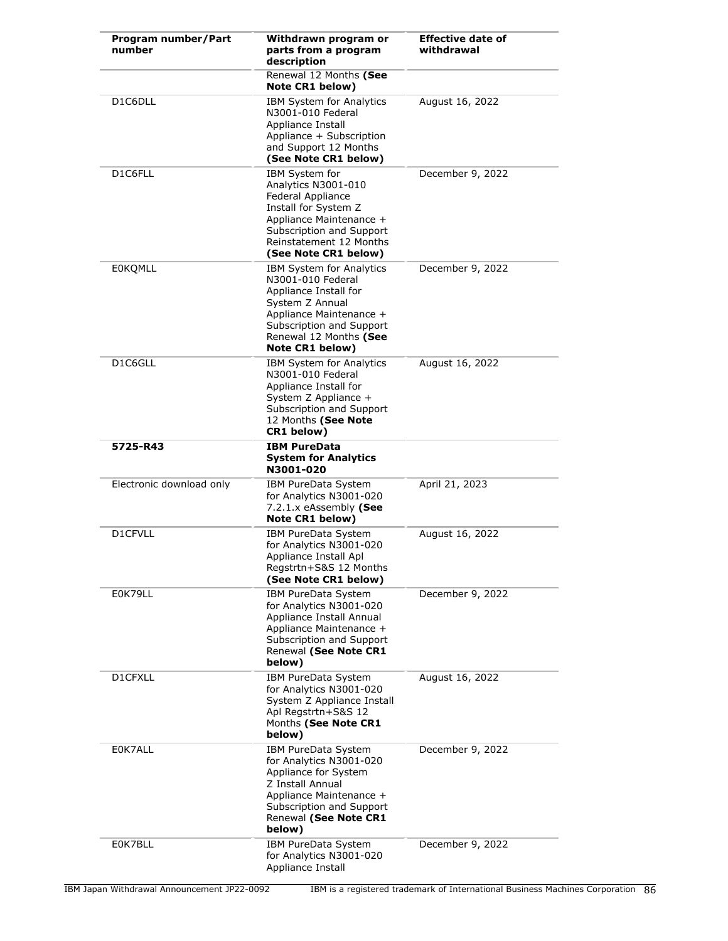| Program number/Part<br>number | Withdrawn program or<br>parts from a program<br>description                                                                                                                                          | <b>Effective date of</b><br>withdrawal |
|-------------------------------|------------------------------------------------------------------------------------------------------------------------------------------------------------------------------------------------------|----------------------------------------|
|                               | Renewal 12 Months (See<br>Note CR1 below)                                                                                                                                                            |                                        |
| D1C6DLL                       | <b>IBM System for Analytics</b><br>N3001-010 Federal<br>Appliance Install<br>Appliance + Subscription<br>and Support 12 Months<br>(See Note CR1 below)                                               | August 16, 2022                        |
| D1C6FLL                       | IBM System for<br>Analytics N3001-010<br>Federal Appliance<br>Install for System Z<br>Appliance Maintenance +<br>Subscription and Support<br>Reinstatement 12 Months<br>(See Note CR1 below)         | December 9, 2022                       |
| <b>EOKOMLL</b>                | <b>IBM System for Analytics</b><br>N3001-010 Federal<br>Appliance Install for<br>System Z Annual<br>Appliance Maintenance +<br>Subscription and Support<br>Renewal 12 Months (See<br>Note CR1 below) | December 9, 2022                       |
| D1C6GLL                       | IBM System for Analytics<br>N3001-010 Federal<br>Appliance Install for<br>System Z Appliance +<br>Subscription and Support<br>12 Months (See Note<br>CR1 below)                                      | August 16, 2022                        |
| 5725-R43                      | <b>IBM PureData</b><br><b>System for Analytics</b><br>N3001-020                                                                                                                                      |                                        |
| Electronic download only      | IBM PureData System<br>for Analytics N3001-020<br>7.2.1.x eAssembly (See<br>Note CR1 below)                                                                                                          | April 21, 2023                         |
| D1CFVLL                       | IBM PureData System<br>for Analytics N3001-020<br>Appliance Install Apl<br>Regstrtn+S&S 12 Months<br>(See Note CR1 below)                                                                            | August 16, 2022                        |
| E0K79LL                       | IBM PureData System<br>for Analytics N3001-020<br>Appliance Install Annual<br>Appliance Maintenance +<br>Subscription and Support<br>Renewal (See Note CR1<br>below)                                 | December 9, 2022                       |
| D1CFXLL                       | IBM PureData System<br>for Analytics N3001-020<br>System Z Appliance Install<br>Apl Regstrtn+S&S 12<br>Months (See Note CR1<br>below)                                                                | August 16, 2022                        |
| E0K7ALL                       | IBM PureData System<br>for Analytics N3001-020<br>Appliance for System<br>Z Install Annual<br>Appliance Maintenance +<br>Subscription and Support<br>Renewal (See Note CR1<br>below)                 | December 9, 2022                       |
| E0K7BLL                       | IBM PureData System<br>for Analytics N3001-020<br>Appliance Install                                                                                                                                  | December 9, 2022                       |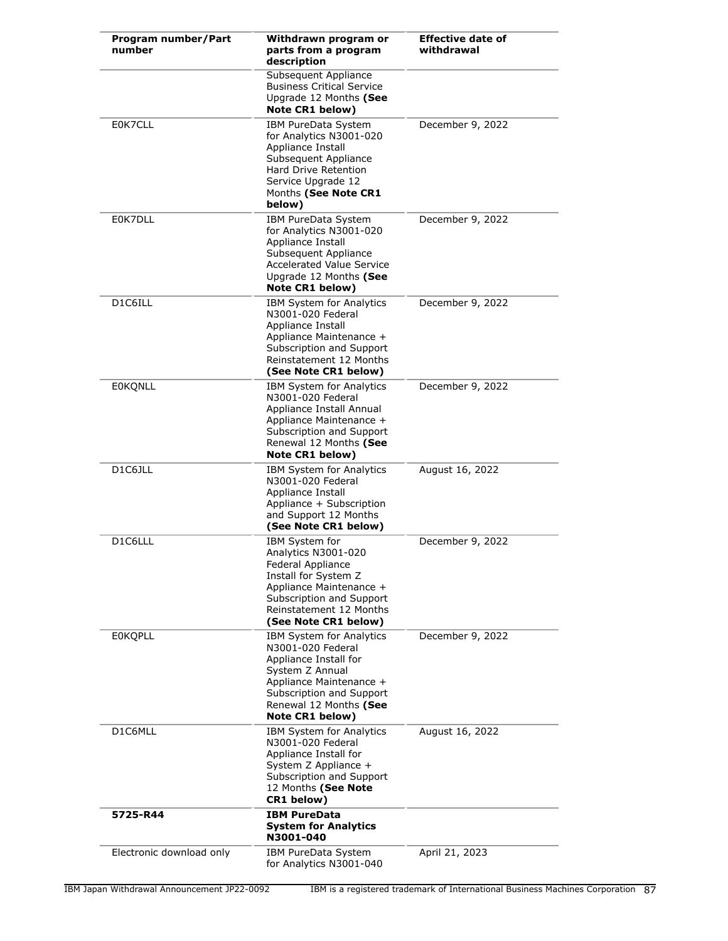| Program number/Part<br>number | Withdrawn program or<br>parts from a program<br>description                                                                                                                                          | <b>Effective date of</b><br>withdrawal |
|-------------------------------|------------------------------------------------------------------------------------------------------------------------------------------------------------------------------------------------------|----------------------------------------|
|                               | Subsequent Appliance<br><b>Business Critical Service</b><br>Upgrade 12 Months (See<br>Note CR1 below)                                                                                                |                                        |
| E0K7CLL                       | IBM PureData System<br>for Analytics N3001-020<br>Appliance Install<br>Subsequent Appliance<br><b>Hard Drive Retention</b><br>Service Upgrade 12<br>Months (See Note CR1<br>below)                   | December 9, 2022                       |
| E0K7DLL                       | IBM PureData System<br>for Analytics N3001-020<br>Appliance Install<br>Subsequent Appliance<br><b>Accelerated Value Service</b><br>Upgrade 12 Months (See<br><b>Note CR1 below)</b>                  | December 9, 2022                       |
| D1C6ILL                       | IBM System for Analytics<br>N3001-020 Federal<br>Appliance Install<br>Appliance Maintenance +<br>Subscription and Support<br>Reinstatement 12 Months<br>(See Note CR1 below)                         | December 9, 2022                       |
| <b>EOKQNLL</b>                | IBM System for Analytics<br>N3001-020 Federal<br>Appliance Install Annual<br>Appliance Maintenance +<br>Subscription and Support<br>Renewal 12 Months (See<br>Note CR1 below)                        | December 9, 2022                       |
| D1C6JLL                       | IBM System for Analytics<br>N3001-020 Federal<br>Appliance Install<br>Appliance + Subscription<br>and Support 12 Months<br>(See Note CR1 below)                                                      | August 16, 2022                        |
| D1C6LLL                       | IBM System for<br>Analytics N3001-020<br>Federal Appliance<br>Install for System Z<br>Appliance Maintenance +<br>Subscription and Support<br>Reinstatement 12 Months<br>(See Note CR1 below)         | December 9, 2022                       |
| <b>EOKOPLL</b>                | <b>IBM System for Analytics</b><br>N3001-020 Federal<br>Appliance Install for<br>System Z Annual<br>Appliance Maintenance +<br>Subscription and Support<br>Renewal 12 Months (See<br>Note CR1 below) | December 9, 2022                       |
| D1C6MLL                       | <b>IBM System for Analytics</b><br>N3001-020 Federal<br>Appliance Install for<br>System Z Appliance +<br>Subscription and Support<br>12 Months (See Note<br>CR1 below)                               | August 16, 2022                        |
| 5725-R44                      | <b>IBM PureData</b><br><b>System for Analytics</b><br>N3001-040                                                                                                                                      |                                        |
| Electronic download only      | IBM PureData System<br>for Analytics N3001-040                                                                                                                                                       | April 21, 2023                         |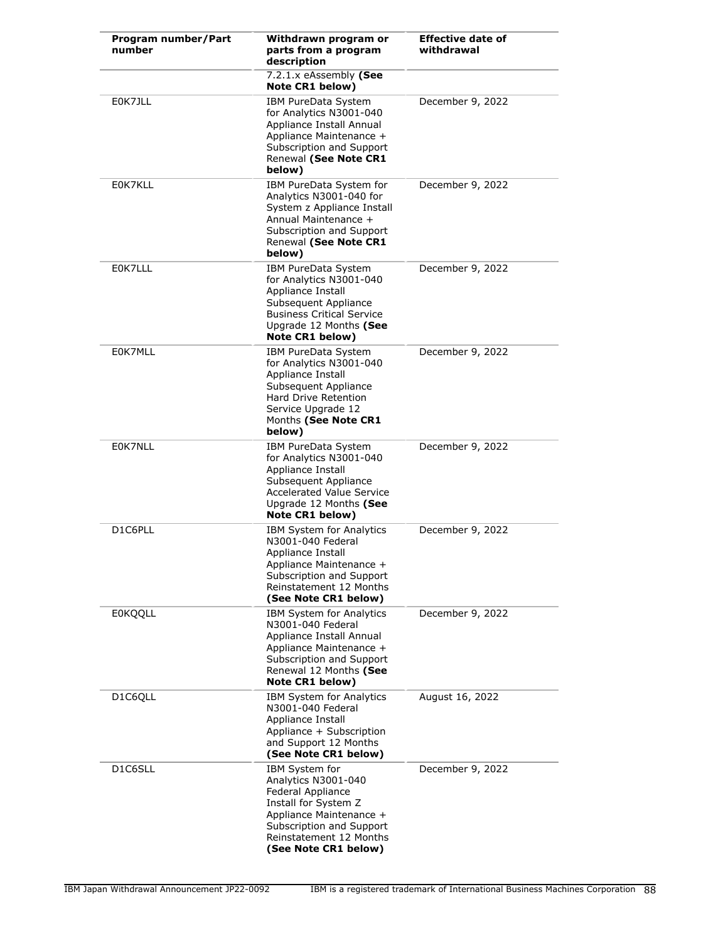| Program number/Part<br>number | Withdrawn program or<br>parts from a program<br>description                                                                                                                                  | <b>Effective date of</b><br>withdrawal |
|-------------------------------|----------------------------------------------------------------------------------------------------------------------------------------------------------------------------------------------|----------------------------------------|
|                               | 7.2.1.x eAssembly (See<br>Note CR1 below)                                                                                                                                                    |                                        |
| E0K7JLL                       | IBM PureData System<br>for Analytics N3001-040<br>Appliance Install Annual<br>Appliance Maintenance +<br>Subscription and Support<br>Renewal (See Note CR1<br>below)                         | December 9, 2022                       |
| E0K7KLL                       | IBM PureData System for<br>Analytics N3001-040 for<br>System z Appliance Install<br>Annual Maintenance +<br>Subscription and Support<br>Renewal (See Note CR1<br>below)                      | December 9, 2022                       |
| E0K7LLL                       | IBM PureData System<br>for Analytics N3001-040<br>Appliance Install<br>Subsequent Appliance<br><b>Business Critical Service</b><br>Upgrade 12 Months (See<br>Note CR1 below)                 | December 9, 2022                       |
| E0K7MLL                       | IBM PureData System<br>for Analytics N3001-040<br>Appliance Install<br>Subsequent Appliance<br>Hard Drive Retention<br>Service Upgrade 12<br>Months (See Note CR1<br>below)                  | December 9, 2022                       |
| E0K7NLL                       | IBM PureData System<br>for Analytics N3001-040<br>Appliance Install<br>Subsequent Appliance<br><b>Accelerated Value Service</b><br>Upgrade 12 Months (See<br>Note CR1 below)                 | December 9, 2022                       |
| D1C6PLL                       | <b>IBM System for Analytics</b><br>N3001-040 Federal<br>Appliance Install<br>Appliance Maintenance +<br>Subscription and Support<br>Reinstatement 12 Months<br>(See Note CR1 below)          | December 9, 2022                       |
| <b>E0KQQLL</b>                | IBM System for Analytics<br>N3001-040 Federal<br>Appliance Install Annual<br>Appliance Maintenance +<br>Subscription and Support<br>Renewal 12 Months (See<br><b>Note CR1 below)</b>         | December 9, 2022                       |
| D1C6QLL                       | <b>IBM System for Analytics</b><br>N3001-040 Federal<br>Appliance Install<br>Appliance + Subscription<br>and Support 12 Months<br>(See Note CR1 below)                                       | August 16, 2022                        |
| D1C6SLL                       | IBM System for<br>Analytics N3001-040<br>Federal Appliance<br>Install for System Z<br>Appliance Maintenance +<br>Subscription and Support<br>Reinstatement 12 Months<br>(See Note CR1 below) | December 9, 2022                       |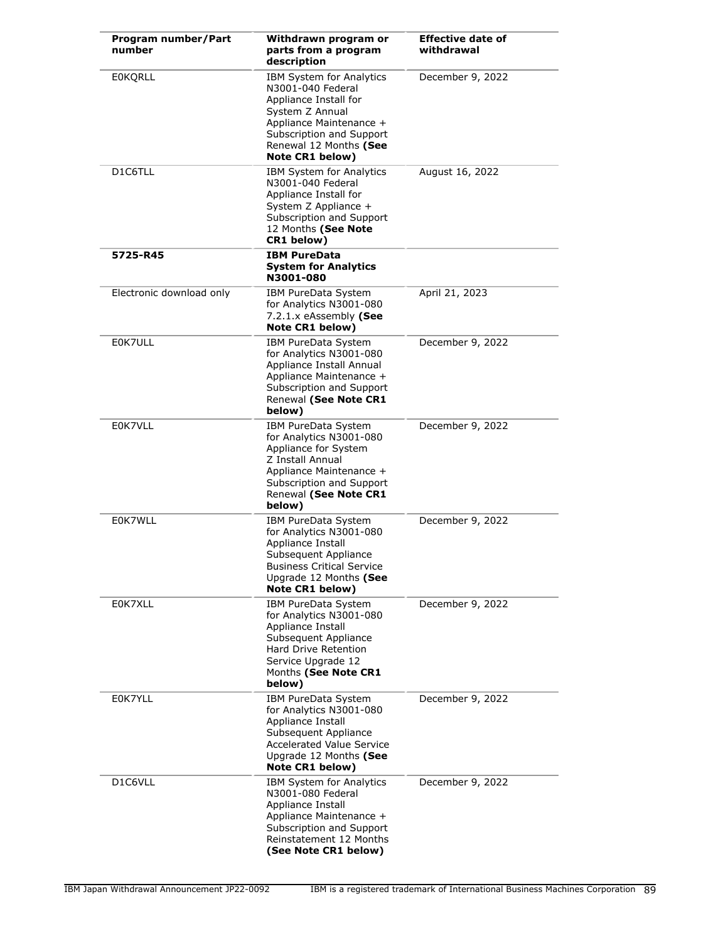| Program number/Part<br>number | Withdrawn program or<br>parts from a program<br>description                                                                                                                                   | <b>Effective date of</b><br>withdrawal |
|-------------------------------|-----------------------------------------------------------------------------------------------------------------------------------------------------------------------------------------------|----------------------------------------|
| <b>EOKQRLL</b>                | IBM System for Analytics<br>N3001-040 Federal<br>Appliance Install for<br>System Z Annual<br>Appliance Maintenance +<br>Subscription and Support<br>Renewal 12 Months (See<br>Note CR1 below) | December 9, 2022                       |
| D1C6TLL                       | IBM System for Analytics<br>N3001-040 Federal<br>Appliance Install for<br>System Z Appliance +<br>Subscription and Support<br>12 Months (See Note<br>CR1 below)                               | August 16, 2022                        |
| 5725-R45                      | <b>IBM PureData</b><br><b>System for Analytics</b><br>N3001-080                                                                                                                               |                                        |
| Electronic download only      | <b>IBM PureData System</b><br>for Analytics N3001-080<br>7.2.1.x eAssembly (See<br>Note CR1 below)                                                                                            | April 21, 2023                         |
| E0K7ULL                       | IBM PureData System<br>for Analytics N3001-080<br>Appliance Install Annual<br>Appliance Maintenance +<br>Subscription and Support<br>Renewal (See Note CR1<br>below)                          | December 9, 2022                       |
| E0K7VLL                       | IBM PureData System<br>for Analytics N3001-080<br>Appliance for System<br>Z Install Annual<br>Appliance Maintenance +<br>Subscription and Support<br>Renewal (See Note CR1<br>below)          | December 9, 2022                       |
| E0K7WLL                       | IBM PureData System<br>for Analytics N3001-080<br>Appliance Install<br>Subsequent Appliance<br><b>Business Critical Service</b><br>Upgrade 12 Months (See<br>Note CR1 below)                  | December 9, 2022                       |
| E0K7XLL                       | IBM PureData System<br>for Analytics N3001-080<br>Appliance Install<br>Subsequent Appliance<br>Hard Drive Retention<br>Service Upgrade 12<br>Months (See Note CR1<br>below)                   | December 9, 2022                       |
| E0K7YLL                       | IBM PureData System<br>for Analytics N3001-080<br>Appliance Install<br>Subsequent Appliance<br><b>Accelerated Value Service</b><br>Upgrade 12 Months (See<br>Note CR1 below)                  | December 9, 2022                       |
| D1C6VLL                       | <b>IBM System for Analytics</b><br>N3001-080 Federal<br>Appliance Install<br>Appliance Maintenance +<br>Subscription and Support<br>Reinstatement 12 Months<br>(See Note CR1 below)           | December 9, 2022                       |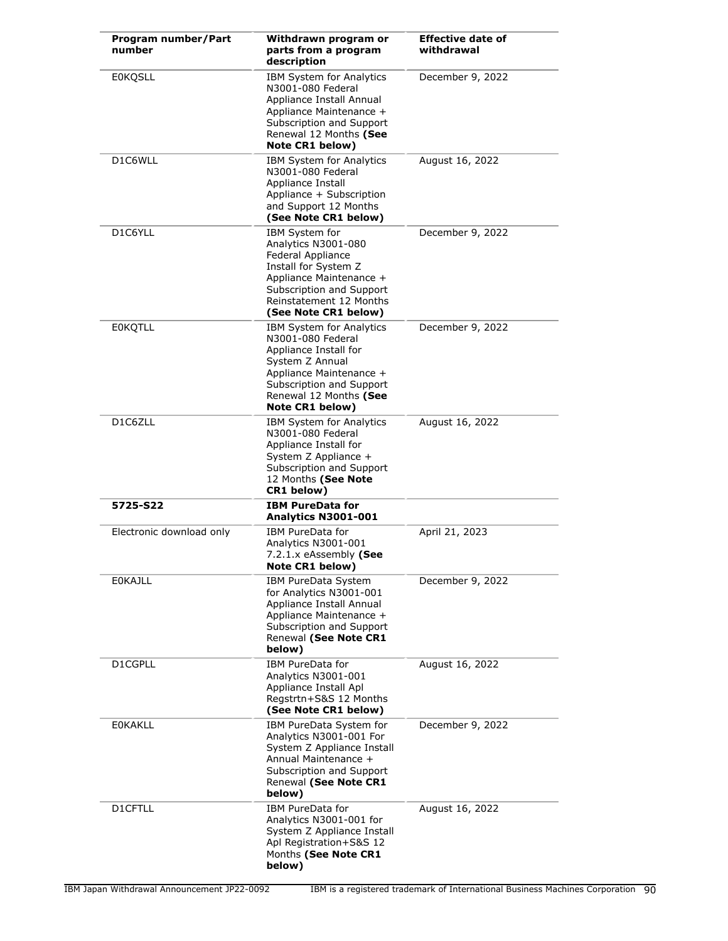| Program number/Part<br>number | Withdrawn program or<br>parts from a program<br>description                                                                                                                                   | <b>Effective date of</b><br>withdrawal |
|-------------------------------|-----------------------------------------------------------------------------------------------------------------------------------------------------------------------------------------------|----------------------------------------|
| <b>E0KQSLL</b>                | <b>IBM System for Analytics</b><br>N3001-080 Federal<br>Appliance Install Annual<br>Appliance Maintenance +<br>Subscription and Support<br>Renewal 12 Months (See<br>Note CR1 below)          | December 9, 2022                       |
| D1C6WLL                       | <b>IBM System for Analytics</b><br>N3001-080 Federal<br>Appliance Install<br>Appliance + Subscription<br>and Support 12 Months<br>(See Note CR1 below)                                        | August 16, 2022                        |
| D1C6YLL                       | IBM System for<br>Analytics N3001-080<br>Federal Appliance<br>Install for System Z<br>Appliance Maintenance +<br>Subscription and Support<br>Reinstatement 12 Months<br>(See Note CR1 below)  | December 9, 2022                       |
| <b>EOKQTLL</b>                | IBM System for Analytics<br>N3001-080 Federal<br>Appliance Install for<br>System Z Annual<br>Appliance Maintenance +<br>Subscription and Support<br>Renewal 12 Months (See<br>Note CR1 below) | December 9, 2022                       |
| D1C6ZLL                       | IBM System for Analytics<br>N3001-080 Federal<br>Appliance Install for<br>System Z Appliance +<br>Subscription and Support<br>12 Months (See Note<br>CR1 below)                               | August 16, 2022                        |
| 5725-S22                      | <b>IBM PureData for</b><br>Analytics N3001-001                                                                                                                                                |                                        |
| Electronic download only      | IBM PureData for<br>Analytics N3001-001<br>7.2.1 x eAssembly (See<br><b>Note CR1 below)</b>                                                                                                   | April 21, 2023                         |
| <b>EOKAJLL</b>                | IBM PureData System<br>for Analytics N3001-001<br>Appliance Install Annual<br>Appliance Maintenance +<br>Subscription and Support<br>Renewal (See Note CR1<br>below)                          | December 9, 2022                       |
| D1CGPLL                       | IBM PureData for<br>Analytics N3001-001<br>Appliance Install Apl<br>Regstrtn+S&S 12 Months<br>(See Note CR1 below)                                                                            | August 16, 2022                        |
| <b>EOKAKLL</b>                | IBM PureData System for<br>Analytics N3001-001 For<br>System Z Appliance Install<br>Annual Maintenance +<br>Subscription and Support<br>Renewal (See Note CR1<br>below)                       | December 9, 2022                       |
| D1CFTLL                       | IBM PureData for<br>Analytics N3001-001 for<br>System Z Appliance Install<br>Apl Registration+S&S 12<br>Months (See Note CR1<br>below)                                                        | August 16, 2022                        |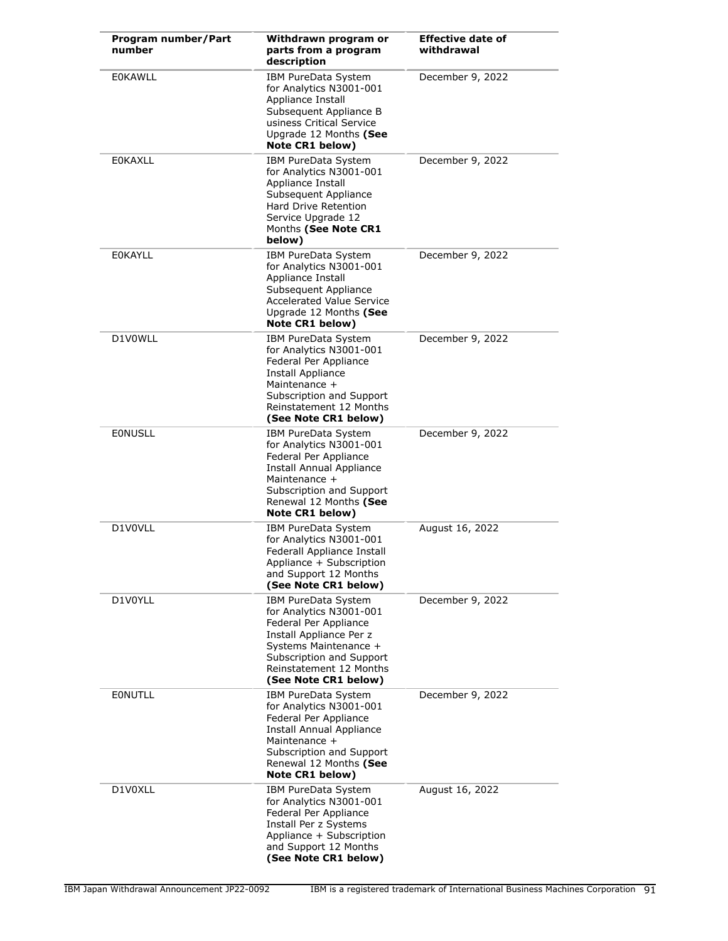| Program number/Part<br>number | Withdrawn program or<br>parts from a program<br>description                                                                                                                                                | <b>Effective date of</b><br>withdrawal |
|-------------------------------|------------------------------------------------------------------------------------------------------------------------------------------------------------------------------------------------------------|----------------------------------------|
| <b>EOKAWLL</b>                | IBM PureData System<br>for Analytics N3001-001<br>Appliance Install<br>Subsequent Appliance B<br>usiness Critical Service<br>Upgrade 12 Months (See<br>Note CR1 below)                                     | December 9, 2022                       |
| <b>EOKAXLL</b>                | IBM PureData System<br>for Analytics N3001-001<br>Appliance Install<br>Subsequent Appliance<br>Hard Drive Retention<br>Service Upgrade 12<br>Months (See Note CR1<br>below)                                | December 9, 2022                       |
| <b>EOKAYLL</b>                | IBM PureData System<br>for Analytics N3001-001<br>Appliance Install<br>Subsequent Appliance<br><b>Accelerated Value Service</b><br>Upgrade 12 Months (See<br>Note CR1 below)                               | December 9, 2022                       |
| D1V0WLL                       | IBM PureData System<br>for Analytics N3001-001<br>Federal Per Appliance<br><b>Install Appliance</b><br>Maintenance +<br>Subscription and Support<br>Reinstatement 12 Months<br>(See Note CR1 below)        | December 9, 2022                       |
| <b>EONUSLL</b>                | IBM PureData System<br>for Analytics N3001-001<br>Federal Per Appliance<br><b>Install Annual Appliance</b><br>Maintenance +<br>Subscription and Support<br>Renewal 12 Months (See<br>Note CR1 below)       | December 9, 2022                       |
| D1V0VLL                       | IBM PureData System<br>for Analytics N3001-001<br>Federall Appliance Install<br>Appliance + Subscription<br>and Support 12 Months<br>(See Note CR1 below)                                                  | August 16, 2022                        |
| D1V0YLL                       | IBM PureData System<br>for Analytics N3001-001<br>Federal Per Appliance<br>Install Appliance Per z<br>Systems Maintenance +<br>Subscription and Support<br>Reinstatement 12 Months<br>(See Note CR1 below) | December 9, 2022                       |
| <b>EONUTLL</b>                | IBM PureData System<br>for Analytics N3001-001<br>Federal Per Appliance<br><b>Install Annual Appliance</b><br>Maintenance +<br>Subscription and Support<br>Renewal 12 Months (See<br>Note CR1 below)       | December 9, 2022                       |
| D1V0XLL                       | IBM PureData System<br>for Analytics N3001-001<br>Federal Per Appliance<br>Install Per z Systems<br>Appliance + Subscription<br>and Support 12 Months<br>(See Note CR1 below)                              | August 16, 2022                        |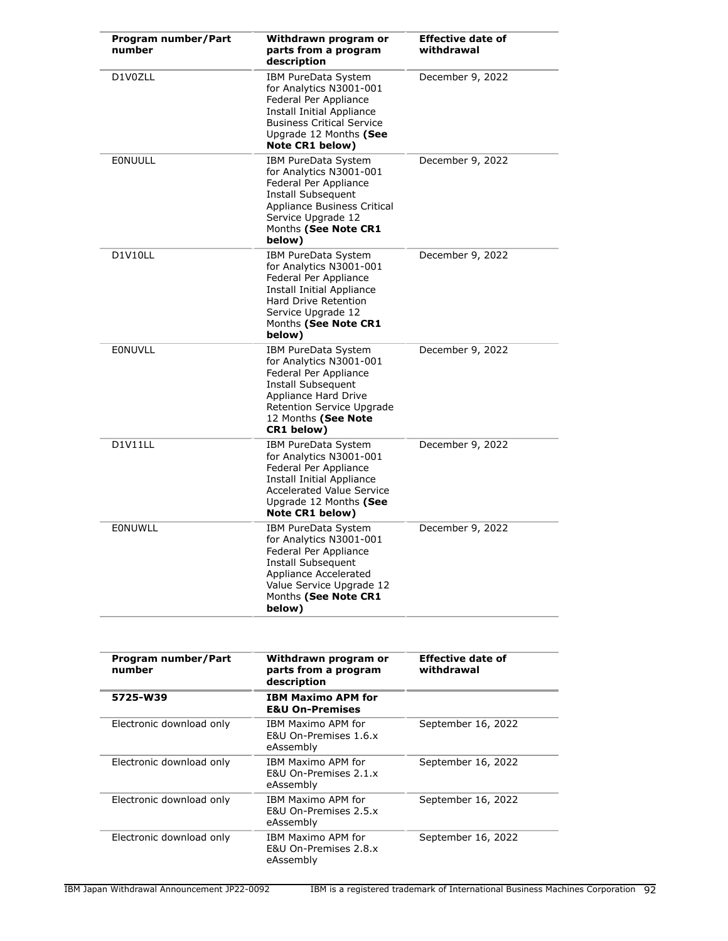| Program number/Part<br>number | Withdrawn program or<br>parts from a program<br>description                                                                                                                                         | <b>Effective date of</b><br>withdrawal |
|-------------------------------|-----------------------------------------------------------------------------------------------------------------------------------------------------------------------------------------------------|----------------------------------------|
| D1V0ZLL                       | <b>IBM PureData System</b><br>for Analytics N3001-001<br>Federal Per Appliance<br><b>Install Initial Appliance</b><br><b>Business Critical Service</b><br>Upgrade 12 Months (See<br>Note CR1 below) | December 9, 2022                       |
| <b>EONUULL</b>                | IBM PureData System<br>for Analytics N3001-001<br>Federal Per Appliance<br><b>Install Subsequent</b><br>Appliance Business Critical<br>Service Upgrade 12<br>Months (See Note CR1<br>below)         | December 9, 2022                       |
| D1V10LL                       | IBM PureData System<br>for Analytics N3001-001<br>Federal Per Appliance<br><b>Install Initial Appliance</b><br>Hard Drive Retention<br>Service Upgrade 12<br>Months (See Note CR1<br>below)         | December 9, 2022                       |
| <b>EONUVLL</b>                | IBM PureData System<br>for Analytics N3001-001<br>Federal Per Appliance<br>Install Subsequent<br>Appliance Hard Drive<br>Retention Service Upgrade<br>12 Months (See Note<br>CR1 below)             | December 9, 2022                       |
| D1V11LL                       | IBM PureData System<br>for Analytics N3001-001<br>Federal Per Appliance<br><b>Install Initial Appliance</b><br><b>Accelerated Value Service</b><br>Upgrade 12 Months (See<br>Note CR1 below)        | December 9, 2022                       |
| EONUWLL                       | <b>IBM PureData System</b><br>for Analytics N3001-001<br>Federal Per Appliance<br><b>Install Subsequent</b><br>Appliance Accelerated<br>Value Service Upgrade 12<br>Months (See Note CR1<br>below)  | December 9, 2022                       |

| Program number/Part<br>number | Withdrawn program or<br>parts from a program<br>description         | <b>Effective date of</b><br>withdrawal |
|-------------------------------|---------------------------------------------------------------------|----------------------------------------|
| 5725-W39                      | <b>IBM Maximo APM for</b><br><b>E&amp;U On-Premises</b>             |                                        |
| Electronic download only      | IBM Maximo APM for<br><b>F&amp;U On-Premises 1.6.x</b><br>eAssembly | September 16, 2022                     |
| Electronic download only      | IBM Maximo APM for<br>E&U On-Premises 2.1.x<br>eAssembly            | September 16, 2022                     |
| Electronic download only      | IBM Maximo APM for<br>E&U On-Premises 2.5.x<br>eAssembly            | September 16, 2022                     |
| Electronic download only      | IBM Maximo APM for<br>E&U On-Premises 2.8.x<br>eAssembly            | September 16, 2022                     |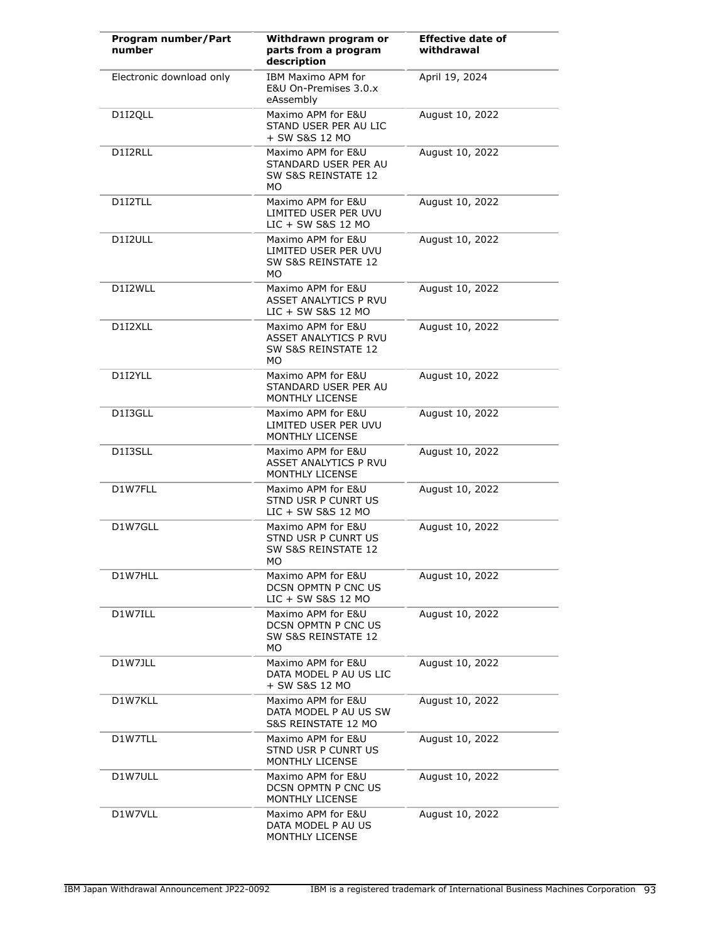| Program number/Part<br>number | Withdrawn program or<br>parts from a program<br>description                    | <b>Effective date of</b><br>withdrawal |
|-------------------------------|--------------------------------------------------------------------------------|----------------------------------------|
| Electronic download only      | IBM Maximo APM for<br>E&U On-Premises 3.0.x<br>eAssembly                       | April 19, 2024                         |
| D1I2QLL                       | Maximo APM for E&U<br>STAND USER PER AU LIC<br>+ SW S&S 12 MO                  | August 10, 2022                        |
| D1I2RLL                       | Maximo APM for E&U<br>STANDARD USER PER AU<br>SW S&S REINSTATE 12<br>МO        | August 10, 2022                        |
| D1I2TLL                       | Maximo APM for E&U<br>LIMITED USER PER UVU<br>LIC + SW S&S 12 MO               | August 10, 2022                        |
| D1I2ULL                       | Maximo APM for E&U<br>LIMITED USER PER UVU<br>SW S&S REINSTATE 12<br>МO        | August 10, 2022                        |
| D1I2WLL                       | Maximo APM for E&U<br>ASSET ANALYTICS P RVU<br>LIC + SW S&S 12 MO              | August 10, 2022                        |
| D1I2XLL                       | Maximo APM for E&U<br>ASSET ANALYTICS P RVU<br>SW S&S REINSTATE 12<br>МO       | August 10, 2022                        |
| D1I2YLL                       | Maximo APM for E&U<br>STANDARD USER PER AU<br>MONTHLY LICENSE                  | August 10, 2022                        |
| D1I3GLL                       | Maximo APM for E&U<br>LIMITED USER PER UVU<br><b>MONTHLY LICENSE</b>           | August 10, 2022                        |
| D1I3SLL                       | Maximo APM for E&U<br>ASSET ANALYTICS P RVU<br><b>MONTHLY LICENSE</b>          | August 10, 2022                        |
| D1W7FLL                       | Maximo APM for E&U<br>STND USR P CUNRT US<br>LIC + SW S&S 12 MO                | August 10, 2022                        |
| D1W7GLL                       | Maximo APM for E&U<br><b>STND USR P CUNRT US</b><br>SW S&S REINSTATE 12<br>МO  | August 10, 2022                        |
| D1W7HLL                       | Maximo APM for E&U<br>DCSN OPMTN P CNC US<br>LIC + SW S&S 12 MO                | August 10, 2022                        |
| D1W7ILL                       | Maximo APM for E&U<br><b>DCSN OPMTN P CNC US</b><br>SW S&S REINSTATE 12<br>MO. | August 10, 2022                        |
| D1W7JLL                       | Maximo APM for E&U<br>DATA MODEL P AU US LIC<br>+ SW S&S 12 MO                 | August 10, 2022                        |
| D1W7KLL                       | Maximo APM for E&U<br>DATA MODEL P AU US SW<br>S&S REINSTATE 12 MO             | August 10, 2022                        |
| D1W7TLL                       | Maximo APM for E&U<br>STND USR P CUNRT US<br>MONTHLY LICENSE                   | August 10, 2022                        |
| D1W7ULL                       | Maximo APM for E&U<br>DCSN OPMTN P CNC US<br>MONTHLY LICENSE                   | August 10, 2022                        |
| D1W7VLL                       | Maximo APM for E&U<br>DATA MODEL P AU US<br>MONTHLY LICENSE                    | August 10, 2022                        |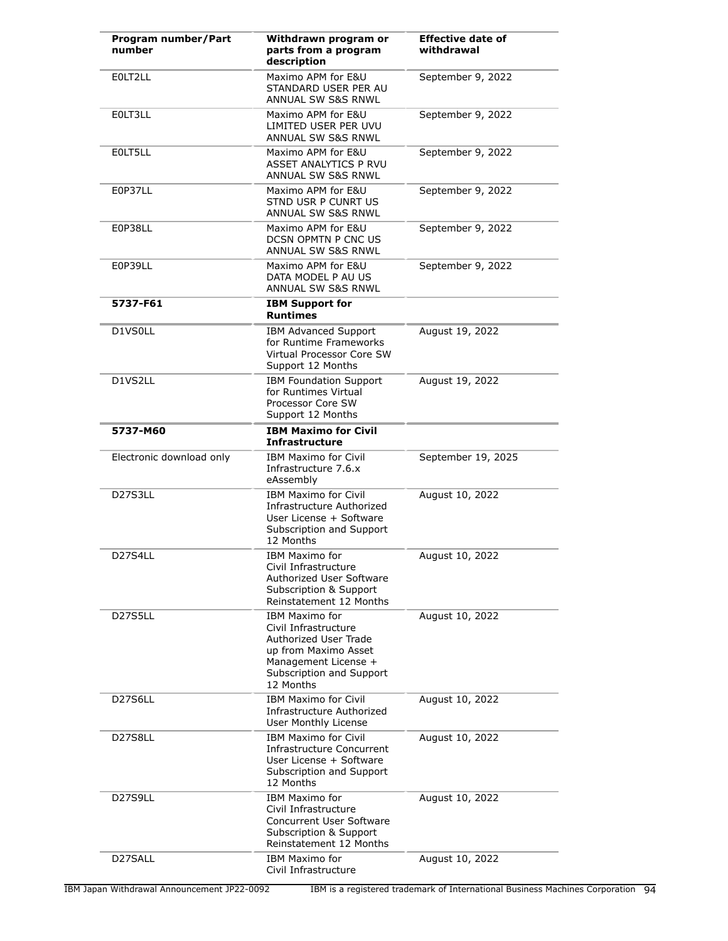| Program number/Part<br>number    | Withdrawn program or<br>parts from a program<br>description                                                                                                     | <b>Effective date of</b><br>withdrawal |
|----------------------------------|-----------------------------------------------------------------------------------------------------------------------------------------------------------------|----------------------------------------|
| EOLT2LL                          | Maximo APM for E&U<br>STANDARD USER PER AU<br><b>ANNUAL SW S&amp;S RNWL</b>                                                                                     | September 9, 2022                      |
| EOLT3LL                          | Maximo APM for E&U<br>LIMITED USER PER UVU<br><b>ANNUAL SW S&amp;S RNWL</b>                                                                                     | September 9, 2022                      |
| EOLT5LL                          | Maximo APM for E&U<br><b>ASSET ANALYTICS P RVU</b><br><b>ANNUAL SW S&amp;S RNWL</b>                                                                             | September 9, 2022                      |
| E0P37LL                          | Maximo APM for E&U<br>STND USR P CUNRT US<br><b>ANNUAL SW S&amp;S RNWL</b>                                                                                      | September 9, 2022                      |
| E0P38LL                          | Maximo APM for E&U<br>DCSN OPMTN P CNC US<br><b>ANNUAL SW S&amp;S RNWL</b>                                                                                      | September 9, 2022                      |
| E0P39LL                          | Maximo APM for E&U<br>DATA MODEL P AU US<br><b>ANNUAL SW S&amp;S RNWL</b>                                                                                       | September 9, 2022                      |
| 5737-F61                         | <b>IBM Support for</b><br><b>Runtimes</b>                                                                                                                       |                                        |
| D1VS0LL                          | <b>IBM Advanced Support</b><br>for Runtime Frameworks<br>Virtual Processor Core SW<br>Support 12 Months                                                         | August 19, 2022                        |
| D1VS2LL                          | <b>IBM Foundation Support</b><br>for Runtimes Virtual<br>Processor Core SW<br>Support 12 Months                                                                 | August 19, 2022                        |
| 5737-M60                         | <b>IBM Maximo for Civil</b><br><b>Infrastructure</b>                                                                                                            |                                        |
| Electronic download only         | <b>IBM Maximo for Civil</b><br>Infrastructure 7.6.x<br>eAssembly                                                                                                | September 19, 2025                     |
| D27S3LL                          | <b>IBM Maximo for Civil</b><br>Infrastructure Authorized<br>User License + Software<br>Subscription and Support<br>12 Months                                    | August 10, 2022                        |
| D27S4LL                          | <b>IBM Maximo for</b><br>Civil Infrastructure<br><b>Authorized User Software</b><br><b>Subscription &amp; Support</b><br>Reinstatement 12 Months                | August 10, 2022                        |
| D <sub>27</sub> S <sub>5LL</sub> | <b>IBM Maximo for</b><br>Civil Infrastructure<br>Authorized User Trade<br>up from Maximo Asset<br>Management License +<br>Subscription and Support<br>12 Months | August 10, 2022                        |
| D27S6LL                          | <b>IBM Maximo for Civil</b><br>Infrastructure Authorized<br>User Monthly License                                                                                | August 10, 2022                        |
| D27S8LL                          | <b>IBM Maximo for Civil</b><br>Infrastructure Concurrent<br>User License + Software<br>Subscription and Support<br>12 Months                                    | August 10, 2022                        |
| D27S9LL                          | <b>IBM Maximo for</b><br>Civil Infrastructure<br><b>Concurrent User Software</b><br>Subscription & Support<br>Reinstatement 12 Months                           | August 10, 2022                        |
| D27SALL                          | <b>IBM Maximo for</b><br>Civil Infrastructure                                                                                                                   | August 10, 2022                        |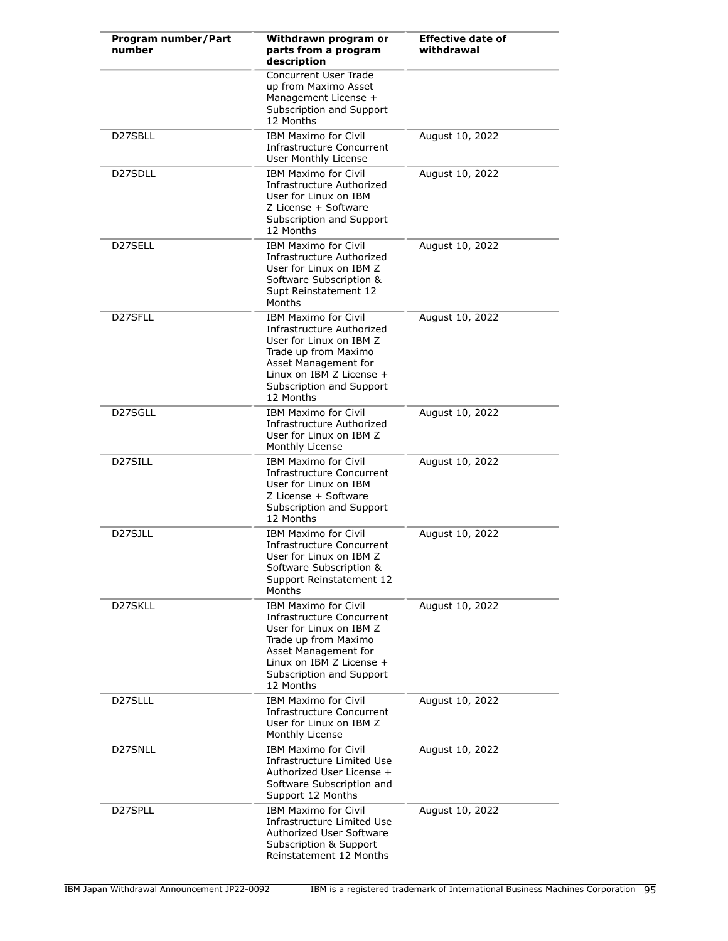| Program number/Part<br>number | Withdrawn program or<br>parts from a program<br>description                                                                                                                                                  | <b>Effective date of</b><br>withdrawal |
|-------------------------------|--------------------------------------------------------------------------------------------------------------------------------------------------------------------------------------------------------------|----------------------------------------|
|                               | <b>Concurrent User Trade</b><br>up from Maximo Asset<br>Management License +<br>Subscription and Support<br>12 Months                                                                                        |                                        |
| D27SBLL                       | <b>IBM Maximo for Civil</b><br>Infrastructure Concurrent<br>User Monthly License                                                                                                                             | August 10, 2022                        |
| D27SDLL                       | <b>IBM Maximo for Civil</b><br>Infrastructure Authorized<br>User for Linux on IBM<br>Z License + Software<br>Subscription and Support<br>12 Months                                                           | August 10, 2022                        |
| D27SELL                       | <b>IBM Maximo for Civil</b><br>Infrastructure Authorized<br>User for Linux on IBM Z<br>Software Subscription &<br>Supt Reinstatement 12<br>Months                                                            | August 10, 2022                        |
| D27SFLL                       | <b>IBM Maximo for Civil</b><br>Infrastructure Authorized<br>User for Linux on IBM Z<br>Trade up from Maximo<br>Asset Management for<br>Linux on IBM Z License +<br>Subscription and Support<br>12 Months     | August 10, 2022                        |
| D27SGLL                       | <b>IBM Maximo for Civil</b><br>Infrastructure Authorized<br>User for Linux on IBM Z<br>Monthly License                                                                                                       | August 10, 2022                        |
| D27SILL                       | <b>IBM Maximo for Civil</b><br>Infrastructure Concurrent<br>User for Linux on IBM<br>Z License + Software<br>Subscription and Support<br>12 Months                                                           | August 10, 2022                        |
| D27SJLL                       | <b>IBM Maximo for Civil</b><br>Infrastructure Concurrent<br>User for Linux on IBM Z<br>Software Subscription &<br>Support Reinstatement 12<br>Months                                                         | August 10, 2022                        |
| D27SKLL                       | <b>IBM Maximo for Civil</b><br>Infrastructure Concurrent<br>User for Linux on IBM Z<br>Trade up from Maximo<br>Asset Management for<br>Linux on IBM $Z$ License $+$<br>Subscription and Support<br>12 Months | August 10, 2022                        |
| D27SLLL                       | <b>IBM Maximo for Civil</b><br>Infrastructure Concurrent<br>User for Linux on IBM Z<br>Monthly License                                                                                                       | August 10, 2022                        |
| D27SNLL                       | <b>IBM Maximo for Civil</b><br>Infrastructure Limited Use<br>Authorized User License +<br>Software Subscription and<br>Support 12 Months                                                                     | August 10, 2022                        |
| D27SPLL                       | <b>IBM Maximo for Civil</b><br>Infrastructure Limited Use<br>Authorized User Software<br>Subscription & Support<br>Reinstatement 12 Months                                                                   | August 10, 2022                        |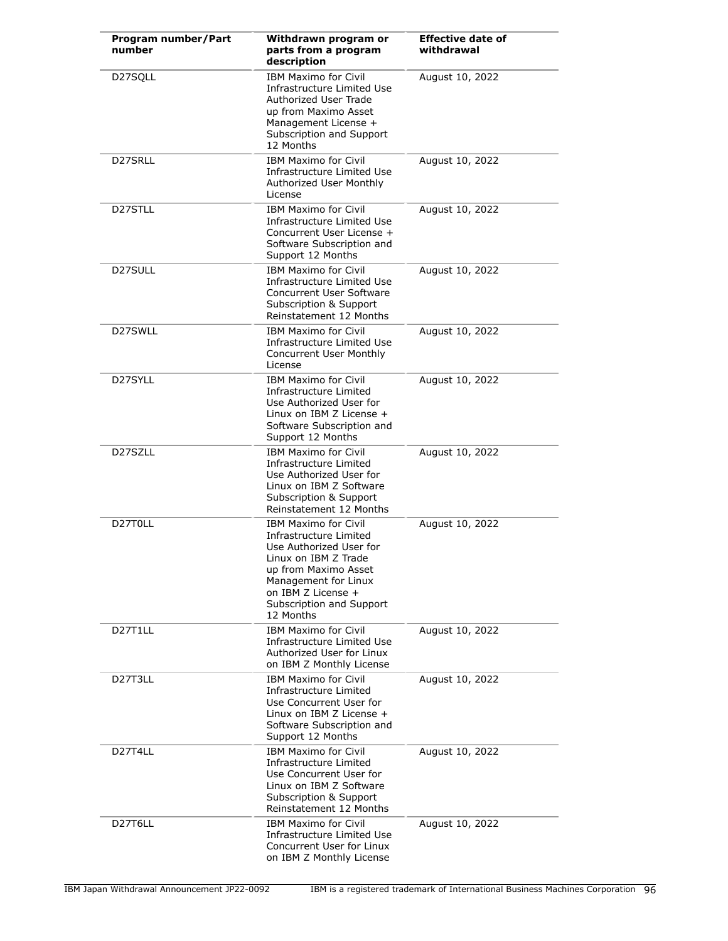| Program number/Part<br>number     | Withdrawn program or<br>parts from a program<br>description                                                                                                                                                             | <b>Effective date of</b><br>withdrawal |
|-----------------------------------|-------------------------------------------------------------------------------------------------------------------------------------------------------------------------------------------------------------------------|----------------------------------------|
| D27SQLL                           | <b>IBM Maximo for Civil</b><br>Infrastructure Limited Use<br>Authorized User Trade<br>up from Maximo Asset<br>Management License +<br>Subscription and Support<br>12 Months                                             | August 10, 2022                        |
| D27SRLL                           | <b>IBM Maximo for Civil</b><br>Infrastructure Limited Use<br>Authorized User Monthly<br>License                                                                                                                         | August 10, 2022                        |
| D27STLL                           | <b>IBM Maximo for Civil</b><br>Infrastructure Limited Use<br>Concurrent User License +<br>Software Subscription and<br>Support 12 Months                                                                                | August 10, 2022                        |
| D27SULL                           | <b>IBM Maximo for Civil</b><br>Infrastructure Limited Use<br><b>Concurrent User Software</b><br>Subscription & Support<br>Reinstatement 12 Months                                                                       | August 10, 2022                        |
| D27SWLL                           | <b>IBM Maximo for Civil</b><br>Infrastructure Limited Use<br><b>Concurrent User Monthly</b><br>License                                                                                                                  | August 10, 2022                        |
| D27SYLL                           | <b>IBM Maximo for Civil</b><br>Infrastructure Limited<br>Use Authorized User for<br>Linux on IBM Z License +<br>Software Subscription and<br>Support 12 Months                                                          | August 10, 2022                        |
| D27SZLL                           | <b>IBM Maximo for Civil</b><br>Infrastructure Limited<br>Use Authorized User for<br>Linux on IBM Z Software<br><b>Subscription &amp; Support</b><br>Reinstatement 12 Months                                             | August 10, 2022                        |
| D27T0LL                           | <b>IBM Maximo for Civil</b><br>Infrastructure Limited<br>Use Authorized User for<br>Linux on IBM Z Trade<br>up from Maximo Asset<br>Management for Linux<br>on IBM Z License +<br>Subscription and Support<br>12 Months | August 10, 2022                        |
| D27T1LL                           | <b>IBM Maximo for Civil</b><br>Infrastructure Limited Use<br>Authorized User for Linux<br>on IBM Z Monthly License                                                                                                      | August 10, 2022                        |
| D <sub>27</sub> T <sub>3</sub> LL | <b>IBM Maximo for Civil</b><br>Infrastructure Limited<br>Use Concurrent User for<br>Linux on IBM Z License +<br>Software Subscription and<br>Support 12 Months                                                          | August 10, 2022                        |
| D <sub>27</sub> T <sub>4</sub> LL | <b>IBM Maximo for Civil</b><br>Infrastructure Limited<br>Use Concurrent User for<br>Linux on IBM Z Software<br>Subscription & Support<br>Reinstatement 12 Months                                                        | August 10, 2022                        |
| D27T6LL                           | <b>IBM Maximo for Civil</b><br>Infrastructure Limited Use<br>Concurrent User for Linux<br>on IBM Z Monthly License                                                                                                      | August 10, 2022                        |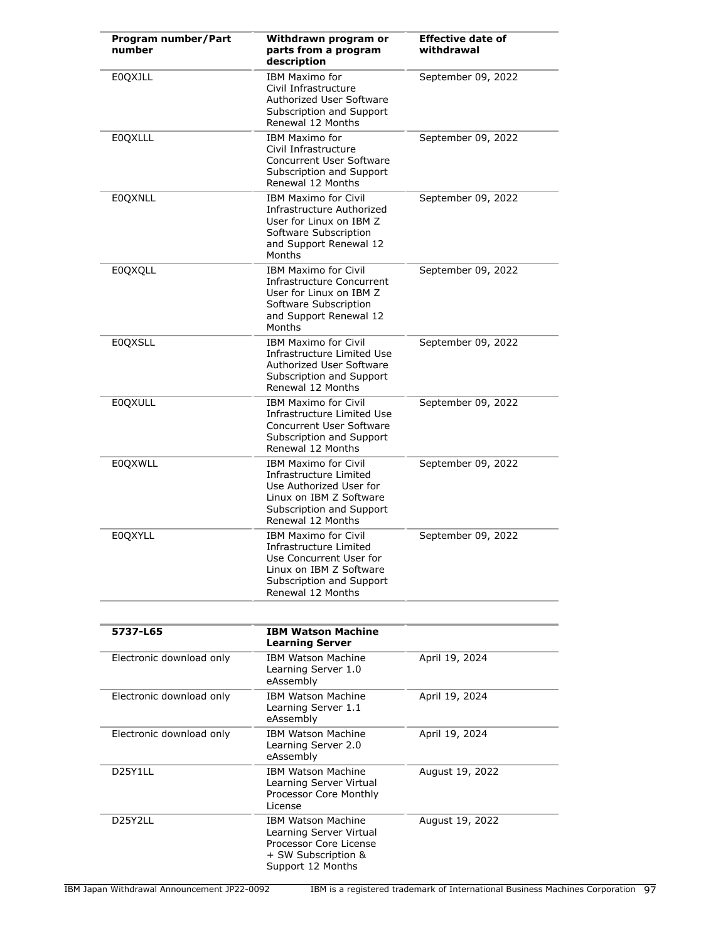| Program number/Part<br>number | Withdrawn program or<br>parts from a program<br>description                                                                                                  | <b>Effective date of</b><br>withdrawal |
|-------------------------------|--------------------------------------------------------------------------------------------------------------------------------------------------------------|----------------------------------------|
| <b>EOQXJLL</b>                | IBM Maximo for<br>Civil Infrastructure<br><b>Authorized User Software</b><br>Subscription and Support<br>Renewal 12 Months                                   | September 09, 2022                     |
| <b>EOQXLLL</b>                | <b>IBM Maximo for</b><br>Civil Infrastructure<br>Concurrent User Software<br>Subscription and Support<br>Renewal 12 Months                                   | September 09, 2022                     |
| <b>EOQXNLL</b>                | <b>IBM Maximo for Civil</b><br>Infrastructure Authorized<br>User for Linux on IBM Z<br>Software Subscription<br>and Support Renewal 12<br>Months             | September 09, 2022                     |
| <b>E0QXQLL</b>                | <b>IBM Maximo for Civil</b><br>Infrastructure Concurrent<br>User for Linux on IBM Z<br>Software Subscription<br>and Support Renewal 12<br>Months             | September 09, 2022                     |
| <b>EOQXSLL</b>                | <b>IBM Maximo for Civil</b><br>Infrastructure Limited Use<br>Authorized User Software<br>Subscription and Support<br>Renewal 12 Months                       | September 09, 2022                     |
| <b>EOQXULL</b>                | <b>IBM Maximo for Civil</b><br>Infrastructure Limited Use<br><b>Concurrent User Software</b><br>Subscription and Support<br>Renewal 12 Months                | September 09, 2022                     |
| <b>EOQXWLL</b>                | <b>IBM Maximo for Civil</b><br>Infrastructure Limited<br>Use Authorized User for<br>Linux on IBM Z Software<br>Subscription and Support<br>Renewal 12 Months | September 09, 2022                     |
| <b>E0QXYLL</b>                | <b>IBM Maximo for Civil</b><br>Infrastructure Limited<br>Use Concurrent User for<br>Linux on IBM Z Software<br>Subscription and Support<br>Renewal 12 Months | September 09, 2022                     |
| 5737-L65                      | <b>IBM Watson Machine</b>                                                                                                                                    |                                        |
|                               | <b>Learning Server</b>                                                                                                                                       |                                        |
| Electronic download only      | <b>IBM Watson Machine</b><br>Learning Server 1.0<br>eAssembly                                                                                                | April 19, 2024                         |
| Electronic download only      | <b>IBM Watson Machine</b><br>Learning Server 1.1<br>eAssembly                                                                                                | April 19, 2024                         |
| Electronic download only      | <b>IBM Watson Machine</b><br>Learning Server 2.0<br>eAssembly                                                                                                | April 19, 2024                         |
| D25Y1LL                       | <b>IBM Watson Machine</b><br>Learning Server Virtual<br>Processor Core Monthly<br>License                                                                    | August 19, 2022                        |
| D25Y2LL                       | <b>IBM Watson Machine</b><br>Learning Server Virtual                                                                                                         | August 19, 2022                        |

Processor Core License + SW Subscription & Support 12 Months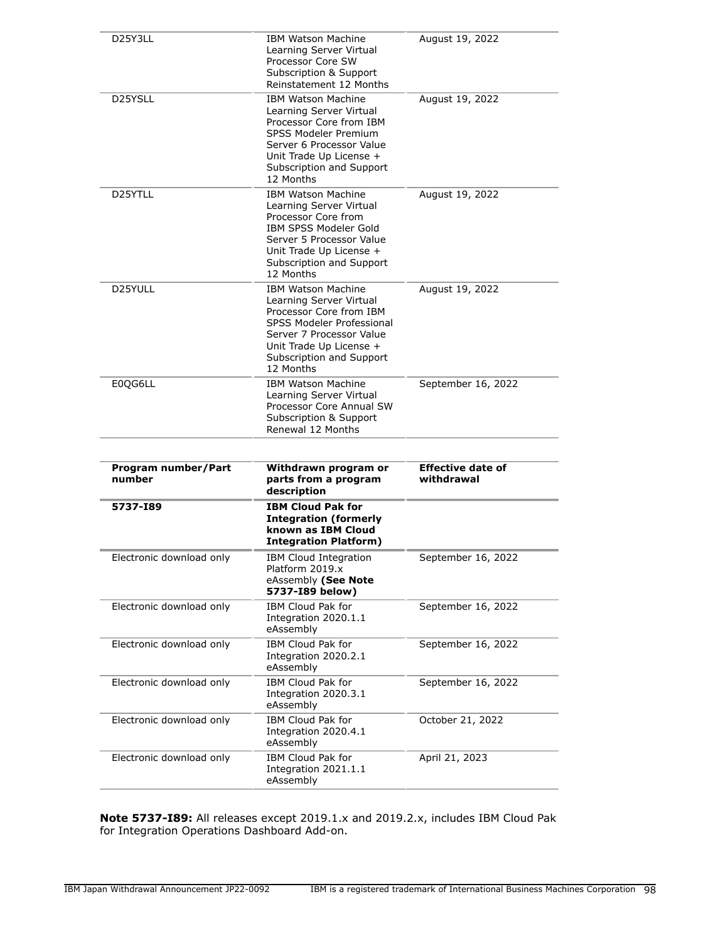| D25Y3LL                                              | <b>IBM Watson Machine</b><br>Learning Server Virtual<br>Processor Core SW<br>Subscription & Support<br>Reinstatement 12 Months                                                                                 | August 19, 2022                        |
|------------------------------------------------------|----------------------------------------------------------------------------------------------------------------------------------------------------------------------------------------------------------------|----------------------------------------|
| D <sub>25</sub> YSLL                                 | <b>IBM Watson Machine</b><br>Learning Server Virtual<br>Processor Core from IBM<br><b>SPSS Modeler Premium</b><br>Server 6 Processor Value<br>Unit Trade Up License +<br>Subscription and Support<br>12 Months | August 19, 2022                        |
| D25YTLL                                              | <b>IBM Watson Machine</b><br>Learning Server Virtual<br>Processor Core from<br>IBM SPSS Modeler Gold<br>Server 5 Processor Value<br>Unit Trade Up License +<br>Subscription and Support<br>12 Months           | August 19, 2022                        |
| D25YULL                                              | <b>IBM Watson Machine</b><br>Learning Server Virtual<br>Processor Core from IBM<br>SPSS Modeler Professional<br>Server 7 Processor Value<br>Unit Trade Up License +<br>Subscription and Support<br>12 Months   | August 19, 2022                        |
| E0QG6LL                                              | <b>IBM Watson Machine</b><br>Learning Server Virtual<br>Processor Core Annual SW<br>Subscription & Support<br>Renewal 12 Months                                                                                | September 16, 2022                     |
|                                                      |                                                                                                                                                                                                                |                                        |
| Program number/Part<br>number                        | Withdrawn program or<br>parts from a program                                                                                                                                                                   | <b>Effective date of</b><br>withdrawal |
| 5737-189                                             | description<br><b>IBM Cloud Pak for</b><br><b>Integration (formerly</b><br>known as IBM Cloud<br><b>Integration Platform)</b>                                                                                  |                                        |
| Electronic download only                             | IBM Cloud Integration<br>Platform 2019.x<br>eAssembly (See Note                                                                                                                                                | September 16, 2022                     |
| Electronic download only                             | 5737-I89 below)<br>IBM Cloud Pak for<br>Integration 2020.1.1<br>eAssembly                                                                                                                                      | September 16, 2022                     |
| Electronic download only                             | IBM Cloud Pak for<br>Integration 2020.2.1<br>eAssembly                                                                                                                                                         | September 16, 2022                     |
| Electronic download only                             | IBM Cloud Pak for<br>Integration 2020.3.1<br>eAssembly                                                                                                                                                         | September 16, 2022                     |
| Electronic download only<br>Electronic download only | IBM Cloud Pak for<br>Integration 2020.4.1<br>eAssembly                                                                                                                                                         | October 21, 2022                       |

**Note 5737-I89:** All releases except 2019.1.x and 2019.2.x, includes IBM Cloud Pak for Integration Operations Dashboard Add-on.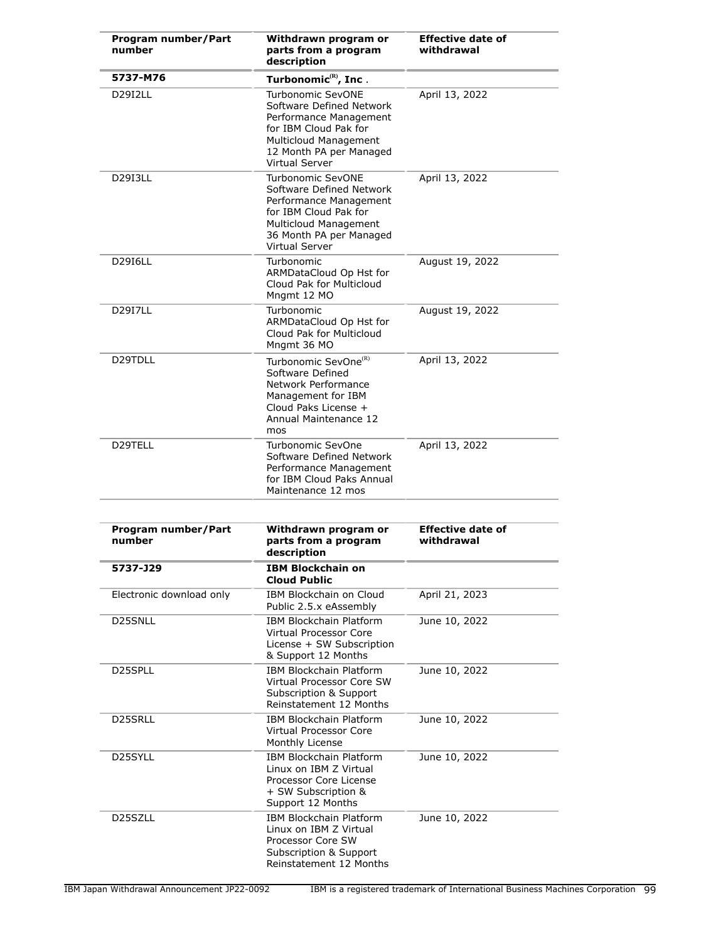| Program number/Part<br>number | Withdrawn program or<br>parts from a program<br>description                                                                                                                          | <b>Effective date of</b><br>withdrawal |
|-------------------------------|--------------------------------------------------------------------------------------------------------------------------------------------------------------------------------------|----------------------------------------|
| 5737-M76                      | Turbonomic <sup>(R)</sup> , Inc.                                                                                                                                                     |                                        |
| D29I2LL                       | <b>Turbonomic SevONE</b><br>Software Defined Network<br>Performance Management<br>for IBM Cloud Pak for<br>Multicloud Management<br>12 Month PA per Managed<br><b>Virtual Server</b> | April 13, 2022                         |
| <b>D29I3LL</b>                | Turbonomic SevONE<br>Software Defined Network<br>Performance Management<br>for IBM Cloud Pak for<br><b>Multicloud Management</b><br>36 Month PA per Managed<br>Virtual Server        | April 13, 2022                         |
| <b>D29I6LL</b>                | Turbonomic<br>ARMDataCloud Op Hst for<br>Cloud Pak for Multicloud<br>Mngmt 12 MO                                                                                                     | August 19, 2022                        |
| <b>D29I7LL</b>                | Turbonomic<br>ARMDataCloud Op Hst for<br>Cloud Pak for Multicloud<br>Mngmt 36 MO                                                                                                     | August 19, 2022                        |
| D29TDLL                       | Turbonomic SevOne <sup>(R)</sup><br>Software Defined<br>Network Performance<br>Management for IBM<br>Cloud Paks License +<br>Annual Maintenance 12<br>mos                            | April 13, 2022                         |
| D29TELL                       | Turbonomic SevOne<br>Software Defined Network<br>Performance Management<br>for IBM Cloud Paks Annual<br>Maintenance 12 mos                                                           | April 13, 2022                         |
|                               |                                                                                                                                                                                      |                                        |
| Program number/Part<br>number | Withdrawn program or<br>parts from a program<br>description                                                                                                                          | <b>Effective date of</b><br>withdrawal |
| 5737-J29                      | IBM Blockchain on<br><b>Cloud Public</b>                                                                                                                                             |                                        |
| Electronic download only      | <b>IBM Blockchain on Cloud</b><br>Public 2.5.x eAssembly                                                                                                                             | April 21, 2023                         |
| D25SNLL                       | <b>IBM Blockchain Platform</b><br><b>Virtual Processor Core</b><br>License + SW Subscription<br>& Support 12 Months                                                                  | June 10, 2022                          |
| D25SPLL                       | <b>IBM Blockchain Platform</b><br>Virtual Processor Core SW<br>Subscription & Support<br>Reinstatement 12 Months                                                                     | June 10, 2022                          |
| D25SRLL                       | <b>IBM Blockchain Platform</b><br>Virtual Processor Core<br>Monthly License                                                                                                          | June 10, 2022                          |
| D25SYLL                       | IBM Blockchain Platform<br>Linux on IBM Z Virtual<br>Processor Core License<br>+ SW Subscription &<br>Support 12 Months                                                              | June 10, 2022                          |
| D25SZLL                       | IBM Blockchain Platform<br>Linux on IBM Z Virtual<br>Processor Core SW<br>Subscription & Support<br>Reinstatement 12 Months                                                          | June 10, 2022                          |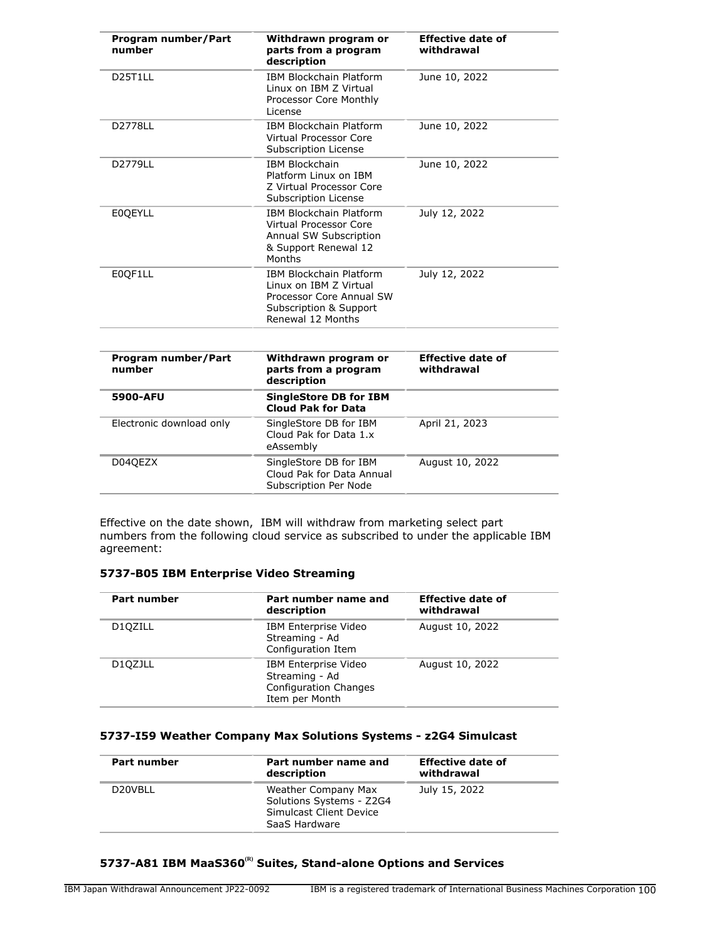| Program number/Part<br>number     | Withdrawn program or<br>parts from a program<br>description                                                                         | <b>Effective date of</b><br>withdrawal |
|-----------------------------------|-------------------------------------------------------------------------------------------------------------------------------------|----------------------------------------|
| D <sub>25</sub> T <sub>1</sub> LL | <b>IBM Blockchain Platform</b><br>Linux on IBM Z Virtual<br>Processor Core Monthly<br>License                                       | June 10, 2022                          |
| D2778LL                           | <b>IBM Blockchain Platform</b><br>Virtual Processor Core<br>Subscription License                                                    | June 10, 2022                          |
| D2779LL                           | <b>IBM Blockchain</b><br>Platform Linux on IBM<br>Z Virtual Processor Core<br>Subscription License                                  | June 10, 2022                          |
| <b>E0OEYLL</b>                    | <b>IBM Blockchain Platform</b><br>Virtual Processor Core<br>Annual SW Subscription<br>& Support Renewal 12<br>Months                | July 12, 2022                          |
| E0OF1LL                           | <b>IBM Blockchain Platform</b><br>Linux on TBM 7 Virtual<br>Processor Core Annual SW<br>Subscription & Support<br>Renewal 12 Months | July 12, 2022                          |
| Program number/Part<br>number     | Withdrawn program or<br>parts from a program<br>description                                                                         | <b>Effective date of</b><br>withdrawal |
| 5900-AFU                          | <b>SingleStore DB for IBM</b><br><b>Cloud Pak for Data</b>                                                                          |                                        |
| Electronic download only          | SingleStore DB for IBM<br>$Cland$ $Dab$ for $Dab - 1$                                                                               | April 21, 2023                         |

|         | Cloud Pak for Data 1.x<br>eAssembly                                          |                 |
|---------|------------------------------------------------------------------------------|-----------------|
| D04QEZX | SingleStore DB for IBM<br>Cloud Pak for Data Annual<br>Subscription Per Node | August 10, 2022 |
|         |                                                                              |                 |

Effective on the date shown, IBM will withdraw from marketing select part numbers from the following cloud service as subscribed to under the applicable IBM agreement:

## **5737-B05 IBM Enterprise Video Streaming**

| Part number          | Part number name and<br>description                                                             | <b>Effective date of</b><br>withdrawal |
|----------------------|-------------------------------------------------------------------------------------------------|----------------------------------------|
| D <sub>10</sub> ZILL | IBM Enterprise Video<br>Streaming - Ad<br>Configuration Item                                    | August 10, 2022                        |
| D10ZJLL              | <b>IBM Enterprise Video</b><br>Streaming - Ad<br><b>Configuration Changes</b><br>Item per Month | August 10, 2022                        |

## **5737-I59 Weather Company Max Solutions Systems - z2G4 Simulcast**

|         | Part number name and<br>description                                                         | <b>Effective date of</b><br>withdrawal |
|---------|---------------------------------------------------------------------------------------------|----------------------------------------|
| D20VBLL | Weather Company Max<br>Solutions Systems - Z2G4<br>Simulcast Client Device<br>SaaS Hardware | July 15, 2022                          |

## **5737-A81 IBM MaaS360(R) Suites, Stand-alone Options and Services**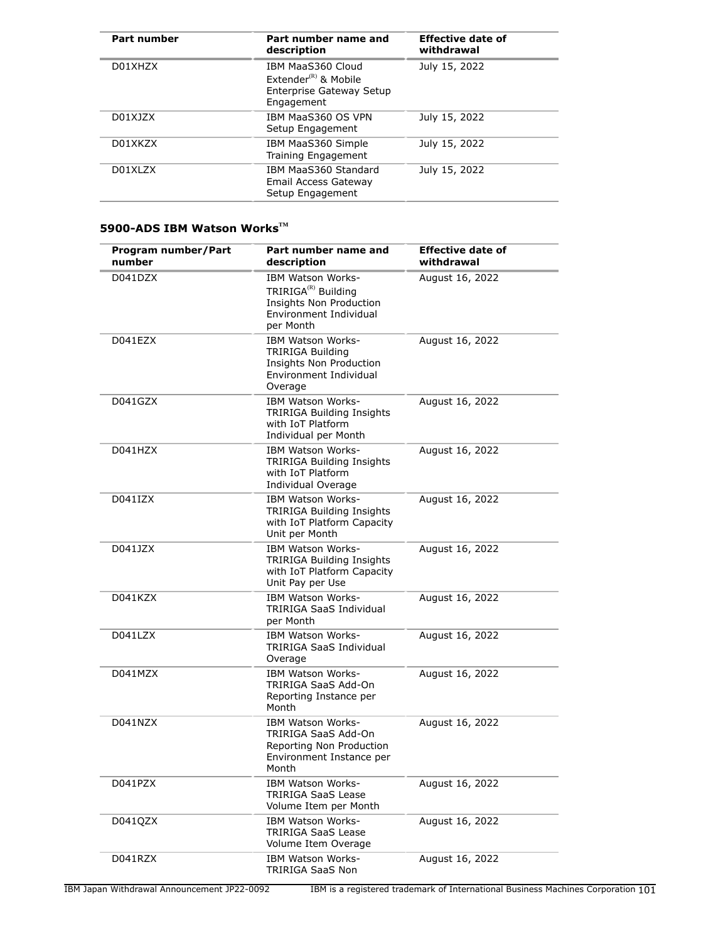| Part number | Part number name and<br>description                                                                     | <b>Effective date of</b><br>withdrawal |
|-------------|---------------------------------------------------------------------------------------------------------|----------------------------------------|
| D01XHZX     | IBM MaaS360 Cloud<br>Extender ${}^{\text{\tiny(R)}}$ & Mobile<br>Enterprise Gateway Setup<br>Engagement | July 15, 2022                          |
| D01XJZX     | IBM MaaS360 OS VPN<br>Setup Engagement                                                                  | July 15, 2022                          |
| D01XKZX     | IBM MaaS360 Simple<br>Training Engagement                                                               | July 15, 2022                          |
| D01XLZX     | IBM MaaS360 Standard<br>Email Access Gateway<br>Setup Engagement                                        | July 15, 2022                          |

## **5900-ADS IBM Watson WorksTM**

| Program number/Part<br>number | Part number name and<br>description                                                                                    | <b>Effective date of</b><br>withdrawal |
|-------------------------------|------------------------------------------------------------------------------------------------------------------------|----------------------------------------|
| D041DZX                       | IBM Watson Works-<br>TRIRIGA <sup>(R)</sup> Building<br>Insights Non Production<br>Environment Individual<br>per Month | August 16, 2022                        |
| D041EZX                       | <b>IBM Watson Works-</b><br><b>TRIRIGA Building</b><br>Insights Non Production<br>Environment Individual<br>Overage    | August 16, 2022                        |
| D041GZX                       | <b>IBM Watson Works-</b><br><b>TRIRIGA Building Insights</b><br>with IoT Platform<br>Individual per Month              | August 16, 2022                        |
| D041HZX                       | IBM Watson Works-<br><b>TRIRIGA Building Insights</b><br>with IoT Platform<br>Individual Overage                       | August 16, 2022                        |
| D041IZX                       | <b>IBM Watson Works-</b><br><b>TRIRIGA Building Insights</b><br>with IoT Platform Capacity<br>Unit per Month           | August 16, 2022                        |
| D041JZX                       | IBM Watson Works-<br><b>TRIRIGA Building Insights</b><br>with IoT Platform Capacity<br>Unit Pay per Use                | August 16, 2022                        |
| D041KZX                       | <b>IBM Watson Works-</b><br><b>TRIRIGA SaaS Individual</b><br>per Month                                                | August 16, 2022                        |
| D041LZX                       | <b>IBM Watson Works-</b><br><b>TRIRIGA SaaS Individual</b><br>Overage                                                  | August 16, 2022                        |
| D041MZX                       | IBM Watson Works-<br>TRIRIGA SaaS Add-On<br>Reporting Instance per<br>Month                                            | August 16, 2022                        |
| D041NZX                       | <b>IBM Watson Works-</b><br>TRIRIGA SaaS Add-On<br>Reporting Non Production<br>Environment Instance per<br>Month       | August 16, 2022                        |
| D041PZX                       | IBM Watson Works-<br><b>TRIRIGA SaaS Lease</b><br>Volume Item per Month                                                | August 16, 2022                        |
| D041QZX                       | IBM Watson Works-<br>TRIRIGA SaaS Lease<br>Volume Item Overage                                                         | August 16, 2022                        |
| D041RZX                       | IBM Watson Works-<br><b>TRIRIGA SaaS Non</b>                                                                           | August 16, 2022                        |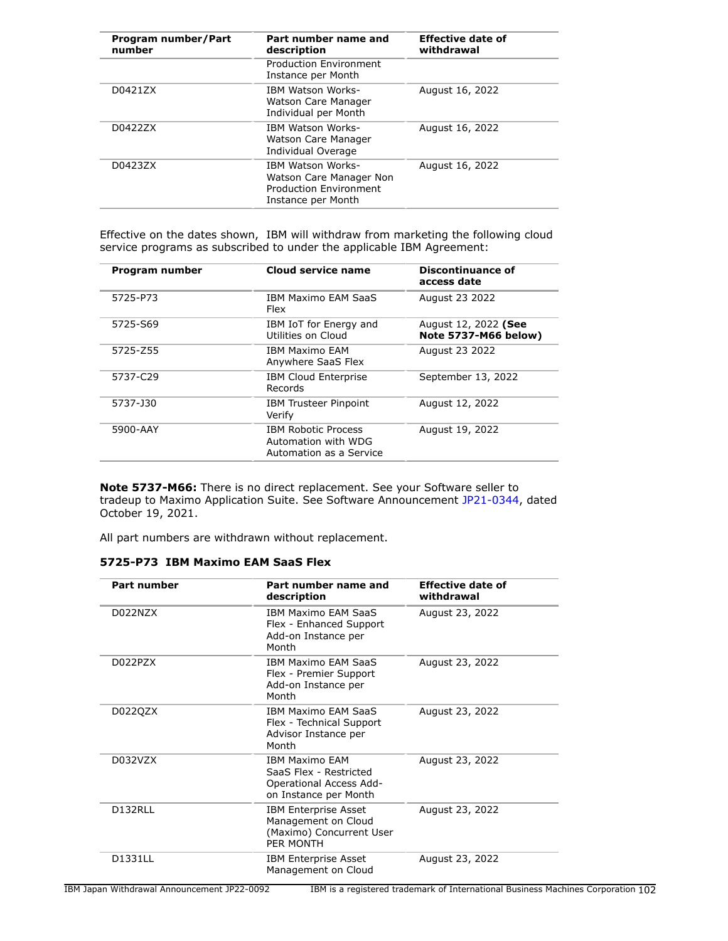| Program number/Part<br>number | Part number name and<br>description                                                                        | <b>Effective date of</b><br>withdrawal |
|-------------------------------|------------------------------------------------------------------------------------------------------------|----------------------------------------|
|                               | <b>Production Environment</b><br>Instance per Month                                                        |                                        |
| D0421ZX                       | <b>IBM Watson Works-</b><br>Watson Care Manager<br>Individual per Month                                    | August 16, 2022                        |
| D0422ZX                       | <b>IBM Watson Works-</b><br>Watson Care Manager<br>Individual Overage                                      | August 16, 2022                        |
| D0423ZX                       | <b>IBM Watson Works-</b><br>Watson Care Manager Non<br><b>Production Environment</b><br>Instance per Month | August 16, 2022                        |

Effective on the dates shown, IBM will withdraw from marketing the following cloud service programs as subscribed to under the applicable IBM Agreement:

| Program number | Cloud service name                                                           | <b>Discontinuance of</b><br>access date             |
|----------------|------------------------------------------------------------------------------|-----------------------------------------------------|
| 5725-P73       | <b>IBM Maximo EAM SaaS</b><br>Flex                                           | August 23 2022                                      |
| 5725-S69       | IBM IoT for Energy and<br>Utilities on Cloud                                 | August 12, 2022 (See<br><b>Note 5737-M66 below)</b> |
| 5725-Z55       | <b>TRM Maximo FAM</b><br>Anywhere SaaS Flex                                  | August 23 2022                                      |
| 5737-C29       | <b>IBM Cloud Enterprise</b><br>Records                                       | September 13, 2022                                  |
| 5737-J30       | <b>IBM Trusteer Pinpoint</b><br>Verify                                       | August 12, 2022                                     |
| 5900-AAY       | <b>IBM Robotic Process</b><br>Automation with WDG<br>Automation as a Service | August 19, 2022                                     |

**Note 5737-M66:** There is no direct replacement. See your Software seller to tradeup to Maximo Application Suite. See Software Announcement [JP21-0344,](http://www.ibm.com/common/ssi/cgi-bin/ssialias?infotype=an&subtype=ca&appname=gpateam&supplier=760&letternum=ENUSJP21-0344) dated October 19, 2021.

All part numbers are withdrawn without replacement.

| 5725-P73 IBM Maximo EAM SaaS Flex |  |
|-----------------------------------|--|
|-----------------------------------|--|

| <b>Part number</b> | Part number name and<br>description                                                                 | Effective date of<br>withdrawal |
|--------------------|-----------------------------------------------------------------------------------------------------|---------------------------------|
| D022NZX            | <b>IBM Maximo EAM SaaS</b><br>Flex - Enhanced Support<br>Add-on Instance per<br>Month               | August 23, 2022                 |
| D022PZX            | IBM Maximo EAM SaaS<br>Flex - Premier Support<br>Add-on Instance per<br>Month                       | August 23, 2022                 |
| D022QZX            | <b>IBM Maximo FAM SaaS</b><br>Flex - Technical Support<br>Advisor Instance per<br>Month             | August 23, 2022                 |
| D032V7X            | <b>TBM Maximo FAM</b><br>SaaS Flex - Restricted<br>Operational Access Add-<br>on Instance per Month | August 23, 2022                 |
| D132RLL            | <b>IBM Enterprise Asset</b><br>Management on Cloud<br>(Maximo) Concurrent User<br>PER MONTH         | August 23, 2022                 |
| D1331LL            | <b>IBM Enterprise Asset</b><br>Management on Cloud                                                  | August 23, 2022                 |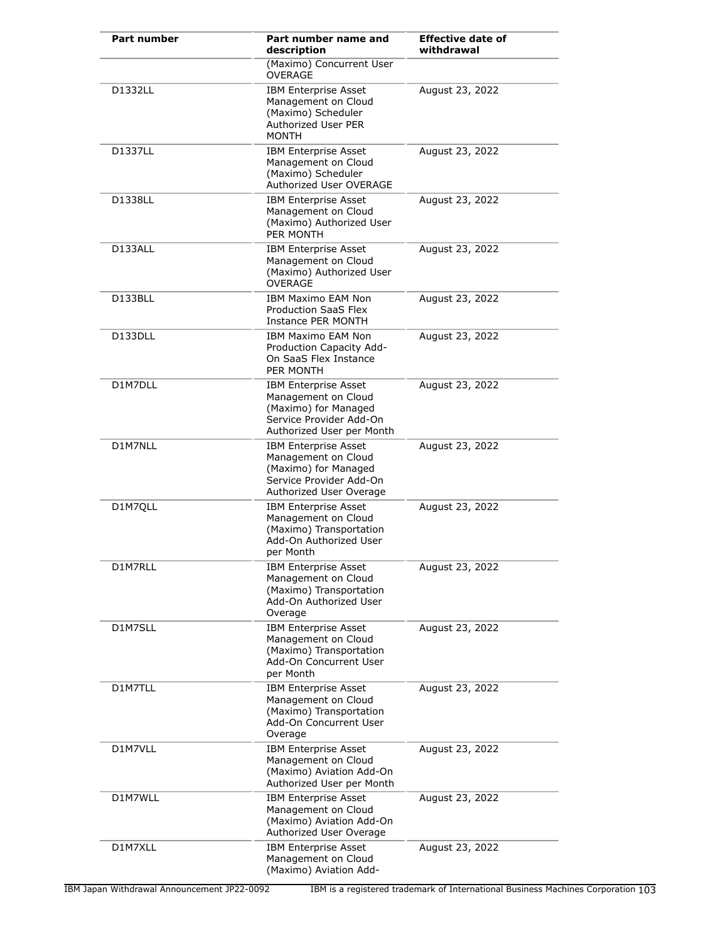| <b>Part number</b> | Part number name and<br>description                                                                                                | <b>Effective date of</b><br>withdrawal |
|--------------------|------------------------------------------------------------------------------------------------------------------------------------|----------------------------------------|
|                    | (Maximo) Concurrent User<br><b>OVERAGE</b>                                                                                         |                                        |
| D1332LL            | <b>IBM Enterprise Asset</b><br>Management on Cloud<br>(Maximo) Scheduler<br>Authorized User PER<br><b>MONTH</b>                    | August 23, 2022                        |
| D1337LL            | <b>IBM Enterprise Asset</b><br>Management on Cloud<br>(Maximo) Scheduler<br>Authorized User OVERAGE                                | August 23, 2022                        |
| D1338LL            | <b>IBM Enterprise Asset</b><br>Management on Cloud<br>(Maximo) Authorized User<br>PER MONTH                                        | August 23, 2022                        |
| D133ALL            | <b>IBM Enterprise Asset</b><br>Management on Cloud<br>(Maximo) Authorized User<br><b>OVERAGE</b>                                   | August 23, 2022                        |
| D133BLL            | <b>IBM Maximo EAM Non</b><br>Production SaaS Flex<br>Instance PER MONTH                                                            | August 23, 2022                        |
| D133DLL            | <b>IBM Maximo EAM Non</b><br>Production Capacity Add-<br>On SaaS Flex Instance<br>PER MONTH                                        | August 23, 2022                        |
| D1M7DLL            | <b>IBM Enterprise Asset</b><br>Management on Cloud<br>(Maximo) for Managed<br>Service Provider Add-On<br>Authorized User per Month | August 23, 2022                        |
| D1M7NLL            | <b>IBM Enterprise Asset</b><br>Management on Cloud<br>(Maximo) for Managed<br>Service Provider Add-On<br>Authorized User Overage   | August 23, 2022                        |
| D1M7QLL            | <b>IBM Enterprise Asset</b><br>Management on Cloud<br>(Maximo) Transportation<br>Add-On Authorized User<br>per Month               | August 23, 2022                        |
| D1M7RLL            | <b>IBM Enterprise Asset</b><br>Management on Cloud<br>(Maximo) Transportation<br>Add-On Authorized User<br>Overage                 | August 23, 2022                        |
| D1M7SLL            | <b>IBM Enterprise Asset</b><br>Management on Cloud<br>(Maximo) Transportation<br>Add-On Concurrent User<br>per Month               | August 23, 2022                        |
| D1M7TLL            | <b>IBM Enterprise Asset</b><br>Management on Cloud<br>(Maximo) Transportation<br>Add-On Concurrent User<br>Overage                 | August 23, 2022                        |
| D1M7VLL            | <b>IBM Enterprise Asset</b><br>Management on Cloud<br>(Maximo) Aviation Add-On<br>Authorized User per Month                        | August 23, 2022                        |
| D1M7WLL            | <b>IBM Enterprise Asset</b><br>Management on Cloud<br>(Maximo) Aviation Add-On<br>Authorized User Overage                          | August 23, 2022                        |
| D1M7XLL            | <b>IBM Enterprise Asset</b><br>Management on Cloud<br>(Maximo) Aviation Add-                                                       | August 23, 2022                        |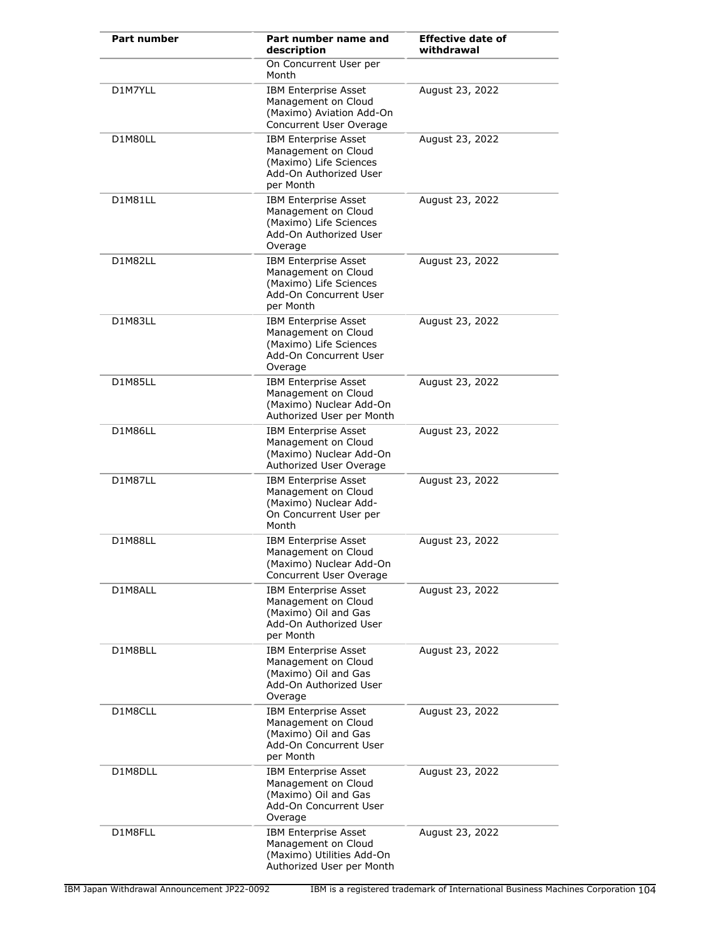| Part number | Part number name and<br>description                                                                                 | <b>Effective date of</b><br>withdrawal |
|-------------|---------------------------------------------------------------------------------------------------------------------|----------------------------------------|
|             | On Concurrent User per<br>Month                                                                                     |                                        |
| D1M7YLL     | <b>IBM Enterprise Asset</b><br>Management on Cloud<br>(Maximo) Aviation Add-On<br>Concurrent User Overage           | August 23, 2022                        |
| D1M80LL     | <b>IBM Enterprise Asset</b><br>Management on Cloud<br>(Maximo) Life Sciences<br>Add-On Authorized User<br>per Month | August 23, 2022                        |
| D1M81LL     | <b>IBM Enterprise Asset</b><br>Management on Cloud<br>(Maximo) Life Sciences<br>Add-On Authorized User<br>Overage   | August 23, 2022                        |
| D1M82LL     | <b>IBM Enterprise Asset</b><br>Management on Cloud<br>(Maximo) Life Sciences<br>Add-On Concurrent User<br>per Month | August 23, 2022                        |
| D1M83LL     | <b>IBM Enterprise Asset</b><br>Management on Cloud<br>(Maximo) Life Sciences<br>Add-On Concurrent User<br>Overage   | August 23, 2022                        |
| D1M85LL     | <b>IBM Enterprise Asset</b><br>Management on Cloud<br>(Maximo) Nuclear Add-On<br>Authorized User per Month          | August 23, 2022                        |
| D1M86LL     | <b>IBM Enterprise Asset</b><br>Management on Cloud<br>(Maximo) Nuclear Add-On<br>Authorized User Overage            | August 23, 2022                        |
| D1M87LL     | <b>IBM Enterprise Asset</b><br>Management on Cloud<br>(Maximo) Nuclear Add-<br>On Concurrent User per<br>Month      | August 23, 2022                        |
| D1M88LL     | <b>IBM Enterprise Asset</b><br>Management on Cloud<br>(Maximo) Nuclear Add-On<br>Concurrent User Overage            | August 23, 2022                        |
| D1M8ALL     | <b>IBM Enterprise Asset</b><br>Management on Cloud<br>(Maximo) Oil and Gas<br>Add-On Authorized User<br>per Month   | August 23, 2022                        |
| D1M8BLL     | <b>IBM Enterprise Asset</b><br>Management on Cloud<br>(Maximo) Oil and Gas<br>Add-On Authorized User<br>Overage     | August 23, 2022                        |
| D1M8CLL     | <b>IBM Enterprise Asset</b><br>Management on Cloud<br>(Maximo) Oil and Gas<br>Add-On Concurrent User<br>per Month   | August 23, 2022                        |
| D1M8DLL     | <b>IBM Enterprise Asset</b><br>Management on Cloud<br>(Maximo) Oil and Gas<br>Add-On Concurrent User<br>Overage     | August 23, 2022                        |
| D1M8FLL     | <b>IBM Enterprise Asset</b><br>Management on Cloud<br>(Maximo) Utilities Add-On<br>Authorized User per Month        | August 23, 2022                        |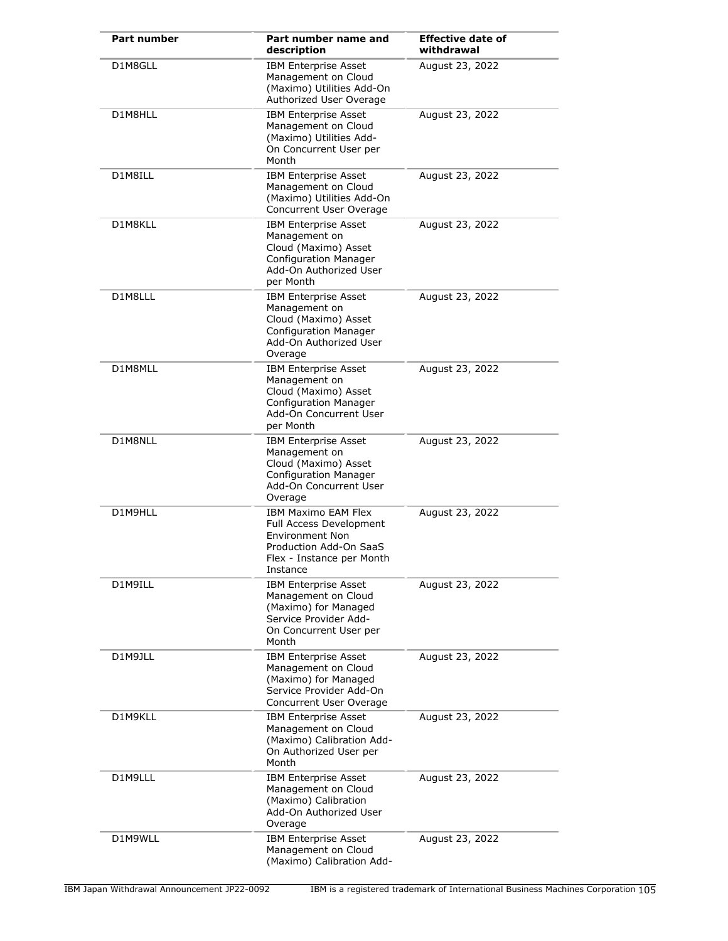| <b>Part number</b> | Part number name and<br>description                                                                                                                | <b>Effective date of</b><br>withdrawal |
|--------------------|----------------------------------------------------------------------------------------------------------------------------------------------------|----------------------------------------|
| D1M8GLL            | <b>IBM Enterprise Asset</b><br>Management on Cloud<br>(Maximo) Utilities Add-On<br>Authorized User Overage                                         | August 23, 2022                        |
| D1M8HLL            | <b>IBM Enterprise Asset</b><br>Management on Cloud<br>(Maximo) Utilities Add-<br>On Concurrent User per<br>Month                                   | August 23, 2022                        |
| D1M8ILL            | <b>IBM Enterprise Asset</b><br>Management on Cloud<br>(Maximo) Utilities Add-On<br>Concurrent User Overage                                         | August 23, 2022                        |
| D1M8KLL            | <b>IBM Enterprise Asset</b><br>Management on<br>Cloud (Maximo) Asset<br><b>Configuration Manager</b><br>Add-On Authorized User<br>per Month        | August 23, 2022                        |
| D1M8LLL            | <b>IBM Enterprise Asset</b><br>Management on<br>Cloud (Maximo) Asset<br><b>Configuration Manager</b><br>Add-On Authorized User<br>Overage          | August 23, 2022                        |
| D1M8MLL            | <b>IBM Enterprise Asset</b><br>Management on<br>Cloud (Maximo) Asset<br><b>Configuration Manager</b><br>Add-On Concurrent User<br>per Month        | August 23, 2022                        |
| D1M8NLL            | <b>IBM Enterprise Asset</b><br>Management on<br>Cloud (Maximo) Asset<br><b>Configuration Manager</b><br>Add-On Concurrent User<br>Overage          | August 23, 2022                        |
| D1M9HLL            | <b>IBM Maximo EAM Flex</b><br>Full Access Development<br><b>Environment Non</b><br>Production Add-On SaaS<br>Flex - Instance per Month<br>Instance | August 23, 2022                        |
| D1M9ILL            | <b>IBM Enterprise Asset</b><br>Management on Cloud<br>(Maximo) for Managed<br>Service Provider Add-<br>On Concurrent User per<br>Month             | August 23, 2022                        |
| D1M9JLL            | <b>IBM Enterprise Asset</b><br>Management on Cloud<br>(Maximo) for Managed<br>Service Provider Add-On<br>Concurrent User Overage                   | August 23, 2022                        |
| D1M9KLL            | <b>IBM Enterprise Asset</b><br>Management on Cloud<br>(Maximo) Calibration Add-<br>On Authorized User per<br>Month                                 | August 23, 2022                        |
| D1M9LLL            | <b>IBM Enterprise Asset</b><br>Management on Cloud<br>(Maximo) Calibration<br>Add-On Authorized User<br>Overage                                    | August 23, 2022                        |
| D1M9WLL            | <b>IBM Enterprise Asset</b><br>Management on Cloud<br>(Maximo) Calibration Add-                                                                    | August 23, 2022                        |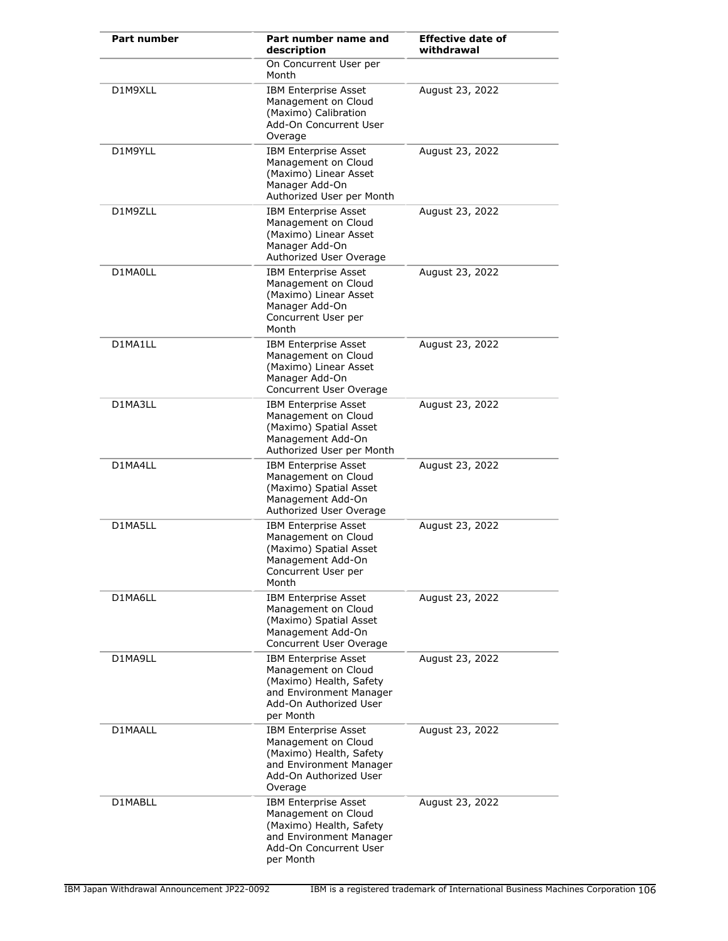| Part number | Part number name and<br>description                                                                                                             | <b>Effective date of</b><br>withdrawal |
|-------------|-------------------------------------------------------------------------------------------------------------------------------------------------|----------------------------------------|
|             | On Concurrent User per<br>Month                                                                                                                 |                                        |
| D1M9XLL     | <b>IBM Enterprise Asset</b><br>Management on Cloud<br>(Maximo) Calibration<br>Add-On Concurrent User<br>Overage                                 | August 23, 2022                        |
| D1M9YLL     | <b>IBM Enterprise Asset</b><br>Management on Cloud<br>(Maximo) Linear Asset<br>Manager Add-On<br>Authorized User per Month                      | August 23, 2022                        |
| D1M9ZLL     | <b>IBM Enterprise Asset</b><br>Management on Cloud<br>(Maximo) Linear Asset<br>Manager Add-On<br>Authorized User Overage                        | August 23, 2022                        |
| D1MA0LL     | <b>IBM Enterprise Asset</b><br>Management on Cloud<br>(Maximo) Linear Asset<br>Manager Add-On<br>Concurrent User per<br>Month                   | August 23, 2022                        |
| D1MA1LL     | <b>IBM Enterprise Asset</b><br>Management on Cloud<br>(Maximo) Linear Asset<br>Manager Add-On<br>Concurrent User Overage                        | August 23, 2022                        |
| D1MA3LL     | <b>IBM Enterprise Asset</b><br>Management on Cloud<br>(Maximo) Spatial Asset<br>Management Add-On<br>Authorized User per Month                  | August 23, 2022                        |
| D1MA4LL     | <b>IBM Enterprise Asset</b><br>Management on Cloud<br>(Maximo) Spatial Asset<br>Management Add-On<br>Authorized User Overage                    | August 23, 2022                        |
| D1MA5LL     | <b>IBM Enterprise Asset</b><br>Management on Cloud<br>(Maximo) Spatial Asset<br>Management Add-On<br>Concurrent User per<br>Month               | August 23, 2022                        |
| D1MA6LL     | <b>IBM Enterprise Asset</b><br>Management on Cloud<br>(Maximo) Spatial Asset<br>Management Add-On<br>Concurrent User Overage                    | August 23, 2022                        |
| D1MA9LL     | <b>IBM Enterprise Asset</b><br>Management on Cloud<br>(Maximo) Health, Safety<br>and Environment Manager<br>Add-On Authorized User<br>per Month | August 23, 2022                        |
| D1MAALL     | <b>IBM Enterprise Asset</b><br>Management on Cloud<br>(Maximo) Health, Safety<br>and Environment Manager<br>Add-On Authorized User<br>Overage   | August 23, 2022                        |
| D1MABLL     | <b>IBM Enterprise Asset</b><br>Management on Cloud<br>(Maximo) Health, Safety<br>and Environment Manager<br>Add-On Concurrent User<br>per Month | August 23, 2022                        |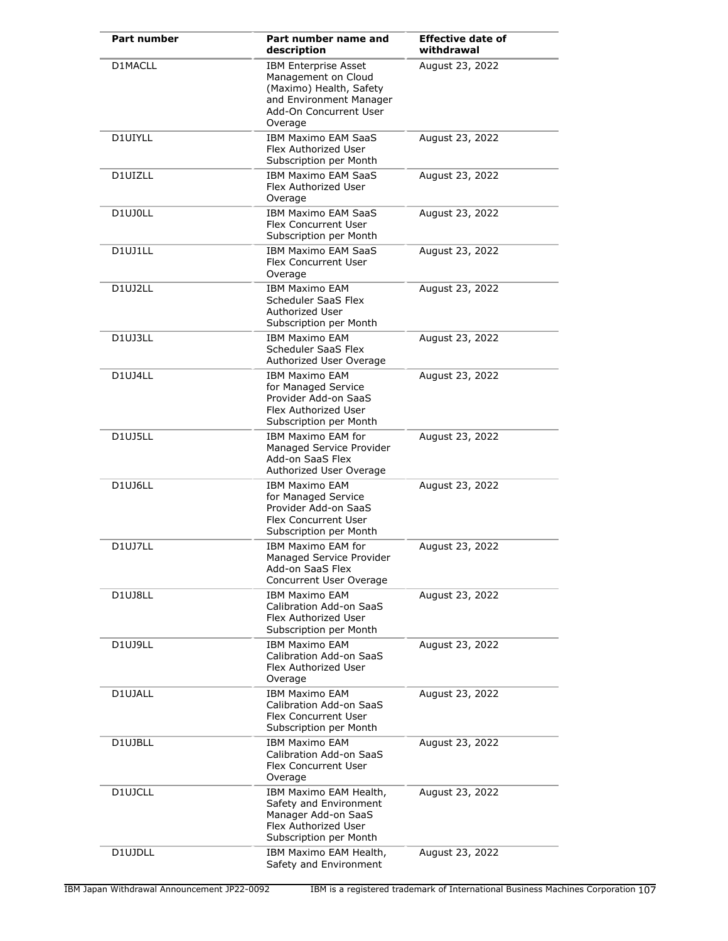| <b>Part number</b> | Part number name and<br>description                                                                                                           | <b>Effective date of</b><br>withdrawal |
|--------------------|-----------------------------------------------------------------------------------------------------------------------------------------------|----------------------------------------|
| D1MACLL            | <b>IBM Enterprise Asset</b><br>Management on Cloud<br>(Maximo) Health, Safety<br>and Environment Manager<br>Add-On Concurrent User<br>Overage | August 23, 2022                        |
| D1UIYLL            | <b>IBM Maximo EAM SaaS</b><br>Flex Authorized User<br>Subscription per Month                                                                  | August 23, 2022                        |
| D1UIZLL            | <b>IBM Maximo EAM SaaS</b><br>Flex Authorized User<br>Overage                                                                                 | August 23, 2022                        |
| D1UJ0LL            | <b>IBM Maximo EAM SaaS</b><br>Flex Concurrent User<br>Subscription per Month                                                                  | August 23, 2022                        |
| D1UJ1LL            | <b>IBM Maximo EAM SaaS</b><br>Flex Concurrent User<br>Overage                                                                                 | August 23, 2022                        |
| D1UJ2LL            | <b>IBM Maximo EAM</b><br>Scheduler SaaS Flex<br>Authorized User<br>Subscription per Month                                                     | August 23, 2022                        |
| D1UJ3LL            | <b>IBM Maximo EAM</b><br>Scheduler SaaS Flex<br>Authorized User Overage                                                                       | August 23, 2022                        |
| <b>D1UJ4LL</b>     | <b>IBM Maximo EAM</b><br>for Managed Service<br>Provider Add-on SaaS<br>Flex Authorized User<br>Subscription per Month                        | August 23, 2022                        |
| D1UJ5LL            | <b>IBM Maximo EAM for</b><br>Managed Service Provider<br>Add-on SaaS Flex<br>Authorized User Overage                                          | August 23, 2022                        |
| D1UJ6LL            | <b>IBM Maximo EAM</b><br>for Managed Service<br>Provider Add-on SaaS<br>Flex Concurrent User<br>Subscription per Month                        | August 23, 2022                        |
| D1UJ7LL            | IBM Maximo EAM for<br>Managed Service Provider<br>Add-on SaaS Flex<br>Concurrent User Overage                                                 | August 23, 2022                        |
| D1UJ8LL            | IBM Maximo EAM<br>Calibration Add-on SaaS<br>Flex Authorized User<br>Subscription per Month                                                   | August 23, 2022                        |
| D1UJ9LL            | <b>IBM Maximo EAM</b><br>Calibration Add-on SaaS<br>Flex Authorized User<br>Overage                                                           | August 23, 2022                        |
| D1UJALL            | <b>IBM Maximo EAM</b><br>Calibration Add-on SaaS<br>Flex Concurrent User<br>Subscription per Month                                            | August 23, 2022                        |
| D1UJBLL            | <b>IBM Maximo EAM</b><br>Calibration Add-on SaaS<br>Flex Concurrent User<br>Overage                                                           | August 23, 2022                        |
| D1UJCLL            | IBM Maximo EAM Health,<br>Safety and Environment<br>Manager Add-on SaaS<br>Flex Authorized User<br>Subscription per Month                     | August 23, 2022                        |
| D1UJDLL            | IBM Maximo EAM Health,<br>Safety and Environment                                                                                              | August 23, 2022                        |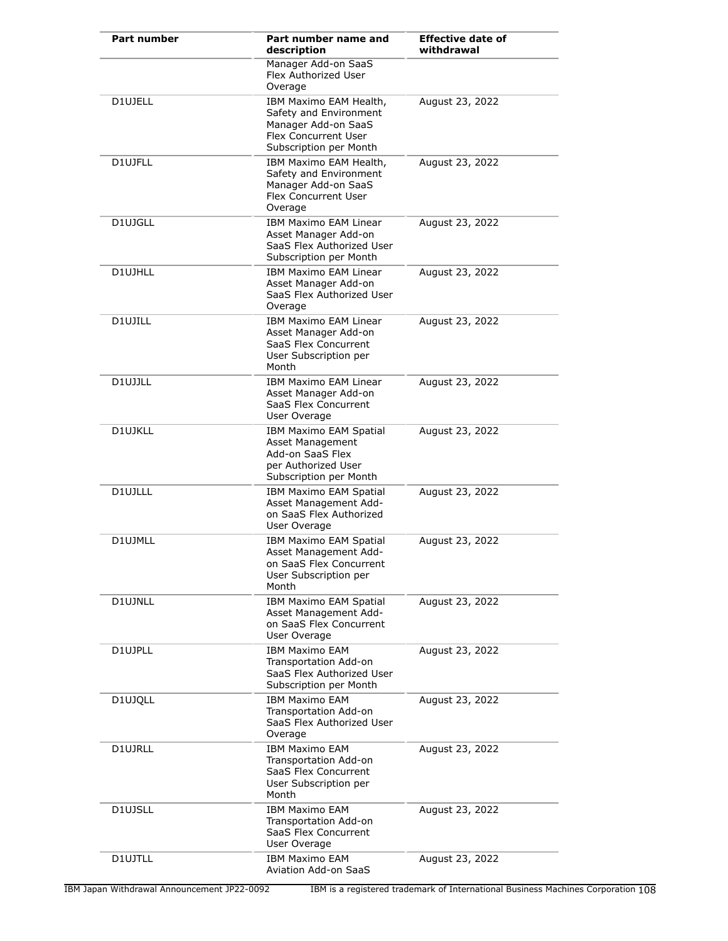| Part number | Part number name and<br>description                                                                                       | <b>Effective date of</b><br>withdrawal |
|-------------|---------------------------------------------------------------------------------------------------------------------------|----------------------------------------|
|             | Manager Add-on SaaS<br>Flex Authorized User<br>Overage                                                                    |                                        |
| D1UJELL     | IBM Maximo EAM Health,<br>Safety and Environment<br>Manager Add-on SaaS<br>Flex Concurrent User<br>Subscription per Month | August 23, 2022                        |
| D1UJFLL     | IBM Maximo EAM Health,<br>Safety and Environment<br>Manager Add-on SaaS<br>Flex Concurrent User<br>Overage                | August 23, 2022                        |
| D1UJGLL     | IBM Maximo EAM Linear<br>Asset Manager Add-on<br>SaaS Flex Authorized User<br>Subscription per Month                      | August 23, 2022                        |
| D1UJHLL     | <b>IBM Maximo EAM Linear</b><br>Asset Manager Add-on<br>SaaS Flex Authorized User<br>Overage                              | August 23, 2022                        |
| D1UJILL     | <b>IBM Maximo EAM Linear</b><br>Asset Manager Add-on<br>SaaS Flex Concurrent<br>User Subscription per<br>Month            | August 23, 2022                        |
| D1UJJLL     | IBM Maximo EAM Linear<br>Asset Manager Add-on<br>SaaS Flex Concurrent<br>User Overage                                     | August 23, 2022                        |
| D1UJKLL     | IBM Maximo EAM Spatial<br>Asset Management<br>Add-on SaaS Flex<br>per Authorized User<br>Subscription per Month           | August 23, 2022                        |
| D1UJLLL     | IBM Maximo EAM Spatial<br>Asset Management Add-<br>on SaaS Flex Authorized<br>User Overage                                | August 23, 2022                        |
| D1UJMLL     | IBM Maximo EAM Spatial<br>Asset Management Add-<br>on SaaS Flex Concurrent<br>User Subscription per<br>Month              | August 23, 2022                        |
| D1UJNLL     | IBM Maximo EAM Spatial<br>Asset Management Add-<br>on SaaS Flex Concurrent<br>User Overage                                | August 23, 2022                        |
| D1UJPLL     | <b>IBM Maximo EAM</b><br>Transportation Add-on<br>SaaS Flex Authorized User<br>Subscription per Month                     | August 23, 2022                        |
| D1UJQLL     | <b>IBM Maximo EAM</b><br>Transportation Add-on<br>SaaS Flex Authorized User<br>Overage                                    | August 23, 2022                        |
| D1UJRLL     | <b>IBM Maximo EAM</b><br>Transportation Add-on<br>SaaS Flex Concurrent<br>User Subscription per<br>Month                  | August 23, 2022                        |
| D1UJSLL     | <b>IBM Maximo EAM</b><br>Transportation Add-on<br>SaaS Flex Concurrent<br>User Overage                                    | August 23, 2022                        |
| D1UJTLL     | <b>IBM Maximo EAM</b><br>Aviation Add-on SaaS                                                                             | August 23, 2022                        |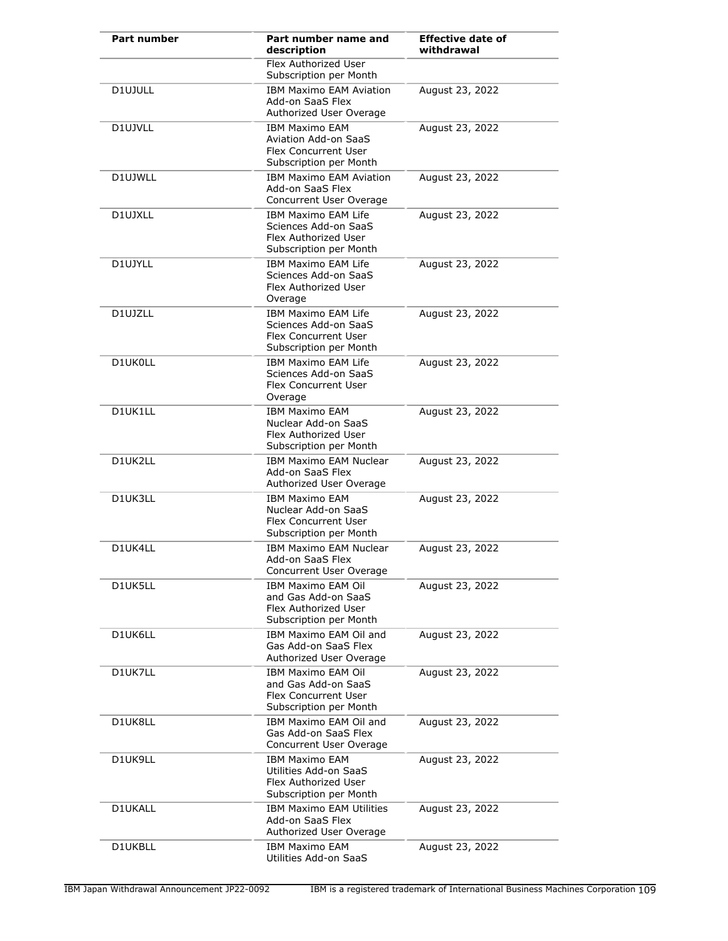| Part number | Part number name and<br>description                                                                | <b>Effective date of</b><br>withdrawal |
|-------------|----------------------------------------------------------------------------------------------------|----------------------------------------|
|             | <b>Flex Authorized User</b><br>Subscription per Month                                              |                                        |
| D1UJULL     | <b>IBM Maximo EAM Aviation</b><br>Add-on SaaS Flex<br>Authorized User Overage                      | August 23, 2022                        |
| D1UJVLL     | <b>IBM Maximo EAM</b><br>Aviation Add-on SaaS<br>Flex Concurrent User<br>Subscription per Month    | August 23, 2022                        |
| D1UJWLL     | <b>IBM Maximo EAM Aviation</b><br>Add-on SaaS Flex<br>Concurrent User Overage                      | August 23, 2022                        |
| D1UJXLL     | IBM Maximo EAM Life<br>Sciences Add-on SaaS<br>Flex Authorized User<br>Subscription per Month      | August 23, 2022                        |
| D1UJYLL     | <b>IBM Maximo EAM Life</b><br>Sciences Add-on SaaS<br>Flex Authorized User<br>Overage              | August 23, 2022                        |
| D1UJZLL     | IBM Maximo EAM Life<br>Sciences Add-on SaaS<br>Flex Concurrent User<br>Subscription per Month      | August 23, 2022                        |
| D1UK0LL     | <b>IBM Maximo EAM Life</b><br>Sciences Add-on SaaS<br>Flex Concurrent User<br>Overage              | August 23, 2022                        |
| D1UK1LL     | <b>IBM Maximo EAM</b><br>Nuclear Add-on SaaS<br>Flex Authorized User<br>Subscription per Month     | August 23, 2022                        |
| D1UK2LL     | IBM Maximo EAM Nuclear<br>Add-on SaaS Flex<br>Authorized User Overage                              | August 23, 2022                        |
| D1UK3LL     | <b>IBM Maximo EAM</b><br>Nuclear Add-on SaaS<br>Flex Concurrent User<br>Subscription per Month     | August 23, 2022                        |
| D1UK4LL     | <b>IBM Maximo EAM Nuclear</b><br>Add-on SaaS Flex<br>Concurrent User Overage                       | August 23, 2022                        |
| D1UK5LL     | <b>IBM Maximo EAM Oil</b><br>and Gas Add-on SaaS<br>Flex Authorized User<br>Subscription per Month | August 23, 2022                        |
| D1UK6LL     | IBM Maximo EAM Oil and<br>Gas Add-on SaaS Flex<br>Authorized User Overage                          | August 23, 2022                        |
| D1UK7LL     | IBM Maximo EAM Oil<br>and Gas Add-on SaaS<br>Flex Concurrent User<br>Subscription per Month        | August 23, 2022                        |
| D1UK8LL     | IBM Maximo EAM Oil and<br>Gas Add-on SaaS Flex<br>Concurrent User Overage                          | August 23, 2022                        |
| D1UK9LL     | <b>IBM Maximo EAM</b><br>Utilities Add-on SaaS<br>Flex Authorized User<br>Subscription per Month   | August 23, 2022                        |
| D1UKALL     | IBM Maximo EAM Utilities<br>Add-on SaaS Flex<br>Authorized User Overage                            | August 23, 2022                        |
| D1UKBLL     | <b>IBM Maximo EAM</b><br>Utilities Add-on SaaS                                                     | August 23, 2022                        |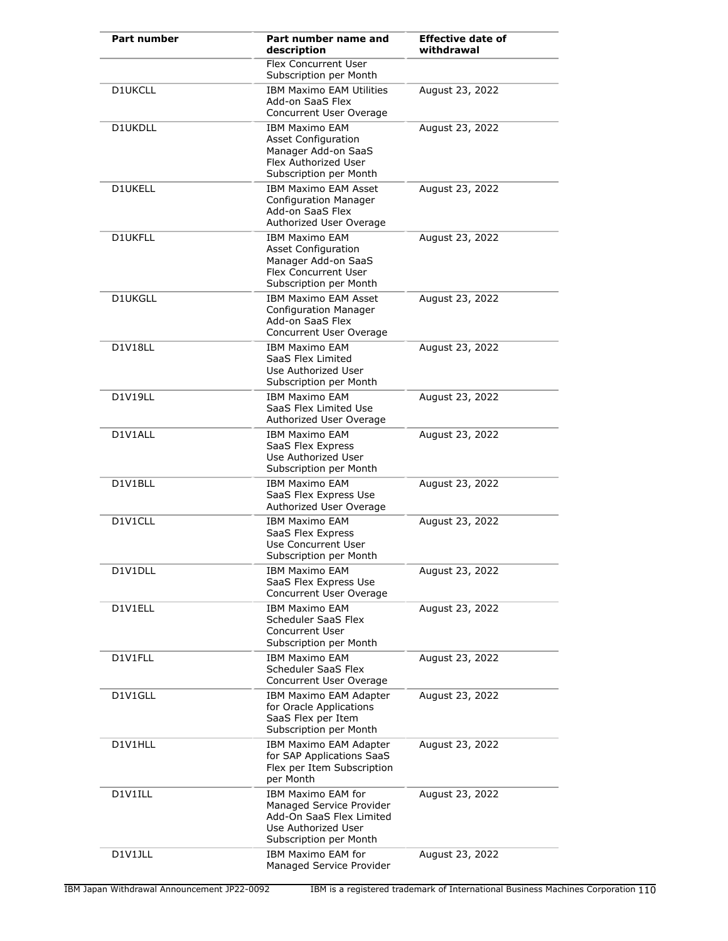| Part number    | Part number name and<br>description                                                                                                | <b>Effective date of</b><br>withdrawal |
|----------------|------------------------------------------------------------------------------------------------------------------------------------|----------------------------------------|
|                | <b>Flex Concurrent User</b><br>Subscription per Month                                                                              |                                        |
| <b>D1UKCLL</b> | IBM Maximo EAM Utilities<br>Add-on SaaS Flex<br>Concurrent User Overage                                                            | August 23, 2022                        |
| D1UKDLL        | <b>IBM Maximo EAM</b><br><b>Asset Configuration</b><br>Manager Add-on SaaS<br>Flex Authorized User<br>Subscription per Month       | August 23, 2022                        |
| D1UKELL        | <b>IBM Maximo EAM Asset</b><br><b>Configuration Manager</b><br>Add-on SaaS Flex<br>Authorized User Overage                         | August 23, 2022                        |
| D1UKFLL        | <b>IBM Maximo EAM</b><br><b>Asset Configuration</b><br>Manager Add-on SaaS<br>Flex Concurrent User<br>Subscription per Month       | August 23, 2022                        |
| <b>D1UKGLL</b> | <b>IBM Maximo EAM Asset</b><br>Configuration Manager<br>Add-on SaaS Flex<br>Concurrent User Overage                                | August 23, 2022                        |
| D1V18LL        | <b>IBM Maximo EAM</b><br>SaaS Flex Limited<br>Use Authorized User<br>Subscription per Month                                        | August 23, 2022                        |
| D1V19LL        | <b>IBM Maximo EAM</b><br>SaaS Flex Limited Use<br>Authorized User Overage                                                          | August 23, 2022                        |
| D1V1ALL        | <b>IBM Maximo EAM</b><br>SaaS Flex Express<br>Use Authorized User<br>Subscription per Month                                        | August 23, 2022                        |
| D1V1BLL        | <b>IBM Maximo EAM</b><br>SaaS Flex Express Use<br>Authorized User Overage                                                          | August 23, 2022                        |
| D1V1CLL        | <b>IBM Maximo EAM</b><br>SaaS Flex Express<br>Use Concurrent User<br>Subscription per Month                                        | August 23, 2022                        |
| D1V1DLL        | <b>IBM Maximo EAM</b><br>SaaS Flex Express Use<br>Concurrent User Overage                                                          | August 23, 2022                        |
| D1V1ELL        | <b>IBM Maximo EAM</b><br>Scheduler SaaS Flex<br><b>Concurrent User</b><br>Subscription per Month                                   | August 23, 2022                        |
| D1V1FLL        | <b>IBM Maximo EAM</b><br>Scheduler SaaS Flex<br>Concurrent User Overage                                                            | August 23, 2022                        |
| D1V1GLL        | IBM Maximo EAM Adapter<br>for Oracle Applications<br>SaaS Flex per Item<br>Subscription per Month                                  | August 23, 2022                        |
| D1V1HLL        | IBM Maximo EAM Adapter<br>for SAP Applications SaaS<br>Flex per Item Subscription<br>per Month                                     | August 23, 2022                        |
| D1V1ILL        | <b>IBM Maximo EAM for</b><br>Managed Service Provider<br>Add-On SaaS Flex Limited<br>Use Authorized User<br>Subscription per Month | August 23, 2022                        |
| D1V1JLL        | IBM Maximo EAM for<br>Managed Service Provider                                                                                     | August 23, 2022                        |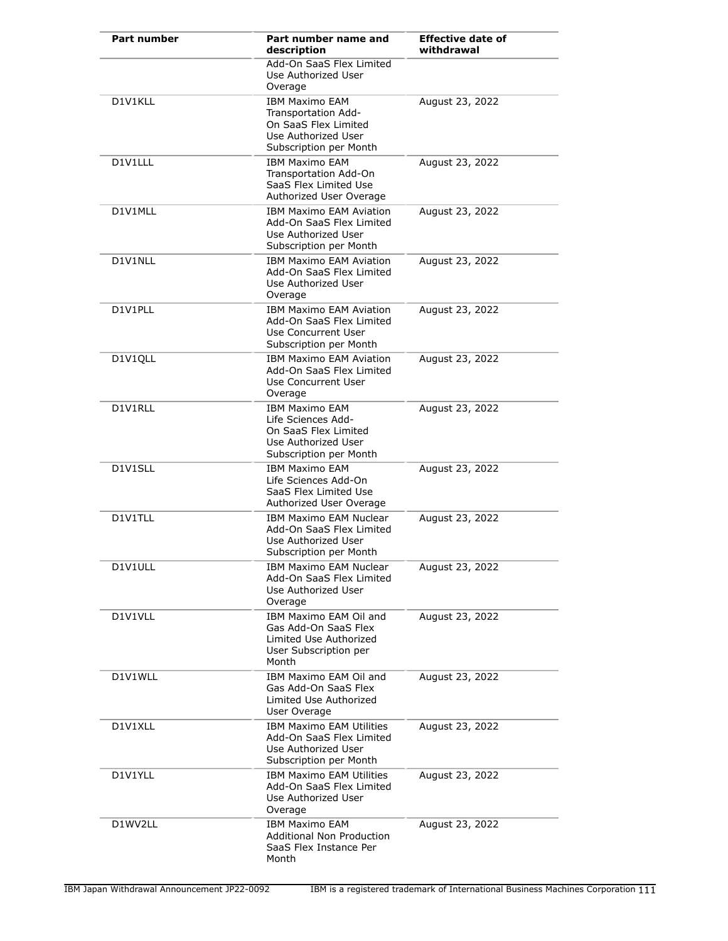| <b>Part number</b> | Part number name and<br>description                                                                                   | <b>Effective date of</b><br>withdrawal |
|--------------------|-----------------------------------------------------------------------------------------------------------------------|----------------------------------------|
|                    | Add-On SaaS Flex Limited<br>Use Authorized User<br>Overage                                                            |                                        |
| D1V1KLL            | <b>IBM Maximo EAM</b><br>Transportation Add-<br>On SaaS Flex Limited<br>Use Authorized User<br>Subscription per Month | August 23, 2022                        |
| D1V1LLL            | <b>IBM Maximo EAM</b><br>Transportation Add-On<br>SaaS Flex Limited Use<br>Authorized User Overage                    | August 23, 2022                        |
| D1V1MLL            | IBM Maximo EAM Aviation<br>Add-On SaaS Flex Limited<br>Use Authorized User<br>Subscription per Month                  | August 23, 2022                        |
| D1V1NLL            | <b>IBM Maximo EAM Aviation</b><br>Add-On SaaS Flex Limited<br>Use Authorized User<br>Overage                          | August 23, 2022                        |
| D1V1PLL            | <b>IBM Maximo EAM Aviation</b><br>Add-On SaaS Flex Limited<br>Use Concurrent User<br>Subscription per Month           | August 23, 2022                        |
| D1V1QLL            | <b>IBM Maximo EAM Aviation</b><br>Add-On SaaS Flex Limited<br>Use Concurrent User<br>Overage                          | August 23, 2022                        |
| D1V1RLL            | <b>IBM Maximo EAM</b><br>Life Sciences Add-<br>On SaaS Flex Limited<br>Use Authorized User<br>Subscription per Month  | August 23, 2022                        |
| D1V1SLL            | <b>IBM Maximo EAM</b><br>Life Sciences Add-On<br>SaaS Flex Limited Use<br>Authorized User Overage                     | August 23, 2022                        |
| D1V1TLL            | IBM Maximo EAM Nuclear<br>Add-On SaaS Flex Limited<br>Use Authorized User<br>Subscription per Month                   | August 23, 2022                        |
| D1V1ULL            | <b>IBM Maximo EAM Nuclear</b><br>Add-On SaaS Flex Limited<br>Use Authorized User<br>Overage                           | August 23, 2022                        |
| D1V1VLL            | IBM Maximo EAM Oil and<br>Gas Add-On SaaS Flex<br>Limited Use Authorized<br>User Subscription per<br>Month            | August 23, 2022                        |
| D1V1WLL            | IBM Maximo EAM Oil and<br>Gas Add-On SaaS Flex<br>Limited Use Authorized<br>User Overage                              | August 23, 2022                        |
| D1V1XLL            | IBM Maximo EAM Utilities<br>Add-On SaaS Flex Limited<br>Use Authorized User<br>Subscription per Month                 | August 23, 2022                        |
| D1V1YLL            | <b>IBM Maximo EAM Utilities</b><br>Add-On SaaS Flex Limited<br>Use Authorized User<br>Overage                         | August 23, 2022                        |
| D1WV2LL            | <b>IBM Maximo EAM</b><br><b>Additional Non Production</b><br>SaaS Flex Instance Per<br>Month                          | August 23, 2022                        |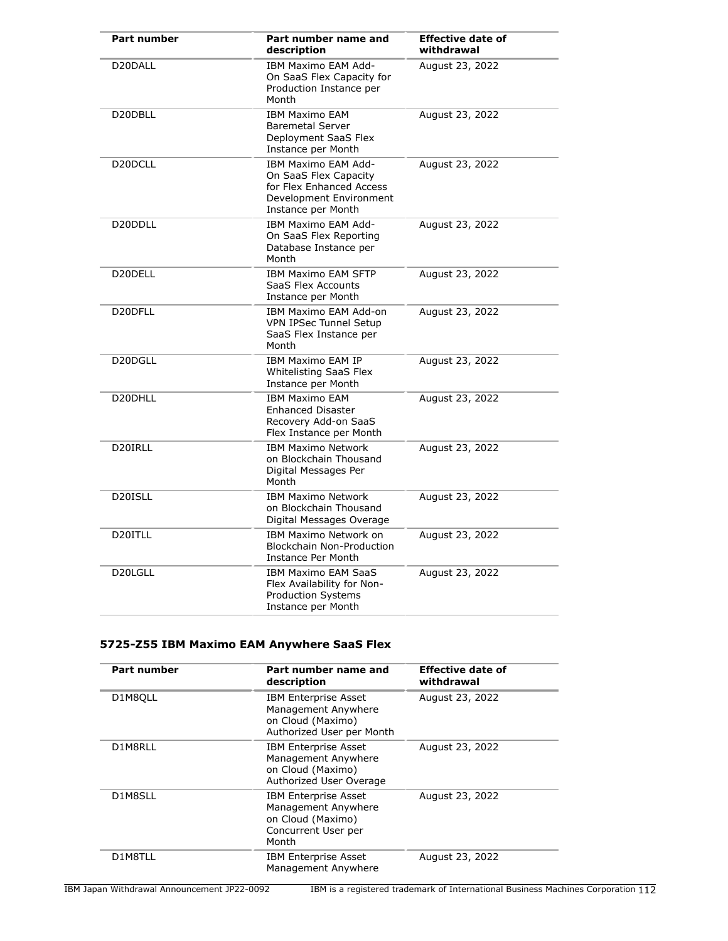| <b>Part number</b>               | Part number name and<br>description                                                                                       | <b>Effective date of</b><br>withdrawal |
|----------------------------------|---------------------------------------------------------------------------------------------------------------------------|----------------------------------------|
| D20DALL                          | IBM Maximo EAM Add-<br>On SaaS Flex Capacity for<br>Production Instance per<br>Month                                      | August 23, 2022                        |
| D20DBLL                          | <b>IBM Maximo EAM</b><br><b>Baremetal Server</b><br>Deployment SaaS Flex<br>Instance per Month                            | August 23, 2022                        |
| D <sub>20</sub> DCLL             | IBM Maximo EAM Add-<br>On SaaS Flex Capacity<br>for Flex Enhanced Access<br>Development Environment<br>Instance per Month | August 23, 2022                        |
| D <sub>20</sub> D <sub>DLL</sub> | IBM Maximo EAM Add-<br>On SaaS Flex Reporting<br>Database Instance per<br>Month                                           | August 23, 2022                        |
| D20DELL                          | <b>IBM Maximo EAM SFTP</b><br>SaaS Flex Accounts<br>Instance per Month                                                    | August 23, 2022                        |
| D <sub>20</sub> DFLL             | IBM Maximo EAM Add-on<br><b>VPN IPSec Tunnel Setup</b><br>SaaS Flex Instance per<br>Month                                 | August 23, 2022                        |
| D20DGLL                          | <b>IBM Maximo EAM IP</b><br>Whitelisting SaaS Flex<br>Instance per Month                                                  | August 23, 2022                        |
| D20DHLL                          | <b>IBM Maximo EAM</b><br><b>Enhanced Disaster</b><br>Recovery Add-on SaaS<br>Flex Instance per Month                      | August 23, 2022                        |
| D20IRLL                          | <b>IBM Maximo Network</b><br>on Blockchain Thousand<br>Digital Messages Per<br>Month                                      | August 23, 2022                        |
| D20ISLL                          | <b>IBM Maximo Network</b><br>on Blockchain Thousand<br>Digital Messages Overage                                           | August 23, 2022                        |
| D <sub>20</sub> ITLL             | IBM Maximo Network on<br><b>Blockchain Non-Production</b><br>Instance Per Month                                           | August 23, 2022                        |
| D20LGLL                          | <b>IBM Maximo EAM SaaS</b><br>Flex Availability for Non-<br><b>Production Systems</b><br>Instance per Month               | August 23, 2022                        |

# **5725-Z55 IBM Maximo EAM Anywhere SaaS Flex**

| <b>Part number</b> | Part number name and<br>description                                                                     | <b>Effective date of</b><br>withdrawal |
|--------------------|---------------------------------------------------------------------------------------------------------|----------------------------------------|
| D1M8QLL            | <b>IBM Enterprise Asset</b><br>Management Anywhere<br>on Cloud (Maximo)<br>Authorized User per Month    | August 23, 2022                        |
| D1M8RLL            | <b>IBM Enterprise Asset</b><br>Management Anywhere<br>on Cloud (Maximo)<br>Authorized User Overage      | August 23, 2022                        |
| D1M8SLL            | <b>IBM Enterprise Asset</b><br>Management Anywhere<br>on Cloud (Maximo)<br>Concurrent User per<br>Month | August 23, 2022                        |
| D1M8TLL            | <b>IBM Enterprise Asset</b><br>Management Anywhere                                                      | August 23, 2022                        |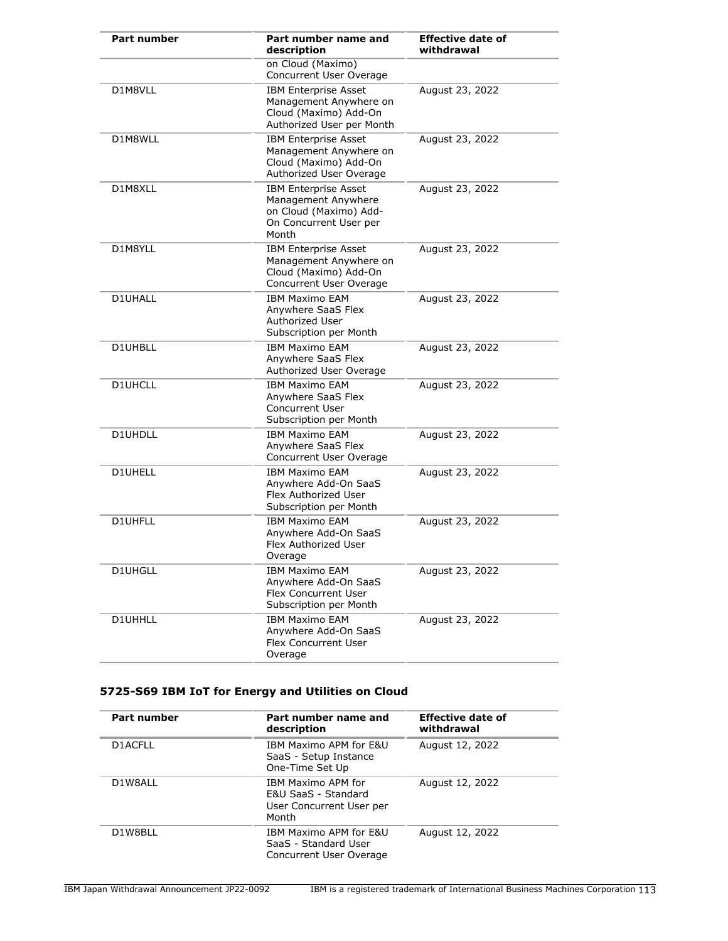| Part number    | Part number name and<br>description                                                                             | <b>Effective date of</b><br>withdrawal |
|----------------|-----------------------------------------------------------------------------------------------------------------|----------------------------------------|
|                | on Cloud (Maximo)<br>Concurrent User Overage                                                                    |                                        |
| D1M8VLL        | <b>IBM Enterprise Asset</b><br>Management Anywhere on<br>Cloud (Maximo) Add-On<br>Authorized User per Month     | August 23, 2022                        |
| D1M8WLL        | <b>IBM Enterprise Asset</b><br>Management Anywhere on<br>Cloud (Maximo) Add-On<br>Authorized User Overage       | August 23, 2022                        |
| D1M8XLL        | <b>IBM Enterprise Asset</b><br>Management Anywhere<br>on Cloud (Maximo) Add-<br>On Concurrent User per<br>Month | August 23, 2022                        |
| D1M8YLL        | <b>IBM Enterprise Asset</b><br>Management Anywhere on<br>Cloud (Maximo) Add-On<br>Concurrent User Overage       | August 23, 2022                        |
| <b>D1UHALL</b> | <b>IBM Maximo EAM</b><br>Anywhere SaaS Flex<br>Authorized User<br>Subscription per Month                        | August 23, 2022                        |
| D1UHBLL        | <b>IBM Maximo EAM</b><br>Anywhere SaaS Flex<br>Authorized User Overage                                          | August 23, 2022                        |
| <b>D1UHCLL</b> | <b>IBM Maximo EAM</b><br>Anywhere SaaS Flex<br>Concurrent User<br>Subscription per Month                        | August 23, 2022                        |
| D1UHDLL        | <b>IBM Maximo EAM</b><br>Anywhere SaaS Flex<br>Concurrent User Overage                                          | August 23, 2022                        |
| D1UHELL        | <b>IBM Maximo EAM</b><br>Anywhere Add-On SaaS<br>Flex Authorized User<br>Subscription per Month                 | August 23, 2022                        |
| D1UHFLL        | <b>IBM Maximo EAM</b><br>Anvwhere Add-On SaaS<br>Flex Authorized User<br>Overage                                | August 23, 2022                        |
| D1UHGLL        | <b>IBM Maximo EAM</b><br>Anywhere Add-On SaaS<br><b>Flex Concurrent User</b><br>Subscription per Month          | August 23, 2022                        |
| D1UHHLL        | <b>IBM Maximo EAM</b><br>Anywhere Add-On SaaS<br>Flex Concurrent User<br>Overage                                | August 23, 2022                        |

# **5725-S69 IBM IoT for Energy and Utilities on Cloud**

| <b>Part number</b> | Part number name and<br>description                                            | <b>Effective date of</b><br>withdrawal |
|--------------------|--------------------------------------------------------------------------------|----------------------------------------|
| D1ACFLL            | IBM Maximo APM for E&U<br>SaaS - Setup Instance<br>One-Time Set Up             | August 12, 2022                        |
| D1W8ALL            | IBM Maximo APM for<br>E&U SaaS - Standard<br>User Concurrent User per<br>Month | August 12, 2022                        |
| D1W8BLL            | IBM Maximo APM for E&U<br>SaaS - Standard User<br>Concurrent User Overage      | August 12, 2022                        |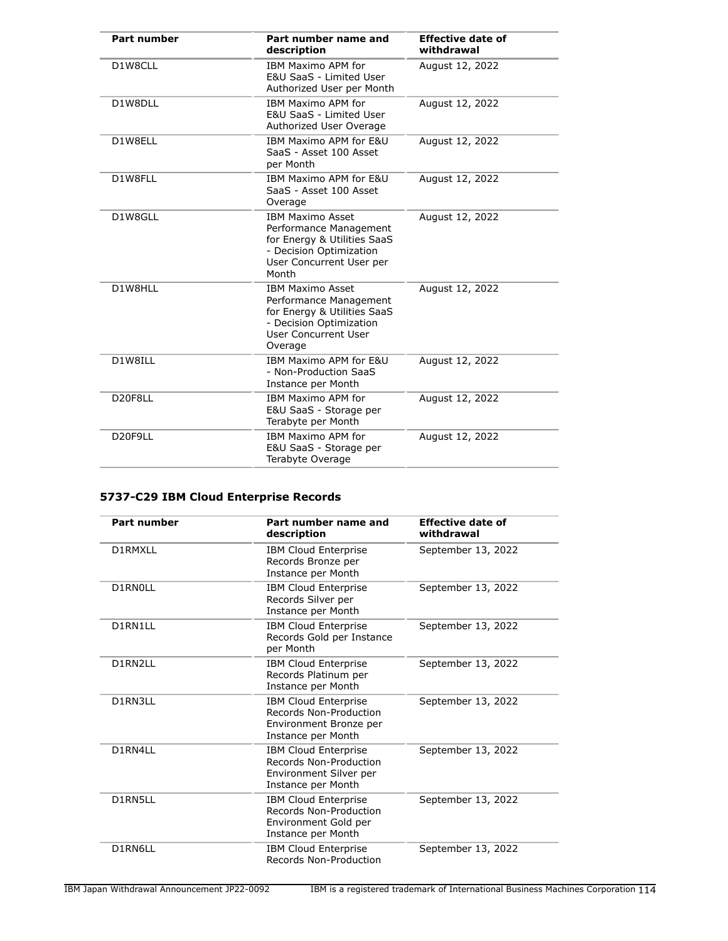| Part number         | Part number name and<br>description                                                                                                              | <b>Effective date of</b><br>withdrawal |
|---------------------|--------------------------------------------------------------------------------------------------------------------------------------------------|----------------------------------------|
| D1W8CLL             | IBM Maximo APM for<br>E&U SaaS - Limited User<br>Authorized User per Month                                                                       | August 12, 2022                        |
| D1W8DLL             | IBM Maximo APM for<br>E&U SaaS - Limited User<br>Authorized User Overage                                                                         | August 12, 2022                        |
| D1W8ELL             | IBM Maximo APM for E&U<br>SaaS - Asset 100 Asset<br>per Month                                                                                    | August 12, 2022                        |
| D1W8FLL             | IBM Maximo APM for E&U<br>SaaS - Asset 100 Asset<br>Overage                                                                                      | August 12, 2022                        |
| D1W8GLL             | <b>IBM Maximo Asset</b><br>Performance Management<br>for Energy & Utilities SaaS<br>- Decision Optimization<br>User Concurrent User per<br>Month | August 12, 2022                        |
| D1W8HLL             | <b>IBM Maximo Asset</b><br>Performance Management<br>for Energy & Utilities SaaS<br>- Decision Optimization<br>User Concurrent User<br>Overage   | August 12, 2022                        |
| D1W8ILL             | IBM Maximo APM for E&U<br>- Non-Production SaaS<br>Instance per Month                                                                            | August 12, 2022                        |
| D20F8LL             | IBM Maximo APM for<br>E&U SaaS - Storage per<br>Terabyte per Month                                                                               | August 12, 2022                        |
| D <sub>20F9LL</sub> | IBM Maximo APM for<br>E&U SaaS - Storage per<br>Terabyte Overage                                                                                 | August 12, 2022                        |

# **5737-C29 IBM Cloud Enterprise Records**

| <b>Part number</b> | Part number name and<br>description                                                                   | <b>Effective date of</b><br>withdrawal |
|--------------------|-------------------------------------------------------------------------------------------------------|----------------------------------------|
| D1RMXLL            | <b>IBM Cloud Enterprise</b><br>Records Bronze per<br>Instance per Month                               | September 13, 2022                     |
| D1RN0LL            | <b>IBM Cloud Enterprise</b><br>Records Silver per<br>Instance per Month                               | September 13, 2022                     |
| D1RN1LL            | <b>IBM Cloud Enterprise</b><br>Records Gold per Instance<br>per Month                                 | September 13, 2022                     |
| D1RN2LL            | <b>IBM Cloud Enterprise</b><br>Records Platinum per<br>Instance per Month                             | September 13, 2022                     |
| D1RN3LL            | <b>IBM Cloud Enterprise</b><br>Records Non-Production<br>Environment Bronze per<br>Instance per Month | September 13, 2022                     |
| D1RN4LL            | <b>IBM Cloud Enterprise</b><br>Records Non-Production<br>Environment Silver per<br>Instance per Month | September 13, 2022                     |
| D1RN5LL            | <b>IBM Cloud Enterprise</b><br>Records Non-Production<br>Environment Gold per<br>Instance per Month   | September 13, 2022                     |
| D1RN6LL            | IBM Cloud Enterprise<br>Records Non-Production                                                        | September 13, 2022                     |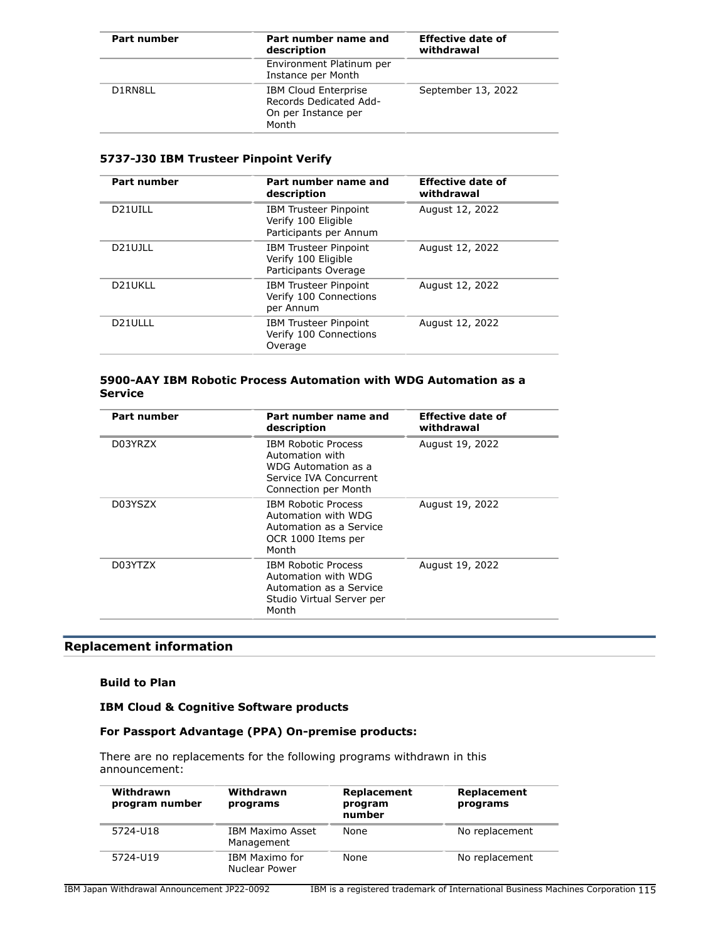| Part number | Part number name and<br>description                                                   | <b>Effective date of</b><br>withdrawal |
|-------------|---------------------------------------------------------------------------------------|----------------------------------------|
|             | Environment Platinum per<br>Instance per Month                                        |                                        |
| D1RN8LL     | <b>IBM Cloud Enterprise</b><br>Records Dedicated Add-<br>On per Instance per<br>Month | September 13, 2022                     |

#### **5737-J30 IBM Trusteer Pinpoint Verify**

| <b>Part number</b>   | Part number name and<br>description                                           | <b>Effective date of</b><br>withdrawal |
|----------------------|-------------------------------------------------------------------------------|----------------------------------------|
| D21UILL              | <b>IBM Trusteer Pinpoint</b><br>Verify 100 Eligible<br>Participants per Annum | August 12, 2022                        |
| D21UJLL              | <b>IBM Trusteer Pinpoint</b><br>Verify 100 Eligible<br>Participants Overage   | August 12, 2022                        |
| D21UKLL              | <b>IBM Trusteer Pinpoint</b><br>Verify 100 Connections<br>per Annum           | August 12, 2022                        |
| D <sub>21</sub> ULLL | <b>IBM Trusteer Pinpoint</b><br>Verify 100 Connections<br>Overage             | August 12, 2022                        |
|                      |                                                                               |                                        |

#### **5900-AAY IBM Robotic Process Automation with WDG Automation as a Service**

| Part number | Part number name and<br>description                                                                                    | <b>Effective date of</b><br>withdrawal |
|-------------|------------------------------------------------------------------------------------------------------------------------|----------------------------------------|
| D03YRZX     | <b>IBM Robotic Process</b><br>Automation with<br>WDG Automation as a<br>Service IVA Concurrent<br>Connection per Month | August 19, 2022                        |
| D03YSZX     | <b>IBM Robotic Process</b><br>Automation with WDG<br>Automation as a Service<br>OCR 1000 Items per<br>Month            | August 19, 2022                        |
| D03YTZX     | <b>IBM Robotic Process</b><br>Automation with WDG<br>Automation as a Service<br>Studio Virtual Server per<br>Month     | August 19, 2022                        |

# **Replacement information**

#### **Build to Plan**

## **IBM Cloud & Cognitive Software products**

## **For Passport Advantage (PPA) On-premise products:**

There are no replacements for the following programs withdrawn in this announcement:

| Withdrawn<br>program number | Withdrawn<br>programs           | Replacement<br>program<br>number | Replacement<br>programs |
|-----------------------------|---------------------------------|----------------------------------|-------------------------|
| 5724-U18                    | IBM Maximo Asset<br>Management  | None                             | No replacement          |
| 5724-U19                    | IBM Maximo for<br>Nuclear Power | None                             | No replacement          |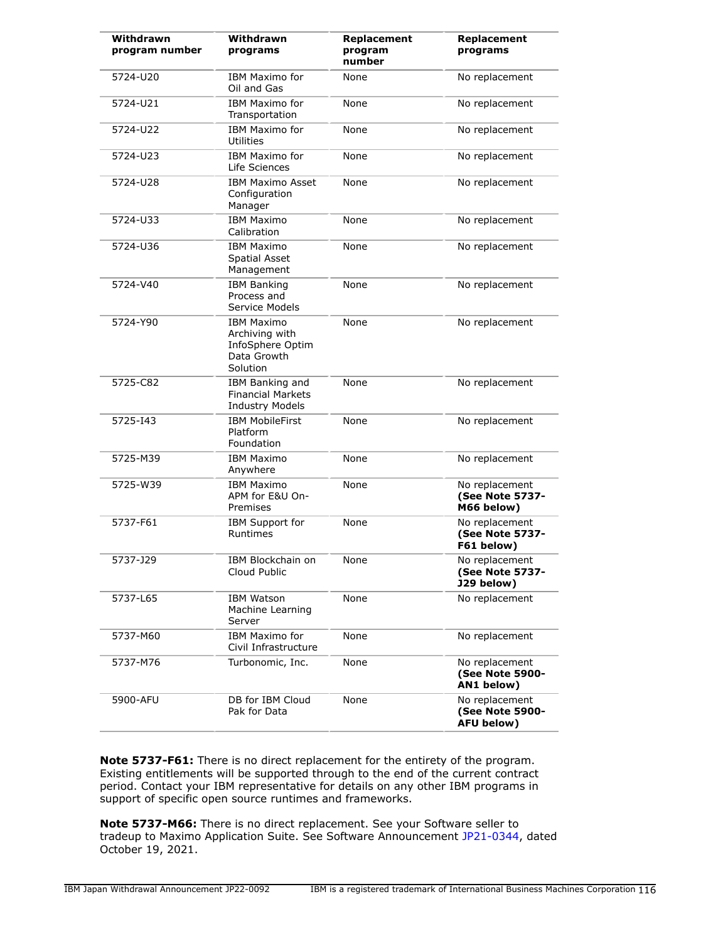| Withdrawn      | Withdrawn                                                                          |                                  |                                                        |
|----------------|------------------------------------------------------------------------------------|----------------------------------|--------------------------------------------------------|
| program number | programs                                                                           | Replacement<br>program<br>number | Replacement<br>programs                                |
| 5724-U20       | IBM Maximo for<br>Oil and Gas                                                      | None                             | No replacement                                         |
| 5724-U21       | IBM Maximo for<br>Transportation                                                   | None                             | No replacement                                         |
| 5724-U22       | IBM Maximo for<br>Utilities                                                        | None                             | No replacement                                         |
| 5724-U23       | IBM Maximo for<br>Life Sciences                                                    | None                             | No replacement                                         |
| 5724-U28       | <b>IBM Maximo Asset</b><br>Configuration<br>Manager                                | None                             | No replacement                                         |
| 5724-U33       | <b>IBM Maximo</b><br>Calibration                                                   | None                             | No replacement                                         |
| 5724-U36       | <b>IBM Maximo</b><br><b>Spatial Asset</b><br>Management                            | None                             | No replacement                                         |
| 5724-V40       | <b>IBM Banking</b><br>Process and<br>Service Models                                | None                             | No replacement                                         |
| 5724-Y90       | <b>IBM Maximo</b><br>Archiving with<br>InfoSphere Optim<br>Data Growth<br>Solution | None                             | No replacement                                         |
| 5725-C82       | IBM Banking and<br><b>Financial Markets</b><br><b>Industry Models</b>              | None                             | No replacement                                         |
| 5725-143       | <b>IBM MobileFirst</b><br>Platform<br>Foundation                                   | None                             | No replacement                                         |
| 5725-M39       | <b>IBM Maximo</b><br>Anywhere                                                      | None                             | No replacement                                         |
| 5725-W39       | <b>IBM Maximo</b><br>APM for E&U On-<br>Premises                                   | None                             | No replacement<br>(See Note 5737-<br>M66 below)        |
| 5737-F61       | <b>IBM Support for</b><br>Runtimes                                                 | None                             | No replacement<br><b>(See Note 5737-</b><br>F61 below) |
| 5737-J29       | IBM Blockchain on<br>Cloud Public                                                  | None                             | No replacement<br><b>(See Note 5737-</b><br>J29 below) |
| 5737-L65       | <b>IBM Watson</b><br>Machine Learning<br>Server                                    | None                             | No replacement                                         |
| 5737-M60       | IBM Maximo for<br>Civil Infrastructure                                             | None                             | No replacement                                         |
| 5737-M76       | Turbonomic, Inc.                                                                   | None                             | No replacement<br>(See Note 5900-<br>AN1 below)        |
| 5900-AFU       | DB for IBM Cloud<br>Pak for Data                                                   | None                             | No replacement<br>(See Note 5900-<br>AFU below)        |

**Note 5737-F61:** There is no direct replacement for the entirety of the program. Existing entitlements will be supported through to the end of the current contract period. Contact your IBM representative for details on any other IBM programs in support of specific open source runtimes and frameworks.

**Note 5737-M66:** There is no direct replacement. See your Software seller to tradeup to Maximo Application Suite. See Software Announcement [JP21-0344,](http://www.ibm.com/common/ssi/cgi-bin/ssialias?infotype=an&subtype=ca&appname=gpateam&supplier=760&letternum=ENUSJP21-0344) dated October 19, 2021.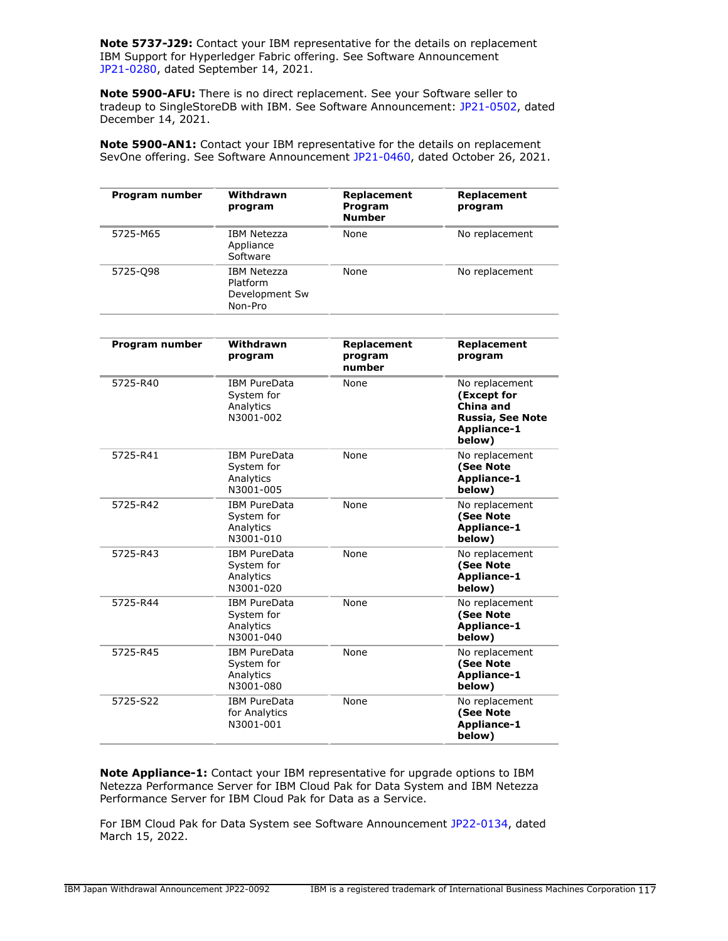**Note 5737-J29:** Contact your IBM representative for the details on replacement IBM Support for Hyperledger Fabric offering. See Software Announcement [JP21-0280,](http://www.ibm.com/common/ssi/cgi-bin/ssialias?infotype=an&subtype=ca&appname=gpateam&supplier=760&letternum=ENUSJP21-0280) dated September 14, 2021.

**Note 5900-AFU:** There is no direct replacement. See your Software seller to tradeup to SingleStoreDB with IBM. See Software Announcement: [JP21-0502,](http://www.ibm.com/common/ssi/cgi-bin/ssialias?infotype=an&subtype=ca&appname=gpateam&supplier=760&letternum=ENUSJP21-0502) dated December 14, 2021.

**Note 5900-AN1:** Contact your IBM representative for the details on replacement SevOne offering. See Software Announcement [JP21-0460](http://www.ibm.com/common/ssi/cgi-bin/ssialias?infotype=an&subtype=ca&appname=gpateam&supplier=760&letternum=ENUSJP21-0460), dated October 26, 2021.

| Program number | Withdrawn<br>program                                        | Replacement<br>Program<br><b>Number</b> | Replacement<br>program |
|----------------|-------------------------------------------------------------|-----------------------------------------|------------------------|
| 5725-M65       | <b>IBM Netezza</b><br>Appliance<br>Software                 | None                                    | No replacement         |
| 5725-098       | <b>IBM Netezza</b><br>Platform<br>Development Sw<br>Non-Pro | None                                    | No replacement         |

| Program number | Withdrawn<br>program                                        | Replacement<br>program<br>number | Replacement<br>program                                                                                |
|----------------|-------------------------------------------------------------|----------------------------------|-------------------------------------------------------------------------------------------------------|
| 5725-R40       | <b>IBM PureData</b><br>System for<br>Analytics<br>N3001-002 | None                             | No replacement<br>(Except for<br>China and<br><b>Russia, See Note</b><br><b>Appliance-1</b><br>below) |
| 5725-R41       | <b>IBM PureData</b><br>System for<br>Analytics<br>N3001-005 | None                             | No replacement<br>(See Note<br>Appliance-1<br>below)                                                  |
| 5725-R42       | <b>IBM PureData</b><br>System for<br>Analytics<br>N3001-010 | None                             | No replacement<br>(See Note<br><b>Appliance-1</b><br>below)                                           |
| 5725-R43       | <b>IBM PureData</b><br>System for<br>Analytics<br>N3001-020 | None                             | No replacement<br>(See Note<br>Appliance-1<br>below)                                                  |
| 5725-R44       | <b>IBM PureData</b><br>System for<br>Analytics<br>N3001-040 | None                             | No replacement<br>(See Note<br>Appliance-1<br>below)                                                  |
| 5725-R45       | <b>IBM PureData</b><br>System for<br>Analytics<br>N3001-080 | None                             | No replacement<br>(See Note<br>Appliance-1<br>below)                                                  |
| 5725-S22       | <b>IBM PureData</b><br>for Analytics<br>N3001-001           | None                             | No replacement<br>(See Note<br><b>Appliance-1</b><br>below)                                           |

**Note Appliance-1:** Contact your IBM representative for upgrade options to IBM Netezza Performance Server for IBM Cloud Pak for Data System and IBM Netezza Performance Server for IBM Cloud Pak for Data as a Service.

For IBM Cloud Pak for Data System see Software Announcement [JP22-0134](http://www.ibm.com/common/ssi/cgi-bin/ssialias?infotype=an&subtype=ca&appname=gpateam&supplier=760&letternum=ENUSJP22-0134), dated March 15, 2022.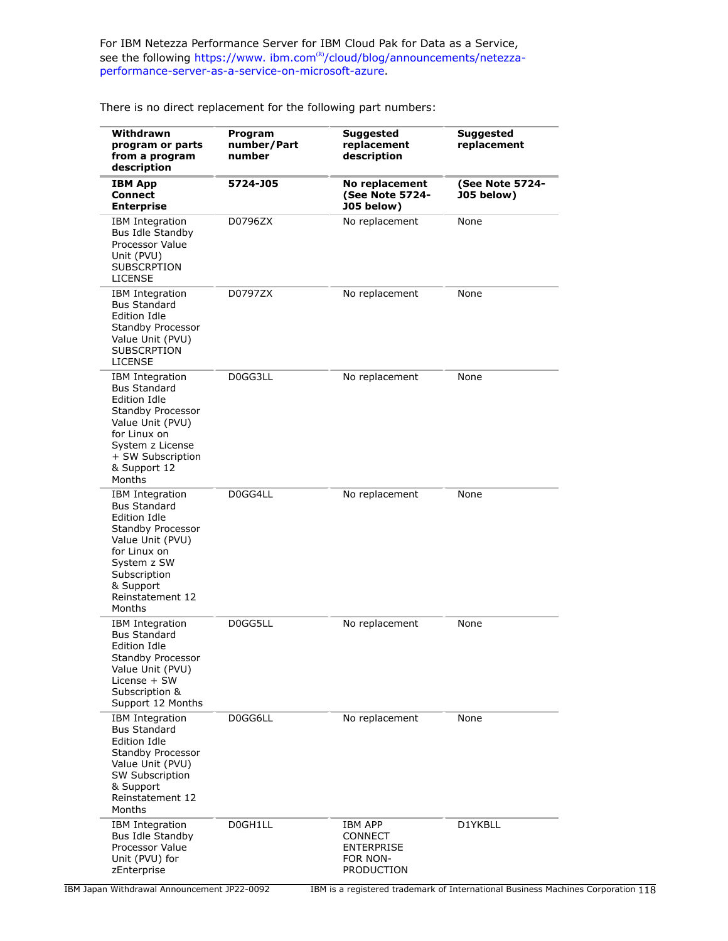For IBM Netezza Performance Server for IBM Cloud Pak for Data as a Service, see the following https://www.ibm.com<sup>(R)</sup>[/cloud/blog/announcements/netezza](https://www.ibm.com/cloud/blog/announcements/netezza-performance-server-as-a-service-on-microsoft-azure)[performance-server-as-a-service-on-microsoft-azure](https://www.ibm.com/cloud/blog/announcements/netezza-performance-server-as-a-service-on-microsoft-azure).

**Withdrawn program or parts from a program description Program number/Part number Suggested replacement description Suggested replacement IBM App Connect Enterprise 5724-J05 No replacement (See Note 5724- J05 below) (See Note 5724- J05 below)** IBM Integration Bus Idle Standby Processor Value Unit (PVU) **SUBSCRPTION** LICENSE D0796ZX No replacement None IBM Integration Bus Standard Edition Idle Standby Processor Value Unit (PVU) SUBSCRPTION LICENSE D0797ZX No replacement None IBM Integration Bus Standard Edition Idle Standby Processor Value Unit (PVU) for Linux on System z License + SW Subscription & Support 12 Months D0GG3LL No replacement None IBM Integration Bus Standard Edition Idle Standby Processor Value Unit (PVU) for Linux on System z SW Subscription & Support Reinstatement 12 Months D0GG4LL No replacement None IBM Integration Bus Standard Edition Idle Standby Processor Value Unit (PVU) License + SW Subscription & Support 12 Months D0GG5LL No replacement None IBM Integration Bus Standard Edition Idle Standby Processor Value Unit (PVU) SW Subscription & Support Reinstatement 12 Months D0GG6LL No replacement None IBM Integration Bus Idle Standby Processor Value Unit (PVU) for zEnterprise DOGH1LL **IBM APP CONNECT** ENTERPRISE FOR NON-PRODUCTION D1YKBLL

There is no direct replacement for the following part numbers: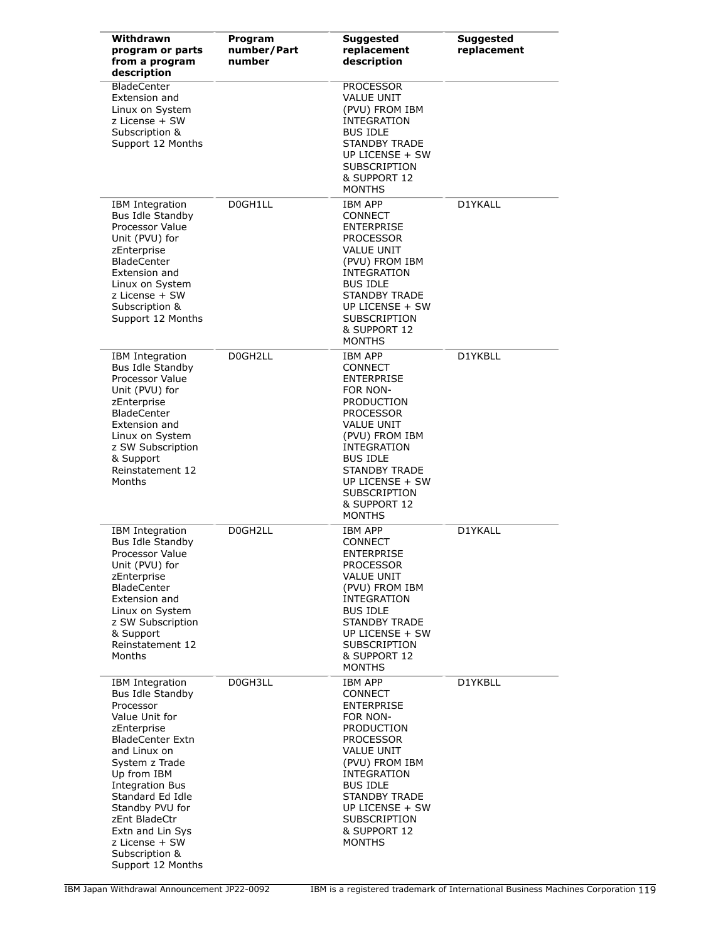| Withdrawn<br>program or parts<br>from a program<br>description                                                                                                                                                                                                                                                               | Program<br>number/Part<br>number | <b>Suggested</b><br>replacement<br>description                                                                                                                                                                                                                           | <b>Suggested</b><br>replacement |
|------------------------------------------------------------------------------------------------------------------------------------------------------------------------------------------------------------------------------------------------------------------------------------------------------------------------------|----------------------------------|--------------------------------------------------------------------------------------------------------------------------------------------------------------------------------------------------------------------------------------------------------------------------|---------------------------------|
| <b>BladeCenter</b><br>Extension and<br>Linux on System<br>z License + SW<br>Subscription &<br>Support 12 Months                                                                                                                                                                                                              |                                  | <b>PROCESSOR</b><br><b>VALUE UNIT</b><br>(PVU) FROM IBM<br>INTEGRATION<br><b>BUS IDLE</b><br><b>STANDBY TRADE</b><br>UP LICENSE + SW<br><b>SUBSCRIPTION</b><br>& SUPPORT 12<br><b>MONTHS</b>                                                                             |                                 |
| <b>IBM</b> Integration<br>Bus Idle Standby<br>Processor Value<br>Unit (PVU) for<br>zEnterprise<br><b>BladeCenter</b><br>Extension and<br>Linux on System<br>z License + SW<br>Subscription &<br>Support 12 Months                                                                                                            | D0GH1LL                          | <b>IBM APP</b><br><b>CONNECT</b><br><b>ENTERPRISE</b><br><b>PROCESSOR</b><br><b>VALUE UNIT</b><br>(PVU) FROM IBM<br><b>INTEGRATION</b><br><b>BUS IDLE</b><br><b>STANDBY TRADE</b><br>UP LICENSE + SW<br><b>SUBSCRIPTION</b><br>& SUPPORT 12<br><b>MONTHS</b>             | D1YKALL                         |
| IBM Integration<br>Bus Idle Standby<br>Processor Value<br>Unit (PVU) for<br>zEnterprise<br><b>BladeCenter</b><br>Extension and<br>Linux on System<br>z SW Subscription<br>& Support<br>Reinstatement 12<br>Months                                                                                                            | D0GH2LL                          | <b>IBM APP</b><br><b>CONNECT</b><br><b>ENTERPRISE</b><br>FOR NON-<br>PRODUCTION<br><b>PROCESSOR</b><br><b>VALUE UNIT</b><br>(PVU) FROM IBM<br>INTEGRATION<br><b>BUS IDLE</b><br>STANDBY TRADE<br>UP LICENSE + SW<br><b>SUBSCRIPTION</b><br>& SUPPORT 12<br><b>MONTHS</b> | D1YKBLL                         |
| <b>IBM</b> Integration<br>Bus Idle Standby<br>Processor Value<br>Unit (PVU) for<br>zEnterprise<br><b>BladeCenter</b><br>Extension and<br>Linux on System<br>z SW Subscription<br>& Support<br>Reinstatement 12<br>Months                                                                                                     | D0GH2LL                          | IBM APP<br><b>CONNECT</b><br><b>ENTERPRISE</b><br><b>PROCESSOR</b><br><b>VALUE UNIT</b><br>(PVU) FROM IBM<br>INTEGRATION<br><b>BUS IDLE</b><br>STANDBY TRADE<br>UP LICENSE + SW<br><b>SUBSCRIPTION</b><br>& SUPPORT 12<br><b>MONTHS</b>                                  | D1YKALL                         |
| IBM Integration<br>Bus Idle Standby<br>Processor<br>Value Unit for<br>zEnterprise<br><b>BladeCenter Extn</b><br>and Linux on<br>System z Trade<br>Up from IBM<br><b>Integration Bus</b><br>Standard Ed Idle<br>Standby PVU for<br>zEnt BladeCtr<br>Extn and Lin Sys<br>z License + SW<br>Subscription &<br>Support 12 Months | D0GH3LL                          | <b>IBM APP</b><br><b>CONNECT</b><br><b>ENTERPRISE</b><br>FOR NON-<br><b>PRODUCTION</b><br><b>PROCESSOR</b><br>VALUE UNIT<br>(PVU) FROM IBM<br>INTEGRATION<br><b>BUS IDLE</b><br>STANDBY TRADE<br>UP LICENSE + SW<br><b>SUBSCRIPTION</b><br>& SUPPORT 12<br><b>MONTHS</b> | D1YKBLL                         |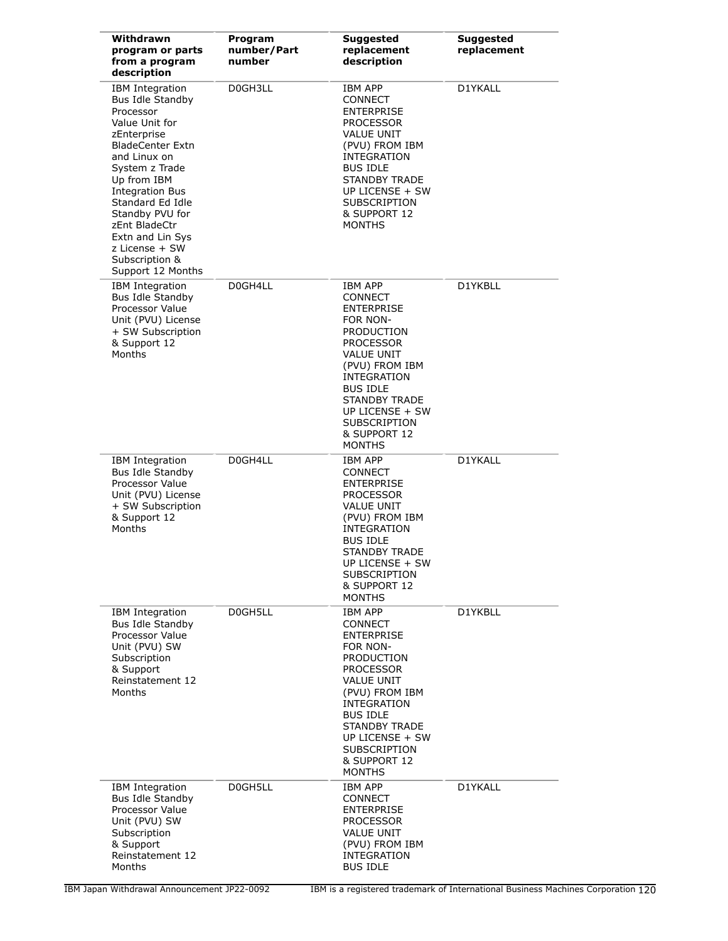| Withdrawn<br>program or parts<br>from a program<br>description                                                                                                                                                                                                                                                               | Program<br>number/Part<br>number | <b>Suggested</b><br>replacement<br>description                                                                                                                                                                                                                           | <b>Suggested</b><br>replacement |
|------------------------------------------------------------------------------------------------------------------------------------------------------------------------------------------------------------------------------------------------------------------------------------------------------------------------------|----------------------------------|--------------------------------------------------------------------------------------------------------------------------------------------------------------------------------------------------------------------------------------------------------------------------|---------------------------------|
| IBM Integration<br>Bus Idle Standby<br>Processor<br>Value Unit for<br>zEnterprise<br><b>BladeCenter Extn</b><br>and Linux on<br>System z Trade<br>Up from IBM<br><b>Integration Bus</b><br>Standard Ed Idle<br>Standby PVU for<br>zEnt BladeCtr<br>Extn and Lin Sys<br>z License + SW<br>Subscription &<br>Support 12 Months | D0GH3LL                          | IBM APP<br>CONNECT<br>ENTERPRISE<br><b>PROCESSOR</b><br>VALUE UNIT<br>(PVU) FROM IBM<br>INTEGRATION<br><b>BUS IDLE</b><br><b>STANDBY TRADE</b><br>UP LICENSE + SW<br><b>SUBSCRIPTION</b><br>& SUPPORT 12<br><b>MONTHS</b>                                                | D1YKALL                         |
| <b>IBM</b> Integration<br>Bus Idle Standby<br>Processor Value<br>Unit (PVU) License<br>+ SW Subscription<br>& Support 12<br>Months                                                                                                                                                                                           | D0GH4LL                          | IBM APP<br>CONNECT<br><b>ENTERPRISE</b><br>FOR NON-<br>PRODUCTION<br><b>PROCESSOR</b><br>VALUE UNIT<br>(PVU) FROM IBM<br>INTEGRATION<br><b>BUS IDLE</b><br><b>STANDBY TRADE</b><br>UP LICENSE + SW<br><b>SUBSCRIPTION</b><br>& SUPPORT 12<br><b>MONTHS</b>               | D1YKBLL                         |
| IBM Integration<br>Bus Idle Standby<br>Processor Value<br>Unit (PVU) License<br>+ SW Subscription<br>& Support 12<br>Months                                                                                                                                                                                                  | D0GH4LL                          | <b>IBM APP</b><br>CONNECT<br><b>ENTERPRISE</b><br><b>PROCESSOR</b><br>VALUE UNIT<br>(PVU) FROM IBM<br>INTEGRATION<br><b>BUS IDLE</b><br><b>STANDBY TRADE</b><br>UP LICENSE + SW<br><b>SUBSCRIPTION</b><br>& SUPPORT 12<br><b>MONTHS</b>                                  | D1YKALL                         |
| IBM Integration<br>Bus Idle Standby<br>Processor Value<br>Unit (PVU) SW<br>Subscription<br>& Support<br>Reinstatement 12<br>Months                                                                                                                                                                                           | D0GH5LL                          | IBM APP<br><b>CONNECT</b><br><b>ENTERPRISE</b><br>FOR NON-<br>PRODUCTION<br><b>PROCESSOR</b><br><b>VALUE UNIT</b><br>(PVU) FROM IBM<br>INTEGRATION<br><b>BUS IDLE</b><br><b>STANDBY TRADE</b><br>UP LICENSE + SW<br><b>SUBSCRIPTION</b><br>& SUPPORT 12<br><b>MONTHS</b> | D1YKBLL                         |
| IBM Integration<br>Bus Idle Standby<br>Processor Value<br>Unit (PVU) SW<br>Subscription<br>& Support<br>Reinstatement 12<br>Months                                                                                                                                                                                           | D0GH5LL                          | IBM APP<br>CONNECT<br><b>ENTERPRISE</b><br><b>PROCESSOR</b><br>VALUE UNIT<br>(PVU) FROM IBM<br>INTEGRATION<br><b>BUS IDLE</b>                                                                                                                                            | D1YKALL                         |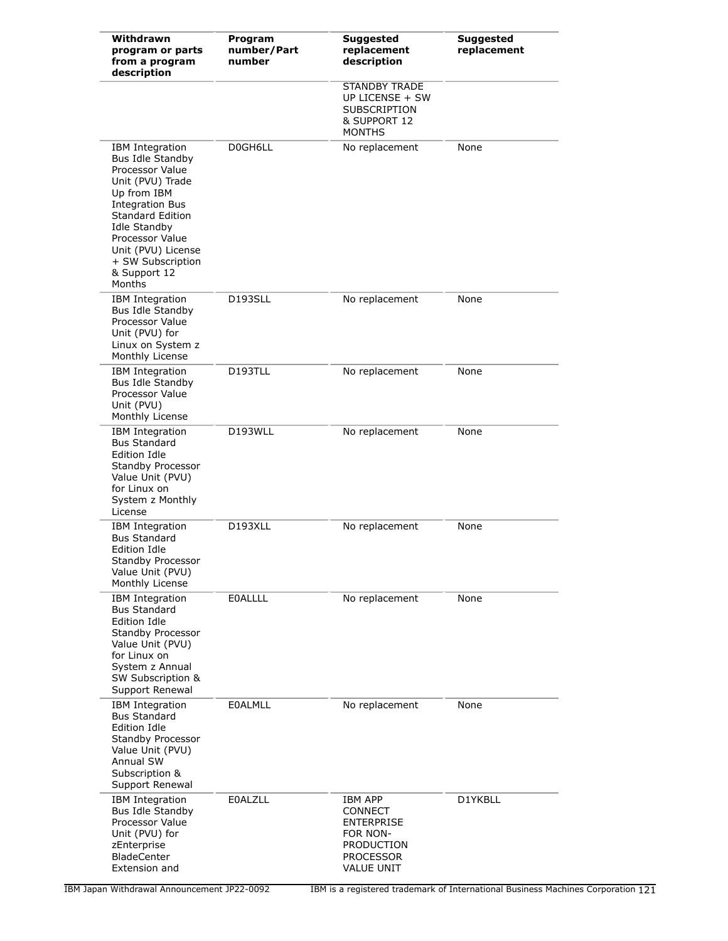| Withdrawn<br>program or parts<br>from a program<br>description                                                                                                                                                                                                | Program<br>number/Part<br>number | <b>Suggested</b><br>replacement<br>description                                                                    | Suggested<br>replacement |
|---------------------------------------------------------------------------------------------------------------------------------------------------------------------------------------------------------------------------------------------------------------|----------------------------------|-------------------------------------------------------------------------------------------------------------------|--------------------------|
|                                                                                                                                                                                                                                                               |                                  | <b>STANDBY TRADE</b><br>UP LICENSE + SW<br><b>SUBSCRIPTION</b><br>& SUPPORT 12<br><b>MONTHS</b>                   |                          |
| <b>IBM</b> Integration<br>Bus Idle Standby<br>Processor Value<br>Unit (PVU) Trade<br>Up from IBM<br><b>Integration Bus</b><br><b>Standard Edition</b><br>Idle Standby<br>Processor Value<br>Unit (PVU) License<br>+ SW Subscription<br>& Support 12<br>Months | D0GH6LL                          | No replacement                                                                                                    | None                     |
| <b>IBM Integration</b><br>Bus Idle Standby<br>Processor Value<br>Unit (PVU) for<br>Linux on System z<br>Monthly License                                                                                                                                       | D193SLL                          | No replacement                                                                                                    | None                     |
| IBM Integration<br>Bus Idle Standby<br>Processor Value<br>Unit (PVU)<br>Monthly License                                                                                                                                                                       | D193TLL                          | No replacement                                                                                                    | None                     |
| <b>IBM</b> Integration<br><b>Bus Standard</b><br><b>Edition Idle</b><br>Standby Processor<br>Value Unit (PVU)<br>for Linux on<br>System z Monthly<br>License                                                                                                  | D193WLL                          | No replacement                                                                                                    | None                     |
| <b>IBM Integration</b><br><b>Bus Standard</b><br>Edition Idle<br>Standby Processor<br>Value Unit (PVU)<br>Monthly License                                                                                                                                     | D193XLL                          | No replacement                                                                                                    | None                     |
| <b>IBM</b> Integration<br><b>Bus Standard</b><br>Edition Idle<br>Standby Processor<br>Value Unit (PVU)<br>for Linux on<br>System z Annual<br>SW Subscription &<br>Support Renewal                                                                             | <b>EOALLLL</b>                   | No replacement                                                                                                    | None                     |
| IBM Integration<br><b>Bus Standard</b><br>Edition Idle<br>Standby Processor<br>Value Unit (PVU)<br>Annual SW<br>Subscription &<br>Support Renewal                                                                                                             | <b>EOALMLL</b>                   | No replacement                                                                                                    | None                     |
| <b>IBM</b> Integration<br>Bus Idle Standby<br>Processor Value<br>Unit (PVU) for<br>zEnterprise<br><b>BladeCenter</b><br>Extension and                                                                                                                         | <b>EOALZLL</b>                   | <b>IBM APP</b><br>CONNECT<br><b>ENTERPRISE</b><br>FOR NON-<br>PRODUCTION<br><b>PROCESSOR</b><br><b>VALUE UNIT</b> | D1YKBLL                  |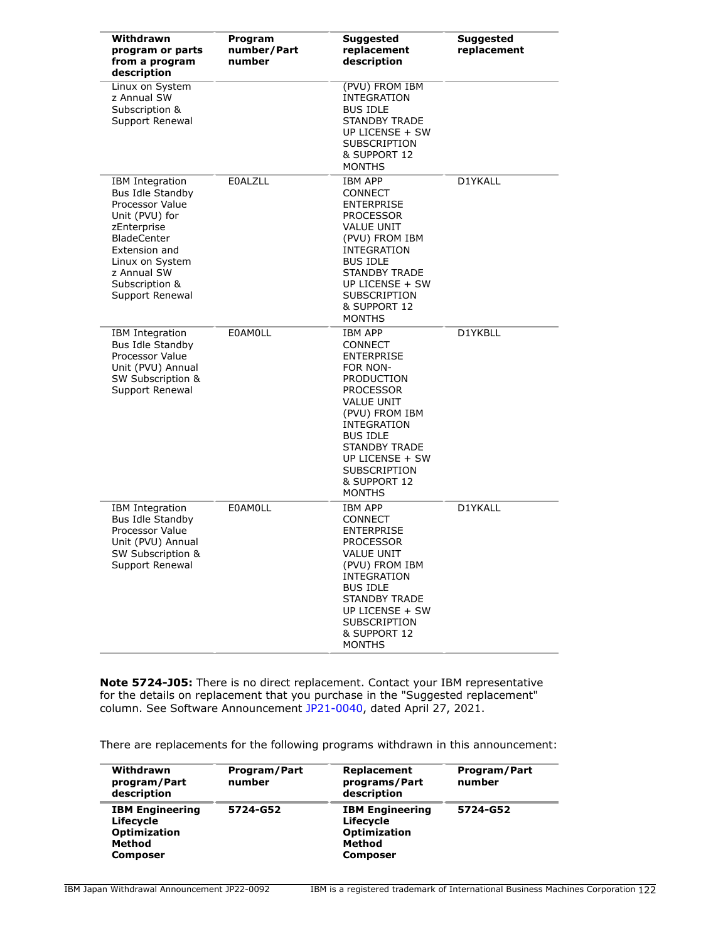| Withdrawn<br>program or parts<br>from a program<br>description                                                                                                                                               | Program<br>number/Part<br>number | <b>Suggested</b><br>replacement<br>description                                                                                                                                                                                                      | <b>Suggested</b><br>replacement |
|--------------------------------------------------------------------------------------------------------------------------------------------------------------------------------------------------------------|----------------------------------|-----------------------------------------------------------------------------------------------------------------------------------------------------------------------------------------------------------------------------------------------------|---------------------------------|
| Linux on System<br>z Annual SW<br>Subscription &<br>Support Renewal                                                                                                                                          |                                  | (PVU) FROM IBM<br>INTEGRATION<br><b>BUS IDLE</b><br><b>STANDBY TRADE</b><br>UP LICENSE + SW<br>SUBSCRIPTION<br>& SUPPORT 12<br><b>MONTHS</b>                                                                                                        |                                 |
| <b>IBM</b> Integration<br>Bus Idle Standby<br>Processor Value<br>Unit (PVU) for<br>zEnterprise<br><b>BladeCenter</b><br>Extension and<br>Linux on System<br>z Annual SW<br>Subscription &<br>Support Renewal | <b>EOALZLL</b>                   | <b>IBM APP</b><br>CONNECT<br>ENTERPRISE<br><b>PROCESSOR</b><br><b>VALUE UNIT</b><br>(PVU) FROM IBM<br>INTEGRATION<br><b>BUS IDLE</b><br><b>STANDBY TRADE</b><br>UP LICENSE + SW<br><b>SUBSCRIPTION</b><br>& SUPPORT 12<br><b>MONTHS</b>             | D1YKALL                         |
| <b>IBM</b> Integration<br><b>Bus Idle Standby</b><br>Processor Value<br>Unit (PVU) Annual<br>SW Subscription &<br>Support Renewal                                                                            | <b>EOAMOLL</b>                   | <b>IBM APP</b><br><b>CONNECT</b><br>ENTERPRISE<br>FOR NON-<br>PRODUCTION<br><b>PROCESSOR</b><br>VALUE UNIT<br>(PVU) FROM IBM<br>INTEGRATION<br><b>BUS IDLE</b><br><b>STANDBY TRADE</b><br>UP LICENSE + SW<br>SUBSCRIPTION<br>& SUPPORT 12<br>MONTHS | D1YKBLL                         |
| IBM Integration<br><b>Bus Idle Standby</b><br>Processor Value<br>Unit (PVU) Annual<br>SW Subscription &<br>Support Renewal                                                                                   | <b>E0AMOLL</b>                   | IBM APP<br>CONNECT<br><b>ENTERPRISE</b><br><b>PROCESSOR</b><br>VALUE UNIT<br>(PVU) FROM IBM<br>INTEGRATION<br><b>BUS IDLE</b><br><b>STANDBY TRADE</b><br>UP LICENSE + SW<br><b>SUBSCRIPTION</b><br>& SUPPORT 12<br><b>MONTHS</b>                    | D1YKALL                         |

**Note 5724-J05:** There is no direct replacement. Contact your IBM representative for the details on replacement that you purchase in the "Suggested replacement" column. See Software Announcement [JP21-0040](http://www.ibm.com/common/ssi/cgi-bin/ssialias?infotype=an&subtype=ca&appname=gpateam&supplier=760&letternum=ENUSJP21-0040), dated April 27, 2021.

There are replacements for the following programs withdrawn in this announcement:

| Withdrawn<br>program/Part<br>description                                                | Program/Part<br>number | Replacement<br>programs/Part<br>description                                             | Program/Part<br>number |
|-----------------------------------------------------------------------------------------|------------------------|-----------------------------------------------------------------------------------------|------------------------|
| <b>IBM Engineering</b><br>Lifecycle<br><b>Optimization</b><br>Method<br><b>Composer</b> | 5724-G52               | <b>IBM Engineering</b><br>Lifecycle<br><b>Optimization</b><br>Method<br><b>Composer</b> | 5724-G52               |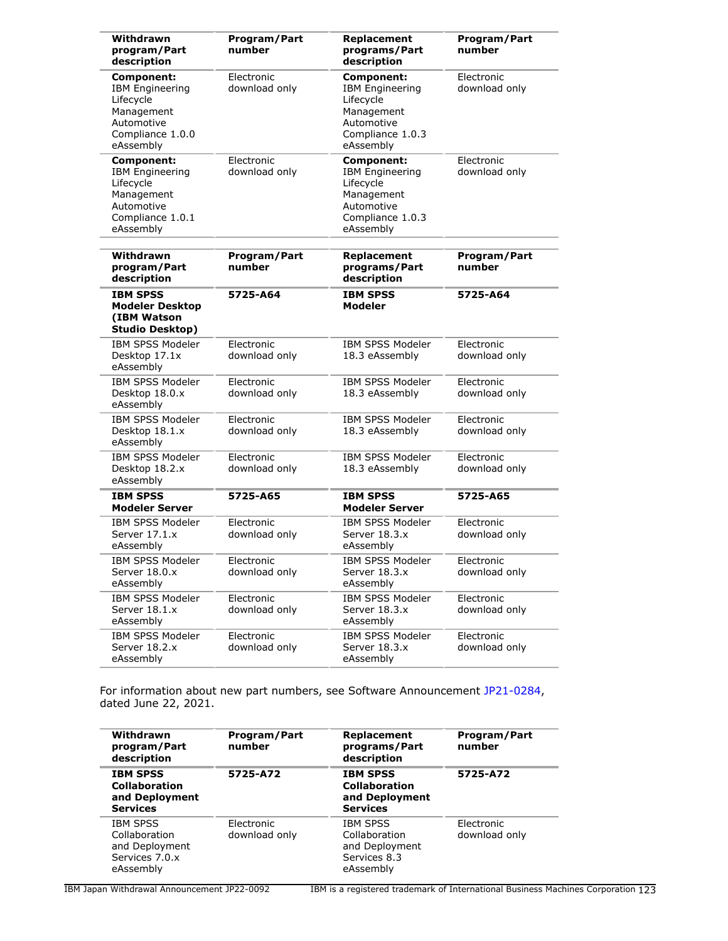| Withdrawn<br>program/Part<br>description                                                                              | Program/Part<br>number      | Replacement<br>programs/Part<br>description                                                                           | <b>Program/Part</b><br>number |
|-----------------------------------------------------------------------------------------------------------------------|-----------------------------|-----------------------------------------------------------------------------------------------------------------------|-------------------------------|
| <b>Component:</b><br><b>IBM Engineering</b><br>Lifecycle<br>Management<br>Automotive<br>Compliance 1.0.0<br>eAssembly | Electronic<br>download only | Component:<br><b>IBM Engineering</b><br>Lifecycle<br>Management<br>Automotive<br>Compliance 1.0.3<br>eAssembly        | Electronic<br>download only   |
| <b>Component:</b><br><b>IBM Engineering</b><br>Lifecycle<br>Management<br>Automotive<br>Compliance 1.0.1<br>eAssembly | Electronic<br>download only | <b>Component:</b><br><b>IBM Engineering</b><br>Lifecycle<br>Management<br>Automotive<br>Compliance 1.0.3<br>eAssembly | Electronic<br>download only   |
| Withdrawn<br>program/Part<br>description                                                                              | Program/Part<br>number      | Replacement<br>programs/Part<br>description                                                                           | Program/Part<br>number        |
| <b>IBM SPSS</b><br><b>Modeler Desktop</b><br>(IBM Watson<br><b>Studio Desktop)</b>                                    | 5725-A64                    | <b>IBM SPSS</b><br>Modeler                                                                                            | 5725-A64                      |
| <b>IBM SPSS Modeler</b><br>Desktop 17.1x<br>eAssembly                                                                 | Electronic<br>download only | <b>IBM SPSS Modeler</b><br>18.3 eAssembly                                                                             | Electronic<br>download only   |
| <b>IBM SPSS Modeler</b><br>Desktop 18.0.x<br>eAssembly                                                                | Electronic<br>download only | <b>IBM SPSS Modeler</b><br>18.3 eAssembly                                                                             | Electronic<br>download only   |
| <b>IBM SPSS Modeler</b><br>Desktop 18.1.x<br>eAssembly                                                                | Electronic<br>download only | <b>IBM SPSS Modeler</b><br>18.3 eAssembly                                                                             | Electronic<br>download only   |
| <b>IBM SPSS Modeler</b><br>Desktop 18.2.x<br>eAssembly                                                                | Electronic<br>download only | <b>IBM SPSS Modeler</b><br>18.3 eAssembly                                                                             | Electronic<br>download only   |
| <b>IBM SPSS</b><br><b>Modeler Server</b>                                                                              | 5725-A65                    | <b>IBM SPSS</b><br><b>Modeler Server</b>                                                                              | 5725-A65                      |
| <b>IBM SPSS Modeler</b><br>Server 17.1.x<br>eAssembly                                                                 | Electronic<br>download only | <b>IBM SPSS Modeler</b><br>Server 18.3.x<br>eAssembly                                                                 | Electronic<br>download only   |
| <b>IBM SPSS Modeler</b><br>Server 18.0.x<br>eAssembly                                                                 | Electronic<br>download only | <b>IBM SPSS Modeler</b><br>Server 18.3.x<br>eAssembly                                                                 | Electronic<br>download only   |
| IBM SPSS Modeler<br>Server 18.1.x<br>eAssembly                                                                        | Electronic<br>download only | IBM SPSS Modeler<br>Server 18.3.x<br>eAssembly                                                                        | Electronic<br>download only   |
| <b>IBM SPSS Modeler</b><br>Server 18.2.x<br>eAssembly                                                                 | Electronic<br>download only | IBM SPSS Modeler<br>Server 18.3.x<br>eAssembly                                                                        | Electronic<br>download only   |

For information about new part numbers, see Software Announcement [JP21-0284](http://www.ibm.com/common/ssi/cgi-bin/ssialias?infotype=an&subtype=ca&appname=gpateam&supplier=760&letternum=ENUSJP21-0284), dated June 22, 2021.

| Withdrawn<br>program/Part<br>description                                          | Program/Part<br>number      | Replacement<br>programs/Part<br>description                                     | Program/Part<br>number      |
|-----------------------------------------------------------------------------------|-----------------------------|---------------------------------------------------------------------------------|-----------------------------|
| <b>IBM SPSS</b><br><b>Collaboration</b><br>and Deployment<br><b>Services</b>      | 5725-A72                    | <b>IBM SPSS</b><br><b>Collaboration</b><br>and Deployment<br><b>Services</b>    | 5725-A72                    |
| <b>IBM SPSS</b><br>Collaboration<br>and Deployment<br>Services 7.0.x<br>eAssembly | Electronic<br>download only | <b>IBM SPSS</b><br>Collaboration<br>and Deployment<br>Services 8.3<br>eAssembly | Electronic<br>download only |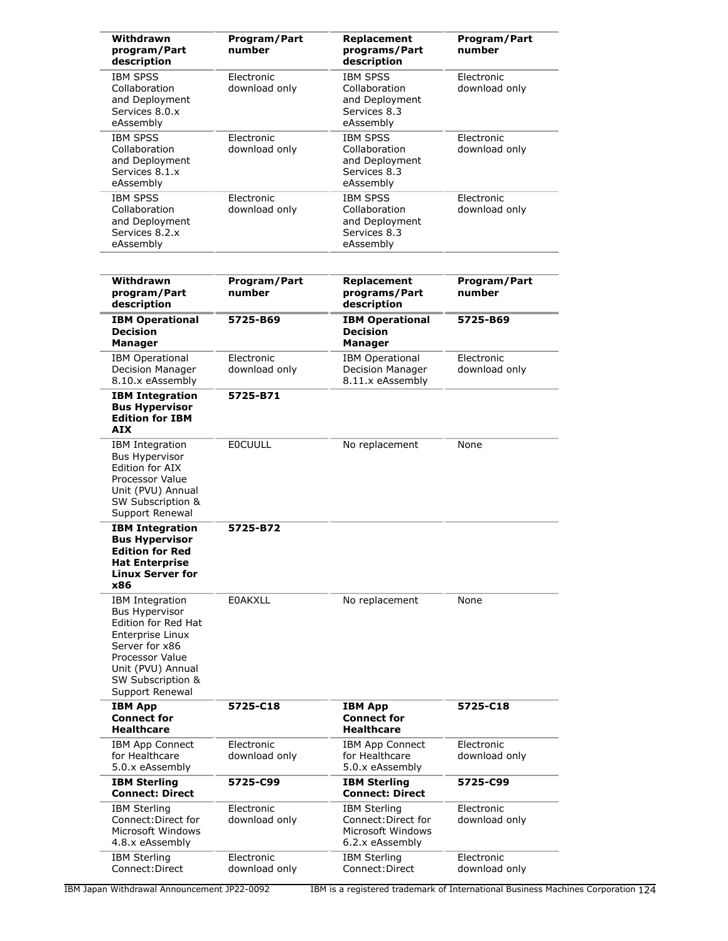| Withdrawn<br>program/Part<br>description                                                                                                                                              | Program/Part<br>number      | Replacement<br>programs/Part<br>description                                        | Program/Part<br>number      |
|---------------------------------------------------------------------------------------------------------------------------------------------------------------------------------------|-----------------------------|------------------------------------------------------------------------------------|-----------------------------|
| <b>IBM SPSS</b><br>Collaboration<br>and Deployment<br>Services 8.0.x<br>eAssembly                                                                                                     | Electronic<br>download only | <b>IBM SPSS</b><br>Collaboration<br>and Deployment<br>Services 8.3<br>eAssembly    | Electronic<br>download only |
| <b>IBM SPSS</b><br>Collaboration<br>and Deployment<br>Services 8.1.x<br>eAssembly                                                                                                     | Electronic<br>download only | <b>IBM SPSS</b><br>Collaboration<br>and Deployment<br>Services 8.3<br>eAssembly    | Electronic<br>download only |
| <b>IBM SPSS</b><br>Collaboration<br>and Deployment<br>Services 8.2.x<br>eAssembly                                                                                                     | Electronic<br>download only | <b>IBM SPSS</b><br>Collaboration<br>and Deployment<br>Services 8.3<br>eAssembly    | Electronic<br>download only |
| Withdrawn<br>program/Part<br>description                                                                                                                                              | Program/Part<br>number      | Replacement<br>programs/Part<br>description                                        | Program/Part<br>number      |
| <b>IBM Operational</b><br><b>Decision</b><br>Manager                                                                                                                                  | 5725-B69                    | <b>IBM Operational</b><br><b>Decision</b><br><b>Manager</b>                        | 5725-B69                    |
| <b>IBM Operational</b><br>Decision Manager<br>8.10.x eAssembly                                                                                                                        | Electronic<br>download only | <b>IBM Operational</b><br>Decision Manager<br>8.11.x eAssembly                     | Electronic<br>download only |
| <b>IBM Integration</b><br><b>Bus Hypervisor</b><br><b>Edition for IBM</b><br><b>AIX</b>                                                                                               | 5725-B71                    |                                                                                    |                             |
| IBM Integration<br><b>Bus Hypervisor</b><br>Edition for AIX<br>Processor Value<br>Unit (PVU) Annual<br>SW Subscription &<br>Support Renewal                                           | <b>EOCUULL</b>              | No replacement                                                                     | None                        |
| <b>IBM Integration</b><br><b>Bus Hypervisor</b><br><b>Edition for Red</b><br><b>Hat Enterprise</b><br><b>Linux Server for</b><br><b>x86</b>                                           | 5725-B72                    |                                                                                    |                             |
| IBM Integration<br><b>Bus Hypervisor</b><br>Edition for Red Hat<br>Enterprise Linux<br>Server for x86<br>Processor Value<br>Unit (PVU) Annual<br>SW Subscription &<br>Support Renewal | <b>E0AKXLL</b>              | No replacement                                                                     | None                        |
| <b>IBM App</b><br><b>Connect for</b><br><b>Healthcare</b>                                                                                                                             | 5725-C18                    | <b>IBM App</b><br><b>Connect for</b><br><b>Healthcare</b>                          | 5725-C18                    |
| IBM App Connect<br>for Healthcare<br>5.0.x eAssembly                                                                                                                                  | Electronic<br>download only | IBM App Connect<br>for Healthcare<br>5.0.x eAssembly                               | Electronic<br>download only |
| <b>IBM Sterling</b><br><b>Connect: Direct</b>                                                                                                                                         | 5725-C99                    | <b>IBM Sterling</b><br><b>Connect: Direct</b>                                      | 5725-C99                    |
| <b>IBM Sterling</b><br>Connect: Direct for<br>Microsoft Windows<br>4.8.x eAssembly                                                                                                    | Electronic<br>download only | <b>IBM Sterling</b><br>Connect: Direct for<br>Microsoft Windows<br>6.2.x eAssembly | Electronic<br>download only |
| <b>IBM Sterling</b><br>Connect: Direct                                                                                                                                                | Electronic<br>download only | <b>IBM Sterling</b><br>Connect: Direct                                             | Electronic<br>download only |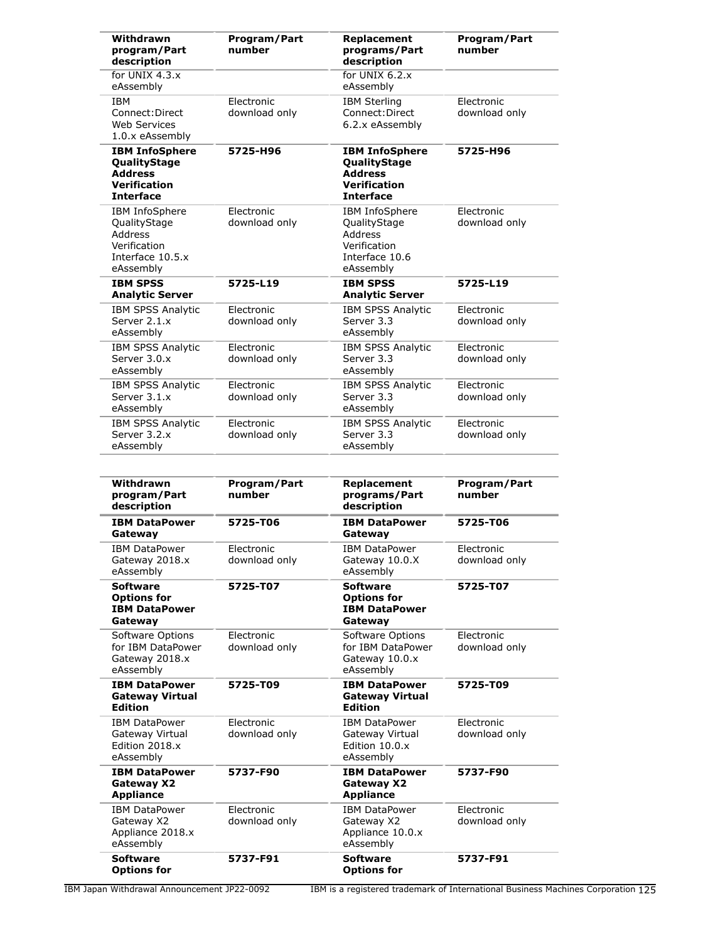| Withdrawn<br>program/Part<br>description                                                           | Program/Part<br>number      | Replacement<br>programs/Part<br>description                                                        | Program/Part<br>number      |
|----------------------------------------------------------------------------------------------------|-----------------------------|----------------------------------------------------------------------------------------------------|-----------------------------|
| for UNIX 4.3.x<br>eAssembly                                                                        |                             | for UNIX $6.2.x$<br>eAssembly                                                                      |                             |
| <b>IBM</b><br>Connect: Direct<br><b>Web Services</b><br>1.0.x eAssembly                            | Electronic<br>download only | <b>IBM Sterling</b><br>Connect: Direct<br>6.2.x eAssembly                                          | Electronic<br>download only |
| <b>IBM InfoSphere</b><br>QualityStage<br><b>Address</b><br><b>Verification</b><br><b>Interface</b> | 5725-H96                    | <b>IBM InfoSphere</b><br>QualityStage<br><b>Address</b><br><b>Verification</b><br><b>Interface</b> | 5725-H96                    |
| IBM InfoSphere<br>QualityStage<br>Address<br>Verification<br>Interface 10.5.x<br>eAssembly         | Electronic<br>download only | IBM InfoSphere<br>QualityStage<br><b>Address</b><br>Verification<br>Interface 10.6<br>eAssembly    | Electronic<br>download only |
| <b>IBM SPSS</b><br><b>Analytic Server</b>                                                          | 5725-L19                    | <b>IBM SPSS</b><br><b>Analytic Server</b>                                                          | 5725-L19                    |
| <b>IBM SPSS Analytic</b><br>Server 2.1.x<br>eAssembly                                              | Electronic<br>download only | <b>IBM SPSS Analytic</b><br>Server 3.3<br>eAssembly                                                | Electronic<br>download only |
| <b>IBM SPSS Analytic</b><br>Server 3.0.x<br>eAssembly                                              | Electronic<br>download only | <b>IBM SPSS Analytic</b><br>Server 3.3<br>eAssembly                                                | Electronic<br>download only |
| IBM SPSS Analytic<br>Server 3.1.x<br>eAssembly                                                     | Electronic<br>download only | IBM SPSS Analytic<br>Server 3.3<br>eAssembly                                                       | Electronic<br>download only |
| IBM SPSS Analytic<br>Server 3.2.x<br>eAssembly                                                     | Electronic<br>download only | <b>IBM SPSS Analytic</b><br>Server 3.3<br>eAssembly                                                | Electronic<br>download only |
| Withdrawn<br>program/Part<br>description                                                           | Program/Part<br>number      | Replacement<br>programs/Part<br>description                                                        | Program/Part<br>number      |
| <b>IBM DataPower</b><br>Gateway                                                                    | 5725-T06                    | <b>IBM DataPower</b><br>Gateway                                                                    | 5725-T06                    |
| <b>IBM DataPower</b><br>Gateway 2018.x<br>eAssembly                                                | Electronic<br>download only | <b>IBM DataPower</b><br>Gateway 10.0.X<br>eAssembly                                                | Electronic<br>download only |
| <b>Software</b><br>Options for<br><b>IBM DataPower</b><br>Gateway                                  | 5725-T07                    | <b>Software</b><br><b>Options for</b><br><b>IBM DataPower</b><br>Gateway                           | 5725-T07                    |
| Software Options<br>for IBM DataPower<br>Gateway 2018.x<br>eAssembly                               | Electronic<br>download only | Software Options<br>for IBM DataPower<br>Gateway 10.0.x<br>eAssembly                               | Electronic<br>download only |
| <b>IBM DataPower</b><br><b>Gateway Virtual</b><br><b>Edition</b>                                   | 5725-T09                    | <b>IBM DataPower</b><br><b>Gateway Virtual</b>                                                     | 5725-T09                    |
|                                                                                                    |                             | <b>Edition</b>                                                                                     |                             |
| <b>IBM DataPower</b><br>Gateway Virtual<br>Edition 2018.x<br>eAssembly                             | Electronic<br>download only | <b>IBM DataPower</b><br>Gateway Virtual<br>Edition 10.0.x<br>eAssembly                             | Electronic<br>download only |
| <b>IBM DataPower</b><br><b>Gateway X2</b><br><b>Appliance</b>                                      | 5737-F90                    | <b>IBM DataPower</b><br><b>Gateway X2</b><br><b>Appliance</b>                                      | 5737-F90                    |
| <b>IBM DataPower</b><br>Gateway X2<br>Appliance 2018.x<br>eAssembly                                | Electronic<br>download only | <b>IBM DataPower</b><br>Gateway X2<br>Appliance 10.0.x<br>eAssembly                                | Electronic<br>download only |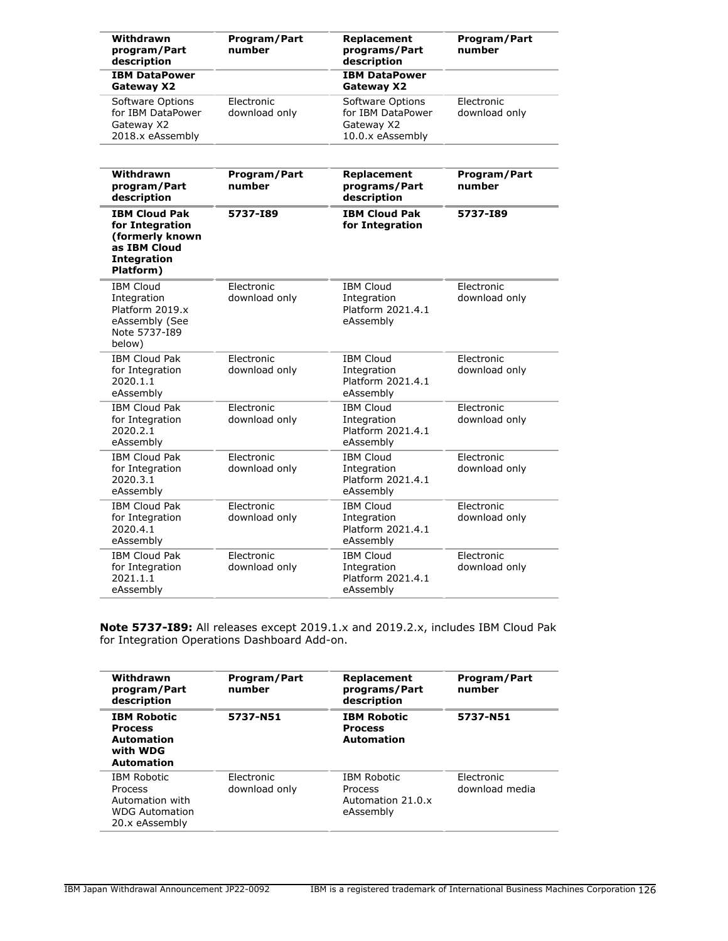| Withdrawn<br>program/Part<br>description                                                                      | Program/Part<br>number      | Replacement<br>programs/Part<br>description                             | Program/Part<br>number        |
|---------------------------------------------------------------------------------------------------------------|-----------------------------|-------------------------------------------------------------------------|-------------------------------|
| <b>IBM DataPower</b><br>Gateway X2                                                                            |                             | <b>IBM DataPower</b><br>Gateway X2                                      |                               |
| Software Options<br>for IBM DataPower<br>Gateway X2<br>2018.x eAssembly                                       | Electronic<br>download only | Software Options<br>for IBM DataPower<br>Gateway X2<br>10.0.x eAssembly | Electronic<br>download only   |
| Withdrawn<br>program/Part<br>description                                                                      | Program/Part<br>number      | Replacement<br>programs/Part<br>description                             | <b>Program/Part</b><br>number |
| <b>IBM Cloud Pak</b><br>for Integration<br>(formerly known<br>as IBM Cloud<br><b>Integration</b><br>Platform) | 5737-189                    | <b>IBM Cloud Pak</b><br>for Integration                                 | 5737-189                      |
| <b>IBM Cloud</b><br>Integration<br>Platform 2019.x<br>eAssembly (See<br>Note 5737-189<br>below)               | Electronic<br>download only | <b>IBM Cloud</b><br>Integration<br>Platform 2021.4.1<br>eAssembly       | Electronic<br>download only   |
| <b>IBM Cloud Pak</b><br>for Integration<br>2020.1.1<br>eAssembly                                              | Electronic<br>download only | <b>IBM Cloud</b><br>Integration<br>Platform 2021.4.1<br>eAssembly       | Electronic<br>download only   |
| <b>IBM Cloud Pak</b><br>for Integration<br>2020.2.1<br>eAssembly                                              | Electronic<br>download only | <b>IBM Cloud</b><br>Integration<br>Platform 2021.4.1<br>eAssembly       | Electronic<br>download only   |
| <b>IBM Cloud Pak</b><br>for Integration<br>2020.3.1<br>eAssembly                                              | Electronic<br>download only | <b>IBM Cloud</b><br>Integration<br>Platform 2021.4.1<br>eAssembly       | Electronic<br>download only   |
| <b>IBM Cloud Pak</b><br>for Integration<br>2020.4.1<br>eAssembly                                              | Electronic<br>download only | <b>IBM Cloud</b><br>Integration<br>Platform 2021.4.1<br>eAssembly       | Electronic<br>download only   |
| <b>IBM Cloud Pak</b><br>for Integration<br>2021.1.1<br>eAssembly                                              | Electronic<br>download only | <b>IBM Cloud</b><br>Integration<br>Platform 2021.4.1<br>eAssembly       | Electronic<br>download only   |

**Note 5737-I89:** All releases except 2019.1.x and 2019.2.x, includes IBM Cloud Pak for Integration Operations Dashboard Add-on.

| Withdrawn<br>program/Part<br>description                                                    | Program/Part<br>number      | Replacement<br>programs/Part<br>description                     | <b>Program/Part</b><br>number |
|---------------------------------------------------------------------------------------------|-----------------------------|-----------------------------------------------------------------|-------------------------------|
| <b>IBM Robotic</b><br><b>Process</b><br><b>Automation</b><br>with WDG<br><b>Automation</b>  | 5737-N51                    | <b>IBM Robotic</b><br><b>Process</b><br><b>Automation</b>       | 5737-N51                      |
| <b>IBM Robotic</b><br>Process<br>Automation with<br><b>WDG Automation</b><br>20.x eAssembly | Electronic<br>download only | <b>IBM Robotic</b><br>Process<br>Automation 21.0 x<br>eAssembly | Electronic<br>download media  |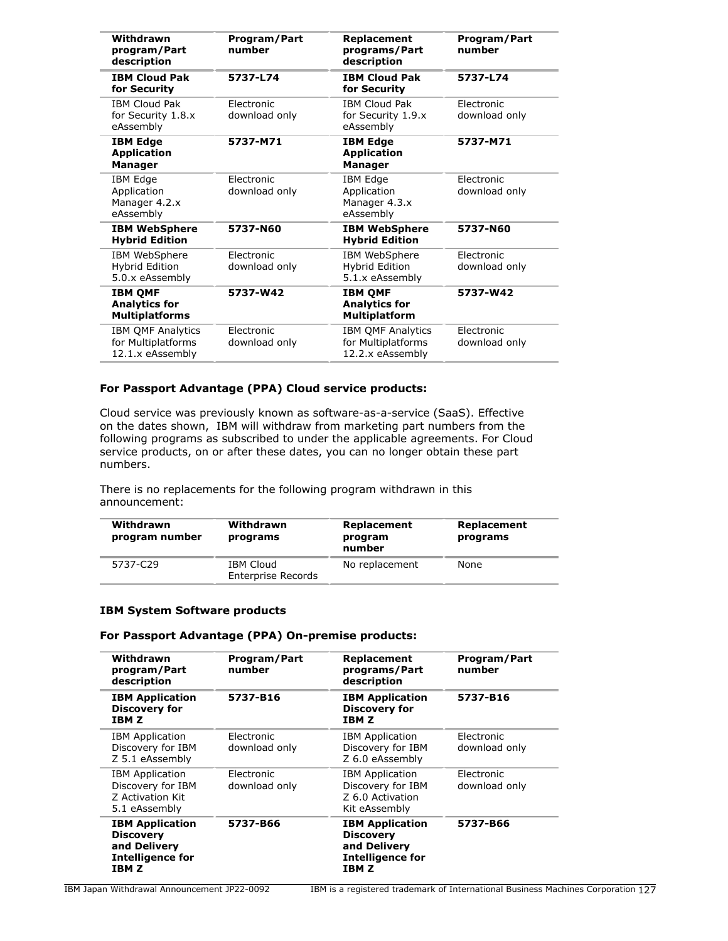| Withdrawn<br>program/Part<br>description                           | Program/Part<br>number      | Replacement<br>programs/Part<br>description                        | Program/Part<br>number             |
|--------------------------------------------------------------------|-----------------------------|--------------------------------------------------------------------|------------------------------------|
| <b>IBM Cloud Pak</b><br>for Security                               | 5737-L74                    | <b>IBM Cloud Pak</b><br>for Security                               | 5737-L74                           |
| <b>IBM Cloud Pak</b><br>for Security 1.8.x<br>eAssembly            | Electronic<br>download only | <b>IBM Cloud Pak</b><br>for Security 1.9.x<br>eAssembly            | Flectronic<br>download only        |
| <b>IBM Edge</b><br><b>Application</b><br><b>Manager</b>            | 5737-M71                    | <b>IBM Edge</b><br><b>Application</b><br><b>Manager</b>            | 5737-M71                           |
| IBM Edge<br>Application<br>Manager 4.2.x<br>eAssembly              | Electronic<br>download only | IBM Edge<br>Application<br>Manager 4.3.x<br>eAssembly              | Electronic<br>download only        |
| <b>IBM WebSphere</b><br><b>Hybrid Edition</b>                      | 5737-N60                    | <b>IBM WebSphere</b><br><b>Hybrid Edition</b>                      | 5737-N60                           |
| IBM WebSphere<br>Hybrid Edition<br>5.0.x eAssembly                 | Electronic<br>download only | IBM WebSphere<br>Hybrid Edition<br>5.1.x eAssembly                 | <b>Flectronic</b><br>download only |
| <b>IBM QMF</b><br><b>Analytics for</b><br><b>Multiplatforms</b>    | 5737-W42                    | <b>IBM QMF</b><br><b>Analytics for</b><br><b>Multiplatform</b>     | 5737-W42                           |
| <b>IBM QMF Analytics</b><br>for Multiplatforms<br>12.1.x eAssembly | Electronic<br>download only | <b>IBM QMF Analytics</b><br>for Multiplatforms<br>12.2.x eAssembly | Electronic<br>download only        |

## **For Passport Advantage (PPA) Cloud service products:**

Cloud service was previously known as software-as-a-service (SaaS). Effective on the dates shown, IBM will withdraw from marketing part numbers from the following programs as subscribed to under the applicable agreements. For Cloud service products, on or after these dates, you can no longer obtain these part numbers.

There is no replacements for the following program withdrawn in this announcement:

| Withdrawn<br>program number | Withdrawn<br>programs                  | Replacement<br>program<br>number | Replacement<br>programs |
|-----------------------------|----------------------------------------|----------------------------------|-------------------------|
| 5737-C29                    | IBM Cloud<br><b>Enterprise Records</b> | No replacement                   | None                    |

#### **IBM System Software products**

## **For Passport Advantage (PPA) On-premise products:**

| Withdrawn<br>program/Part<br>description                                                       | <b>Program/Part</b><br>number | Replacement<br>programs/Part<br>description                                                    | <b>Program/Part</b><br>number |
|------------------------------------------------------------------------------------------------|-------------------------------|------------------------------------------------------------------------------------------------|-------------------------------|
| <b>IBM Application</b><br><b>Discovery for</b><br>IBM Z                                        | 5737-B16                      | <b>IBM Application</b><br><b>Discovery for</b><br>IBM Z                                        | 5737-B16                      |
| <b>IBM Application</b><br>Discovery for IBM<br>Z 5.1 eAssembly                                 | Electronic<br>download only   | <b>IBM</b> Application<br>Discovery for IBM<br>Z 6.0 eAssembly                                 | Electronic<br>download only   |
| <b>IBM Application</b><br>Discovery for IBM<br>Z Activation Kit<br>5.1 eAssembly               | Electronic<br>download only   | <b>IBM</b> Application<br>Discovery for IBM<br>Z 6.0 Activation<br>Kit eAssembly               | Electronic<br>download only   |
| <b>IBM Application</b><br><b>Discovery</b><br>and Delivery<br><b>Intelligence for</b><br>IBM Z | 5737-B66                      | <b>IBM Application</b><br><b>Discovery</b><br>and Delivery<br><b>Intelligence for</b><br>IBM Z | 5737-B66                      |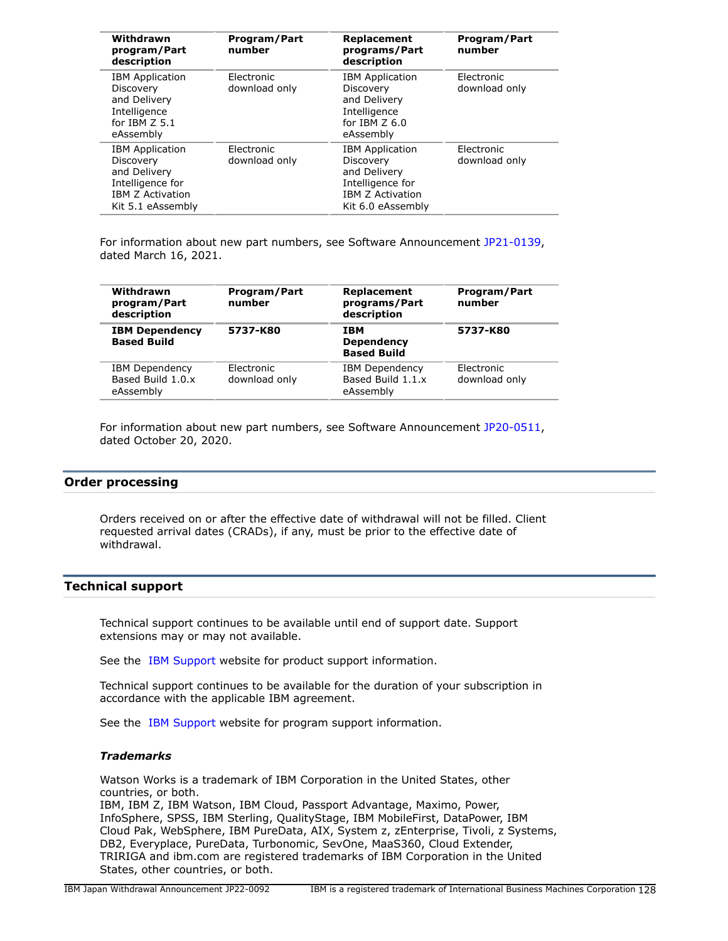| Withdrawn<br>program/Part<br>description                                                                                | Program/Part<br>number      | Replacement<br>programs/Part<br>description                                                                             | Program/Part<br>number      |
|-------------------------------------------------------------------------------------------------------------------------|-----------------------------|-------------------------------------------------------------------------------------------------------------------------|-----------------------------|
| <b>IBM Application</b><br>Discovery<br>and Delivery<br>Intelligence<br>for IBM Z 5.1<br>eAssembly                       | Electronic<br>download only | <b>IBM</b> Application<br>Discovery<br>and Delivery<br>Intelligence<br>for $IBM Z 6.0$<br>eAssembly                     | Electronic<br>download only |
| <b>IBM Application</b><br>Discovery<br>and Delivery<br>Intelligence for<br><b>IBM Z Activation</b><br>Kit 5.1 eAssembly | Electronic<br>download only | <b>IBM</b> Application<br>Discovery<br>and Delivery<br>Intelligence for<br><b>IBM Z Activation</b><br>Kit 6.0 eAssembly | Electronic<br>download only |

For information about new part numbers, see Software Announcement [JP21-0139](http://www.ibm.com/common/ssi/cgi-bin/ssialias?infotype=an&subtype=ca&appname=gpateam&supplier=760&letternum=ENUSJP21-0139), dated March 16, 2021.

| Withdrawn<br>program/Part<br>description                | Program/Part<br>number      | Replacement<br>programs/Part<br>description             | Program/Part<br>number      |
|---------------------------------------------------------|-----------------------------|---------------------------------------------------------|-----------------------------|
| <b>IBM Dependency</b><br><b>Based Build</b>             | 5737-K80                    | <b>IBM</b><br><b>Dependency</b><br><b>Based Build</b>   | 5737-K80                    |
| <b>IBM Dependency</b><br>Based Build 1.0.x<br>eAssembly | Electronic<br>download only | <b>IBM Dependency</b><br>Based Build 1.1.x<br>eAssembly | Electronic<br>download only |

For information about new part numbers, see Software Announcement [JP20-0511](http://www.ibm.com/common/ssi/cgi-bin/ssialias?infotype=an&subtype=ca&appname=gpateam&supplier=760&letternum=ENUSJP20-0511), dated October 20, 2020.

### **Order processing**

Orders received on or after the effective date of withdrawal will not be filled. Client requested arrival dates (CRADs), if any, must be prior to the effective date of withdrawal.

### **Technical support**

Technical support continues to be available until end of support date. Support extensions may or may not available.

See the [IBM Support](https://www.ibm.com/support) website for product support information.

Technical support continues to be available for the duration of your subscription in accordance with the applicable IBM agreement.

See the [IBM Support](https://www.ibm.com/support) website for program support information.

#### *Trademarks*

Watson Works is a trademark of IBM Corporation in the United States, other countries, or both. IBM, IBM Z, IBM Watson, IBM Cloud, Passport Advantage, Maximo, Power, InfoSphere, SPSS, IBM Sterling, QualityStage, IBM MobileFirst, DataPower, IBM Cloud Pak, WebSphere, IBM PureData, AIX, System z, zEnterprise, Tivoli, z Systems,

DB2, Everyplace, PureData, Turbonomic, SevOne, MaaS360, Cloud Extender, TRIRIGA and ibm.com are registered trademarks of IBM Corporation in the United States, other countries, or both.